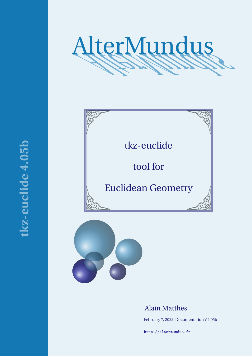





# Alain Matthes

February 7, 2022 Documentation V.4.05b

<http://altermundus.fr>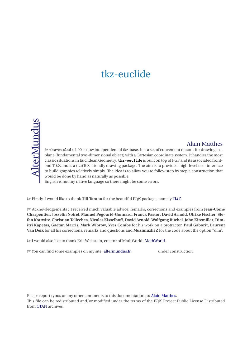# tkz-euclide

# [Alain Matthes](mailto:al.ma@mac.com)

M **tkz-euclide** 4.00 is now independent of tkz-base. It is a set of convenient macros for drawing in a plane (fundamental two-dimensional object) with a Cartesian coordinate system. It handles the most classic situations in Euclidean Geometry. **tkz-euclide** is built on top of PGF and its associated frontend TikZ and is a (La)TeX-friendly drawing package. The aim is to provide a high-level user interface to build graphics relatively simply. The idea is to allow you to follow step by step a construction that would be done by hand as naturally as possible.

English is not my native language so there might be some errors.

M Firstly, I would like to thank **Till Tantau** for the beautiful LATEX package, namely [Ti](http://sourceforge.net/projects/pgf/)kZ.

M Acknowledgements : I received much valuable advice, remarks, corrections and examples from **Jean-Côme Charpentier**, **Josselin Noirel**, **Manuel Pégourié-Gonnard**, **Franck Pastor**, **David Arnold**, **Ulrike Fischer**, **Stefan Kottwitz**, **Christian Tellechea**, **Nicolas Kisselhoff**, **David Arnold**, **Wolfgang Büchel**,**John Kitzmiller**, **Dimitri Kapetas**, **Gaétan Marris**, **Mark Wibrow**, **Yves Combe** for his work on a protractor, **Paul Gaborit**, **Laurent Van Deik** for all his corrections, remarks and questions and **Muzimuzhi Z** for the code about the option "dim".

 $\mathbb{G}$  I would also like to thank Eric Weisstein, creator of MathWorld: [MathWorld.](http://mathworld.wolfram.com/about/author.html)

MYou can find some examples on my site: [altermundus.fr.](http://altermundus.fr) under construction!

Please report typos or any other comments to this documentation to: [Alain Matthes.](mailto:al.ma@mac.com)

This file can be redistributed and/or modified under the terms of the EIFX Project Public License Distributed from [CTAN](http://www.ctan.org/) archives.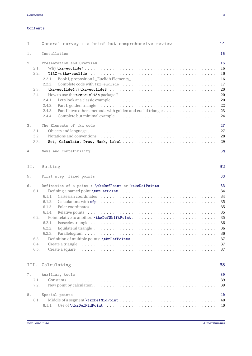#### **Contents**

| Ι.    |                                      | General survey : a brief but comprehensive review                                                                                                                                                 | 14                                                                         |
|-------|--------------------------------------|---------------------------------------------------------------------------------------------------------------------------------------------------------------------------------------------------|----------------------------------------------------------------------------|
| 1.    |                                      | Installation                                                                                                                                                                                      | 15                                                                         |
| 2.    | 2.1.<br>2.2.<br>2.3.<br>2.4.         | Presentation and Overview<br>Book I, proposition I _Euclid's Elements_<br>2.2.1.<br>2.2.2.<br>2.4.1.<br>2.4.2.<br>Part II: two others methods with golden and euclid triangle<br>2.4.3.<br>2.4.4. | 16<br>16<br>16<br>16<br>17<br>20<br>20<br>20<br>22<br>23<br>24             |
| 3.    | 3.1.<br>3.2.<br>3.3.                 | The Elements of tkz code                                                                                                                                                                          | 27<br>27<br>28<br>29                                                       |
| $4$ . |                                      | News and compatibility                                                                                                                                                                            | 30                                                                         |
| II.   |                                      | Setting                                                                                                                                                                                           | 32                                                                         |
| 5.    |                                      | First step: fixed points                                                                                                                                                                          | 33                                                                         |
| 6.    | 6.1.<br>6.2.<br>6.3.<br>6.4.<br>6.5. | Definition of a point : \tkzDefPoint or \tkzDefPoints<br>6.1.1.<br>6.1.2.<br>6.1.3.<br>6.1.4.<br>6.2.1.<br>6.2.2.<br>6.2.3.                                                                       | 33<br>34<br>34<br>35<br>35<br>35<br>35<br>36<br>36<br>36<br>37<br>37<br>37 |
|       | III.                                 | Calculating                                                                                                                                                                                       | 38                                                                         |
| 7.    | 7.1.<br>7.2.                         | Auxiliary tools                                                                                                                                                                                   | 39<br>39<br>39                                                             |
| 8.    | 8.1.                                 | Special points<br>8.1.1.                                                                                                                                                                          | 40<br>40<br>40                                                             |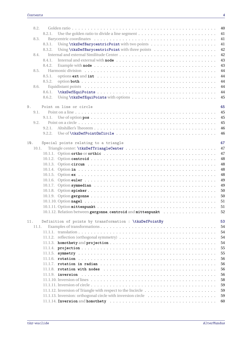| 8.2.  |        |                                                                                                                                           | 40 |
|-------|--------|-------------------------------------------------------------------------------------------------------------------------------------------|----|
|       | 8.2.1. | Use the golden ratio to divide a line segment $\dots \dots \dots \dots \dots \dots \dots \dots \dots \dots$                               | 41 |
| 8.3.  |        |                                                                                                                                           | 41 |
|       | 8.3.1. |                                                                                                                                           | 41 |
|       | 8.3.2. |                                                                                                                                           | 42 |
| 8.4.  |        |                                                                                                                                           | 42 |
|       | 8.4.1. |                                                                                                                                           | 43 |
|       | 8.4.2. |                                                                                                                                           | 43 |
| 8.5.  |        |                                                                                                                                           | 44 |
|       | 8.5.1. |                                                                                                                                           | 44 |
|       | 8.5.2. |                                                                                                                                           | 44 |
| 8.6.  |        |                                                                                                                                           | 44 |
|       | 8.6.1. |                                                                                                                                           | 44 |
|       | 8.6.2. |                                                                                                                                           | 45 |
|       |        |                                                                                                                                           |    |
| 9.    |        | Point on line or circle                                                                                                                   | 45 |
| 9.1.  |        |                                                                                                                                           | 45 |
|       | 9.1.1. |                                                                                                                                           | 45 |
| 9.2.  |        |                                                                                                                                           | 45 |
|       | 9.2.1. |                                                                                                                                           | 46 |
|       | 9.2.2. |                                                                                                                                           | 46 |
|       |        |                                                                                                                                           |    |
| 10.   |        | Special points relating to a triangle                                                                                                     | 47 |
| 10.1. |        |                                                                                                                                           | 47 |
|       |        |                                                                                                                                           | 47 |
|       |        |                                                                                                                                           | 48 |
|       |        |                                                                                                                                           | 48 |
|       |        |                                                                                                                                           | 48 |
|       |        |                                                                                                                                           | 48 |
|       |        |                                                                                                                                           | 49 |
|       |        |                                                                                                                                           | 49 |
|       |        |                                                                                                                                           | 50 |
|       |        |                                                                                                                                           | 50 |
|       |        |                                                                                                                                           | 51 |
|       |        |                                                                                                                                           | 51 |
|       |        | 10.1.12. Relation between gergonne, centroid and mittenpunkt                                                                              | 52 |
|       |        |                                                                                                                                           |    |
| 11.   |        | Definition of points by transformation : \tkzDefPointBy                                                                                   | 53 |
| 11.1. |        |                                                                                                                                           | 54 |
|       |        |                                                                                                                                           | 54 |
|       |        | 11.1.2. reflection (orthogonal symmetry) $\dots \dots \dots \dots \dots \dots \dots \dots \dots \dots \dots \dots$                        | 54 |
|       |        |                                                                                                                                           | 54 |
|       |        |                                                                                                                                           | 55 |
|       |        |                                                                                                                                           | 55 |
|       |        |                                                                                                                                           | 56 |
|       |        |                                                                                                                                           | 56 |
|       |        |                                                                                                                                           | 56 |
|       |        |                                                                                                                                           | 56 |
|       |        | 11.1.10. Inversion of lines $\dots \dots \dots \dots \dots \dots \dots \dots \dots \dots \dots \dots \dots \dots \dots \dots \dots \dots$ | 58 |
|       |        |                                                                                                                                           | 59 |
|       |        |                                                                                                                                           | 59 |
|       |        |                                                                                                                                           | 59 |
|       |        |                                                                                                                                           | 60 |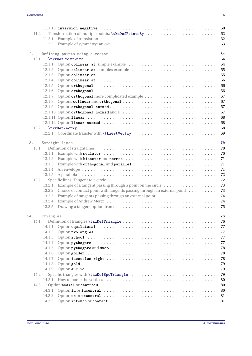|                  | 60                                                                                                                         |
|------------------|----------------------------------------------------------------------------------------------------------------------------|
| 11.2.            | 62                                                                                                                         |
|                  | 62                                                                                                                         |
|                  | 63                                                                                                                         |
| 12.              | Defining points using a vector<br>64                                                                                       |
| 12.1.            | 64                                                                                                                         |
|                  | 64                                                                                                                         |
|                  | 65                                                                                                                         |
|                  | 65                                                                                                                         |
|                  | 66                                                                                                                         |
|                  | 66                                                                                                                         |
|                  | 66                                                                                                                         |
|                  | 67                                                                                                                         |
|                  | 67                                                                                                                         |
|                  | 67                                                                                                                         |
|                  | 67                                                                                                                         |
|                  | 68                                                                                                                         |
|                  | 68                                                                                                                         |
|                  |                                                                                                                            |
| 12.2.            | 68                                                                                                                         |
|                  | 69                                                                                                                         |
| 13.              | Straight lines<br>70                                                                                                       |
| 13.1.            | 70                                                                                                                         |
|                  | 70                                                                                                                         |
|                  | 71                                                                                                                         |
|                  | 13.1.3. Example with orthogonal and parallel<br>71                                                                         |
|                  | 71                                                                                                                         |
|                  | 72                                                                                                                         |
| 13.2.            | 72                                                                                                                         |
|                  | 13.2.1. Example of a tangent passing through a point on the circle $\dots \dots \dots \dots \dots$<br>73                   |
|                  | 13.2.2. Choice of contact point with tangents passing through an external point<br>73                                      |
|                  | 74                                                                                                                         |
|                  | 74                                                                                                                         |
|                  | 75                                                                                                                         |
|                  |                                                                                                                            |
| 14.<br>Triangles | 76                                                                                                                         |
| 14.1.            | 76                                                                                                                         |
|                  | 77                                                                                                                         |
|                  | 77                                                                                                                         |
|                  | 77                                                                                                                         |
|                  | 77                                                                                                                         |
|                  | 78                                                                                                                         |
|                  | 78                                                                                                                         |
|                  | 78                                                                                                                         |
|                  | 79                                                                                                                         |
|                  | 79                                                                                                                         |
| 14.2.            | 79                                                                                                                         |
|                  | 80                                                                                                                         |
| 14.3.            | 80                                                                                                                         |
|                  | 80                                                                                                                         |
|                  | 14.3.2. Option ex or excentral $\dots \dots \dots \dots \dots \dots \dots \dots \dots \dots \dots \dots \dots \dots$<br>81 |
|                  | 81                                                                                                                         |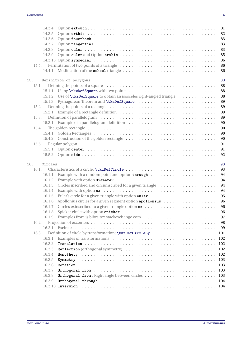|       |         |                                                                                                                        | 81       |
|-------|---------|------------------------------------------------------------------------------------------------------------------------|----------|
|       |         |                                                                                                                        | 82       |
|       |         |                                                                                                                        | 83       |
|       |         |                                                                                                                        | 83       |
|       |         |                                                                                                                        | 83       |
|       |         |                                                                                                                        | 85       |
|       |         |                                                                                                                        | 86       |
| 14.4. |         |                                                                                                                        | 86       |
|       |         |                                                                                                                        | 86       |
| 15.   |         | Definition of polygons                                                                                                 | 88       |
| 15.1. |         |                                                                                                                        | 88       |
|       |         |                                                                                                                        | 88       |
|       |         | 15.1.2. Use of <b>\tkzDefSquare</b> to obtain an isosceles right-angled triangle                                       | 88       |
|       |         |                                                                                                                        | 89       |
| 15.2. |         |                                                                                                                        | 89       |
|       |         |                                                                                                                        | 89       |
| 15.3. |         |                                                                                                                        | 89       |
|       |         |                                                                                                                        | 90       |
| 15.4. |         | The golden rectangle $\dots \dots \dots \dots \dots \dots \dots \dots \dots \dots \dots \dots \dots \dots \dots \dots$ | 90       |
|       |         |                                                                                                                        | 90       |
|       |         | 15.4.2. Construction of the golden rectangle                                                                           | 90       |
| 15.5. |         |                                                                                                                        | 91       |
|       |         |                                                                                                                        | 91       |
|       |         |                                                                                                                        | 92       |
|       |         |                                                                                                                        |          |
|       |         |                                                                                                                        |          |
| 16.   | Circles |                                                                                                                        | 93       |
| 16.1. |         |                                                                                                                        | 93       |
|       |         |                                                                                                                        | 94       |
|       |         |                                                                                                                        | 94       |
|       |         |                                                                                                                        | 94       |
|       |         |                                                                                                                        | 94<br>95 |
|       |         |                                                                                                                        | 96       |
|       |         | 16.1.6. Apollonius circles for a given segment option apollonius                                                       | 96       |
|       |         |                                                                                                                        | 96       |
|       |         |                                                                                                                        | 97       |
| 16.2. |         |                                                                                                                        | 98       |
|       |         |                                                                                                                        | 99       |
| 16.3. |         |                                                                                                                        | 101      |
|       |         |                                                                                                                        | 102      |
|       | 16.3.2. |                                                                                                                        | 102      |
|       |         |                                                                                                                        | 102      |
|       |         |                                                                                                                        | 102      |
|       |         |                                                                                                                        | 103      |
|       |         |                                                                                                                        | 103      |
|       |         |                                                                                                                        | 103      |
|       |         |                                                                                                                        | 103      |
|       |         |                                                                                                                        | 104      |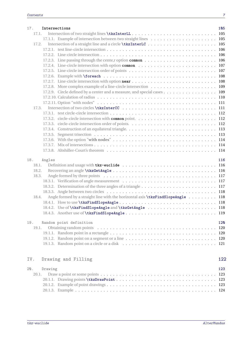| 17. | Intersections                                                                                   | 105  |
|-----|-------------------------------------------------------------------------------------------------|------|
|     | 17.1.                                                                                           | 105  |
|     |                                                                                                 |      |
|     | 17.2.                                                                                           |      |
|     |                                                                                                 |      |
|     |                                                                                                 |      |
|     |                                                                                                 |      |
|     |                                                                                                 |      |
|     |                                                                                                 |      |
|     |                                                                                                 |      |
|     |                                                                                                 |      |
|     |                                                                                                 |      |
|     | 17.2.9. Circle defined by a center and a measure, and special cases 109                         |      |
|     |                                                                                                 |      |
|     |                                                                                                 |      |
|     | 17.3.                                                                                           |      |
|     |                                                                                                 |      |
|     |                                                                                                 |      |
|     |                                                                                                 |      |
|     |                                                                                                 |      |
|     |                                                                                                 |      |
|     |                                                                                                 |      |
|     |                                                                                                 |      |
|     |                                                                                                 |      |
|     |                                                                                                 |      |
| 18. | Angles                                                                                          | 116  |
|     | 18.1.                                                                                           |      |
|     | 18.2.                                                                                           |      |
|     | 18.3.                                                                                           |      |
|     |                                                                                                 |      |
|     |                                                                                                 |      |
|     |                                                                                                 |      |
|     | Angle formed by a straight line with the horizontal axis <b>\tkzFindSlopeAngle</b> 118<br>18.4. |      |
|     |                                                                                                 |      |
|     |                                                                                                 |      |
|     |                                                                                                 |      |
|     |                                                                                                 |      |
| 19. | Random point definition                                                                         | 120  |
|     | 19.1.                                                                                           | 120  |
|     |                                                                                                 |      |
|     |                                                                                                 |      |
|     |                                                                                                 |      |
|     |                                                                                                 |      |
|     |                                                                                                 |      |
| IV. | Drawing and Filling                                                                             | 122  |
| 20. | Drawing                                                                                         | 123  |
|     | 20.1.                                                                                           | 123  |
|     |                                                                                                 | -123 |
|     |                                                                                                 |      |
|     |                                                                                                 |      |

[20.1.3. Example](#page-123-0) . . . . . . . . . . . . . . . . . . . . . . . . . . . . . . . . . . . . . . . . . . . . . 124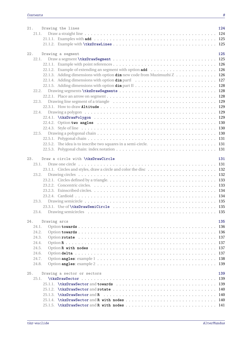|     | 21.<br>21.1.                                                         |              | Drawing the lines                                                                                                         | 124                                     |
|-----|----------------------------------------------------------------------|--------------|---------------------------------------------------------------------------------------------------------------------------|-----------------------------------------|
| 22. | 22.2.<br>22.3.                                                       |              | Drawing a segment<br>22.1.3. Adding dimensions with option dim new code from Muzimuzhi Z 126                              | 125<br>130                              |
|     | 22.5.                                                                |              | 22.5.2. The idea is to inscribe two squares in a semi-circle. $\dots \dots \dots \dots \dots \dots \dots \dots \dots$ 131 |                                         |
| 23. | 23.1.<br>23.2.<br>23.4.                                              |              | Draw a circle with \tkzDrawCircle                                                                                         | 131                                     |
| 24. | 24.1.<br>24.2.<br>24.3.<br>24.4.<br>24.5.<br>24.6.<br>24.7.<br>24.8. | Drawing arcs |                                                                                                                           | 135<br>-136<br>136<br>137<br>137<br>137 |
| 25. | 25.1.                                                                |              | Drawing a sector or sectors                                                                                               | 139<br>139                              |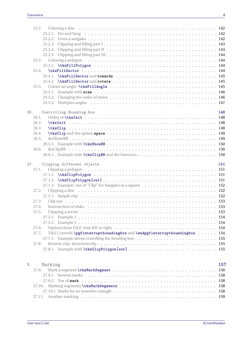|                | 25.2.<br>25.2.3. Clipping and filling part $1 \ldots \ldots \ldots \ldots \ldots \ldots \ldots \ldots \ldots \ldots \ldots \ldots \ldots$ 143<br>25.3.<br>25.4.<br>25.4.1. \tkzFillSector and towards $\dots \dots \dots \dots \dots \dots \dots \dots \dots \dots \dots \dots \dots \dots \dots \dots$<br>25.5. |     |
|----------------|------------------------------------------------------------------------------------------------------------------------------------------------------------------------------------------------------------------------------------------------------------------------------------------------------------------|-----|
|                | 26.<br>Controlling Bounding Box<br>26.1.<br>26.2.<br>26.3.<br>26.4.<br>26.5.<br>26.6.                                                                                                                                                                                                                            | 148 |
| 27.            | Clipping different objects<br>27.1.<br>27.2.<br>27.3.<br>27.4.<br>27.5.<br>27.6.<br>TikZ Controls \pgfinterruptboundingbox and \endpgfinterruptboundingbox  154<br>27.7.<br>27.8.                                                                                                                                | 151 |
| V <sub>1</sub> | Marking<br>27.9.                                                                                                                                                                                                                                                                                                 | 157 |

[27.10.1. Marks for an isosceles triangle](#page-157-4) . . . . . . . . . . . . . . . . . . . . . . . . . . . . . . . . . 158 [27.11. Another marking](#page-158-0) . . . . . . . . . . . . . . . . . . . . . . . . . . . . . . . . . . . . . . . . . . . 159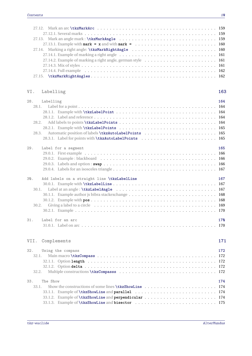# **[VI. Labelling](#page-162-0) 163**

| 28.                   | Labelling                                                                  | 164               |
|-----------------------|----------------------------------------------------------------------------|-------------------|
| 28.1.                 |                                                                            |                   |
| 29.                   | Label for a segment                                                        | 165               |
| 30.<br>30.1.<br>31.   | Add labels on a straight line \tkzLabelLine<br>Label for an arc            | 167<br>170<br>170 |
| VII.                  | Complements                                                                | 171               |
| 32.<br>32.1.<br>32.2. | Using the compass                                                          | 172               |
| 33.<br>33.1.          | The Show<br>33.1.1. Example of <b>\tkzShowLine</b> and <b>parallel</b> 174 | 174               |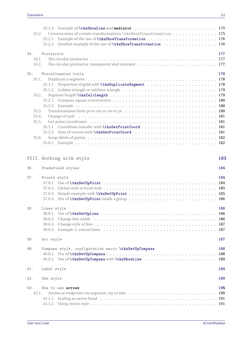| 33.2.                                                     | Constructions of certain transformations \tkzShowTransformation 175<br>33.2.2. Another example of the use of <b>\tkzShowTransformation</b> 176                                                                                                        |                   |
|-----------------------------------------------------------|-------------------------------------------------------------------------------------------------------------------------------------------------------------------------------------------------------------------------------------------------------|-------------------|
| 34.<br>34.1.<br>34.2.                                     | Protractor                                                                                                                                                                                                                                            | 177               |
| 35.<br>35.1.<br>35.2.<br>35.3.<br>35.4.<br>35.5.<br>35.6. | Miscellaneous tools<br>Change of unit in the set of the set of the set of the set of the set of the set of the set of the set of the set of the set of the set of the set of the set of the set of the set of the set of the set of the set of the se | 178               |
|                                                           | VIII. Working with style                                                                                                                                                                                                                              | 183               |
| 36.                                                       | Predefined styles                                                                                                                                                                                                                                     | 184               |
| 37.                                                       | Points style<br>37.0.2. Global style or local style $\ldots \ldots \ldots \ldots \ldots \ldots \ldots \ldots \ldots \ldots \ldots \ldots \ldots$ 185                                                                                                  | 184               |
| 38.                                                       | Lines style<br>$38.0.1.$ Use of $\texttt{tkzSetUpdate} \dots \dots \dots \dots \dots \dots \dots \dots \dots \dots \dots \dots \dots$                                                                                                                 | 186               |
| 39.                                                       | Arc style                                                                                                                                                                                                                                             | 187               |
| 40.                                                       | Compass style, configuration macro \tkzSetUpCompass                                                                                                                                                                                                   | 188<br>188<br>189 |
| 41.                                                       | Label style                                                                                                                                                                                                                                           | 189               |
| 42.                                                       | Own style                                                                                                                                                                                                                                             | 189               |
| 43.<br>43.1.                                              | How to use arrows                                                                                                                                                                                                                                     | 190<br>190        |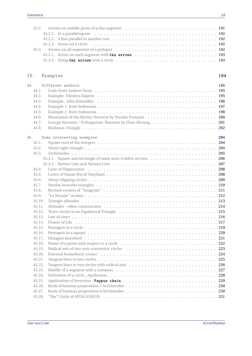| 43.3.1. Arrow on each segment with tkz arrows  193 |  |
|----------------------------------------------------|--|
|                                                    |  |

# **[IX. Examples](#page-193-0) 194**

| 44. |        | Different authors         | 195 |
|-----|--------|---------------------------|-----|
|     | 44.1.  |                           | 195 |
|     | 44.2.  |                           |     |
|     | 44.3.  |                           |     |
|     | 44.4.  |                           |     |
|     | 44.5.  |                           |     |
|     | 44.6.  |                           |     |
|     | 44.7.  |                           |     |
|     | 44.8.  |                           |     |
|     |        |                           |     |
| 45. |        | Some interesting examples | 204 |
|     | 45.1.  |                           |     |
|     | 45.2.  |                           |     |
|     | 45.3.  |                           |     |
|     |        |                           |     |
|     |        |                           |     |
|     | 45.4.  |                           |     |
|     | 45.5.  |                           |     |
|     | 45.6.  |                           |     |
|     | 45.7.  |                           |     |
|     | 45.8.  |                           |     |
|     | 45.9.  |                           |     |
|     | 45.10. |                           |     |
|     | 45.11. |                           |     |
|     | 45.12. |                           |     |
|     | 45.13. |                           |     |
|     | 45.14. |                           |     |
|     | 45.15. |                           |     |
|     | 45.16. |                           |     |
|     | 45.17. |                           |     |
|     | 45.18. |                           |     |
|     | 45.19. |                           |     |
|     | 45.20. |                           |     |
|     | 45.21. |                           |     |
|     | 45.22. |                           |     |
|     | 45.23. |                           |     |
|     | 45.24. |                           |     |
|     | 45.25. |                           |     |
|     | 45.26. |                           |     |
|     | 45.27. |                           |     |
|     | 45.28. |                           | 231 |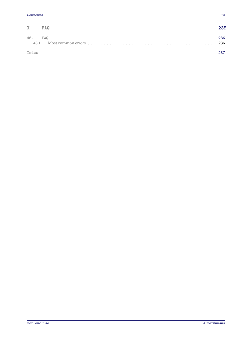| X. FAQ  |                                                                                                                                      | 235 |
|---------|--------------------------------------------------------------------------------------------------------------------------------------|-----|
| 46. FAQ | 46.1. Most common errors $\dots \dots \dots \dots \dots \dots \dots \dots \dots \dots \dots \dots \dots \dots \dots \dots \dots$ 236 | 236 |
| Index   |                                                                                                                                      | 237 |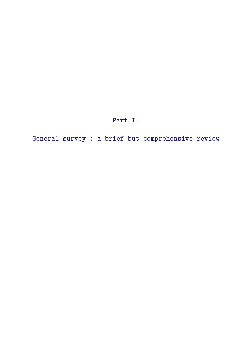**Part I.**

<span id="page-13-0"></span>**General survey : a brief but comprehensive review**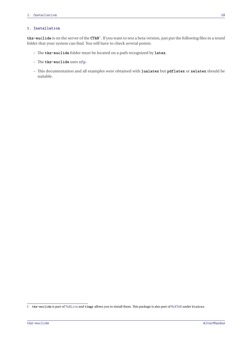#### <span id="page-14-0"></span>**1. Installation**

**tkz-euclide** is on the server of the **CTAN**[1](#page-14-1) . If you want to test a beta version, just put the following files in a texmf folder that your system can find. You will have to check several points:

- The **tkz-euclide** folder must be located on a path recognized by **latex**.
- The **tkz-euclide** uses xfp.
- This documentation and all examples were obtained with **lualatex** but **pdflatex** or **xelatex** should be suitable.

<span id="page-14-1"></span><sup>1</sup> **tkz-euclide** is part of TeXLive and **tlmgr** allows you to install them. This package is also part of MiKTeX under Windows.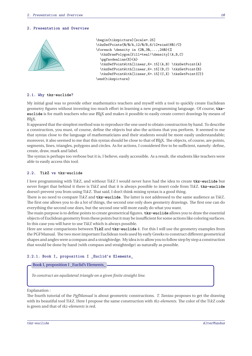#### <span id="page-15-0"></span>**2. Presentation and Overview**



#### <span id="page-15-1"></span>**2.1. Why tkz-euclide?**

My initial goal was to provide other mathematics teachers and myself with a tool to quickly create Euclidean geometry figures without investing too much effort in learning a new programming language. Of course, **tkzeuclide** is for math teachers who use *E*IFX and makes it possible to easily create correct drawings by means of LATEX.

It appeared that the simplest method was to reproduce the one used to obtain construction by hand. To describe a construction, you must, of course, define the objects but also the actions that you perform. It seemed to me that syntax close to the language of mathematicians and their students would be more easily understandable; moreover, it also seemed to me that this syntax should be close to that of EIEX. The objects, of course, are points, segments, lines, triangles, polygons and circles. As for actions, I considered five to be sufficient, namely: define, create, draw, mark and label.

The syntax is perhaps too verbose but it is, I believe, easily accessible. As a result, the students like teachers were able to easily access this tool.

#### <span id="page-15-2"></span>**2.2. TikZ vs tkz-euclide**

I love programming with TikZ, and without TikZ I would never have had the idea to create **tkz-euclide** but never forget that behind it there is TikZ and that it is always possible to insert code from TikZ. **tkz-euclide** doesn't prevent you from using TikZ. That said, I don't think mixing syntax is a good thing.

There is no need to compare TikZ and **tkz-euclide**. The latter is not addressed to the same audience as TikZ. The first one allows you to do a lot of things, the second one only does geometry drawings. The first one can do everything the second one does, but the second one will more easily do what you want.

The main purpose is to define points to create geometrical figures. **tkz-euclide** allows you to draw the essential objects of Euclidean geometry from these points but it may be insufficient for some actions like coloring surfaces. In this case you will have to use TikZ which is always possible.

Here are some comparisons between **TikZ** and **tkz-euclide** 4. For this I will use the geometry examples from the PGFManual. The two most important Euclidean tools used by early Greeks to construct different geometrical shapes and angles were a compass and a straightedge. My idea is to allow you to follow step by step a construction that would be done by hand (with compass and straightedge) as naturally as possible.

#### <span id="page-15-3"></span>**2.2.1. Book I, proposition I \_Euclid's Elements\_**

#### Book I, proposition I \_Euclid's Elements\_

*To construct an equilateral triangle on a given finite straight line.*

Explanation :

The fourth tutorial of the *PgfManual* is about geometric constructions. *T. Tantau* proposes to get the drawing with its beautiful tool Ti*k*Z. Here I propose the same construction with *tkz-elements*. The color of the Ti*k*Z code is green and that of *tkz-elements* is red.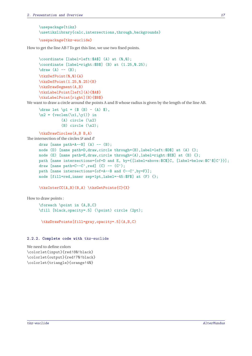```
\usepackage{tikz}
\usetikzlibrary{calc,intersections,through,backgrounds}
\usepackage{tkz-euclide}
```
How to get the line AB ? To get this line, we use two fixed points.

```
\coordinate [label=left:$A$] (A) at (0,0);
\coordinate [label=right:$B$] (B) at (1.25,0.25);
\langle \text{draw } (A) \text{ -- } (B);
\tkzDefPoint(0,0){A}
\tkzDefPoint(1.25, 0.25){B}
\tkzDrawSegment(A,B)
\tkzLabelPoint[left](A){$A$}
\tkzLabelPoint[right](B){$B$}
```
We want to draw a circle around the points <sup>A</sup> and <sup>B</sup> whose radius is given by the length of the line AB.

```
\draw let \pl = (\$ (B) - (A) \$),\ln 2 = \{ \text{veclen}(\x1, \y1) \} in
            (A) circle (\n2)
            (B) circle (\nabla n2);
```
\tkzDrawCircles(A,B B,A)

```
The intersection of the circles \mathscr D and \mathscr Edraw [name path=A--B] (A) -- (B);
     node (D) [name path=D,draw,circle through=(B),label=left:$D$] at (A) {};
     node (E) [name path=E,draw,circle through=(A),label=right:$E$] at (B) {};
     path [name intersections={of=D and E, by={[label=above:$C$]C, [label=below:$C'$]C'}}];
     draw [name path=C--C',red] (C) -- (C');
     path [name intersections={of=A--B and C--C',by=F}];
     node [fill=red,inner sep=1pt,label=-45:$F$] at (F) {};
```

```
\tkzInterCC(A,B)(B,A) \tkzGetPoints{C}{X}
```
How to draw points :

\foreach \point in {A,B,C} \fill [black,opacity=.5] (\point) circle (2pt);

\tkzDrawPoints[fill=gray,opacity=.5](A,B,C)

#### <span id="page-16-0"></span>**2.2.2. Complete code with** tkz-euclide

We need to define colors \colorlet{input}{red!80!black} \colorlet{output}{red!70!black} \colorlet{triangle}{orange!40}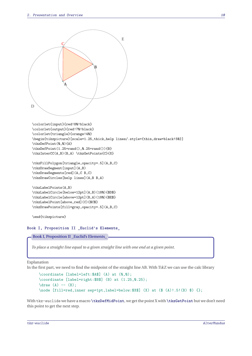```
A
                                  ٢
  D
                                                E
                  \epsilon\colorlet{input}{red!80!black}
  \colorlet{output}{red!70!black}
  \colorlet{triangle}{orange!40}
  \begin{tikzpicture}[scale=1.25,thick,help lines/.style={thin,draw=black!50}]
  \tkzDefPoint(0,0){A}
  \tkzDefPoint(1.25+rand(),0.25+rand()){B}
  \tkzInterCC(A,B)(B,A) \tkzGetPoints{C}{X}
  \tkzFillPolygon[triangle,opacity=.5](A,B,C)
  \tkzDrawSegment[input](A,B)
  \tkzDrawSegments[red](A,C B,C)
  \tkzDrawCircles[help lines](A,B B,A)
  \tkzLabelPoints(A,B)
  \tkzLabelCircle[below=12pt](A,B)(180){$D$}
  \tkzLabelCircle[above=12pt](B,A)(180){$E$}
  \tkzLabelPoint[above,red](C){$C$}
  \tkzDrawPoints[fill=gray,opacity=.5](A,B,C)
  \end{tikzpicture}
Book I, Proposition II _Euclid's Elements_
  Book I, Proposition II _Euclid's Elements_
```
*To place a straight line equal to a given straight line with one end at a given point.*

Explanation

In the first part, we need to find the midpoint of the straight line AB. With TikZ we can use the calc library

```
\coordinate [label=left:$A$] (A) at (0,0);
\coordinate [label=right:$B$] (B) at (1.25,0.25);
\langle \text{draw} (A) -- (B) ;\node [fill=red,inner sep=1pt,label=below:$X$] (X) at ($ (A)!.5!(B) $) {};
```
With tkz-euclide we have a macro **\tkzDefMidPoint**, we get the point X with **\tkzGetPoint** but we don't need this point to get the next step.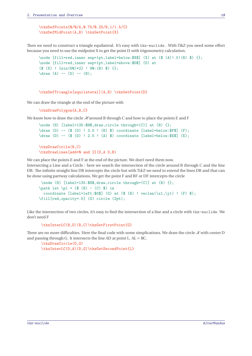\tkzDefPoints{0/0/A,0.75/0.25/B,1/1.5/C} \tkzDefMidPoint(A,B) \tkzGetPoint{X}

Then we need to construct a triangle equilateral. It's easy with tkz-euclide . With TikZ you need some effort because you need to use the midpoint <sup>X</sup> to get the point <sup>D</sup> with trigonometry calculation.

```
\node [fill=red,inner sep=1pt,label=below:3X$] (X) at ($$(A)!, 5!(B) $) {};\node [fill=red,inner sep=1pt,label=above:$D$] (D) at
($ (X) : {sin(6Q) * 2} : 9Q:(B) $);\langle \text{draw} (A) -- (D) -- (B);
```
\tkzDefTriangle[equilateral](A,B) \tkzGetPoint{D}

We can draw the triangle at the end of the picture with

\tkzDrawLines[add=0 and 2](D,A D,B)

```
\tkzDrawPolygon{A,B,C}
```
We know how to draw the circle  $\mathcal{H}$  around B through C and how to place the points E and F

```
\node (H) [label=135:$H$,draw,circle through=(C)] at (B) {};
\draw (D) -- ($ (D) ! 3.5 ! (B) $) coordinate [label=below:$F$] (F);
\draw (D) -- ($ (D) ! 2.5 ! (A) $) coordinate [label=below:$E$] (E);
\tkzDrawCircle(B,C)
```
We can place the points E and F at the end of the picture. We don't need them now.

Intersecting a Line and a Circle : here we search the intersection of the circle around <sup>B</sup> through <sup>C</sup> and the line DB. The infinite straight line DB intercepts the circle but with TikZ we need to extend the lines DB and that can be done using partway calculations. We get the point <sup>F</sup> and BF or DF intercepts the circle

```
\node (H) [label=135:$H$,draw,circle through=(C)] at (B) {};
\path let \pl = (\$ (B) - (C) \$) incoordinate [label=left;G$] (G) at ($ (B) ! \text{vcclen}(\chi_1,\chi_1) ! (F) $);
\fill[red,opacity=.5] (G) circle (2pt);
```
Like the intersection of two circles, it's easy to find the intersection of a line and a circle with tkz-euclide. We don't need <sup>F</sup>

\tkzInterLC(B,D)(B,C)\tkzGetFirstPoint{G}

There are no more difficulties. Here the final code with some simplications. We draw the circle  $\mathcal{K}$  with center D and passing through G. It intersects the line AD at point L.  $AL = BC$ .

```
\tkzDrawCircle(D,G)
\tkzInterLC(D,A)(D,G)\tkzGetSecondPoint{L}
```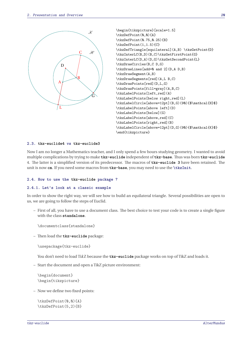

```
\begin{tikzpicture}[scale=1.5]
\tkzDefPoint(0,0){A}
\tkzDefPoint(0.75,0.25){B}
\tkzDefPoint(1,1.5){C}
\tkzDefTriangle[equilateral](A,B) \tkzGetPoint{D}
\tkzInterLC(B,D)(B,C)\tkzGetFirstPoint{G}
\tkzInterLC(D,A)(D,G)\tkzGetSecondPoint{L}
\tkzDrawCircles(B,C D,G)
\tkzDrawLines[add=0 and 2](D,A D,B)
\tkzDrawSegment(A,B)
\tkzDrawSegments[red](A,L B,C)
\tkzDrawPoints[red](D,L,G)
\tkzDrawPoints[fill=gray](A,B,C)
\tkzLabelPoints[left,red](A)
\tkzLabelPoints[below right,red](L)
\tkzLabelCircle[above=12pt](B,G)(90){$\mathcal{H}$}
\tkzLabelPoints[above left](D)
\tkzLabelPoints[below](G)
\tkzLabelPoints[above,red](C)
\tkzLabelPoints[right,red](B)
\tkzLabelCircle[above=12pt](D,G)(90){$\mathcal{K}$}
\end{tikzpicture}
```
#### <span id="page-19-0"></span>**2.3. tkz-euclide4 vs tkz-euclide3**

Now I am no longer a Mathematics teacher, and I only spend a few hours studying geometry. I wanted to avoid multiple complications by trying to make **tkz-euclide** independent of **tkz-base**. Thus was born **tkz-euclide** 4. The latter is a simplified version of its predecessor. The macros of **tkz-euclide 3** have been retained. The unit is now **cm**. If you need some macros from **tkz-base**, you may need to use the **\tkzInit**.

#### <span id="page-19-1"></span>**2.4. How to use the tkz-euclide package ?**

#### <span id="page-19-2"></span>**2.4.1. Let's look at a classic example**

In order to show the right way, we will see how to build an equilateral triangle. Several possibilities are open to us, we are going to follow the steps of Euclid.

– First of all, you have to use a document class. The best choice to test your code is to create a single figure with the class **standalone**.

\documentclass{standalone}

– Then load the **tkz-euclide** package:

```
\usepackage{tkz-euclide}
```
You don't need to load TikZ because the **tkz-euclide** package works on top of TikZ and loads it.

– Start the document and open a TikZ picture environment:

\begin{document} \begin{tikzpicture}

– Now we define two fixed points:

\tkzDefPoint(0,0){A} \tkzDefPoint(5,2){B}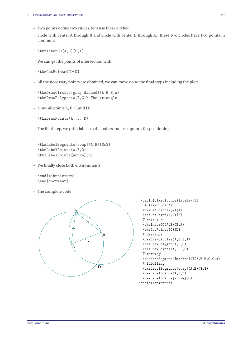– Two points define two circles, let's use these circles:

circle with center <sup>A</sup> through <sup>B</sup> and circle with center <sup>B</sup> through <sup>A</sup>. These two circles have two points in common.

\tkzInterCC(A,B)(B,A)

We can get the points of intersection with

\tkzGetPoints{C}{D}

– All the necessary points are obtained, we can move on to the final steps including the plots.

\tkzDrawCircles[gray,dashed](A,B B,A) \tkzDrawPolygon(A,B,C)% The triangle

– Draw all points <sup>A</sup>, <sup>B</sup>, <sup>C</sup> and <sup>D</sup>:

\tkzDrawPoints(A,...,D)

– The final step, we print labels to the points and use options for positioning:

\tkzLabelSegments[swap](A,B){\$c\$} \tkzLabelPoints(A,B,D) \tkzLabelPoints[above](C)

– We finally close both environments

\end{tikzpicture} \end{document}

– The complete code



```
\begin{tikzpicture}[scale=.5]
  % fixed points
 \tkzDefPoint(0,0){A}
 \tkzDefPoint(5,2){B}
 % calculus
 \tkzInterCC(A,B)(B,A)
 \tkzGetPoints{C}{D}
 % drawings
 \tkzDrawCircles(A,B B,A)
  \tkzDrawPolygon(A,B,C)
 \tkzDrawPoints(A,...,D)
 % marking
 \tkzMarkSegments[mark=s||](A,B B,C C,A)
 % labelling
 \tkzLabelSegments[swap](A,B){$c$}
 \tkzLabelPoints(A,B,D)
 \tkzLabelPoints[above](C)
\end{tikzpicture}
```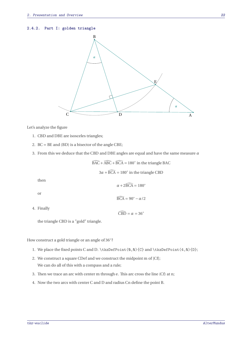#### <span id="page-21-0"></span>**2.4.2. Part I: golden triangle**



Let's analyze the figure

- 1. CBD and DBE are isosceles triangles;
- 2. BC = BE and (BD) is a bisector of the angle CBE;
- 3. From this we deduce that the CBD and DBE angles are equal and have the same measure  $\alpha$

 $\widehat{\text{BAC}} + \widehat{\text{ABC}} + \widehat{\text{BCA}} = 180^\circ$  in the triangle BAC

 $3\alpha + \overline{BCA} = 180^\circ$  in the triangle CBD

then

4. Finally

or  
\n
$$
\alpha + 2\widehat{BCA} = 180^{\circ}
$$
\n
$$
\widehat{BCA} = 90^{\circ} - \alpha/2
$$
\nFinally\n
$$
\widehat{CBD} = \alpha = 36^{\circ}
$$

the triangle CBD is a "gold" triangle.

How construct a gold triangle or an angle of <sup>36</sup><sup>∘</sup> ?

- 1. We place the fixed points C and D. \tkzDefPoint(0,0){C} and \tkzDefPoint(4,0){D};
- 2. We construct a square CDef and we construct the midpoint <sup>m</sup> of [Cf]; We can do all of this with a compass and a rule;
- 3. Then we trace an arc with center <sup>m</sup> through <sup>e</sup>. This arc cross the line (Cf) at <sup>n</sup>;
- 4. Now the two arcs with center <sup>C</sup> and <sup>D</sup> and radius Cn define the point <sup>B</sup>.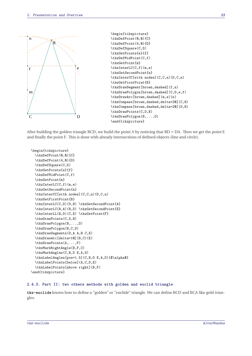

```
\begin{tikzpicture}
\tkzDefPoint(0,0){C}
\tkzDefPoint(4,0){D}
\tkzDefSquare(C,D)
\tkzGetPoints{e}{f}
\tkzDefMidPoint(C,f)
\tkzGetPoint{m}
\tkzInterLC(C,f)(m,e)
\tkzGetSecondPoint{n}
\tkzInterCC[with nodes](C,C,n)(D,C,n)
\tkzGetFirstPoint{B}
\tkzDrawSegment[brown,dashed](f,n)
\tkzDrawPolygon[brown,dashed](C,D,e,f)
\tkzDrawArc[brown,dashed](m,e)(n)
\tkzCompass[brown,dashed,delta=20](C,B)
\tkzCompass[brown,dashed,delta=20](D,B)
\tkzDrawPoints(C,D,B)
\tkzDrawPolygon(B,...,D)
\end{tikzpicture}
```
After building the golden triangle BCD, we build the point A by noticing that  $BD = DA$ . Then we get the point E and finally the point <sup>F</sup>. This is done with already intersections of defined objects (line and circle).

```
\begin{tikzpicture}
  \tkzDefPoint(0,0){C}
 \tkzDefPoint(4,0){D}
 \tkzDefSquare(C,D)
  \tkzGetPoints{e}{f}
  \tkzDefMidPoint(C,f)
  \tkzGetPoint{m}
  \tkzInterLC(C,f)(m,e)
  \tkzGetSecondPoint{n}
  \tkzInterCC[with nodes](C,C,n)(D,C,n)
  \tkzGetFirstPoint{B}
  \tkzInterLC(C,D)(D,B) \tkzGetSecondPoint{A}
  \tkzInterLC(B,A)(B,D) \tkzGetSecondPoint{E}
  \tkzInterLL(B,D)(C,E) \tkzGetPoint{F}
  \tkzDrawPoints(C,D,B)
  \tkzDrawPolygon(B,...,D)
  \tkzDrawPolygon(B,C,D)
  \tkzDrawSegments(D,A A,B C,E)
  \tkzDrawArc[delta=10](B,C)(E)
 \tkzDrawPoints(A,...,F)
  \tkzMarkRightAngle(B,F,C)
  \tkzMarkAngles(C,B,D E,A,D)
 \tkzLabelAngles[pos=1.5](C,B,D E,A,D){$\alpha$}
 \tkzLabelPoints[below](A,C,D,E)
  \tkzLabelPoints[above right](B,F)
\end{tikzpicture}
```
#### <span id="page-22-0"></span>**2.4.3. Part II: two others methods with golden and euclid triangle**

**tkz-euclide** knows how to define a "golden" or "euclide" triangle. We can define BCD and BCA like gold triangles.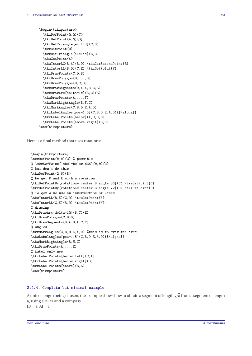```
\begin{tikzpicture}
  \tkzDefPoint(0,0){C}
 \tkzDefPoint(4,0){D}
 \tkzDefTriangle[euclid](C,D)
  \tkzGetPoint{B}
  \tkzDefTriangle[euclid](B,C)
  \tkzGetPoint{A}
  \tkzInterLC(B,A)(B,D) \tkzGetSecondPoint{E}
  \tkzInterLL(B,D)(C,E) \tkzGetPoint{F}
  \tkzDrawPoints(C,D,B)
  \tkzDrawPolygon(B,...,D)
  \tkzDrawPolygon(B,C,D)
  \tkzDrawSegments(D,A A,B C,E)
  \tkzDrawArc[delta=10](B,C)(E)
  \tkzDrawPoints(A,...,F)
  \tkzMarkRightAngle(B,F,C)
  \tkzMarkAngles(C,B,D E,A,D)
  \tkzLabelAngles[pos=1.5](C,B,D E,A,D){$\alpha$}
  \tkzLabelPoints[below](A,C,D,E)
  \tkzLabelPoints[above right](B,F)
\end{tikzpicture}
```
Here is a final method that uses rotations:

```
\begin{tikzpicture}
\tkzDefPoint(0,0){C} % possible
% \tkzDefPoint[label=below:$C$](0,0){C}
% but don't do this
\tkzDefPoint(2,6){B}
% We get D and E with a rotation
\tkzDefPointBy[rotation= center B angle 36](C) \tkzGetPoint{D}
\tkzDefPointBy[rotation= center B angle 72](C) \tkzGetPoint{E}
% To get A we use an intersection of lines
\tkzInterLL(B,E)(C,D) \tkzGetPoint{A}
\tkzInterLL(C,E)(B,D) \tkzGetPoint{H}
% drawing
\tkzDrawArc[delta=10](B,C)(E)
\tkzDrawPolygon(C,B,D)
\tkzDrawSegments(D,A B,A C,E)
% angles
\tkzMarkAngles(C,B,D E,A,D) %this is to draw the arcs
\tkzLabelAngles[pos=1.5](C,B,D E,A,D){$\alpha$}
\tkzMarkRightAngle(B,H,C)
\tkzDrawPoints(A,...,E)
% Label only now
\tkzLabelPoints[below left](C,A)
\tkzLabelPoints[below right](D)
\tkzLabelPoints[above](B,E)
\end{tikzpicture}
```
#### <span id="page-23-0"></span>**2.4.4. Complete but minimal example**

A unit of length being chosen, the example shows how to obtain a segment of length  $\sqrt{a}$  from a segment of length <sup>a</sup>, using a ruler and a compass.  $IB = a, AI = 1$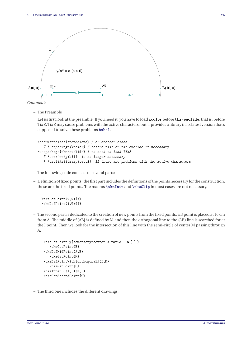

*Comments*

– The Preamble

Let us first look at the preamble. If you need it, you have to load **xcolor** before **tkz-euclide**, that is, before TikZ. TikZ may cause problems with the active characters, but... provides a library in its latest version that's supposed to solve these problems babel.

```
\documentclass{standalone} % or another class
   % \usepackage{xcolor} % before tikz or tkz-euclide if necessary
\usepackage{tkz-euclide} % no need to load TikZ
   % \usetkzobj{all} is no longer necessary
   % \usetikzlibrary{babel} if there are problems with the active characters
```
The following code consists of several parts:

– Definition of fixed points: the first part includes the definitions of the points necessaryfor the construction, these are the fixed points. The macros **\tkzInit** and **\tkzClip** in most cases are not necessary.

\tkzDefPoint(0,0){A} \tkzDefPoint(1,0){I}

– The second part is dedicated to the creation of new points from the fixed points; a <sup>B</sup> point is placed at <sup>10</sup> cm from <sup>A</sup>. The middle of [AB] is defined by <sup>M</sup> and then the orthogonal line to the (AB) line is searched for at the <sup>I</sup> point. Then we look for the intersection of this line with the semi-circle of center <sup>M</sup> passing through A.

```
\tkzDefPointBy[homothety=center A ratio 10 ](I)
   \tkzGetPoint{B}
\tkzDefMidPoint(A,B)
  \tkzGetPoint{M}
\tkzDefPointWith[orthogonal](I,M)
  \tkzGetPoint{H}
\tkzInterLC(I,H)(M,B)
\tkzGetSecondPoint{C}
```
– The third one includes the different drawings;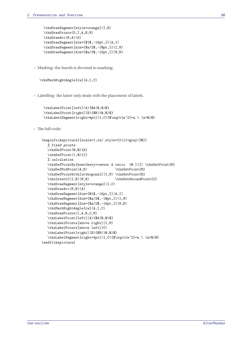```
\tkzDrawSegment[style=orange](I,H)
\tkzDrawPoints(O,I,A,B,M)
\tkzDrawArc(M,A)(O)
\tkzDrawSegment[dim={$1$,-16pt,}](A,I)
\tkzDrawSegment[dim={$a/2$,-10pt,}](I,M)
\tkzDrawSegment[dim={$a/2$,-16pt,}](M,B)
```
– Marking: the fourth is devoted to marking;

```
\tkzMarkRightAngle[ra](A,I,C)
```
– Labelling: the latter only deals with the placement of labels.

```
\tkzLabelPoint[left](A){$A(0,0)$}
\tkzLabelPoint[right](B){$B(10,0)$}
\tkzLabelSegment[right=4pt](I,C){$\sqrt{a^2}=a \ (a>0)$}
```
– The full code:

```
\begin{tikzpicture}[scale=1,ra/.style={fill=gray!20}]
  % fixed points
  \tkzDefPoint(0,0){A}
  \tkzDefPoint(1,0){I}
  % calculation
  \tkzDefPointBy[homothety=center A ratio 10 ](I) \tkzGetPoint{B}
  \tkzDefMidPoint(A,B) \tkzGetPoint{M}
  \tkzDefPointWith[orthogonal](I,M) \tkzGetPoint{H}
  \tkzInterLC(I,H)(M,B) \tkzGetSecondPoint{C}
  \tkzDrawSegment[style=orange](I,C)
  \tkzDrawArc(M,B)(A)
  \tkzDrawSegment[dim={$1$,-16pt,}](A,I)
  \tkzDrawSegment[dim={$a/2$,-10pt,}](I,M)
  \tkzDrawSegment[dim={$a/2$,-16pt,}](M,B)
  \tkzMarkRightAngle[ra](A,I,C)
  \tkzDrawPoints(I,A,B,C,M)
  \tkzLabelPoint[left](A){$A(0,0)$}
  \tkzLabelPoints[above right](I,M)
  \tkzLabelPoints[above left](C)
  \tkzLabelPoint[right](B){$B(10,0)$}
  \tkzLabelSegment[right=4pt](I,C){$\sqrt{a^2}=a \ (a>0)$}
\end{tikzpicture}
```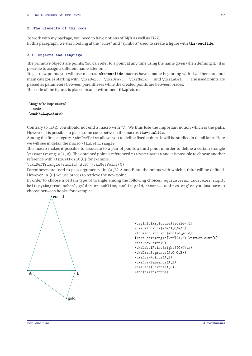#### <span id="page-26-0"></span>**3. The Elements of tkz code**

To work with my package, you need to have notions of BIEX as well as TikZ. In this paragraph, we start looking at the "rules" and "symbols" used to create a figure with **tkz-euclide**.

#### <span id="page-26-1"></span>**3.1. Objects and language**

The primitive objects are points. You can refer to a point at any time using the name given when defining it. (it is possible to assign a different name later on).

To get new points you will use macros. **tkz-euclide** macros have a name beginning with tkz. There are four main categories starting with: \tkzDef... \tkzDraw... \tkzMark... and \tkzLabel.... The used points are passed as parameters between parentheses while the created points are between braces.

The code of the figures is placed in an environment **tikzpicture**

\begin{tikzpicture} code ... \end{tikzpicture}

Contrary to TikZ, you should not end a macro with ";". We thus lose the important notion which is the **path**. However, it is possible to place some code between the macros **tkz-euclide**.

Among the first category, \tkzDefPoint allows you to define fixed points. It will be studied in detail later. Here we will see in detail the macro \tkzDefTriangle.

This macro makes it possible to associate to a pair of points a third point in order to define a certain triangle \tkzDefTriangle(A,B). The obtained point is referenced tkzPointResult and it is possible to choose another reference with \tkzGetPoint{C} for example.

\tkzDefTriangle[euclid](A,B) \tkzGetPoint{C}

Parentheses are used to pass arguments. In  $(A, B)$  A and B are the points with which a third will be defined. However, in {C} we use braces to retrieve the new point.

In order to choose a certain type of triangle among the following choices: equilateral, isosceles right, half, pythagoras, school, golden or sublime, euclid, gold, cheops... and two angles you just have to choose between hooks, for example:



\begin{tikzpicture}[scale=.5] \tkzDefPoints{0/0/A,8/0/B} \foreach \tr in {euclid,gold} {\tkzDefTriangle[\tr](A,B) \tkzGetPoint{C} \tkzDrawPoint(C) \tkzLabelPoint[right](C){\tr} \tkzDrawSegments(A,C C,B)} \tkzDrawPoints(A,B) \tkzDrawSegments(A,B) \tkzLabelPoints(A,B) \end{tikzpicture}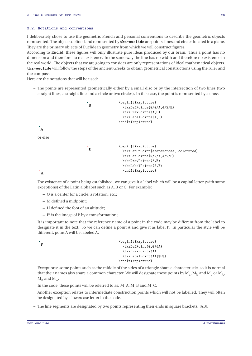#### <span id="page-27-0"></span>**3.2. Notations and conventions**

I deliberately chose to use the geometric French and personal conventions to describe the geometric objects represented. The objects defined and represented by **tkz-euclide** are points, lines and circles located in a plane. They are the primary objects of Euclidean geometry from which we will construct figures.

According to **Euclid**, these figures will only illustrate pure ideas produced by our brain. Thus a point has no dimension and therefore no real existence. In the same way the line has no width and therefore no existence in the real world. The objects that we are going to consider are only representations of ideal mathematical objects. **tkz-euclide** will follow the steps of the ancient Greeks to obtain geometrical constructions using the ruler and the compass.

Here are the notations that will be used:

– The points are represented geometrically either by a small disc or by the intersection of two lines (two straight lines, a straight line and a circle or two circles). In this case, the point is represented by a cross.

```
\cdot<sub>A</sub>
                             \cdot<sub>B</sub>
                                                \begin{tikzpicture}
                                                   \tkzDefPoints{0/0/A,4/2/B}
                                                   \tkzDrawPoints(A,B)
                                                   \tkzLabelPoints(A,B)
                                                 \end{tikzpicture}
or else
\boldsymbol{A}^*B
                                                \begin{tikzpicture}
                                                   \tkzSetUpPoint[shape=cross, color=red]
                                                   \tkzDefPoints{0/0/A,4/2/B}
                                                   \tkzDrawPoints(A,B)
                                                   \tkzLabelPoints(A,B)
                                                   \end{tikzpicture}
```
The existence of a point being established, we can give it a label which will be a capital letter (with some exceptions) of the Latin alphabet such as <sup>A</sup>, <sup>B</sup> or <sup>C</sup>. For example:

- **–** <sup>O</sup> is a center for a circle, a rotation, etc.;
- **–** <sup>M</sup> defined a midpoint;
- **–** <sup>H</sup> defined the foot of an altitude;
- **–** <sup>P</sup> ′ is the image of <sup>P</sup> by a transformation ;

It is important to note that the reference name of a point in the code may be different from the label to designate it in the text. So we can define a point A and give it as label <sup>P</sup>. In particular the style will be different, point A will be labeled <sup>A</sup>.

 $\overline{ }$ 

```
\begin{tikzpicture}
  \tkzDefPoint(0.0){A}
  \tkzDrawPoints(A)
  \tkzLabelPoint(A){$P$}
\end{tikzpicture}
```
Exceptions: some points such as the middle of the sides of a triangle share a characteristic, so it is normal that their names also share a common character. We will designate these points by  $M_a$ ,  $M_b$  and  $M_c$  or  $M_A$ ,<br>Meand M  $M_B$  and  $M_C$ .

In the code, these points will be referred to as: M\_A, M\_B and M\_C.

Another exception relates to intermediate construction points which will not be labelled. They will often be designated by a lowercase letter in the code.

– The line segments are designated by two points representing their ends in square brackets: [AB].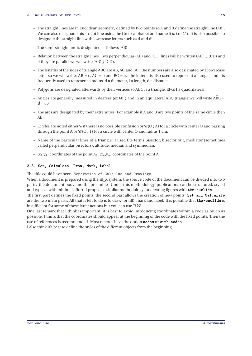- The straight lines are in Euclidean geometry defined by two points so <sup>A</sup> and <sup>B</sup> define the straight line (AB). We can also designate this stright line using the Greek alphabet and name it ( $\delta$ ) or ( $\Delta$ ). It is also possible to designate the straight line with lowercase letters such as d and d'.
- The semi-straight line is designated as follows [AB).
- Relation between the straight lines. Two perpendicular (AB) and (CD) lines will be written (AB)  $\perp$  (CD) and if they are parallel we will write  $(AB)$   $// (CD)$ .
- The lengths of the sides of triangle ABC are AB, AC and BC. The numbers are also designated by a lowercase letter so we will write:  $AB = c$ ,  $AC = b$  and  $BC = a$ . The letter a is also used to represent an angle, and r is frequently used to represent a radius, <sup>d</sup> a diameter, <sup>l</sup> a length, <sup>d</sup> a distance.
- Polygons are designated afterwards by their vertices so ABC is a triangle, EFGH a quadrilateral.
- Angles are generally measured in degrees (ex <sup>60</sup><sup>∘</sup> ) and in an equilateral ABC triangle we will write ABC = ̂  $\widehat{B} = 60^\circ.$
- The arcs are designated by their extremities. For example if <sup>A</sup> and <sup>B</sup> are two points of the same circle then  $\widehat{AB}$ .
- Circles are noted either *C* if there is no possible confusion or  $C(0; A)$  for a circle with center O and passing through the point A or  $\mathcal{C}(O; 1)$  for a circle with center O and radius 1 cm.
- Name of the particular lines of a triangle: I used the terms bisector, bisector out, mediator (sometimes called perpendicular bisectors), altitude, median and symmedian.
- $-$  (x<sub>1</sub>,y<sub>1</sub>) coordinates of the point A<sub>1</sub>, (x<sub>A</sub>,y<sub>A</sub>) coordinates of the point A.

### <span id="page-28-0"></span>**3.3. Set, Calculate, Draw, Mark, Label**

The title could have been: Separation of Calculus and Drawings

When a document is prepared using the EIFX system, the source code of the document can be divided into two parts: the document body and the preamble. Under this methodology, publications can be structured, styled and typeset with minimal effort. I propose a similar methodology for creating figures with **tkz-euclide**.

The first part defines the fixed points, the second part allows the creation of new points. **Set and Calculate** are the two main parts. All that is left to do is to draw (or fill), mark and label. It is possible that **tkz-euclide** is insufficient for some of these latter actions but you can use TikZ

One last remark that I think is important, it is best to avoid introducing coordinates within a code as much as possible. I think that the coordinates should appear at the beginning of the code with the fixed points. Then the use of references is recommended. Most macros have the option **nodes** or **with nodes**.

I also think it's best to define the styles of the different objects from the beginning.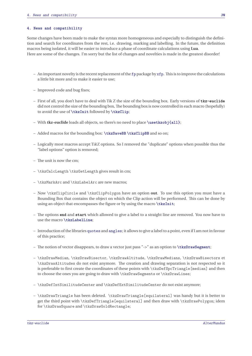#### <span id="page-29-0"></span>**4. News and compatibility**

Some changes have been made to make the syntax more homogeneous and especially to distinguish the definition and search for coordinates from the rest, i.e. drawing, marking and labelling. In the future, the definition macros being isolated, it will be easier to introduce a phase of coordinate calculations using **Lua**. Here are some of the changes. I'm sorry but the list of changes and novelties is made in the greatest disorder!

- $-$  An important novelty is the recent replacement of the fp package by xfp. This is to improve the calculations a little bit more and to make it easier to use;
- Improved code and bug fixes;
- First of all, you don't have to deal with Tik Z the size of the bounding box. Early versions of **tkz-euclide** did not control the size of the bounding box, The bounding box is now controlled in each macro (hopefully) to avoid the use of **\tkzInit** followed by **\tkzClip**;
- With **tkz-euclide** loads all objects, so there's no need to place **\usetkzobj{all}**;
- Added macros for the bounding box: **\tkzSaveBB \tkzClipBB** and so on;
- Logically most macros accept TikZ options. So I removed the "duplicate" options when possible thus the "label options" option is removed;
- The unit is now the cm;
- \tkzCalcLength \tkzGetLength gives result in cm;
- \tkzMarkArc and \tkzLabelArc are new macros;
- Now \tkzClipCircle and \tkzClipPolygon have an option **out**. To use this option you must have a Bounding Box that contains the object on which the Clip action will be performed. This can be done by using an object that encompasses the figure or by using the macro **\tkzInit**;
- The options **end** and **start** which allowed to give a label to a straight line are removed. You now have to use the macro **\tkzLabelLine**;
- Introduction of the libraries quotes and angles; it allows to give a label to a point, even if I am not in favour of this practice;
- The notion of vector disappears, to draw a vector just pass "->" as an option to **\tkzDrawSegment**;
- \tkzDrawMedian, \tkzDrawBisector, \tkzDrawAltitude, \tkzDrawMedians, \tkzDrawBisectors et \tkzDrawAltitudes do not exist anymore. The creation and drawing separation is not respected so it is preferable to first create the coordinates of these points with \tkzDefSpcTriangle[median] and then to choose the ones you are going to draw with \tkzDrawSegments or \tkzDrawLines;
- \tkzDefIntSimilitudeCenter and \tkzDefExtSimilitudeCenter do not exist anymore;
- \tkzDrawTriangle has been deleted. \tkzDrawTriangle[equilateral] was handy but it is better to get the third point with \tkzDefTriangle[equilateral] and then draw with \tkzDrawPolygon; idem for \tkzDrawSquare and \tkzDrawGoldRectangle;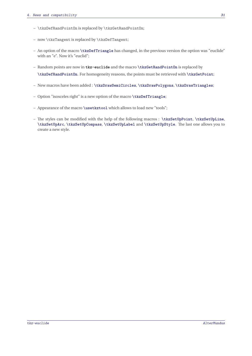- \tkzDefRandPointOn is replaced by \tkzGetRandPointOn;
- now \tkzTangent is replaced by \tkzDefTangent;
- An option of the macro **\tkzDefTriangle** has changed, in the previous version the option was "euclide" with an "e". Now it's "euclid";
- Random points are now in **tkz-euclide** and the macro **\tkzGetRandPointOn** is replaced by **\tkzDefRandPointOn**. For homogeneity reasons, the points must be retrieved with **\tkzGetPoint**;
- New macros have been added : **\tkzDrawSemiCircles**, **\tkzDrawPolygons**, **\tkzDrawTriangles**;
- Option "isosceles right" is a new option of the macro **\tkzDefTriangle**;
- Appearance of the macro **\usetkztool** which allows to load new "tools";
- The styles can be modified with the help of the following macros : **\tkzSetUpPoint**, **\tkzSetUpLine**, **\tkzSetUpArc**, **\tkzSetUpCompass**, **\tkzSetUpLabel** and **\tkzSetUpStyle**. The last one allows you to create a new style.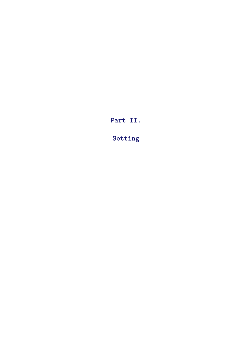<span id="page-31-0"></span>**Part II.**

**Setting**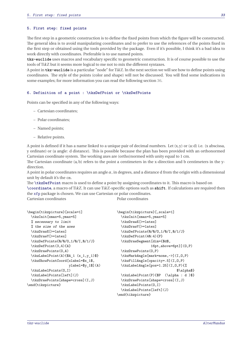#### <span id="page-32-0"></span>**5. First step: fixed points**

The first step in a geometric construction is to define the fixed points from which the figure will be constructed. The general idea is to avoid manipulating coordinates and to prefer to use the references of the points fixed in the first step or obtained using the tools provided by the package. Even if it's possible, I think it's a bad idea to work directly with coordinates. Preferable is to use named points.

**tkz-euclide** uses macros and vocabulary specific to geometric construction. It is of course possible to use the tools of TikZ but it seems more logical to me not to mix the different syntaxes.

A point in **tkz-euclide** is a particular "node" for TikZ. In the next section we will see how to define points using coordinates. The style of the points (color and shape) will not be discussed. You will find some indications in some examples; for more information you can read the following section [36.](#page-183-0)

#### <span id="page-32-1"></span>**6. Definition of a point : \tkzDefPoint or \tkzDefPoints**

Points can be specified in any of the following ways:

- Cartesian coordinates;
- Polar coordinates;
- Named points;
- Relative points.

A point is defined if it has a name linked to a unique pair of decimal numbers. Let  $(x, y)$  or  $(a:d)$  i.e.  $(x$  abscissa, <sup>y</sup> ordinate) or (<sup>a</sup> angle: <sup>d</sup> distance). This is possible because the plan has been provided with an orthonormed Cartesian coordinate system. The working axes are (ortho)normed with unity equal to <sup>1</sup> cm.

The Cartesian coordinate  $(a, b)$  refers to the point a centimeters in the x-direction and b centimeters in the ydirection.

A point in polar coordinates requires an angle  $\alpha$ , in degrees, and a distance d from the origin with a dimensional unit by default it's the cm.

The **\tkzDefPoint** macro is used to define a point by assigning coordinates to it. This macro is based on **\coordinate**, a macro of TikZ. It can use TikZ-specific options such as **shift**. If calculations are required then the xfp package is chosen. We can use Cartesian or polar coordinates.

Polar coordinates

Cartesian coordinates

```
\begin{tikzpicture}[scale=1]
 \tkzInit[xmax=5,ymax=5]
 % necessary to limit
 % the size of the axes
 \tkzDrawX[>=latex]
 \tkzDrawY[>=latex]
 \tkzDefPoints{0/0/O,1/0/I,0/1/J}
 \tkzDefPoint(3,4){A}
 \tkzDrawPoints(0,A)
  \tkzLabelPoint(A){$A_1 (x_1,y_1)$}
  \tkzShowPointCoord[xlabel=$x_1$,
                     ylabel=$y_1$](A)
  \tkzLabelPoints(O,I)
  \tkzLabelPoints[left](J)
  \tkzDrawPoints[shape=cross](I,J)
\end{tikzpicture}
                                              \begin{tikzpicture}[,scale=1]
                                                \tkzInit[xmax=5,ymax=5]
                                                \tkzDrawX[>=latex]
                                                \tkzDrawY[>=latex]
                                                \tkzDefPoints{0/0/O,1/0/I,0/1/J}
                                                \tkzDefPoint(40:4){P}
                                                \tkzDrawSegment[dim={$d$,
                                                               16pt,above=6pt}](O,P)
                                                \tkzDrawPoints(O,P)
                                                \tkzMarkAngle[mark=none,->](I,O,P)
                                                \tkzFillAngle[opacity=.5](I,O,P)
                                                \tkzLabelAngle[pos=1.25](I,O,P){%
                                                                             $\alpha$}
                                                \tkzLabelPoint(P){$P (\alpha : d )$}
                                                \tkzDrawPoints[shape=cross](I,J)
                                                \tkzLabelPoints(O,I)
                                                \tkzLabelPoints[left](J)
                                              \end{tikzpicture}
```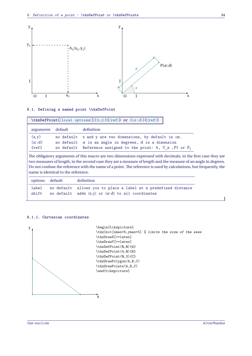

### <span id="page-33-0"></span>**6.1. Defining a named point \tkzDefPoint**

| arguments default | definition                                                         |
|-------------------|--------------------------------------------------------------------|
| (x, y)            | no default x and y are two dimensions, by default in cm.           |
| $(\alpha : d)$    | no default $\alpha$ is an angle in degrees, d is a dimension       |
| $\{ref\}$         | no default Reference assigned to the point: A, $T_a$ , Pl or $P_1$ |

case they are two measures of length, in the second case they are a measure of length and the measure of an angle in degrees. Do not confuse the reference with the name of a point. The reference is used by calculations, but frequently, the name is identical to the reference.

|       | options default | definition                                                        |
|-------|-----------------|-------------------------------------------------------------------|
| label |                 | no default allows you to place a label at a predefined distance   |
|       |                 | shift no default adds $(x, y)$ or $(\alpha:d)$ to all coordinates |

#### <span id="page-33-1"></span>**6.1.1. Cartesian coordinates**

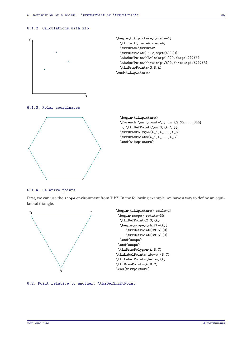#### <span id="page-34-0"></span>**6.1.2. Calculations with xfp**



#### <span id="page-34-1"></span>**6.1.3. Polar coordinates**



\begin{tikzpicture} \foreach \an [count=\i] in  $\{0, 60, \ldots, 300\}$  $\{\ \t\text{DefPoint}(\an:3)\$  {A\_\i}} \tkzDrawPolygon(A\_1,A\_...,A\_6) \tkzDrawPoints(A\_1,A\_...,A\_6) \end{tikzpicture}

#### <span id="page-34-2"></span>**6.1.4. Relative points**

First, we can use the **scope** environment from TikZ. In the following example, we have a way to define an equilateral triangle.



#### <span id="page-34-3"></span>**6.2. Point relative to another: \tkzDefShiftPoint**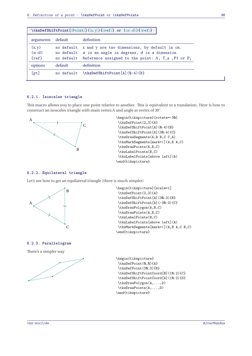| \tkzDefShiftPoint[ $\langle Point \rangle$ ] $(\langle x, y \rangle) {\langle ref \rangle}$ or $(\langle \alpha : d \rangle) {\langle ref \rangle}$ |            |                                                                                                                                                                                                |  |  |
|-----------------------------------------------------------------------------------------------------------------------------------------------------|------------|------------------------------------------------------------------------------------------------------------------------------------------------------------------------------------------------|--|--|
| arguments                                                                                                                                           | default    | definition                                                                                                                                                                                     |  |  |
| (x, y)<br>$(\alpha : d)$<br>$\{ref\}$                                                                                                               |            | no default x and y are two dimensions, by default in cm.<br>no default $\alpha$ is an angle in degrees, d is a dimension<br>no default Reference assigned to the point: A, $T_a$ , Pl or $P_1$ |  |  |
| options                                                                                                                                             | default    | definition                                                                                                                                                                                     |  |  |
| [pt]                                                                                                                                                | no default | \tkzDefShiftPoint[A](0:4){B}                                                                                                                                                                   |  |  |

#### <span id="page-35-0"></span>**6.2.1. Isosceles triangle**

This macro allows you to place one point relative to another. This is equivalent to a translation. Here is how to construct an isosceles triangle with main vertex <sup>A</sup> and angle at vertex of <sup>30</sup><sup>∘</sup> .



\begin{tikzpicture}[rotate=-30] \tkzDefPoint(2,3){A} \tkzDefShiftPoint[A](0:4){B} \tkzDefShiftPoint[A](30:4){C} \tkzDrawSegments(A,B B,C C,A) \tkzMarkSegments[mark=|](A,B A,C) \tkzDrawPoints(A,B,C) \tkzLabelPoints(B,C) \tkzLabelPoints[above left](A) \end{tikzpicture}

#### <span id="page-35-1"></span>**6.2.2. Equilateral triangle**

Let's see how to get an equilateral triangle (there is much simpler)



#### <span id="page-35-2"></span>**6.2.3. Parallelogram**

There's a simpler way



\begin{tikzpicture}[scale=1] \tkzDefPoint(2,3){A} \tkzDefShiftPoint[A](30:3){B} \tkzDefShiftPoint[A](-30:3){C} \tkzDrawPolygon(A,B,C) \tkzDrawPoints(A,B,C) \tkzLabelPoints(B,C) \tkzLabelPoints[above left](A) \tkzMarkSegments[mark=|](A,B A,C B,C) \end{tikzpicture}

\begin{tikzpicture} \tkzDefPoint(0,0){A} \tkzDefPoint(30:3){B} \tkzDefShiftPointCoord[B](10:2){C} \tkzDefShiftPointCoord[A](10:2){D} \tkzDrawPolygon(A,...,D) \tkzDrawPoints(A,...,D) \end{tikzpicture}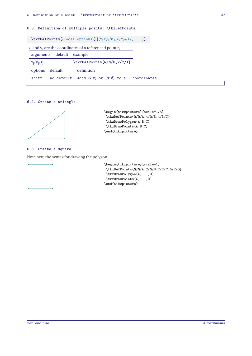# **6.3. Definition of multiple points: \tkzDefPoints**

| \tkzDefPoints[ $\langle$ local options $\rangle$ ] $\{\langle x_1/y_1/n_1, x_2/y_2/r_2, \ldots \rangle\}$ |  |  |  |  |  |
|-----------------------------------------------------------------------------------------------------------|--|--|--|--|--|
| $x_i$ and $y_i$ are the coordinates of a referenced point $r_i$                                           |  |  |  |  |  |
| arguments default<br>example                                                                              |  |  |  |  |  |
| \tkzDefPoints{0/0/0,2/2/A}<br>$x_i/y_i/r_i$                                                               |  |  |  |  |  |
| definition<br>options<br>default                                                                          |  |  |  |  |  |
| shift<br>Adds $(x, y)$ or $(\alpha:d)$ to all coordinates<br>no default                                   |  |  |  |  |  |

### **6.4. Create a triangle**



\begin{tikzpicture}[scale=.75] \tkzDefPoints{0/0/A,4/0/B,4/3/C} \tkzDrawPolygon(A,B,C) \tkzDrawPoints(A,B,C) \end{tikzpicture}

### **6.5. Create a square**

Note here the syntax for drawing the polygon.



\begin{tikzpicture}[scale=1] \tkzDefPoints{0/0/A,2/0/B,2/2/C,0/2/D} \tkzDrawPolygon(A,...,D) \tkzDrawPoints(A,...,D) \end{tikzpicture}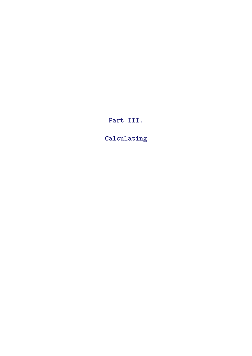**Part III.**

**Calculating**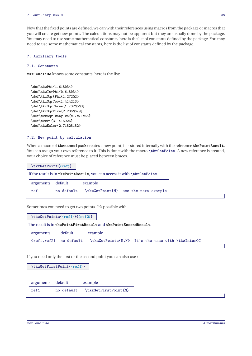Now that the fixed points are defined, we can with their references using macros from the package or macros that you will create get new points. The calculations may not be apparent but they are usually done by the package. You may need to use some mathematical constants, here is the list of constants defined by the package. You may need to use some mathematical constants, here is the list of constants defined by the package.

# **7. Auxiliary tools**

# **7.1. Constants**

**tkz-euclide** knows some constants, here is the list:

```
\def\tkzPhi{1.618034}
\def\tkzInvPhi{0.618034}
\def\tkzSqrtPhi{1.27202}
\def\tkzSqrTwo{1.414213}
\def\tkzSqrThree{1.7320508}
\def\tkzSqrFive{2.2360679}
\def\tkzSqrTwobyTwo{0.7071065}
\def\tkzPi{3.1415926}
\def\tkzEuler{2.71828182}
```
# **7.2. New point by calculation**

When a macro of **tkznameofpack** creates a new point, it is stored internally with the reference **tkzPointResult**. You can assign your own reference to it. This is done with the macro **\tkzGetPoint**. A new reference is created, your choice of reference must be placed between braces.

| If the result is in tkzPointResult, you can access it with \tkzGetPoint.<br>default<br>arguments<br>example<br>\tkzGetPoint{M} see the next example<br>no default<br>ref | \tkzGetPoint{\ref}} |  |  |
|--------------------------------------------------------------------------------------------------------------------------------------------------------------------------|---------------------|--|--|
|                                                                                                                                                                          |                     |  |  |
|                                                                                                                                                                          |                     |  |  |
|                                                                                                                                                                          |                     |  |  |

Sometimes you need to get two points. It's possible with

|                             | $\textsf{r}(\textsf{ref1})\{\textsf{ref2}\}$ |                                                                |                                                    |
|-----------------------------|----------------------------------------------|----------------------------------------------------------------|----------------------------------------------------|
|                             |                                              | The result is in tkzPointFirstResult and tkzPointSecondResult. |                                                    |
| arguments                   | default                                      | example                                                        |                                                    |
| $\{ref1, ref2\}$ no default |                                              |                                                                | \tkzGetPoints{M, N} It's the case with \tkzInterCC |

If you need only the first or the second point you can also use :

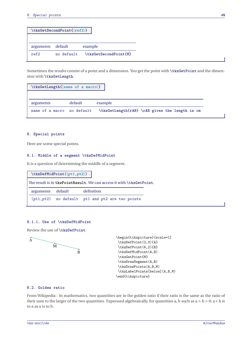| $\texttt{\texttt{kzGetSecondPoint}(\texttt{ref2})}$ |            |                       |  |  |  |
|-----------------------------------------------------|------------|-----------------------|--|--|--|
|                                                     |            |                       |  |  |  |
| arguments                                           | default    | example               |  |  |  |
| ref2                                                | no default | \tkzGetSecondPoint{M} |  |  |  |

Sometimes the results consist of a point and a dimension. You get the point with **\tkzGetPoint** and the dimension with **\tkzGetLength**.

| \tkzGetLength{\name of a macro}} |         |                                                |
|----------------------------------|---------|------------------------------------------------|
|                                  |         |                                                |
| arguments                        | default | example                                        |
| name of a macro no default       |         | \tkzGetLength{rAB} \rAB gives the length in cm |

### **8. Special points**

Here are some special points.

## **8.1. Middle of a segment \tkzDefMidPoint**

It is a question of determining the middle of a segment.

| \tkzDefMidPoint(\pt1,pt2)) |         |                                                                      |  |  |  |  |
|----------------------------|---------|----------------------------------------------------------------------|--|--|--|--|
|                            |         | The result is in tkzPointResult. We can access it with \tkzGetPoint. |  |  |  |  |
| arguments                  | default | definition                                                           |  |  |  |  |
|                            |         | (pt1, pt2) no default pt1 and pt2 are two points                     |  |  |  |  |
|                            |         |                                                                      |  |  |  |  |

### **8.1.1. Use of \tkzDefMidPoint**

Review the use of **\tkzDefPoint**.



```
\begin{tikzpicture}[scale=1]
\tkzDefPoint(2,3){A}
\tkzDefPoint(6,2){B}
\tkzDefMidPoint(A,B)
\tkzGetPoint{M}
\tkzDrawSegment(A,B)
\tkzDrawPoints(A,B,M)
\tkzLabelPoints[below](A,B,M)
\end{tikzpicture}
```
## **8.2. Golden ratio**

From Wikipedia : In mathematics, two quantities are in the golden ratio if their ratio is the same as the ratio of their sum to the larger of the two quantities. Expressed algebraically, for quantities a, b such as  $a > b > 0$ ;  $a + b$  is to <sup>a</sup> as <sup>a</sup> is to <sup>b</sup>.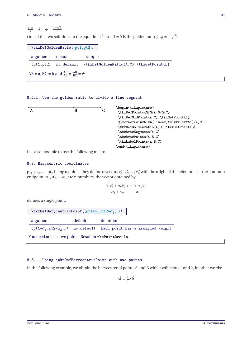$$
\frac{a+b}{a} = \frac{a}{b} = \phi = \frac{1+\sqrt{5}}{2}
$$
  
One of the two solutions to the equation  $x^2 - x - 1 = 0$  is the golden ratio  $\phi$ ,  $\phi = \frac{1+\sqrt{5}}{2}$ .  

$$
\text{ktzDefGoldenRatio}(\langle pt1, pt2 \rangle)
$$
  
arguments default example

(pt1,pt2) no default **\tkzDefGoldenRatio(A,C) \tkzGetPoint**{B}

 $AB = a$ ,  $BC = b$  and  $\frac{AC}{AB} = \frac{AB}{BC} = \phi$ 

# **8.2.1. Use the golden ratio to divide a line segment**



It is also possible to use the following macro.

# **8.3. Barycentric coordinates**

pt<sub>1</sub>, pt<sub>2</sub>, ..., pt<sub>n</sub> being n points, they define n vectors  $\vec{v}_1$ ,  $\vec{v}_2$ , ...,  $\vec{v}_n$  with the origin of the referential as the common endpoint.  $\alpha_1, \alpha_2, \ldots \alpha_n$  are n numbers, the vector obtained by:

$$
\frac{\alpha_1 \overrightarrow{v_1} + \alpha_2 \overrightarrow{v_2} + \dots + \alpha_n \overrightarrow{v_n}}{\alpha_1 + \alpha_2 + \dots + \alpha_n}
$$

defines a single point.

| $\texttt{\texttt{kkzDefBarycentricPoint}}(\texttt{\texttt{pt1=}}\alpha_1,\texttt{\texttt{pt2=}}\alpha_2,\texttt{})$ |         |                                                                              |
|---------------------------------------------------------------------------------------------------------------------|---------|------------------------------------------------------------------------------|
| arguments                                                                                                           | default | definition                                                                   |
|                                                                                                                     |         | $(pt1=\alpha_1, pt2=\alpha_2, )$ no default Each point has a assigned weight |
| You need at least two points. Result in tkzPointResult.                                                             |         |                                                                              |

### **8.3.1. Using \tkzDefBarycentricPoint with two points**

In the following example, we obtain the barycenter of points <sup>A</sup> and <sup>B</sup> with coefficients <sup>1</sup> and <sup>2</sup>, in other words:

$$
\overrightarrow{\text{AI}} = \frac{2}{3} \overrightarrow{\text{AB}}
$$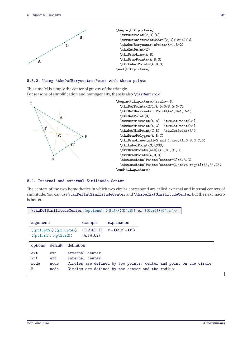

# **8.3.2. Using \tkzDefBarycentricPoint with three points**

This time <sup>M</sup> is simply the center of gravity of the triangle. For reasons of simplification and homogeneity, there is also **\tkzCentroid**.



\end{tikzpicture}

#### **8.4. Internal and external Similitude Center**

The centers of the two homotheties in which two circles correspond are called external and internal centers of similitude. You can use **\tkzDefIntSimilitudeCenter** and **\tkzDefExtSimilitudeCenter** but the next macro is better.

|           |                                                         |            |                 | $\texttt{\texttt{kkzDefSimilar}(\{ \texttt{\texttt{options}} \} \}(\langle 0\,,\mathtt{A} \rangle) (\langle 0\,,\mathtt{B} \rangle) \text{ or } (\langle 0\,,\mathtt{r} \rangle) (\langle 0\,,\mathtt{r} \rangle)$ |  |  |
|-----------|---------------------------------------------------------|------------|-----------------|--------------------------------------------------------------------------------------------------------------------------------------------------------------------------------------------------------------------|--|--|
| arguments |                                                         |            | example         | explanation                                                                                                                                                                                                        |  |  |
|           | $(\langle pt1, pt2 \rangle) (\langle pt3, pt4 \rangle)$ |            |                 | $(O,A)(O',B)$ $r = OA, r' = O'B$                                                                                                                                                                                   |  |  |
|           | $(\langle pt1, r1 \rangle) (\langle pt2, r2 \rangle)$   |            | (A, 1)(B, 2)    |                                                                                                                                                                                                                    |  |  |
| options   | default                                                 | definition |                 |                                                                                                                                                                                                                    |  |  |
| ext       | ext                                                     |            | external center |                                                                                                                                                                                                                    |  |  |
| int       | ext                                                     |            | internal center |                                                                                                                                                                                                                    |  |  |
| node      | node                                                    |            |                 | Circles are defined by two points: center and point on the circle                                                                                                                                                  |  |  |
| R         | node                                                    |            |                 | Circles are defined by the center and the radius                                                                                                                                                                   |  |  |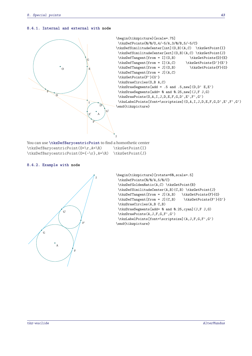### **8.4.1. Internal and external with node**



You can use **\tkzDefBarycentricPoint** to find a homothetic center \tkzDefBarycentricPoint(0=\r,A=\R) \tkzGetPoint{I} \tkzDefBarycentricPoint(O={-\r},A=\R) \tkzGetPoint{J}

### **8.4.2. Example with node**



```
\begin{tikzpicture}[rotate=60,scale=.5]
\tkzDefPoints{0/0/A,5/0/C}
 \tkzDefGoldenRatio(A,C) \tkzGetPoint{B}
\tkzDefSimilitudeCenter(A,B)(C,B) \tkzGetPoint{J}
\tkzDefTangent[from = J](A,B) \tkzGetPoints{F}{G}
\tkzDefTangent[from = J](C,B) \tkzGetPoints{F'}{G'}
\tkzDrawCircles(A,B C,B)
\tkzDrawSegments[add= 0 and 0.25,cyan](J,F J,G)
\tkzDrawPoints(A,J,F,G,F',G')
\tkzLabelPoints[font=\scriptsize](A,J,F,G,F',G')
\end{tikzpicture}
```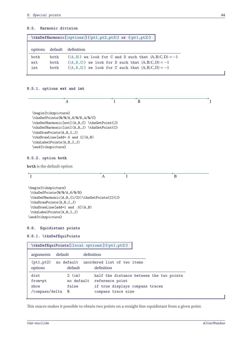ř

# **8.5. Harmonic division**

| $\texttt{\texttt{kkzDefHarmonic}(\text{\texttt{options}})(\texttt{{\texttt{pt1},pt2,pt3}}) \text{ or } (\texttt{{\texttt{pt1,pt2}}})$ |      |                                                                            |  |  |
|---------------------------------------------------------------------------------------------------------------------------------------|------|----------------------------------------------------------------------------|--|--|
| options                                                                                                                               |      | default definition                                                         |  |  |
| both                                                                                                                                  | both | $(\langle A, B \rangle)$ we look for C and D such that $(A, B; C, D) = -1$ |  |  |
| ext                                                                                                                                   | both | $(\langle A, B, C \rangle)$ we look for D such that $(A, B; C, D) = -1$    |  |  |
| int                                                                                                                                   | both | $(\langle A, B, D \rangle)$ we look for C such that $(A, B, C, D) = -1$    |  |  |
|                                                                                                                                       |      |                                                                            |  |  |

# **8.5.1. options ext and int**

|                                                                                                                                                                                                                                                                    | L                                         | $\bf{B}$     |   |  |
|--------------------------------------------------------------------------------------------------------------------------------------------------------------------------------------------------------------------------------------------------------------------|-------------------------------------------|--------------|---|--|
| \begin{tikzpicture}<br>\tkzDefPoints{0/0/A,6/0/B,4/0/C}<br>\tkzDefHarmonic[ext](A,B,C)\tkzGetPoint{J}<br>\tkzDefHarmonic[int](A,B,J)\tkzGetPoint{I}<br>\tkzDrawPoints(A,B,I,J)<br>\tkzDrawLine[add=.5 and 1](A,B)<br>\tkzLabelPoints(A,B,I,J)<br>\end{tikzpicture} |                                           |              |   |  |
| 8.5.2. option both                                                                                                                                                                                                                                                 |                                           |              |   |  |
| both is the default option                                                                                                                                                                                                                                         |                                           |              |   |  |
| J                                                                                                                                                                                                                                                                  | A                                         | $\mathbf{I}$ | B |  |
|                                                                                                                                                                                                                                                                    |                                           |              |   |  |
| \tkzDefHarmonic(A,B,{1/2})\tkzGetPoints{I}{J}<br>\tkzDrawPoints(A,B,I,J)<br>\tkzDrawLine[add=1 and .5](A,B)<br>\tkzLabelPoints(A,B,I,J)<br>\end{tikzpicture}<br>8.6.<br>Equidistant points<br>8.6.1. \tkzDefEquiPoints                                             |                                           |              |   |  |
| \tkzDefEquiPoints[ <a>[</a> (local options>)](()>                                                                                                                                                                                                                  |                                           |              |   |  |
| default<br>arguments                                                                                                                                                                                                                                               | definition                                |              |   |  |
| (pt1, pt2)<br>no default<br>default<br>options                                                                                                                                                                                                                     | unordered list of two items<br>definition |              |   |  |

This macro makes it possible to obtain two points on a straight line equidistant from a given point.

 $\overline{\phantom{a}}$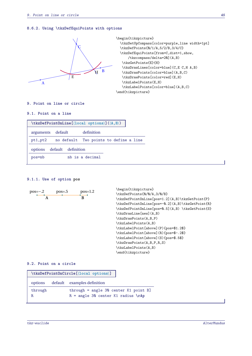#### **8.6.2. Using \tkzDefEquiPoints with options**



\begin{tikzpicture} \tkzSetUpCompass[color=purple,line width=1pt] \tkzDefPoints{0/1/A,5/2/B,3/4/C} \tkzDefEquiPoints[from=C,dist=1,show, /tkzcompass/delta=20](A,B) \tkzGetPoints{E}{H} \tkzDrawLines[color=blue](C,E C,H A,B) \tkzDrawPoints[color=blue](A,B,C) \tkzDrawPoints[color=red](E,H) \tkzLabelPoints(E,H) \tkzLabelPoints[color=blue](A,B,C) \end{tikzpicture}

### **9. Point on line or circle**

# **9.1. Point on a line**

| $\texttt{\texttt{kkzDefPointOnLine}(\texttt{local options})} (\langle A, B \rangle)$ |                    |                                        |  |
|--------------------------------------------------------------------------------------|--------------------|----------------------------------------|--|
| arguments default                                                                    | definition         |                                        |  |
| pt1,pt2                                                                              |                    | no default Two points to define a line |  |
| options                                                                              | default definition |                                        |  |
| pos=nb                                                                               | nb is a decimal    |                                        |  |

### **9.1.1. Use of option pos**

$$
pos=-.2 \tpos=-.5 \tpos=1.2 \t\hbar \tfrac{1}{12} \t\hbar \tfrac{1}{12} \t\hbar \tfrac{1}{12} \t\hbar \tfrac{1}{12} \t\hbar \tfrac{1}{12} \t\hbar \tfrac{1}{12} \t\hbar \tfrac{1}{12} \t\hbar \tfrac{1}{12} \t\hbar \tfrac{1}{12} \t\hbar \tfrac{1}{12} \t\hbar \tfrac{1}{12} \t\hbar \tfrac{1}{12} \t\hbar \tfrac{1}{12} \t\hbar \tfrac{1}{12} \t\hbar \tfrac{1}{12} \t\hbar \tfrac{1}{12} \t\hbar \tfrac{1}{12} \t\hbar \tfrac{1}{12} \t\hbar \tfrac{1}{12} \t\hbar \tfrac{1}{12} \t\hbar \tfrac{1}{12} \t\hbar \tfrac{1}{12} \t\hbar \tfrac{1}{12} \t\hbar \tfrac{1}{12} \t\hbar \tfrac{1}{12} \t\hbar \tfrac{1}{12} \t\hbar \tfrac{1}{12} \t\hbar \tfrac{1}{12} \t\hbar \tfrac{1}{12} \t\hbar \tfrac{1}{12} \t\hbar \tfrac{1}{12} \t\hbar \tfrac{1}{12} \t\hbar \tfrac{1}{12} \t\hbar \tfrac{1}{12} \t\hbar \tfrac{1}{12} \t\hbar \tfrac{1}{12} \t\hbar \tfrac{1}{12} \t\hbar \tfrac{1}{12} \t\hbar \tfrac{1}{12} \t\hbar \tfrac{1}{12} \t\hbar \tfrac{1}{12} \t\hbar \tfrac{1}{12} \t\hbar \tfrac{1}{12} \t\hbar \tfrac{1}{12} \t\hbar \tfrac{1}{12} \t\hbar \tfrac{1}{12} \t\hbar \tfrac{1}{12} \t\hbar \tfrac{1}{12} \t\hbar \tfrac{1}{12} \t\hbar \tfrac{1}{12} \t\hbar \tfrac{1}{12} \t\hbar \tfrac{1}{12} \t\hbar \tfrac{1}{12}
$$

# **9.2. Point on a circle**

|              | \tkzDefPoint0nCircle[\local options\]                                           |
|--------------|---------------------------------------------------------------------------------|
| options      | default examples definition                                                     |
| through<br>R | $through = angle 30 center K1 point B]$<br>$R = angle 30$ center K1 radius \rAp |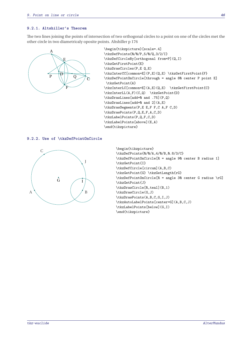### **9.2.1. Altshiller's Theorem**

The two lines joining the points of intersection of two orthogonal circles to a point on one of the circles met the other circle in two diametricaly oposite points. Altshiller p 176



```
\begin{tikzpicture}[scale=.4]
\tkzDefPoints{0/0/P,5/0/Q,3/2/I}
\tkzDefCircleBy[orthogonal from=P](Q,I)
\tkzGetFirstPoint{E}
\tkzDrawCircles(P,E Q,E)
\tkzInterCC[common=E](P,E)(Q,E) \tkzGetFirstPoint{F}
\tkzDefPointOnCircle[through = angle 80 center P point E]
\tkzGetPoint{A}
\tkzInterLC[common=E](A,E)(Q,E) \tkzGetFirstPoint{C}
\tkzInterLL(A,F)(C,Q) \tkzGetPoint{D}
\tkzDrawLines[add=0 and .75](P,Q)
\tkzDrawLines[add=0 and 2](A,E)
\tkzDrawSegments(P,E E,F F,C A,F C,D)
\tkzDrawPoints(P,Q,E,F,A,C,D)
\tkzLabelPoints(P,Q,F,C,D)
\tkzLabelPoints[above](E,A)
\end{tikzpicture}
```
### **9.2.2. Use of \tkzDefPointOnCircle**



```
\begin{tikzpicture}
\tkzDefPoints{0/0/A,4/0/B,0.8/3/C}
\tkzDefPointOnCircle[R = angle 90 center B radius 1]
\tkzGetPoint{I}
\tkzDefCircle[circum](A,B,C)
\tkzGetPoint{G} \tkzGetLength{rG}
\tkzDefPointOnCircle[R = angle 30 center G radius \rG]
\tkzGetPoint{J}
\tkzDrawCircle[R,teal](B,1)
\tkzDrawCircle(G,J)
\tkzDrawPoints(A,B,C,G,I,J)
\tkzAutoLabelPoints[center=G](A,B,C,J)
\tkzLabelPoints[below](G,I)
\end{tikzpicture}
```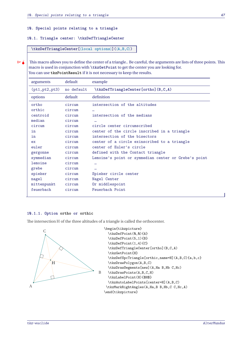### **10. Special points relating to a triangle**

### **10.1. Triangle center: \tkzDefTriangleCenter**

**\tkzDefTriangleCenter[**⟨**local options**⟩**](**⟨**A,B,C**⟩**)**

 $\frac{1}{2}$  This macro allows you to define the center of a triangle.. Be careful, the arguments are lists of three points. This macro is used in conjunction with **\tkzGetPoint** to get the center you are looking for. You can use **tkzPointResult** if it is not necessary to keep the results.

| arguments       | default       | example                                              |
|-----------------|---------------|------------------------------------------------------|
| (pt1, pt2, pt3) | no default    | \tkzDefTriangleCenter[ortho](B,C,A)                  |
| options         | default       | definition                                           |
| ortho           | circum        | intersection of the altitudes                        |
| orthic          | circum        | $\cdots$                                             |
| centroid        | circum        | intersection of the medians                          |
| median          | $c$ i $rc$ um | $\ddotsc$                                            |
| circum          | circum        | circle center circumscribed                          |
| in              | circum        | center of the circle inscribed in a triangle         |
| in              | circum        | intersection of the bisectors                        |
| ex              | circum        | center of a circle exinscribed to a triangle         |
| euler           | circum        | center of Euler's circle                             |
| gergonne        | circum        | defined with the Contact triangle                    |
| symmedian       | circum        | Lemoine's point or symmedian center or Grebe's point |
| lemoine         | circum        |                                                      |
| grebe           | circum        | $\ddotsc$                                            |
| spieker         | circum        | Spieker circle center                                |
| nagel           | circum        | Nagel Center                                         |
| mittenpunkt     | circum        | Or middlespoint                                      |
| feuerbach       | circum        | Feuerbach Point                                      |

# **10.1.1. Option ortho or orthic**

The intersection <sup>H</sup> of the three altitudes of a triangle is called the orthocenter.



```
\begin{tikzpicture}
 \tkzDefPoint(0,0){A}
  \tkzDefPoint(5,1){B}
  \tkzDefPoint(1,4){C}
  \tkzDefTriangleCenter[ortho](B,C,A)
  \tkzGetPoint{H}
  \tkzDefSpcTriangle[orthic,name=H](A,B,C){a,b,c}
  \tkzDrawPolygon(A,B,C)
  \tkzDrawSegments[new](A,Ha B,Hb C,Hc)
 \tkzDrawPoints(A,B,C,H)
  \tkzLabelPoint(H){$H$}
  \tkzAutoLabelPoints[center=H](A,B,C)
 \tkzMarkRightAngles(A,Ha,B B,Hb,C C,Hc,A)
\end{tikzpicture}
```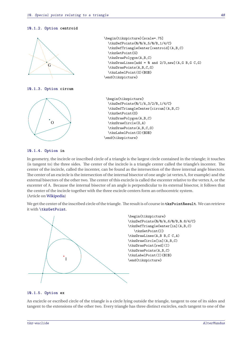#### **10.1.2. Option centroid**



**10.1.3. Option circum**



```
\begin{tikzpicture}[scale=.75]
  \tkzDefPoints{0/0/A,5/0/B,1/4/C}
  \tkzDefTriangleCenter[centroid](A,B,C)
  \tkzGetPoint{G}
  \tkzDrawPolygon(A,B,C)
  \text{tkzDrawLines}[add = \varnothing and 2/3, new](A, G, B, G, C, G)\tkzDrawPoints(A,B,C,G)
  \tkzLabelPoint(G){$G$}
\end{tikzpicture}
```

```
\begin{tikzpicture}
 \tkzDefPoints{0/1/A,3/2/B,1/4/C}
 \tkzDefTriangleCenter[circum](A,B,C)
 \tkzGetPoint{O}
  \tkzDrawPolygon(A,B,C)
  \tkzDrawCircle(O,A)
  \tkzDrawPoints(A,B,C,O)
  \tkzLabelPoint(O){$O$}
\end{tikzpicture}
```
### **10.1.4. Option in**

In geometry, the incircle or inscribed circle of a triangle is the largest circle contained in the triangle; it touches (is tangent to) the three sides. The center of the incircle is a triangle center called the triangle's incenter. The center of the incircle, called the incenter, can be found as the intersection of the three internal angle bisectors. The center of an excircle is the intersection of the internal bisector of one angle (at vertex <sup>A</sup>, for example) and the external bisectors of the other two. The center of this excircle is called the excenter relative to the vertex <sup>A</sup>, or the excenter of <sup>A</sup>. Because the internal bisector of an angle is perpendicular to its external bisector, it follows that the center of the incircle together with the three excircle centers form an orthocentric system. (Article on [Wikipedia\)](https://en.wikipedia.org/wiki/Incircle_and_excircles_of_a_triangle)

We get the center of the inscribed circle of the triangle. The result is of course in **tkzPointResult**. We can retrieve it with **\tkzGetPoint**.



#### **10.1.5. Option ex**

An excircle or escribed circle of the triangle is a circle lying outside the triangle, tangent to one of its sides and tangent to the extensions of the other two. Every triangle has three distinct excircles, each tangent to one of the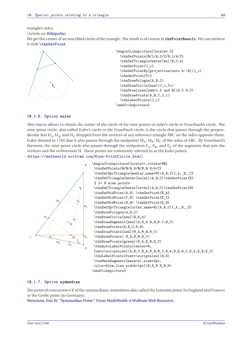### triangle's sides.

(Article on [Wikipedia\)](https://en.wikipedia.org/wiki/Incircle_and_excircles_of_a_triangle)

We get the center of an inscribed circle of the triangle. The result is of course in **tkzPointResult**. We can retrieve it with **\tkzGetPoint**.



```
\begin{tikzpicture}[scale=.5]
 \tkzDefPoints{0/1/A,3/2/B,1/4/C}
 \tkzDefTriangleCenter[ex](B,C,A)
 \tkzGetPoint{J_c}
 \tkzDefPointBy[projection=onto A--B](J_c)
 \tkzGetPoint{Tc}
 \tkzDrawPolygon(A,B,C)
 \tkzDrawCircle[new](J_c,Tc)
 \tkzDrawLines[add=1.5 and 0](A,C B,C)
 \tkzDrawPoints(A,B,C,J_c)
 \tkzLabelPoints(J_c)
\end{tikzpicture}
```
### **10.1.6. Option euler**

This macro allows to obtain the center of the circle of the nine points or euler's circle or Feuerbach's circle. The nine-point circle, also called Euler's circle or the Feuerbach circle, is the circle that passes through the perpendicular feet  $H_A$ ,  $H_B$ , and  $H_C$  dropped from the vertices of any reference triangle ABC on the sides opposite them. Euler showed in 1765 that it also passes through the midpoints  $M_A$ ,  $M_B$ ,  $M_C$  of the sides of ABC. By Feuerbach's<br>the same the sine as interimited also access through the midpoints  $\Gamma$ ,  $\Gamma$ , and  $\Gamma$  as fit as same at theorem, the nine-point circle also passes through the midpoints  $E_A$ ,  $E_B$ , and  $E_C$  of the segments that join the vertices and the orthocenter <sup>H</sup>. These points are commonly referred to as the Euler points. (<https://mathworld.wolfram.com/Nine-PointCircle.html>)



\begin{tikzpicture}[scale=1,rotate=90] \tkzDefPoints{0/0/A,6/0/B,0.8/4/C} \tkzDefSpcTriangle[medial,name=M](A,B,C){\_A,\_B,\_C} \tkzDefTriangleCenter[euler](A,B,C)\tkzGetPoint{N} % I= N nine points \tkzDefTriangleCenter[ortho](A,B,C)\tkzGetPoint{H} \tkzDefMidPoint(A,H) \tkzGetPoint{E\_A} \tkzDefMidPoint(C,H) \tkzGetPoint{E\_C} \tkzDefMidPoint(B,H) \tkzGetPoint{E\_B} \tkzDefSpcTriangle[ortho,name=H](A,B,C){\_A,\_B,\_C} \tkzDrawPolygon(A,B,C) \tkzDrawCircle[new](N,E\_A) \tkzDrawSegments[new](A,H\_A B,H\_B C,H\_C) \tkzDrawPoints(A,B,C,N,H) \tkzDrawPoints[new](M\_A,M\_B,M\_C) \tkzDrawPoints( H\_A,H\_B,H\_C) \tkzDrawPoints[green](E\_A,E\_B,E\_C) \tkzAutoLabelPoints[center=N, font=\scriptsize](A,B,C,M\_A,M\_B,M\_C,H\_A,H\_B,H\_C,E\_A,E\_B,E\_C) \tkzLabelPoints[font=\scriptsize](H,N) \tkzMarkSegments[mark=s|,size=3pt, color=blue,line width=1pt](B,E\_B E\_B,H) \end{tikzpicture}

### **10.1.7. Option symmedian**

The point of concurrence K of the symmedians, sometimes also called the Lemoine point (in England and France) or the Grebe point (in Germany).

[Weisstein, Eric W. "Symmedian Point." From MathWorld–A Wolfram Web Resource.](https://mathworld.wolfram.com/SymmedianPoint.html)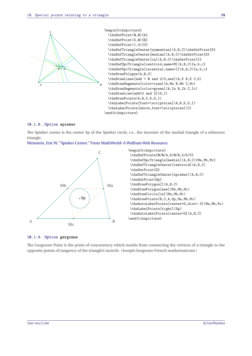

### **10.1.8. Option spieker**

The Spieker center is the center Sp of the Spieker circle, i.e., the incenter of the medial triangle of a reference triangle.

[Weisstein, Eric W. "Spieker Center." From MathWorld–A Wolfram Web Resource.](https://mathworld.wolfram.com/SpiekerCenter.html)





#### **10.1.9. Option gergonne**

The Gergonne Point is the point of concurrency which results from connecting the vertices of a triangle to the opposite points of tangency of the triangle's incircle. (Joseph Gergonne French mathematician )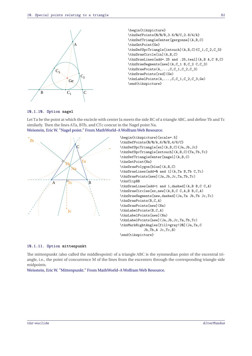

\begin{tikzpicture} \tkzDefPoints{0/0/B,3.6/0/C,2.8/4/A} \tkzDefTriangleCenter[gergonne](A,B,C) \tkzGetPoint{Ge} \tkzDefSpcTriangle[intouch](A,B,C){C\_1,C\_2,C\_3} \tkzDrawCircle[in](A,B,C) \tkzDrawLines[add=.25 and .25,teal](A,B A,C B,C) \tkzDrawSegments[new](A,C\_1 B,C\_2 C,C\_3) \tkzDrawPoints(A,...,C,C\_1,C\_2,C\_3) \tkzDrawPoints[red](Ge) \tkzLabelPoints(A,...,C,C\_1,C\_2,C\_3,Ge) \end{tikzpicture}

### **10.1.10. Option nagel**

Let Ta be the point at which the excircle with center Ja meets the side BC of a triangle ABC, and define Tb and Tc similarly. Then the lines ATa, BTb, and CTc concur in the Nagel point Na. [Weisstein, Eric W. "Nagel point." From MathWorld–A Wolfram Web Resource.](https://mathworld.wolfram.com/NagelPoint.html)





#### **10.1.11. Option mittenpunkt**

The mittenpunkt (also called the middlespoint) of a triangle ABC is the symmedian point of the excentral triangle, i.e., the point of concurrence M of the lines from the excenters through the corresponding triangle side midpoints.

[Weisstein, Eric W. "Mittenpunkt." From MathWorld–A Wolfram Web Resource.](https://mathworld.wolfram.com/Mittenpunkt.html)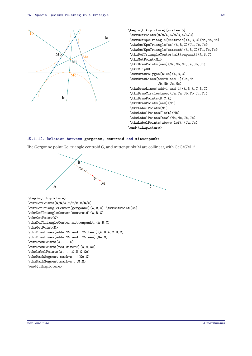



#### **10.1.12. Relation between gergonne, centroid and mittenpunkt**

The Gergonne point Ge, triangle centroid <sup>G</sup>, and mittenpunkt <sup>M</sup> are collinear, with GeG/GM=2.



```
\tkzDefPoints{0/0/A,2/2/B,8/0/C}
\tkzDefTriangleCenter[gergonne](A,B,C) \tkzGetPoint{Ge}
\tkzDefTriangleCenter[centroid](A,B,C)
\tkzGetPoint{G}
\tkzDefTriangleCenter[mittenpunkt](A,B,C)
\tkzGetPoint{M}
\tkzDrawLines[add=.25 and .25,teal](A,B A,C B,C)
\tkzDrawLines[add=.25 and .25,new](Ge,M)
\tkzDrawPoints(A,...,C)
\tkzDrawPoints[red,size=2](G,M,Ge)
\tkzLabelPoints(A,...,C,M,G,Ge)
\tkzMarkSegment[mark=s||](Ge,G)
\tkzMarkSegment[mark=s|](G,M)
\end{tikzpicture}
```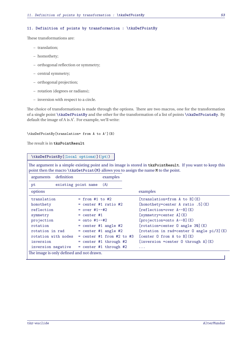### **11. Definition of points by transformation : \tkzDefPointBy**

These transformations are:

- translation;
- homothety;
- orthogonal reflection or symmetry;
- central symmetry;
- orthogonal projection;
- rotation (degrees or radians);
- inversion with respect to a circle.

The choice of transformations is made through the options. There are two macros, one for the transformation of a single point **\tkzDefPointBy** and the other for the transformation of a list of points **\tkzDefPointsBy**. By default the image of <sup>A</sup> is <sup>A</sup> ′ . For example, we'll write:

\tkzDefPointBy[translation= from A to A'](B)

The result is in **tkzPointResult**

## **\tkzDefPointBy[**⟨**local options**⟩**](**⟨**pt**⟩**)**

The argument is a simple existing point and its image is stored in **tkzPointResult**. If you want to keep this point then the macro **\tkzGetPoint{M}** allows you to assign the name **M** to the point.

| definition<br>arguments                  | examples                    |                                                |
|------------------------------------------|-----------------------------|------------------------------------------------|
| pt                                       | (A)<br>existing point name  |                                                |
| options                                  |                             | examples                                       |
| translation                              | $=$ from #1 to #2           | [translation=from A to B](E)                   |
| homothety                                | $=$ center #1 ratio #2      | [homothety=center A ratio .5] $(E)$            |
| reflection                               | $= over #1--#2$             | $[reflection=over A--B](E)$                    |
| symmetry                                 | $=$ center #1               | $[symmetry=center A](E)$                       |
| projection                               | $=$ onto #1--#2             | [projection=onto A--B](E)                      |
| rotation                                 | $=$ center #1 angle #2      | [rotation=center 0 angle 30] (E)               |
| rotation in rad                          | $=$ center #1 angle #2      | [rotation in rad=center $0$ angle $pi/3$ ] (E) |
| rotation with nodes                      | $=$ center #1 from #2 to #3 | [center $0$ from $A$ to $B$ ] $(E)$            |
| inversion                                | $=$ center #1 through #2    | $[inversion =center 0 through A](E)$           |
| inversion negative                       | $=$ center #1 through #2    | $\cdots$                                       |
| The image is only defined and not drawn. |                             |                                                |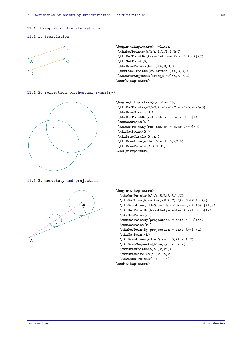### **11.1. Examples of transformations**

#### **11.1.1. translation**



```
\begin{tikzpicture}[>=latex]
\tkzDefPoints{0/0/A,3/1/B,3/0/C}
\tkzDefPointBy[translation= from B to A](C)
\tkzGetPoint{D}
\tkzDrawPoints[teal](A,B,C,D)
\tkzLabelPoints[color=teal](A,B,C,D)
\tkzDrawSegments[orange,->](A,B D,C)
\end{tikzpicture}
```
## **11.1.2. reflection (orthogonal symmetry)**



```
\begin{tikzpicture}[scale=.75]
\tkzDefPoints{-2/-2/A,-1/-1/C,-4/2/D,-4/0/O}
\tkzDrawCircle(O,A)
\tkzDefPointBy[reflection = over C--D](A)
\tkzGetPoint{A'}
\tkzDefPointBy[reflection = over C--D](O)
\tkzGetPoint{O'}
\tkzDrawCircle(O',A')
\tkzDrawLine[add= .5 and .5](C,D)
\tkzDrawPoints(C,D,0,0')
\end{tikzpicture}
```
**11.1.3. homothety and projection**



```
\begin{tikzpicture}
  \tkzDefPoints{0/1/A,5/3/B,3/4/C}
 \tkzDefLine[bisector](B,A,C) \tkzGetPoint{a}
 \tkzDrawLine[add=0 and 0,color=magenta!50 ](A,a)
 \tkzDefPointBy[homothety=center A ratio .5](a)
  \tkzGetPoint{a'}
  \tkzDefPointBy[projection = onto A--B](a')
  \tkzGetPoint{k'}
  \tkzDefPointBy[projection = onto A--B](a)
  \tkzGetPoint{k}
  \tkzDrawLines[add= 0 and .3](A,k A,C)
  \tkzDrawSegments[blue](a',k' a,k)
  \tkzDrawPoints(a,a',k,k',A)
  \tkzDrawCircles(a',k' a,k)
  \tkzLabelPoints(a,a',k,A)
\end{tikzpicture}
```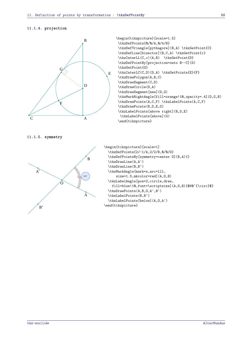# **11.1.4. projection**



\begin{tikzpicture}[scale=1.5] \tkzDefPoints{0/0/A,0/4/B} \tkzDefTriangle[pythagore](B,A) \tkzGetPoint{C} \tkzDefLine[bisector](B,C,A) \tkzGetPoint{c} \tkzInterLL(C,c)(A,B) \tkzGetPoint{D} \tkzDefPointBy[projection=onto B--C](D) \tkzGetPoint{G} \tkzInterLC(C,D)(D,A) \tkzGetPoints{E}{F} \tkzDrawPolygon(A,B,C) \tkzDrawSegment(C,D) \tkzDrawCircle(D,A) \tkzDrawSegment[new](D,G) \tkzMarkRightAngle[fill=orange!10,opacity=.4](D,G,B) \tkzDrawPoints(A,C,F) \tkzLabelPoints(A,C,F) \tkzDrawPoints(B,D,E,G) \tkzLabelPoints[above right](B,D,E) \tkzLabelPoints[above](G) \end{tikzpicture}

```
11.1.5. symmetry
```


```
\begin{tikzpicture}[scale=1]
  \tkzDefPoints{2/-1/A,2/2/B,0/0/O}
  \tkzDefPointsBy[symmetry=center O](B,A){}
  \tkzDrawLine(A,A')
  \tkzDrawLine(B,B')
  \tkzMarkAngle[mark=s,arc=lll,
      size=1.5,mkcolor=red](A,O,B)
  \tkzLabelAngle[pos=2,circle,draw,
   fill=blue!10,font=\scriptsize](A,O,B){$60^{\circ}$}
  \tkzDrawPoints(A,B,O,A',B')
  \tkzLabelPoints(B,B')
  \tkzLabelPoints[below](A,O,A')
\end{tikzpicture}
```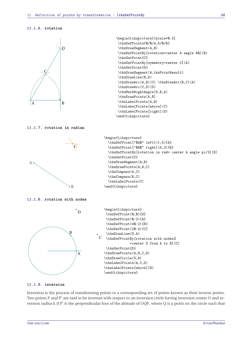# **11.1.6. rotation**



```
\begin{tikzpicture}[scale=0.5]
\tkzDefPoints{0/0/A,5/0/B}
\tkzDrawSegment(A,B)
\tkzDefPointBy[rotation=center A angle 60](B)
\tkzGetPoint{C}
\tkzDefPointBy[symmetry=center C](A)
\tkzGetPoint{D}
\tkzDrawSegment(A,tkzPointResult)
\tkzDrawLine(B,D)
\tkzDrawArc(A,B)(C) \tkzDrawArc(B,C)(A)
\tkzDrawArc(C,D)(D)
\tkzMarkRightAngle(D,B,A)
\tkzDrawPoints(A,B)
\tkzLabelPoints(A,B)
\tkzLabelPoints[above](C)
\tkzLabelPoints[right](D)
\end{tikzpicture}
```
### **11.1.7. rotation in radian**



### **11.1.9. inversion**

Inversion is the process of transforming points to a corresponding set of points known as their inverse points. Two points P and P' are said to be inverses with respect to an inversion circle having inversion center O and inversion radius <sup>k</sup> if <sup>P</sup> ′ is the perpendicular foot of the altitude of OQP, where <sup>Q</sup> is a point on the circle such that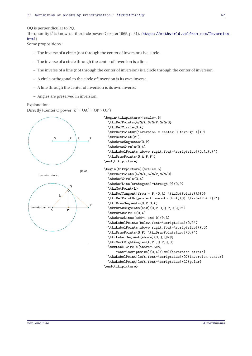### OQ is perpendicular to PQ.

The quantity <sup>k</sup> 2 is known as the circle power (Coxeter 1969, p. 81). ([https://mathworld.wolfram.com/Inversio](https://mathworld.wolfram.com/Inversion.html)n. [html](https://mathworld.wolfram.com/Inversion.html))

Some propositions :

- The inverse of a circle (not through the center of inversion) is a circle.
- The inverse of a circle through the center of inversion is a line.
- The inverse of a line (not through the center of inversion) is a circle through the center of inversion.
- A circle orthogonal to the circle of inversion is its own inverse.
- A line through the center of inversion is its own inverse.
- Angles are preserved in inversion.

### Explanation:

Directly (Center O power= $k^2 = OA^2 = OP \times OP'$ )



P

O P

inversion center

 $P'$ 

```
\begin{tikzpicture}[scale=.5]
              \tkzDefPoints{4/0/A,6/0/P,0/0/O}
              \tkzDefCircle(O,A)
              \tkzDefPointBy[inversion = center O through A](P)
              \tkzGetPoint{P'}
              \tkzDrawSegments(O,P)
              \tkzDrawCircle(O,A)
              \tkzLabelPoints[above right,font=\scriptsize](O,A,P,P')
              \tkzDrawPoints(O,A,P,P')
            \end{tikzpicture}
polar \begin{tikzpicture}[scale=.5]
              \tkzDefPoints{4/0/A,6/0/P,0/0/O}
              \tkzDefCircle(O,A)
              \tkzDefLine[orthogonal=through P](O,P)
              \tkzGetPoint{L}
              \tkzDefTangent[from = P](O,A) \tkzGetPoints{R}{Q}
              \tkzDefPointBy[projection=onto O--A](Q) \tkzGetPoint{P'}
              \tkzDrawSegments(O,P O,A)
              \tkzDrawSegments[new](O,P O,Q P,Q Q,P')
              \tkzDrawCircle(O,A)
              \tkzDrawLines[add=1 and 0](P,L)
              \tkzLabelPoints[below,font=\scriptsize](O,P')
              \tkzLabelPoints[above right,font=\scriptsize](P,Q)
              \tkzDrawPoints(O,P) \tkzDrawPoints[new](Q,P')
              \tkzLabelSegment[above](O,Q){$k$}
              \tkzMarkRightAngles(A,P',Q P,Q,O)
              \tkzLabelCircle[above=.5cm,
                  font=\scriptsize](O,A)(100){inversion circle}
              \tkzLabelPoint[left,font=\scriptsize](O){inversion center}
              \tkzLabelPoint[left,font=\scriptsize](L){polar}
            \end{tikzpicture}
```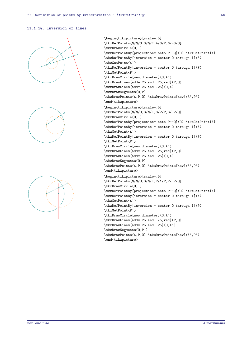# **11.1.10. Inversion of lines**





```
\begin{tikzpicture}[scale=.5]
\tkzDefPoints{0/0/O,3/0/I,4/3/P,6/-3/Q}
\tkzDrawCircle(O,I)
\tkzDefPointBy[projection= onto P--Q](O) \tkzGetPoint{A}
\tkzDefPointBy[inversion = center O through I](A)
\tkzGetPoint{A'}
\tkzDefPointBy[inversion = center O through I](P)
\tkzGetPoint{P'}
\tkzDrawCircle[new,diameter](O,A')
\tkzDrawLines[add=.25 and .25,red](P,Q)
\tkzDrawLines[add=.25 and .25](O,A)
\tkzDrawSegments(O,P)
\tkzDrawPoints(A,P,O) \tkzDrawPoints[new](A',P')
\end{tikzpicture}
\begin{tikzpicture}[scale=.5]
\tkzDefPoints{0/0/O,3/0/I,3/2/P,3/-2/Q}
\tkzDrawCircle(O,I)
\tkzDefPointBy[projection= onto P--Q](O) \tkzGetPoint{A}
\tkzDefPointBy[inversion = center O through I](A)
\tkzGetPoint{A'}
\tkzDefPointBy[inversion = center O through I](P)
\tkzGetPoint{P'}
\tkzDrawCircle[new,diameter](O,A')
\tkzDrawLines[add=.25 and .25,red](P,Q)
\tkzDrawLines[add=.25 and .25](O,A)
\tkzDrawSegments(O,P)
\tkzDrawPoints(A,P,O) \tkzDrawPoints[new](A',P')
\end{tikzpicture}
\begin{tikzpicture}[scale=.5]
\tkzDefPoints{0/0/O,3/0/I,2/1/P,2/-2/Q}
\tkzDrawCircle(O,I)
\tkzDefPointBy[projection= onto P--Q](O) \tkzGetPoint{A}
\tkzDefPointBy[inversion = center O through I](A)
\tkzGetPoint{A'}
\tkzDefPointBy[inversion = center O through I](P)
\tkzGetPoint{P'}
\tkzDrawCircle[new,diameter](O,A')
\tkzDrawLines[add=.25 and .75,red](P,Q)
\tkzDrawLines[add=.25 and .25](O,A')
\tkzDrawSegments(O,P')
\tkzDrawPoints(A,P,O) \tkzDrawPoints[new](A',P')
```
\end{tikzpicture}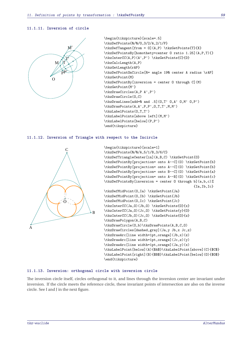### **11.1.11. Inversion of circle**



```
\begin{tikzpicture}[scale=.5]
\tkzDefPoints{0/0/O,3/2/A,2/1/P}
\tkzDefTangent[from = O](A,P) \tkzGetPoints{T}{X}
\tkzDefPointsBy[homothety=center O ratio 1.25](A,P,T){}
\tkzInterCC(A,P)(A',P') \tkzGetPoints{C}{D}
\tkzCalcLength(A,P)
\tkzGetLength{rAP}
\tkzDefPointOnCircle[R= angle 190 center A radius \rAP]
\tkzGetPoint{M}
\tkzDefPointBy[inversion = center O through C](M)
\tkzGetPoint{M'}
\tkzDrawCircles(A,P A',P')
\tkzDrawCircle(O,C)
\text{tkzDrawLines}[add=0 and .5] (0,T' 0,A' 0,M' 0,P')\tkzDrawPoints(A,A',P,P',O,T,T',M,M')
\tkzLabelPoints(O,T,T')
\tkzLabelPoints[above left](M,M')
\tkzLabelPoints[below](P,P')
\end{tikzpicture}
```
### **11.1.12. Inversion of Triangle with respect to the Incircle**



\begin{tikzpicture}[scale=1] \tkzDefPoints{0/0/A,5/1/B,3/6/C} \tkzDefTriangleCenter[in](A,B,C) \tkzGetPoint{O} \tkzDefPointBy[projection= onto A--C](O) \tkzGetPoint{b} \tkzDefPointBy[projection= onto A--C](O) \tkzGetPoint{b} \tkzDefPointBy[projection= onto B--C](O) \tkzGetPoint{a} \tkzDefPointBy[projection= onto A--B](O) \tkzGetPoint{c} \tkzDefPointsBy[inversion = center O through b](a,b,c)% {Ia,Ib,Ic} \tkzDefMidPoint(O,Ia) \tkzGetPoint{Ja} \tkzDefMidPoint(O,Ib) \tkzGetPoint{Jb} \tkzDefMidPoint(O,Ic) \tkzGetPoint{Jc} \tkzInterCC(Ja,0)(Jb,0)\tkzGetPoints{0}{x} \tkzInterCC(Ja,O)(Jc,O) \tkzGetPoints{y}{O} \tkzInterCC(Jb,O)(Jc,O) \tkzGetPoints{O}{z} \tkzDrawPolygon(A,B,C) \tkzDrawCircle(O,b)\tkzDrawPoints(A,B,C,O) \tkzDrawCircles[dashed,gray](Ja,y Jb,x Jc,z) \tkzDrawArc[line width=1pt,orange](Jb,x)(z) \tkzDrawArc[line width=1pt,orange](Jc,z)(y) \tkzDrawArc[line width=1pt,orange](Ja,y)(x) \tkzLabelPoint[below](A){\$A\$}\tkzLabelPoint[above](C){\$C\$} \tkzLabelPoint[right](B){\$B\$}\tkzLabelPoint[below](O){\$O\$} \end{tikzpicture}

### **11.1.13. Inversion: orthogonal circle with inversion circle**

The inversion circle itself, circles orthogonal to it, and lines through the inversion center are invariant under inversion. If the circle meets the reference circle, these invariant points of intersection are also on the inverse circle. See I and J in the next figure.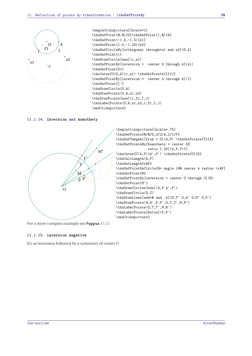

```
\begin{tikzpicture}[scale=1]
\tkzDefPoint(0,0){O}\tkzDefPoint(1,0){A}
\tkzDefPoint(-1.5,-1.5){z1}
\tkzDefPoint(1.5,-1.25){z2}
\tkzDefCircleBy[orthogonal through=z1 and z2](O,A)
\tkzGetPoint{c}
\tkzDrawCircle[new](c,z1)
\tkzDefPointBy[inversion = center O through A](z1)
\tkzGetPoint{Z1}
\tkzInterCC(O,A)(c,z1) \tkzGetPoints{I}{J}
\tkzDefPointBy[inversion = center O through A](I)
\tkzGetPoint{I'}
\tkzDrawCircle(O,A)
\tkzDrawPoints(O,A,z1,z2)
\tkzDrawPoints[new](c,Z1,I,J)
\tkzLabelPoints(O,A,z1,z2,c,Z1,I,J)
\end{tikzpicture}
```
### **11.1.14. Inversion and homothety**



```
\begin{tikzpicture}[scale=.75]
\tkzDefPoints{0/0/O,3/2/A,2/1/P}
\tkzDefTangent[from = O](A,P) \tkzGetPoints{T}{X}
\tkzDefPointsBy[homothety = center O%
                ratio 1.25](A,P,T){}
\tkzInterCC(A,P)(A',P') \tkzGetPoints{C}{D}
\tkzCalcLength(A,P)
\tkzGetLength{rAP}
\tkzDefPointOnCircle[R= angle 190 center A radius \rAP]
\tkzGetPoint{M}
\tkzDefPointBy[inversion = center O through C](M)
\tkzGetPoint{M'}
\tkzDrawCircles[new](A,P A',P')
\tkzDrawCircle(O,C)
\tkzDrawLines[add=0 and .5](O,T' O,A' O,M' O,P')
\tkzDrawPoints(A,A',P,P',O,T,T',M,M')
\tkzLabelPoints(O,T,T',M,M')
\tkzLabelPoints[below](P,P')
\end{tikzpicture}
```
For a more complex example see **Pappus** [45.25](#page-228-0)

#### **11.1.15. inversion negative**

It's an inversion followed by a symmetry of center <sup>O</sup>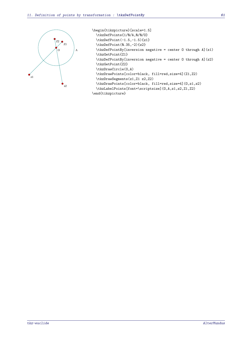

| \begin{tikzpicture}[scale=1.5]                              |  |
|-------------------------------------------------------------|--|
| \tkzDefPoints{1/0/A,0/0/0}                                  |  |
| \tkzDefPoint(-1.5,-1.5){z1}                                 |  |
| $\text{tkzDefPoint}(0.35, -2) {z2}$                         |  |
| \tkzDefPointBy[inversion negative = center 0 through A](z1) |  |
| \tkzGetPointfZ1}                                            |  |
| \tkzDefPointBy[inversion negative = center 0 through A](z2) |  |
| \tkzGetPoint{Z2}                                            |  |
| \tkzDrawCircle(0,A)                                         |  |
| \tkzDrawPoints[color=black, fill=red,size=4](Z1,Z2)         |  |
| \tkzDrawSegments(z1,Z1 z2,Z2)                               |  |
| \tkzDrawPoints[color=black, fill=red,size=4](0,z1,z2)       |  |
| \tkzLabelPoints[font=\scriptsize](0,A,z1,z2,Z1,Z2)          |  |

```
\end{tikzpicture}
```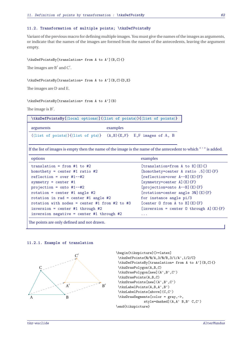### **11.2. Transformation of multiple points; \tkzDefPointsBy**

Variant of the previous macro for defining multiple images. You must give the names of the images as arguments, or indicate that the names of the images are formed from the names of the antecedents, leaving the argument empty.

\tkzDefPointsBy[translation= from A to A'](B,C){}

The images are  $B'$  and  $C'$ .

\tkzDefPointsBy[translation= from A to A'](B,C){D,E}

The images are <sup>D</sup> and <sup>E</sup>.

\tkzDefPointsBy[translation= from A to A'](B)

The image is B'.

|           | \tkzDefPointsBy[{local options}]({list of points}){{list of points}} |
|-----------|----------------------------------------------------------------------|
| arguments | examples                                                             |

(⟨list of points⟩){⟨list of pts⟩} (A,B){E,F} <sup>E</sup>,<sup>F</sup> images of <sup>A</sup>, <sup>B</sup>

If the list of images is empty then the name of the image is the name of the antecedent to which " ' " is added.

| options                                       | examples                                                                      |
|-----------------------------------------------|-------------------------------------------------------------------------------|
| translation = from #1 to #2                   | [translation=from A to B] $(E){ }$ }                                          |
| homothety = center #1 ratio #2                | [homothety=center A ratio .5] $(E)$ {F}                                       |
| $reflection = over #1--#2$                    | $[reflection=over A--B](E){F}$                                                |
| symmetry = center $#1$                        | [symmetry=center A](E){F}                                                     |
| projection = onto $#1--#2$                    | [projection=onto A--B](E){F}                                                  |
| rotation = center #1 angle #2                 | [rotation=center angle $30$ ] (E) {F}                                         |
| rotation in rad = center #1 angle #2          | for instance angle pi/3                                                       |
| rotation with nodes = center #1 from #2 to #3 | [center 0 from A to B] $(E){F}$                                               |
| $inversion = center #1 through #2$            | [inversion = center 0 through $A$ ] $(E)$ {F}                                 |
| inversion negative = center #1 through #2     | $\begin{array}{cccccccccc} \bullet & \bullet & \bullet & \bullet \end{array}$ |
|                                               |                                                                               |

The points are only defined and not drawn.

#### **11.2.1. Example of translation**



\begin{tikzpicture}[>=latex] \tkzDefPoints{0/0/A,3/0/B,3/1/A',1/2/C} \tkzDefPointsBy[translation= from A to A'](B,C){} \tkzDrawPolygon(A,B,C) \tkzDrawPolygon[new](A',B',C') \tkzDrawPoints(A,B,C) \tkzDrawPoints[new](A',B',C') \tkzLabelPoints(A,B,A',B') \tkzLabelPoints[above](C,C') \tkzDrawSegments[color = gray,->, style=dashed](A,A' B,B' C,C') \end{tikzpicture}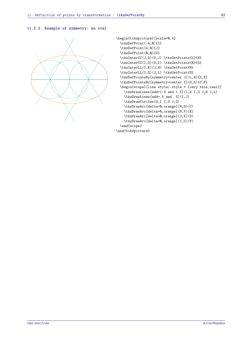# **11.2.2. Example of symmetry: an oval**



```
\begin{tikzpicture}[scale=0.4]
  \tkzDefPoint(-4,0){I}
  \tkzDefPoint(4,0){J}
  \tkzDefPoint(0,0){0}
  \tkzInterCC(J,O)(O,J) \tkzGetPoints{L}{H}
  \tkzInterCC(I,O)(O,I) \tkzGetPoints{K}{G}
  \tkzInterLL(I,K)(J,H) \tkzGetPoint{M}
  \tkzInterLL(I,G)(J,L) \tkzGetPoint{N}
  \tkzDefPointsBy[symmetry=center J](L,H){D,E}
  \tkzDefPointsBy[symmetry=center I](G,K){C,F}
  \begin{scope}[line style/.style = {very thin,teal}]
    \tkzDrawLines[add=1.5 and 1.5](I,K I,G J,H J,L)
    \tkzDrawLines[add=.5 and .5](I,J)
    \tkzDrawCircles(O,I I,O J,O)
    \tkzDrawArc[delta=0,orange](N,D)(C)
    \tkzDrawArc[delta=0,orange](M,F)(E)
    \tkzDrawArc[delta=0,orange](J,E)(D)
    \tkzDrawArc[delta=0,orange](I,C)(F)
  \end{scope}
\end{tikzpicture}
```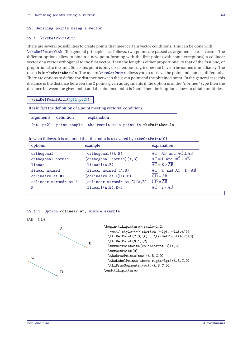#### **12. Defining points using a vector**

### **12.1. \tkzDefPointWith**

There are several possibilities to create points that meet certain vector conditions. This can be done with **\tkzDefPointWith**. The general principle is as follows, two points are passed as arguments, i.e. a vector. The different options allow to obtain a new point forming with the first point (with some exceptions) a collinear vector or a vector orthogonal to the first vector. Then the length is either proportional to that of the first one, or proportional to the unit. Since this point is only used temporarily, it does not have to be named immediately. The result is in **tkzPointResult**. The macro **\tkzGetPoint** allows you to retrieve the point and name it differently. There are options to define the distance between the given point and the obtained point. In the general case this distance is the distance between the 2 points given as arguments if the option is of the "normed" type then the distance between the given point and the obtained point is 1 cm. Then the <sup>K</sup> option allows to obtain multiples.

| \tkzDefPointWith(\pt1,pt2))                                           |                                                                                      |                                                                   |  |  |
|-----------------------------------------------------------------------|--------------------------------------------------------------------------------------|-------------------------------------------------------------------|--|--|
| It is in fact the definition of a point meeting vectorial conditions. |                                                                                      |                                                                   |  |  |
| definition<br>arguments                                               | explanation                                                                          |                                                                   |  |  |
| (pt1, pt2)                                                            | point couple the result is a point in tkzPointResult                                 |                                                                   |  |  |
|                                                                       |                                                                                      |                                                                   |  |  |
|                                                                       | In what follows, it is assumed that the point is recovered by $\text{KzGetPoint{C}}$ |                                                                   |  |  |
| options                                                               | example                                                                              | explanation                                                       |  |  |
| orthogonal                                                            | [orthogonal](A, B)                                                                   | $AC = AB$ and $\overrightarrow{AC} \perp \overrightarrow{AB}$     |  |  |
| orthogonal normed                                                     | [orthogonal normed] $(A, B)$                                                         | $AC = 1$ and $\overrightarrow{AC} \perp \overrightarrow{AB}$      |  |  |
| linear                                                                | $\overrightarrow{AC} = K \times \overrightarrow{AB}$<br>[linear] $(A, B)$            |                                                                   |  |  |
| linear normed                                                         | [linear normed] $(A, B)$                                                             | $AC = K$ and $\overrightarrow{AC} = k \times \overrightarrow{AB}$ |  |  |
| colinear= $at$ #1                                                     | [colinear= at $C$ ] $(A, B)$                                                         | $\overline{CD} = \overline{AB}$                                   |  |  |
| colinear normed= at #1                                                | $[colinear normed = at C](A, B)$                                                     | $\overrightarrow{CD} = \overrightarrow{AB}$                       |  |  |
| K                                                                     | [linear] $(A, B)$ , K=2                                                              | $\overrightarrow{AC} = 2 \times \overrightarrow{AB}$              |  |  |

#### **12.1.1. Option colinear at, simple example**

 $(AB = CD)$ 



| \begin{tikzpicture}[scale=1.2,            |
|-------------------------------------------|
| vect/.style={->,shorten >=1pt, >=latex'}] |
| \tkzDefPoint(2,3){A} \tkzDefPoint(4,2){B} |
| \tkzDefPoint(0.1){C}                      |
| \tkzDefPointWith[colinear=at C](A,B)      |
| \tkzGetPoint{D}                           |
| \tkzDrawPoints[new](A,B,C,D)              |
| \tkzLabelPoints[above right=3pt](A,B,C,D) |
| \tkzDrawSegments[vect](A,BC,D)            |
| \end{tikzpicture}                         |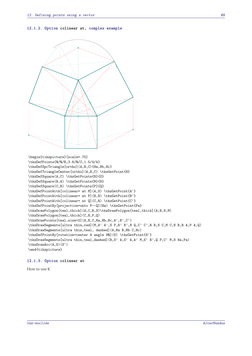**12.1.2. Option colinear at, complex example**

```
\begin{tikzpicture}[scale=.75]
\tkzDefPoints{0/0/B,3.6/0/C,1.5/4/A}
\tkzDefSpcTriangle[ortho](A,B,C){Ha,Hb,Hc}
\tkzDefTriangleCenter[ortho](A,B,C) \tkzGetPoint{H}
\tkzDefSquare(A,C) \tkzGetPoints{R}{S}
\tkzDefSquare(B,A) \tkzGetPoints{M}{N}
\tkzDefSquare(C,B) \tkzGetPoints{P}{Q}
\tkzDefPointWith[colinear= at M](A,S) \tkzGetPoint{A'}
\tkzDefPointWith[colinear= at P](B,N) \tkzGetPoint{B'}
\tkzDefPointWith[colinear= at Q](C,R) \tkzGetPoint{C'}
\tkzDefPointBy[projection=onto P--Q](Ha) \tkzGetPoint{Pa}
\tkzDrawPolygon[teal,thick](A,C,R,S)\tkzDrawPolygon[teal,thick](A,B,N,M)
\tkzDrawPolygon[teal,thick](C,B,P,Q)
\tkzDrawPoints[teal,size=2](A,B,C,Ha,Hb,Hc,A',B',C')
\tkzDrawSegments[ultra thin,red](M,A' A',S P,B' B',N Q,C' C',R B,S C,M C,N B,R A,P A,Q)
\tkzDrawSegments[ultra thin,teal, dashed](A,Ha B,Hb C,Hc)
\tkzDefPointBy[rotation=center A angle 90](S) \tkzGetPoint{S'}
\tkzDrawSegments[ultra thin,teal,dashed](B,S' A,S' A,A' M,S' B',Q P,C' M,S Ha,Pa)
\tkzDrawArc(A,S)(S')
\end{tikzpicture}
```
#### **12.1.3. Option colinear at**

How to use <sup>K</sup>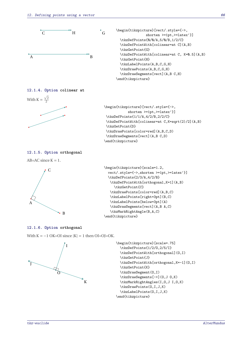



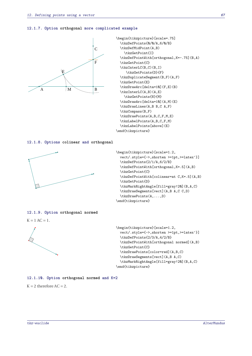#### **12.1.7. Option orthogonal more complicated example**



```
\begin{tikzpicture}[scale=.75]
  \tkzDefPoints{0/0/A,6/0/B}
  \tkzDefMidPoint(A,B)
    \tkzGetPoint{I}
  \tkzDefPointWith[orthogonal,K=-.75](B,A)
  \tkzGetPoint{C}
  \tkzInterLC(B,C)(B,I)
     \tkzGetPoints{D}{F}
  \tkzDuplicateSegment(B,F)(A,F)
  \tkzGetPoint{E}
  \tkzDrawArc[delta=10](F,E)(B)
  \tkzInterLC(A,B)(A,E)
    \tkzGetPoints{N}{M}
  \tkzDrawArc[delta=10](A,M)(E)
  \tkzDrawLines(A,B B,C A,F)
  \tkzCompass(B,F)
  \tkzDrawPoints(A,B,C,F,M,E)
  \tkzLabelPoints(A,B,C,F,M)
  \tkzLabelPoints[above](E)
\end{tikzpicture}
```
#### **12.1.8. Options colinear and orthogonal**



```
\begin{tikzpicture}[scale=1.2,
  vect/.style={->,shorten >=1pt,>=latex'}]
  \tkzDefPoints{2/1/A,6/2/B}
  \tkzDefPointWith[orthogonal,K=.5](A,B)
  \tkzGetPoint{C}
  \tkzDefPointWith[colinear=at C,K=.5](A,B)
  \tkzGetPoint{D}
  \tkzMarkRightAngle[fill=gray!20](B,A,C)
  \tkzDrawSegments[vect](A,B A,C C,D)
  \tkzDrawPoints(A,...,D)
\end{tikzpicture}
```
### **12.1.9. Option orthogonal normed**

 $K = 1$  AC = 1.



```
\begin{tikzpicture}[scale=1.2,
  vect/.style={->,shorten >=1pt,>=latex'}]
  \tkzDefPoints{2/3/A,4/2/B}
  \tkzDefPointWith[orthogonal normed](A,B)
  \tkzGetPoint{C}
  \tkzDrawPoints[color=red](A,B,C)
  \tkzDrawSegments[vect](A,B A,C)
  \tkzMarkRightAngle[fill=gray!20](B,A,C)
\end{tikzpicture}
```
### **12.1.10. Option orthogonal normed and K=2**

 $K = 2$  therefore  $AC = 2$ .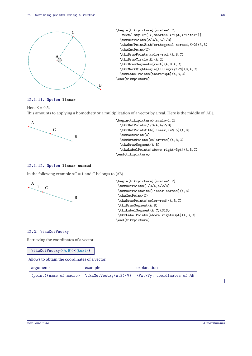

### **12.1.11. Option linear**

Here  $K = 0.5$ .

This amounts to applying a homothety or a multiplication of a vector by a real. Here is the middle of [AB].



```
\begin{tikzpicture}[scale=1.2]
  \tkzDefPoints{1/3/A,4/2/B}
  \tkzDefPointWith[linear,K=0.5](A,B)
  \tkzGetPoint{C}
  \tkzDrawPoints[color=red](A,B,C)
  \tkzDrawSegment(A,B)
  \tkzLabelPoints[above right=3pt](A,B,C)
\end{tikzpicture}
```
### **12.1.12. Option linear normed**

In the following example  $AC = 1$  and  $C$  belongs to  $(AB)$ .



```
\begin{tikzpicture}[scale=1.2]
\tkzDefPoints{1/3/A,4/2/B}
\tkzDefPointWith[linear normed](A,B)
\tkzGetPoint{C}
\tkzDrawPoints[color=red](A,B,C)
\tkzDrawSegment(A,B)
\tkzLabelSegment(A,C){$1$}
\tkzLabelPoints[above right=3pt](A,B,C)
\end{tikzpicture}
```
# **12.2. \tkzGetVectxy**

Retrieving the coordinates of a vector.

| $\texttt{kzGetVector}(\langle A, B \rangle) {\langle \texttt{text} \rangle}$ |         |                                                                            |  |
|------------------------------------------------------------------------------|---------|----------------------------------------------------------------------------|--|
| Allows to obtain the coordinates of a vector.                                |         |                                                                            |  |
| arguments                                                                    | example | explanation                                                                |  |
|                                                                              |         | $(point)$ {name of macro} \tkzGetVectxy(A,B){V} \Vx,\Vy: coordinates of AB |  |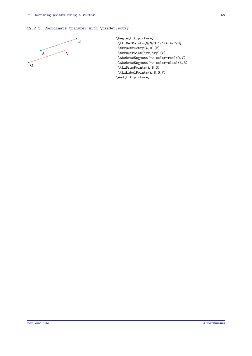# **12.2.1. Coordinate transfer with \tkzGetVectxy**



\begin{tikzpicture} \tkzDefPoints{0/0/O,1/1/A,4/2/B} \tkzGetVectxy(A,B){v} \tkzDefPoint(\vx,\vy){V} \tkzDrawSegment[->,color=red](O,V) \tkzDrawSegment[->,color=blue](A,B) \tkzDrawPoints(A,B,O) \tkzLabelPoints(A,B,O,V) \end{tikzpicture}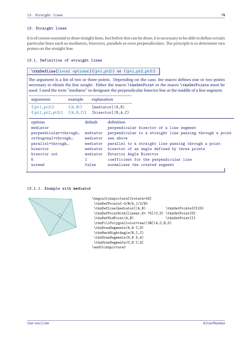### **13. Straight lines**

It is of course essential to draw straight lines, but before this can be done, it is necessary to be able to define certain particular lines such as mediators, bisectors, parallels or even perpendiculars. The principle is to determine two points on the straight line.

# **13.1. Definition of straight lines**

## **\tkzDefLine[**⟨**local options**⟩**](**⟨**pt1,pt2**⟩**) or (**⟨**pt1,pt2,pt3**⟩**)**

The argument is a list of two or three points. Depending on the case, the macro defines one or two points necessary to obtain the line sought. Either the macro **\tkzGetPoint** or the macro **\tkzGetPoints** must be used. I used the term "mediator" to designate the perpendicular bisector line at the middle of a line segment.

| arguments                                                                                                                         | example                  | explanation                                                                  |                                                                                                                                                                                                                                                                                                                                               |
|-----------------------------------------------------------------------------------------------------------------------------------|--------------------------|------------------------------------------------------------------------------|-----------------------------------------------------------------------------------------------------------------------------------------------------------------------------------------------------------------------------------------------------------------------------------------------------------------------------------------------|
| $(\langle pt1, pt2 \rangle)$<br>$(\langle pt1, pt2, pt3 \rangle)$ $(\langle A, B, C \rangle)$                                     | $(\langle A, B \rangle)$ |                                                                              | [mediator](A,B)<br>[bisector](B,A,C)                                                                                                                                                                                                                                                                                                          |
| options<br>mediator<br>perpendicular=through<br>orthogonal=through<br>parallel=through<br>bisector<br>bisector out<br>Κ<br>normed |                          | default<br>mediator<br>mediator<br>mediator<br>mediator<br>mediator<br>false | definition<br>perpendicular bisector of a line segment<br>perpendicular to a straight line passing through a point<br>see above<br>parallel to a straight line passing through a point<br>bisector of an angle defined by three points<br>Exterior Angle Bisector<br>coefficient for the perpendicular line<br>normalizes the created segment |

### **13.1.1. Example with mediator**



```
\begin{tikzpicture}[rotate=25]
\tkzDefPoints{-2/0/A,1/2/B}
\tkzDefLine[mediator](A,B) \tkzGetPoints{C}{D}
\tkzDefPointWith[linear,K=.75](C,D) \tkzGetPoint{D}
\tkzDefMidPoint(A,B) \tkzGetPoint{I}
\tkzFillPolygon[color=teal!20](A,C,B,D)
\tkzDrawSegments(A,B C,D)
\tkzMarkRightAngle(B,I,C)
\tkzDrawSegments(D,B D,A)
\tkzDrawSegments(C,B C,A)
\end{tikzpicture}
```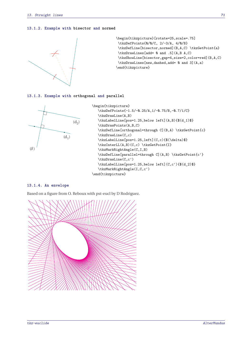### **13.1.2. Example with bisector and normed**



\begin{tikzpicture}[rotate=25,scale=.75] \tkzDefPoints{0/0/C, 2/-3/A, 4/0/B} \tkzDefLine[bisector,normed](B,A,C) \tkzGetPoint{a} \tkzDrawLines[add= 0 and .5](A,B A,C) \tkzShowLine[bisector,gap=4,size=2,color=red](B,A,C) \tkzDrawLines[new,dashed,add= 0 and 3](A,a) \end{tikzpicture}

#### **13.1.3. Example with orthogonal and parallel**



```
\begin{tikzpicture}
   \tkzDefPoints{-1.5/-0.25/A,1/-0.75/B,-0.7/1/C}
   \tkzDrawLine(A,B)
   \tkzLabelLine[pos=1.25,below left](A,B){$(d_1)$}
   \tkzDrawPoints(A,B,C)
   \tkzDefLine[orthogonal=through C](B,A) \tkzGetPoint{c}
   \tkzDrawLine(C,c)
   \tkzLabelLine[pos=1.25,left](C,c){$(\delta)$}
   \tkzInterLL(A,B)(C,c) \tkzGetPoint{I}
   \tkzMarkRightAngle(C,I,B)
   \tkzDefLine[parallel=through C](A,B) \tkzGetPoint{c'}
   \tkzDrawLine(C,c')
   \tkzLabelLine[pos=1.25,below left](C,c'){$(d_2)$}
   \tkzMarkRightAngle(I,C,c')
\end{tikzpicture}
```
# **13.1.4. An envelope**

Based on a figure from O. Reboux with pst-eucl by D Rodriguez.

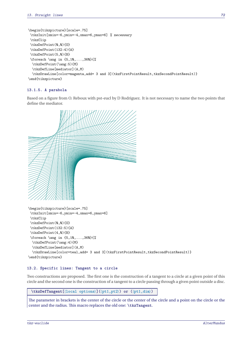```
\begin{tikzpicture}[scale=.75]
\tkzInit[xmin=-6,ymin=-4,xmax=6,ymax=6] % necessary
\tkzClip
\tkzDefPoint(0,0){0}
\tkzDefPoint(132:4){A}
\tkzDefPoint(5,0){B}
\foreach \ang in {5,10,...,360}{%
 \tkzDefPoint(\ang:5){M}
 \tkzDefLine[mediator](A,M)
 \tkzDrawLine[color=magenta,add= 3 and 3](tkzFirstPointResult,tkzSecondPointResult)}
\end{tikzpicture}
```
# **13.1.5. A parabola**

Based on a figure from O. Reboux with pst-eucl by D Rodriguez. It is not necessary to name the two points that define the mediator.



### **13.2. Specific lines: Tangent to a circle**

Two constructions are proposed. The first one is the construction of a tangent to a circle at a given point of this circle and the second one is the construction of a tangent to a circle passing through a given point outside a disc.

**\tkzDefTangent[**⟨**local options**⟩**](**⟨**pt1,pt2**⟩**) or (**⟨**pt1,dim**⟩**)**

The parameter in brackets is the center of the circle or the center of the circle and a point on the circle or the center and the radius. This macro replaces the old one: **\tkzTangent**.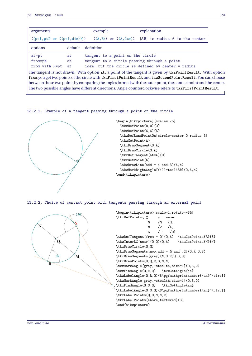| arguments      | example                                                  |                                             | explanation                                                                                                                                                              |  |
|----------------|----------------------------------------------------------|---------------------------------------------|--------------------------------------------------------------------------------------------------------------------------------------------------------------------------|--|
|                |                                                          |                                             | $(\langle pt1, pt2 \text{ or } (\langle pt1, \text{dim} \rangle) \rangle)$ $(\langle A, B \rangle)$ or $(\langle A, 2 \text{cm} \rangle)$ [AB] is radius A is the center |  |
| options        | default                                                  | definition                                  |                                                                                                                                                                          |  |
| $at = pt$      | at                                                       | tangent to a point on the circle            |                                                                                                                                                                          |  |
| from=pt        | at                                                       | tangent to a circle passing through a point |                                                                                                                                                                          |  |
| from with R=pt | idem, but the circle is defined by center = radius<br>at |                                             |                                                                                                                                                                          |  |
|                |                                                          |                                             | The tangent is not drawn. With option at, a point of the tangent is given by tkzPointResult. With option                                                                 |  |
|                |                                                          |                                             | from you get two points of the circle with tkzFirstPointResult and tkzSecondPointResult. You can choose                                                                  |  |
|                |                                                          |                                             | between these two points by comparing the angles formed with the outer point, the contact point and the center.                                                          |  |
|                |                                                          |                                             | The two possible angles have different directions. Angle counterclockwise refers to tkzFirstPointResult.                                                                 |  |

#### **13.2.1. Example of a tangent passing through a point on the circle**



**13.2.2. Choice of contact point with tangents passing through an external point**

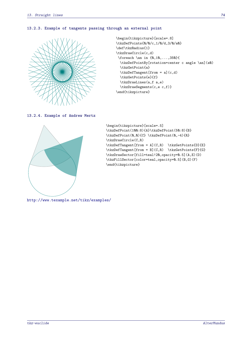#### **13.2.3. Example of tangents passing through an external point**



```
\begin{tikzpicture}[scale=.8]
\tkzDefPoints{0/0/c,1/0/d,3/0/a0}
\def\tkzRadius{1}
\tkzDrawCircle(c,d)
\foreach \an in {0,10,...,350}{
  \tkzDefPointBy[rotation=center c angle \an](a0)
 \tkzGetPoint{a}
 \tkzDefTangent[from = a](c,d)
 \tkzGetPoints{e}{f}
 \tkzDrawLines(a,f a,e)
 \tkzDrawSegments(c,e c,f)}
\end{tikzpicture}
```
**13.2.4. Example of Andrew Mertz**



```
\begin{tikzpicture}[scale=.5]
\tkzDefPoint(100:8){A}\tkzDefPoint(50:8){B}
\tkzDefPoint(0,0){C} \tkzDefPoint(0,-4){R}
\tkzDrawCircle(C,R)
\label{thm} $$\tkzDefTangent[from = A](C,R) $$\tkzGetPoints{D}{E}\label{thm} $$\tkzDefTangent[from = B](C,R) $$\tkzGetPoints{F}{G}\tkzDrawSector[fill=teal!20,opacity=0.5](A,E)(D)
\tkzFillSector[color=teal,opacity=0.5](B,G)(F)
\end{tikzpicture}
```
<http://www.texample.net/tikz/examples/>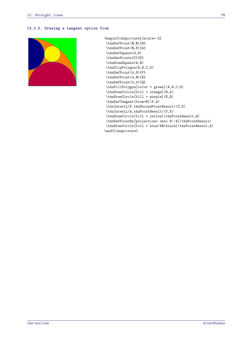#### **13.2.5. Drawing a tangent option from**



```
\begin{tikzpicture}[scale=.5]
\tkzDefPoint(0,0){B}
\tkzDefPoint(0,8){A}
\tkzDefSquare(A,B)
\tkzGetPoints{C}{D}
\tkzDrawSquare(A,B)
\tkzClipPolygon(A,B,C,D)
\tkzDefPoint(4,8){F}
\tkzDefPoint(4,0){E}
\tkzDefPoint(4,4){Q}
\tkzFillPolygon[color = green](A,B,C,D)
\tkzDrawCircle[fill = orange](B,A)
\tkzDrawCircle[fill = purple](E,B)
\tkzDefTangent[from=B](F,A)
\tkzInterLL(F,tkzSecondPointResult)(C,D)
\tkzInterLL(A,tkzPointResult)(F,E)
\tkzDrawCircle[fill = yellow](tkzPointResult,Q)
\tkzDefPointBy[projection= onto B--A](tkzPointResult)
\tkzDrawCircle[fill = blue!50!black](tkzPointResult,A)
\end{tikzpicture}
```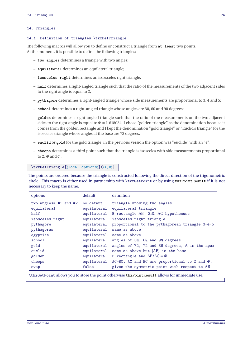#### **14. Triangles**

#### **14.1. Definition of triangles \tkzDefTriangle**

The following macros will allow you to define or construct a triangle from **at least** two points. At the moment, it is possible to define the following triangles:

- **two angles** determines a triangle with two angles;
- **equilateral** determines an equilateral triangle;
- **isosceles right** determines an isoxsceles right triangle;
- **half** determines a right-angled triangle such that the ratio of the measurements of the two adjacent sides to the right angle is equal to <sup>2</sup>;
- **pythagore** determines a right-angled triangle whose side measurements are proportional to 3, 4 and 5;
- **school** determines a right-angled triangle whose angles are 30, 60 and 90 degrees;
- **golden** determines a right-angled triangle such that the ratio of the measurements on the two adjacent sides to the right angle is equal to  $\Phi = 1.618034$ , I chose "golden triangle" as the denomination because it comes from the golden rectangle and I kept the denomination "gold triangle" or "Euclid's triangle" for the isosceles triangle whose angles at the base are 72 degrees;
- **euclid** or **gold** for the gold triangle; in the previous version the option was "euclide" with an "e".
- **cheops** determines a third point such that the triangle is isosceles with side measurements proportional to 2,  $\Phi$  and  $\Phi$ .

**\tkzDefTriangle[**⟨**local options**⟩**](**⟨**A,B**⟩**)**

The points are ordered because the triangle is constructed following the direct direction of the trigonometric circle. This macro is either used in partnership with **\tkzGetPoint** or by using **tkzPointResult** if it is not necessary to keep the name.

| options                   | default     | definition                                                                                    |
|---------------------------|-------------|-----------------------------------------------------------------------------------------------|
| two angles= $#1$ and $#2$ | no defaut   | triangle knowing two angles                                                                   |
| equilateral               | equilateral | equilateral triangle                                                                          |
| half                      | equilateral | B rectangle $AB = 2BC$ AC hypothenuse                                                         |
| isosceles right           | equilateral | isosceles right triangle                                                                      |
| pythagore                 | equilateral | proportional to the pythagorean triangle 3-4-5                                                |
| pythagoras                | equilateral | same as above                                                                                 |
| egyptian                  | equilateral | same as above                                                                                 |
| school                    | equilateral | angles of 30, 60 and 90 degrees                                                               |
| gold                      | equilateral | angles of 72, 72 and 36 degrees, A is the apex                                                |
| euclid                    | equilateral | same as above but [AB] is the base                                                            |
| golden                    | equilateral | B rectangle and $AB/AC = \Phi$                                                                |
| cheops                    |             | equilateral $AC=BC$ , AC and BC are proportional to 2 and $\Phi$ .                            |
| swap                      | false       | gives the symmetric point with respect to AB                                                  |
|                           |             | \tkzGetPoint allows you to store the point otherwise tkzPointResult allows for immediate use. |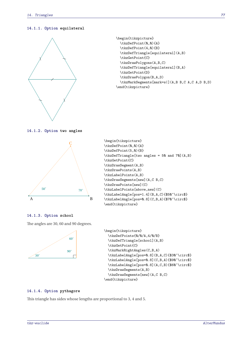## **14.1.1. Option equilateral**



```
\begin{tikzpicture}
  \tkzDefPoint(0,0){A}
  \tkzDefPoint(4,0){B}
  \tkzDefTriangle[equilateral](A,B)
  \tkzGetPoint{C}
  \tkzDrawPolygons(A,B,C)
  \tkzDefTriangle[equilateral](B,A)
  \tkzGetPoint{D}
  \tkzDrawPolygon(B,A,D)
  \tkzMarkSegments[mark=s|](A,B B,C A,C A,D B,D)
\end{tikzpicture}
```
**14.1.2. Option two angles**



```
\begin{tikzpicture}
\tkzDefPoint(0,0){A}
\tkzDefPoint(5,0){B}
\tkzDefTriangle[two angles = 50 and 70](A,B)
\tkzGetPoint{C}
\tkzDrawSegment(A,B)
\tkzDrawPoints(A,B)
\tkzLabelPoints(A,B)
\tkzDrawSegments[new](A,C B,C)
\tkzDrawPoints[new](C)
\tkzLabelPoints[above,new](C)
\tkzLabelAngle[pos=1.4](B,A,C){$50^\circ$}
\tkzLabelAngle[pos=0.8](C,B,A){$70^\circ$}
\end{tikzpicture}
```
## **14.1.3. Option school**

The angles are 30, 60 and 90 degrees.



## **14.1.4. Option pythagore**

This triangle has sides whose lengths are proportional to 3, 4 and 5.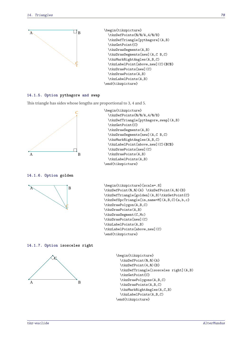

## **14.1.5. Option pythagore and swap**

This triangle has sides whose lengths are proportional to 3, 4 and 5.



\begin{tikzpicture} \tkzDefPoints{0/0/A,4/0/B} \tkzDefTriangle[pythagore,swap](A,B) \tkzGetPoint{C} \tkzDrawSegments(A,B) \tkzDrawSegments[new](A,C B,C) \tkzMarkRightAngles(A,B,C) \tkzLabelPoint[above,new](C){\$C\$} \tkzDrawPoints[new](C) \tkzDrawPoints(A,B) \tkzLabelPoints(A,B) \end{tikzpicture}

**14.1.6. Option golden**



\begin{tikzpicture}[scale=.8] \tkzDefPoint(0,0){A} \tkzDefPoint(4,0){B} \tkzDefTriangle[golden](A,B)\tkzGetPoint{C} \tkzDefSpcTriangle[in,name=M](A,B,C){a,b,c} \tkzDrawPolygon(A,B,C) \tkzDrawPoints(A,B) \tkzDrawSegment(C,Mc) \tkzDrawPoints[new](C) \tkzLabelPoints(A,B) \tkzLabelPoints[above,new](C) \end{tikzpicture}

#### **14.1.7. Option isosceles right**



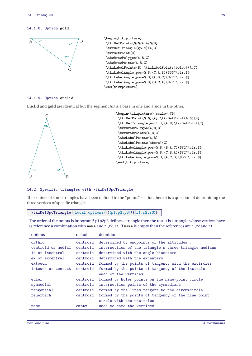## **14.1.8. Option gold**



#### **14.1.9. Option euclid**

**Euclid** and **gold** are identical but the segment AB is a base in one and a side in the other.



```
\begin{tikzpicture}[scale=.75]
\tkzDefPoint(0,0){A} \tkzDefPoint(4,0){B}
\tkzDefTriangle[euclid](A,B)\tkzGetPoint{C}
\tkzDrawPolygon(A,B,C)
\tkzDrawPoints(A,B,C)
\tkzLabelPoints(A,B)
\tkzLabelPoints[above](C)
\tkzLabelAngle[pos=0.8](B,A,C){$72^\circ$}
\tkzLabelAngle[pos=0.8](C,B,A){$72^\circ$}
\tkzLabelAngle[pos=0.8](A,C,B){$36^\circ$}
\end{tikzpicture}
```
## **14.2. Specific triangles with \tkzDefSpcTriangle**

The centers of some triangles have been defined in the "points" section, here it is a question of determining the three vertices of specific triangles.

#### **\tkzDefSpcTriangle[**⟨**local options**⟩**](**⟨**p1,p2,p3**⟩**){**⟨**r1,r2,r3**⟩**}**

The order of the points is important! p1p2p3 defines a triangle then the result is a triangle whose vertices have as reference a combination with **name** and r1,r2, r3. If **name** is empty then the references are r1,r2 and r3.

| options            | default  | definition                                            |
|--------------------|----------|-------------------------------------------------------|
| orthic             | centroid | determined by endpoints of the altitudes              |
| centroid or medial | centroid | intersection of the triangle's three triangle medians |
| in or incentral    | centroid | determined with the angle bisectors                   |
| ex or excentral    | centroid | determined with the excenters                         |
| extouch            | centroid | formed by the points of tangency with the excircles   |
| intouch or contact | centroid | formed by the points of tangency of the incircle      |
|                    |          | each of the vertices                                  |
| euler              | centroid | formed by Euler points on the nine-point circle       |
| symmedial          | centroid | intersection points of the symmedians                 |
| tangential         | centroid | formed by the lines tangent to the circumcircle       |
| feuerbach          | centroid | formed by the points of tangency of the nine-point    |
|                    |          | circle with the excircles                             |
| name               | empty    | used to name the vertices                             |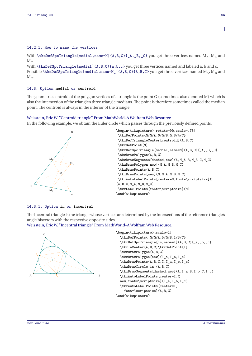With **\tkzDefSpcTriangle[medial,name=M](A,B,C){\_A,\_B,\_C}** you get three vertices named  $M_A$ ,  $M_B$  and

 $M_{C}$ . With \tkzDefSpcTriangle[medial](A,B,C){a,b,c} you get three vertices named and labeled a, b and c. Possible **\tkzDefSpcTriangle[medial,name=M\_](A,B,C){A,B,C}** you get three vertices named  $M_A$ ,  $M_B$  and  $M_C$ .

#### **14.3. Option medial or centroid**

**14.2.1. How to name the vertices**

The geometric centroid of the polygon vertices of a triangle is the point <sup>G</sup> (sometimes also denoted <sup>M</sup>) which is also the intersection of the triangle's three triangle medians. The point is therefore sometimes called the median point. The centroid is always in the interior of the triangle.

#### [Weisstein, Eric W. "Centroid triangle" From MathWorld–A Wolfram Web Resource.](http://mathworld.wolfram.com/TriangleCentroid.html)

In the following example, we obtain the Euler circle which passes through the previously defined points.



#### **14.3.1. Option in or incentral**

The incentral triangle is the triangle whose vertices are determined by the intersections of the reference triangle's angle bisectors with the respective opposite sides.

#### [Weisstein, Eric W. "Incentral triangle" From MathWorld–A Wolfram Web Resource.](http://mathworld.wolfram.com/ContactTriangle.html)



```
\begin{tikzpicture}[scale=1]
  \tkzDefPoints{ 0/0/A,5/0/B,1/3/C}
  \tkzDefSpcTriangle[in,name=I](A,B,C){_a,_b,_c}
  \tkzInCenter(A,B,C)\tkzGetPoint{I}
  \tkzDrawPolygon(A,B,C)
  \tkzDrawPolygon[new](I_a,I_b,I_c)
  \text{LkzDrawPoints}(A, B, C, I, I, a, I, b, I, c)\tkzDrawCircle[in](A,B,C)
  \tkzDrawSegments[dashed,new](A,I_a B,I_b C,I_c)
  \tkzAutoLabelPoints[center=I,%
  new,font=\scriptstyle\text{scriptsize}(I_a, I_b, I_c)\tkzAutoLabelPoints[center=I,
    font=\scriptsize](A,B,C)
\end{tikzpicture}
```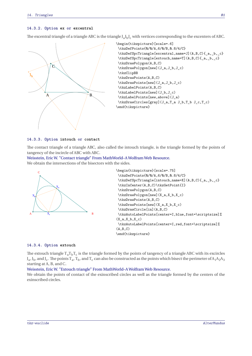#### **14.3.2. Option ex or excentral**

The excentral triangle of a triangle ABC is the triangle  $J_a J_b J_c$  with vertices corresponding to the excenters of ABC.



## **14.3.3. Option intouch or contact**

The contact triangle of a triangle ABC, also called the intouch triangle, is the triangle formed by the points of tangency of the incircle of ABC with ABC.

[Weisstein, Eric W. "Contact triangle" From MathWorld–A Wolfram Web Resource.](http://mathworld.wolfram.com/ContactTriangle.html) We obtain the intersections of the bisectors with the sides.



```
\begin{tikzpicture}[scale=.75]
\tkzDefPoints{0/0/A,6/0/B,0.8/4/C}
\tkzDefSpcTriangle[intouch,name=X](A,B,C){_a,_b,_c}
\tkzInCenter(A,B,C)\tkzGetPoint{I}
\tkzDrawPolygon(A,B,C)
\tkzDrawPolygon[new](X_a,X_b,X_c)
\tkzDrawPoints(A,B,C)
\tkzDrawPoints[new](X_a,X_b,X_c)
\tkzDrawCircle[in](A,B,C)
\tkzAutoLabelPoints[center=I,blue,font=\scriptsize]%
(X_a, X_b, X_c)\tkzAutoLabelPoints[center=I,red,font=\scriptsize]%
(A, B, C)\end{tikzpicture}
```
#### **14.3.4. Option extouch**

The extouch triangle  $T_a T_b T_c$  is the triangle formed by the points of tangency of a triangle ABC with its excircles  $J_a$ ,  $J_b$ , and  $J_c$ . The points  $T_a$ ,  $T_b$ , and  $T_c$  can also be constructed as the points which bisect the perimeter of  $A_1A_2A_3$ starting at <sup>A</sup>, <sup>B</sup>, and <sup>C</sup>.

#### [Weisstein, Eric W. "Extouch triangle" From MathWorld–A Wolfram Web Resource.](http://mathworld.wolfram.com/ExtouchTriangle.html)

We obtain the points of contact of the exinscribed circles as well as the triangle formed by the centers of the exinscribed circles.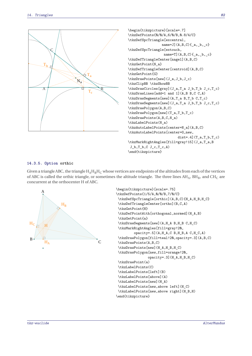

\begin{tikzpicture}[scale=.7] \tkzDefPoints{0/0/A,6/0/B,0.8/4/C} \tkzDefSpcTriangle[excentral, name=J](A,B,C){\_a,\_b,\_c} \tkzDefSpcTriangle[extouch, name=T](A,B,C){\_a,\_b,\_c} \tkzDefTriangleCenter[nagel](A,B,C) \tkzGetPoint{N\_a} \tkzDefTriangleCenter[centroid](A,B,C) \tkzGetPoint{G} \tkzDrawPoints[new](J\_a,J\_b,J\_c) \tkzClipBB \tkzShowBB \tkzDrawCircles[gray](J\_a,T\_a J\_b,T\_b J\_c,T\_c) \tkzDrawLines[add=1 and 1](A,B B,C C,A) \tkzDrawSegments[new](A,T\_a B,T\_b C,T\_c) \tkzDrawSegments[new](J\_a,T\_a J\_b,T\_b J\_c,T\_c) \tkzDrawPolygon(A,B,C) \tkzDrawPolygon[new](T\_a,T\_b,T\_c) \tkzDrawPoints(A,B,C,N\_a) \tkzLabelPoints(N\_a) \tkzAutoLabelPoints[center=N\_a](A,B,C) \tkzAutoLabelPoints[center=G,new, dist=.4](T\_a,T\_b,T\_c) \tkzMarkRightAngles[fill=gray!15](J\_a,T\_a,B J\_b,T\_b,C J\_c,T\_c,A) \end{tikzpicture}

### **14.3.5. Option orthic**

Given a triangle ABC, the triangle  $H_A H_B H_C$  whose vertices are endpoints of the altitudes from each of the vertices of ABC is called the orthic triangle, or sometimes the altitude triangle. The three lines  $AH_A$ ,  $BH_B$ , and  $CH_C$  are concurrent at the orthocenter H of ABC.



```
\begin{tikzpicture}[scale=.75]
\tkzDefPoints{1/5/A,0/0/B,7/0/C}
\tkzDefSpcTriangle[orthic](A,B,C){H_A,H_B,H_C}
\tkzDefTriangleCenter[ortho](B,C,A)
\tkzGetPoint{H}
\tkzDefPointWith[orthogonal,normed](H_A,B)
\tkzGetPoint{a}
\tkzDrawSegments[new](A,H_A B,H_B C,H_C)
\tkzMarkRightAngles[fill=gray!20,
         opacity=.5](A,H_A,C B,H_B,A C,H_C,A)
\tkzDrawPolygon[fill=teal!20,opacity=.3](A,B,C)
\tkzDrawPoints(A,B,C)
\tkzDrawPoints[new](H_A,H_B,H_C)
\tkzDrawPolygon[new,fill=orange!20,
                opacity=.3](H A, H B, H C)\tkzDrawPoint(a)
\tkzLabelPoints(C)
\tkzLabelPoints[left](B)
\tkzLabelPoints[above](A)
\tkzLabelPoints[new](H_A)
\tkzLabelPoints[new,above left](H_C)
\tkzLabelPoints[new,above right](H_B,H)
\end{tikzpicture}
```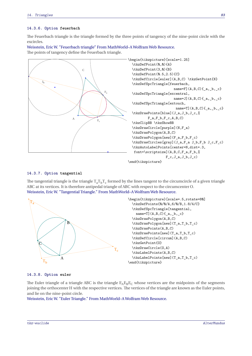#### **14.3.6. Option feuerbach**

The Feuerbach triangle is the triangle formed by the three points of tangency of the nine-point circle with the excircles.

[Weisstein, Eric W. "Feuerbach triangle" From MathWorld–A Wolfram Web Resource.](http://mathworld.wolfram.com/FeuerbachTriangle.html) Ja The points of tangency define the Feuerbach triangle.



## **14.3.7. Option tangential**

The tangential triangle is the triangle  $T_a T_b T_c$  formed by the lines tangent to the circumcircle of a given triangle ABC at its vertices. It is therefore antipedal triangle of ABC with respect to the circumcenter <sup>O</sup>. [Weisstein, Eric W. "Tangential Triangle." From MathWorld–A Wolfram Web Resource.](http://mathworld.wolfram.com/TangentialTriangle.html)



#### **14.3.8. Option euler**

The Euler triangle of a triangle ABC is the triangle  $E_A E_B E_C$  whose vertices are the midpoints of the segments joining the orthocenter <sup>H</sup> with the respective vertices. The vertices of the triangle are known as the Euler points, and lie on the nine-point circle.

[Weisstein, Eric W. "Euler Triangle." From MathWorld–A Wolfram Web Resource.](https://mathworld.wolfram.com/EulerTriangle.html)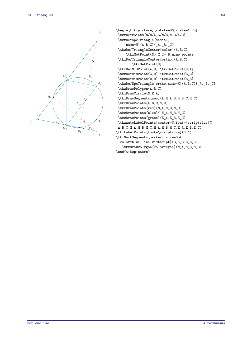

```
\begin{tikzpicture}[rotate=90,scale=1.25]
\tkzDefPoints{0/0/A,6/0/B,0.8/4/C}
\tkzDefSpcTriangle[medial,
     name=M](A,B,C){ _{A,-B,-C}}\tkzDefTriangleCenter[euler](A,B,C)
     \tkzGetPoint{N} % I= N nine points
\tkzDefTriangleCenter[ortho](A,B,C)
        \tkzGetPoint{H}
\tkzDefMidPoint(A,H) \tkzGetPoint{E_A}
\tkzDefMidPoint(C,H) \tkzGetPoint{E_C}
\tkzDefMidPoint(B,H) \tkzGetPoint{E_B}
\tkzDefSpcTriangle[ortho,name=H](A,B,C){_A,_B,_C}
\tkzDrawPolygon(A,B,C)
\tkzDrawCircle(N,E_A)
\tkzDrawSegments[new](A,H_A B,H_B C,H_C)
\tkzDrawPoints(A,B,C,N,H)
\tkzDrawPoints[red](M_A,M_B,M_C)
\tkzDrawPoints[blue]( H_A,H_B,H_C)
\tkzDrawPoints[green](E_A,E_B,E_C)
\tkzAutoLabelPoints[center=N,font=\scriptsize]%
(A,B,C,M_A,M_B,M_C,H_A,H_B,H_C,E_A,E_B,E_C)\tkzLabelPoints[font=\scriptsize](H,N)
\tkzMarkSegments[mark=s|,size=3pt,
  color=blue,line width=1pt](B,E_B E_B,H)
   \tkzDrawPolygon[color=cyan](M_A,M_B,M_C)
\end{tikzpicture}
```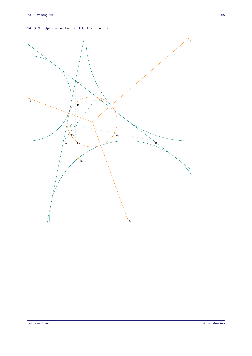**14.3.9. Option euler and Option orthic**

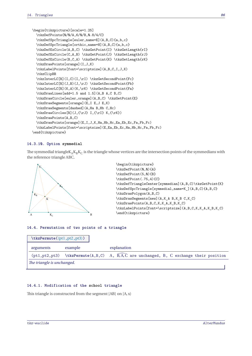```
\begin{tikzpicture}[scale=1.25]
  \tkzDefPoints{0/0/A,6/0/B,0.8/4/C}
  \tkzDefSpcTriangle[euler,name=E](A,B,C){a,b,c}
  \tkzDefSpcTriangle[orthic,name=H](A,B,C){a,b,c}
  \tkzDefExCircle(A,B,C) \tkzGetPoint{I} \tkzGetLength{rI}
  \tkzDefExCircle(C,A,B) \tkzGetPoint{J} \tkzGetLength{rJ}
  \tkzDefExCircle(B,C,A) \tkzGetPoint{K} \tkzGetLength{rK}
  \tkzDrawPoints[orange](I,J,K)
  \tkzLabelPoints[font=\scriptsize](A,B,C,I,J,K)
  \tkzClipBB
  \tkzInterLC[R](I,C)(I,\rI) \tkzGetSecondPoint{Fc}
  \tkzInterLC[R](J,B)(J,\rJ) \tkzGetSecondPoint{Fb}
  \tkzInterLC[R](K,A)(K,\rK) \tkzGetSecondPoint{Fa}
  \tkzDrawLines[add=1.5 and 1.5](A,B A,C B,C)
  \tkzDrawCircle[euler,orange](A,B,C) \tkzGetPoint{E}
  \tkzDrawSegments[orange](E,I E,J E,K)
  \tkzDrawSegments[dashed](A,Ha B,Hb C,Hc)
  \label{thm:conv} $$ \tkzDrawCircles[R](J,_{\rJ} I,_{\rI} K,_{\rK})$$\tkzDrawPoints(A,B,C)
  \tkzDrawPoints[orange](E,I,J,K,Ha,Hb,Hc,Ea,Eb,Ec,Fa,Fb,Fc)
  \tkzLabelPoints[font=\scriptsize](E,Ea,Eb,Ec,Ha,Hb,Hc,Fa,Fb,Fc)
\end{tikzpicture}
```
#### **14.3.10. Option symmedial**

The symmedial triangle $K_A K_B K_C$  is the triangle whose vertices are the intersection points of the symmedians with the symmedians with the reference triangle ABC.



```
\begin{tikzpicture}
\tkzDefPoint(0,0){A}
\tkzDefPoint(5,0){B}
\tkzDefPoint(.75,4){C}
\tkzDefTriangleCenter[symmedian](A,B,C)\tkzGetPoint{K}
\tkzDefSpcTriangle[symmedial,name=K_](A,B,C){A,B,C}
\tkzDrawPolygon(A,B,C)
\tkzDrawSegments[new](A,K_A B,K_B C,K_C)
\tkzDrawPoints(A,B,C,K,K_A,K_B,K_C)
\tkzLabelPoints[font=\scriptsize](A,B,C,K,K_A,K_B,K_C)
\end{tikzpicture}
```
#### **14.4. Permutation of two points of a triangle**

| $\texttt{\texttt{tkzPermute}(\phi1,pt2,pt3)}$ |         |                                                                                                                              |
|-----------------------------------------------|---------|------------------------------------------------------------------------------------------------------------------------------|
| arguments                                     | example | explanation                                                                                                                  |
|                                               |         | $(pt1, pt2, pt3)$ \tkzPermute(A,B,C) A, $\overline{B},\overline{A},\overline{C}$ are unchanged, B, C exchange their position |
| The triangle is unchanged.                    |         |                                                                                                                              |

#### **14.4.1. Modification of the school triangle**

This triangle is constructed from the segment [AB] on [A,x)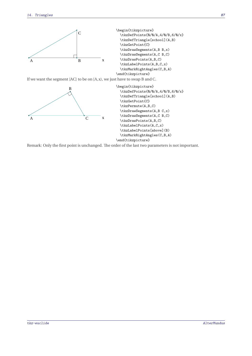

If we want the segment [AC] to be on [A,x), we just have to swap <sup>B</sup> and <sup>C</sup>.



Remark: Only the first point is unchanged. The order of the last two parameters is not important.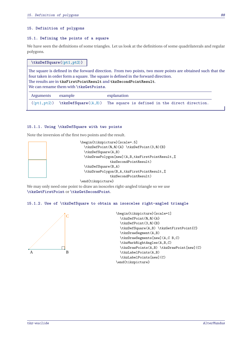#### **15. Definition of polygons**

#### **15.1. Defining the points of a square**

We have seen the definitions of some triangles. Let us look at the definitions of some quadrilaterals and regular polygons.

## **\tkzDefSquare(**⟨**pt1,pt2**⟩**)**

The square is defined in the forward direction. From two points, two more points are obtained such that the four taken in order form a square. The square is defined in the forward direction.

The results are in **tkzFirstPointResult** and **tkzSecondPointResult**.

We can rename them with **\tkzGetPoints**.

| Arguments example | explanation                                                                                             |
|-------------------|---------------------------------------------------------------------------------------------------------|
|                   | $(\phi t1, pt2)$ \tkzDefSquare( $\langle A, B \rangle$ ) The square is defined in the direct direction. |

#### **15.1.1. Using \tkzDefSquare with two points**

Note the inversion of the first two points and the result.



\end{tikzpicture}

We may only need one point to draw an isosceles right-angled triangle so we use **\tkzGetFirstPoint** or **\tkzGetSecondPoint**.

#### **15.1.2. Use of \tkzDefSquare to obtain an isosceles right-angled triangle**

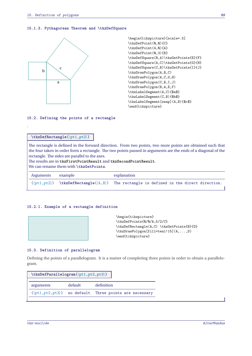#### **15.1.3. Pythagorean Theorem and \tkzDefSquare**



\begin{tikzpicture}[scale=.5] \tkzDefPoint(0,0){C} \tkzDefPoint(4,0){A} \tkzDefPoint(0,3){B} \tkzDefSquare(B,A)\tkzGetPoints{E}{F} \tkzDefSquare(A,C)\tkzGetPoints{G}{H} \tkzDefSquare(C,B)\tkzGetPoints{I}{J} \tkzDrawPolygon(A,B,C) \tkzDrawPolygon(A,C,G,H) \tkzDrawPolygon(C,B,I,J) \tkzDrawPolygon(B,A,E,F) \tkzLabelSegment(A,C){\$a\$} \tkzLabelSegment(C,B){\$b\$} \tkzLabelSegment[swap](A,B){\$c\$} \end{tikzpicture}

#### **15.2. Defining the points of a rectangle**

## **\tkzDefRectangle(**⟨**pt1,pt2**⟩**)**

.

The rectangle is defined in the forward direction. From two points, two more points are obtained such that the four taken in order form a rectangle. The two points passed in arguments are the ends of a diagonal of the rectangle. The sides are parallel to the axes.

The results are in **tkzFirstPointResult** and **tkzSecondPointResult**.

We can rename them with **\tkzGetPoints**.

| Arguments example | explanation                                                                                                   |
|-------------------|---------------------------------------------------------------------------------------------------------------|
|                   | $(\phi t1, pt2)$ \tkzDefRectangle( $\langle A, B \rangle$ ) The rectangle is defined in the direct direction. |

## **15.2.1. Example of a rectangle definition**

| \begin{tikzpicture}                       |
|-------------------------------------------|
| \tkzDefPoints{0/0/A,5/2/C}                |
| \tkzDefRectangle(A,C) \tkzGetPoints{B}{D} |
| \tkzDrawPolygon[fill=teal!15](A,,D)       |
| \end{tikzpicture}                         |
|                                           |

#### **15.3. Definition of parallelogram**

Defining the points of a parallelogram. It is a matter of completing three points in order to obtain a parallelogram.

| $\texttt{\texttt{tkzDefParallelogram}(\langle pt1, pt2, pt3 \rangle)}$ |         |                                                                         |
|------------------------------------------------------------------------|---------|-------------------------------------------------------------------------|
| arguments                                                              | default | definition                                                              |
|                                                                        |         | $(\langle pt1, pt2, pt3 \rangle)$ no default Three points are necessary |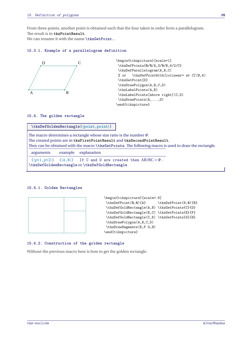From three points, another point is obtained such that the four taken in order form a parallelogram. The result is in **tkzPointResult**.

We can rename it with the name \tkzGetPoint...

### **15.3.1. Example of a parallelogram definition**



```
\begin{tikzpicture}[scale=1]
\tkzDefPoints{0/0/A,3/0/B,4/2/C}
\tkzDefParallelogram(A,B,C)
% or \text{tkzDefPointWith} [colinear= at C](B, A)\tkzGetPoint{D}
\tkzDrawPolygon(A,B,C,D)
\tkzLabelPoints(A,B)
\tkzLabelPoints[above right](C,D)
 \tkzDrawPoints(A,...,D)
\end{tikzpicture}
```
#### **15.4. The golden rectangle**

**\tkzDefGoldenRectangle(**⟨**point,point**⟩**)**

The macro determines a rectangle whose size ratio is the number  $\Phi$ . The created points are in **tkzFirstPointResult** and **tkzSecondPointResult**. They can be obtained with the macro **\tkzGetPoints**. The following macro is used to draw the rectangle.

arguments example explanation

 $(\langle pt1, pt2 \rangle)$   $(\langle A, B \rangle)$  If C and D are created then AB/BC =  $\Phi$ . **\tkzDefGoldenRectangle** or **\tkzDefGoldRectangle**

#### **15.4.1. Golden Rectangles**



#### **15.4.2. Construction of the golden rectangle**

Without the previous macro here is how to get the golden rectangle.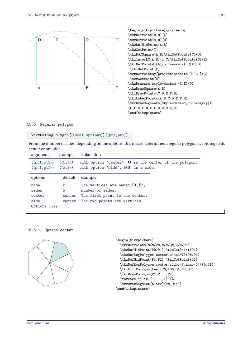

\begin{tikzpicture}[scale=.5] \tkzDefPoint(0,0){A} \tkzDefPoint(8,0){B} \tkzDefMidPoint(A,B) \tkzGetPoint{I} \tkzDefSquare(A,B)\tkzGetPoints{C}{D} \tkzInterLC(A,B)(I,C)\tkzGetPoints{G}{E} \tkzDefPointWith[colinear= at C](E,B) \tkzGetPoint{F} \tkzDefPointBy[projection=onto D--C ](E) \tkzGetPoint{H} \tkzDrawArc[style=dashed](I,E)(D) \tkzDrawSquare(A,B) \tkzDrawPoints(C,D,E,F,H) \tkzLabelPoints(A,B,C,D,E,F,H) \tkzDrawSegments[style=dashed,color=gray]% (E,F C,F B,E F,H H,C E,H) \end{tikzpicture}

## **15.5. Regular polygon**

## **\tkzDefRegPolygon[**⟨**local options**⟩**](**⟨**pt1,pt2**⟩**)**

From the number of sides, depending on the options, this macro determines a regular polygon according to its center or one side.

| arguments                                                                                                      |                                        | example explanation                                                                                                     |
|----------------------------------------------------------------------------------------------------------------|----------------------------------------|-------------------------------------------------------------------------------------------------------------------------|
| $(\langle pt1, pt2 \rangle)$ $(\langle 0, A \rangle)$<br>$(\langle pt1, pt2 \rangle)$ $(\langle A, B \rangle)$ |                                        | with option "center", O is the center of the polygon.<br>with option "side", [AB] is a side.                            |
| options                                                                                                        | default                                | example                                                                                                                 |
| name<br>sides<br>center<br>side<br>Options TikZ                                                                | P<br>5<br>center<br>center<br>$\ldots$ | The vertices are named $P1, P2, $<br>number of sides.<br>The first point is the center.<br>The two points are vertices. |

**15.5.1. Option center**



```
\begin{tikzpicture}
  \tkzDefPoints{0/0/P0,0/0/Q0,2/0/P1}
  \tkzDefMidPoint(PQ,P1) \tkzGetPoint{Q1}
  \tkzDefRegPolygon[center,sides=7](P0,P1)
  \tkzDefMidPoint(P1,P2) \tkzGetPoint{Q1}
  \tkzDefRegPolygon[center,sides=7,name=Q](P0,Q1)
  \tkzFillPolygon[teal!20](Q0,Q1,P2,Q2)
  \tkzDrawPolygon(P1,P...,P7)
  \text{1}, \ldots, 7} \ \{\text{\%}\tkzDrawSegment[black](PQ,Q\j)}
\end{tikzpicture}
```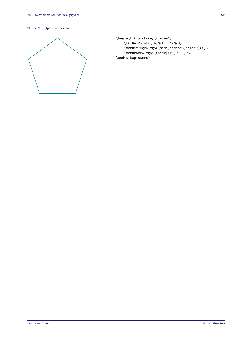## **15.5.2. Option side**



```
\begin{tikzpicture}[scale=1]
   \tkzDefPoints{-4/0/A, -1/0/B}
   \tkzDefRegPolygon[side,sides=5,name=P](A,B)
   \tkzDrawPolygon[thick](P1,P...,P5)
\end{tikzpicture}
```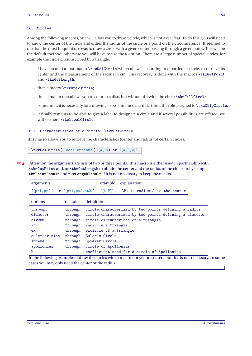## **16. Circles**

Among the following macros, one will allow you to draw a circle, which is not a real feat. To do this, you will need to know the center of the circle and either the radius of the circle or a point on the circumference. It seemed to me that the most frequent use was to draw a circle with a given center passing through a given point. This will be the default method, otherwise you will have to use the **R** option. There are a large number of special circles, for example the circle circumscribed by a triangle.

- I have created a first macro **\tkzDefCircle** which allows, according to a particular circle, to retrieve its center and the measurement of the radius in cm. This recovery is done with the macros **\tkzGetPoint** and **\tkzGetLength**;
- then a macro **\tkzDrawCircle**;
- then a macro that allows you to color in a disc, but without drawing the circle **\tkzFillCircle**;
- sometimes, it is necessaryfor a drawing to be contained in a disk, this is the role assigned to **\tkzClipCircle**;
- it finally remains to be able to give a label to designate a circle and if several possibilities are offered, we will see here **\tkzLabelCircle**.

## **16.1. Characteristics of a circle: \tkzDefCircle**

This macro allows you to retrieve the characteristics (center and radius) of certain circles.

**\tkzDefCircle[**⟨**local options**⟩**](**⟨**A,B**⟩**) or (**⟨**A,B,C**⟩**)**

 $\binom{m}{k}$  Attention the arguments are lists of two or three points. This macro is either used in partnership with **\tkzGetPoint** and/or **\tkzGetLength** to obtain the center and the radius of the circle, or by using **tkzPointResult** and **tkzLengthResult** if it is not necessary to keep the results.

| arguments     |         | explanation<br>example                                                                                                    |
|---------------|---------|---------------------------------------------------------------------------------------------------------------------------|
|               |         | $(\langle pt1, pt2 \rangle)$ or $(\langle pt1, pt2, pt3 \rangle)$ $(\langle A, B \rangle)$ [AB] is radius A is the center |
|               |         |                                                                                                                           |
| options       | default | definition                                                                                                                |
| through       | through | circle characterized by two points defining a radius                                                                      |
| diameter      | through | circle characterized by two points defining a diameter                                                                    |
| circum        | through | circle circumscribed of a triangle                                                                                        |
| in            | through | incircle a triangle                                                                                                       |
| ex            |         | through excircle of a triangle                                                                                            |
| euler or nine |         | through Euler's Circle                                                                                                    |
| spieker       | through | Spieker Circle                                                                                                            |
| apollonius    | through | circle of Apollonius                                                                                                      |
| K             |         | coefficient used for a circle of Apollonius                                                                               |
|               |         | In the following examples. I draw the eiroles with a mears not yet presented, but this is not peosesery                   |

In the following examples, I draw the circles with a macro not yet presented, but this is not necessary. In some cases you may only need the center or the radius.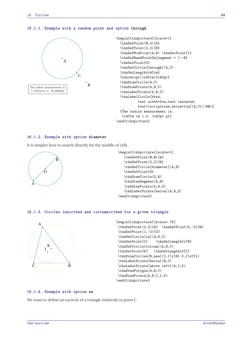#### **16.1.1. Example with a random point and option through**



```
\begin{tikzpicture}[scale=1]
  \tkzDefPoint(0,4){A}
  \tkzDefPoint(2,2){B}
  \tkzDefMidPoint(A,B) \tkzGetPoint{I}
  \tkzDefRandPointOn[segment = I--B]
  \tkzGetPoint{C}
  \tkzDefCircle[through](A,C)
  \tkzGetLength{rACcm}
  \tkzcmtopt(\rACcm){rACpt}
  \tkzDrawCircle(A,C)
 \tkzDrawPoints(A,B,C)
  \tkzLabelPoints(A,B,C)
  \tkzLabelCircle[draw,
           text width=3cm,text centered,
           font=\scriptsize,below=1cm](A,C)(-90)%
  {The radius measurement is:
   \rACcm cm i.e. \rACpt pt}
\end{tikzpicture}
```
#### **16.1.2. Example with option diameter**

It is simpler here to search directly for the middle of [AB].



```
\begin{tikzpicture}[scale=1]
   \tkzDefPoint(0,0){A}
   \tkzDefPoint(2,2){B}
   \tkzDefCircle[diameter](A,B)
   \tkzGetPoint{O}
   \tkzDrawCircle(O,B)
   \tkzDrawSegment(A,B)
   \tkzDrawPoints(A,B,O)
   \tkzLabelPoints[below](A,B,O)
\end{tikzpicture}
```
#### **16.1.3. Circles inscribed and circumscribed for a given triangle**



```
\begin{tikzpicture}[scale=.75]
\tkzDefPoint(2,2){A} \tkzDefPoint(5,-2){B}
\tkzDefPoint(1,-2){C}
\tkzDefCircle[in](A,B,C)
\tkzGetPoint{I} \tkzGetLength{rIN}
\tkzDefCircle[circum](A,B,C)
\tkzGetPoint{K} \tkzGetLength{rCI}
\tkzDrawCircles[R,new](I,{\rIN} K,{\rCI})
\tkzLabelPoints[below](B,C)
\tkzLabelPoints[above left](A,I,K)
\tkzDrawPolygon(A,B,C)
\tkzDrawPoints(A,B,C,I,K)
\end{tikzpicture}
```
#### **16.1.4. Example with option ex**

We want to define an excircle of a triangle relatively to point <sup>C</sup>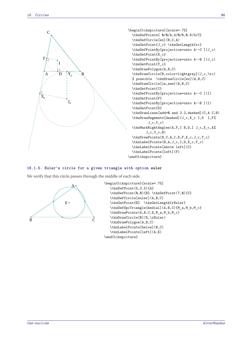

```
\begin{tikzpicture}[scale=.75]
 \tkzDefPoints{ 0/0/A,4/0/B,0.8/4/C}
  \tkzDefCircle[ex](B,C,A)
 \tkzGetPoint{J_c} \tkzGetLength{rc}
 \tkzDefPointBy[projection=onto A--C ](J_c)
  \tkzGetPoint{X_c}
 \tkzDefPointBy[projection=onto A--B ](J_c)
 \tkzGetPoint{Y_c}
 \tkzDrawPolygon(A,B,C)
 \tkzDrawCircle[R,color=lightgray](J_c,\rc)
 % possible \tkzDrawCircle[ex](A,B,C)
 \tkzDrawCircle[in,new](A,B,C)
  \tkzGetPoint{I}
 \tkzDefPointBy[projection=onto A--C ](I)
 \tkzGetPoint{F}
 \tkzDefPointBy[projection=onto A--B ](I)
 \tkzGetPoint{D}
  \tkzDrawLines[add=0 and 2.2,dashed](C,A C,B)
  \tkzDrawSegments[dashed](J_c,X_c I,D I,F%
          J_c,Y_c)\tkzMarkRightAngles(A,F,I B,D,I J_c,X_c,A%
         J_c, Y_c, B)\tkzDrawPoints(B,C,A,I,D,F,X_c,J_c,Y_c)
 \tkzLabelPoints(B,A,J_c,I,D,X_c,Y_c)
 \tkzLabelPoints[above left](C)
  \tkzLabelPoints[left](F)
\end{tikzpicture}
```
#### **16.1.5. Euler's circle for a given triangle with option euler**

We verify that this circle passes through the middle of each side.



```
\begin{tikzpicture}[scale=.75]
   \tkzDefPoint(5,3.5){A}
   \tkzDefPoint(0,0){B} \tkzDefPoint(7,0){C}
   \tkzDefCircle[euler](A,B,C)
   \tkzGetPoint{E} \tkzGetLength{rEuler}
   \tkzDefSpcTriangle[medial](A,B,C){M_a,M_b,M_c}
   \tkzDrawPoints(A,B,C,E,M_a,M_b,M_c)
   \tkzDrawCircle[R](E,\rEuler)
   \tkzDrawPolygon(A,B,C)
   \tkzLabelPoints[below](B,C)
   \tkzLabelPoints[left](A,E)
\end{tikzpicture}
```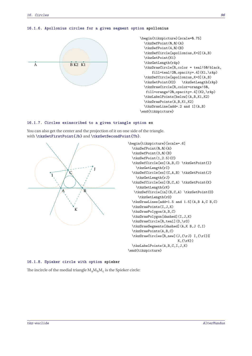## **16.1.6. Apollonius circles for a given segment option apollonius**



```
\begin{tikzpicture}[scale=0.75]
  \tkzDefPoint(0,0){A}
 \tkzDefPoint(4,0){B}
 \tkzDefCircle[apollonius,K=2](A,B)
 \tkzGetPoint{K1}
  \tkzGetLength{rAp}
  \tkzDrawCircle[R,color = teal!50!black,
      fill=teal!20,opacity=.4](K1,\rAp)
  \tkzDefCircle[apollonius,K=3](A,B)
  \tkzGetPoint{K2} \tkzGetLength{rAp}
  \tkzDrawCircle[R,color=orange!50,
  fill=orange!20,opacity=.4](K2,\rAp)
  \tkzLabelPoints[below](A,B,K1,K2)
  \tkzDrawPoints(A,B,K1,K2)
  \tkzDrawLine[add=.2 and 1](A,B)
\end{tikzpicture}
```
## **16.1.7. Circles exinscribed to a given triangle option ex**

You can also get the center and the projection of it on one side of the triangle. with **\tkzGetFirstPoint{Jb}** and **\tkzGetSecondPoint{Tb}**.



```
\begin{tikzpicture}[scale=.6]
 \tkzDefPoint(0,0){A}
 \tkzDefPoint(3,0){B}
 \tkzDefPoint(1,2.5){C}
 \tkzDefCircle[ex](A,B,C) \tkzGetPoint{I}
    \tkzGetLength{rI}
 \tkzDefCircle[ex](C,A,B) \tkzGetPoint{J}
    \tkzGetLength{rJ}
  \tkzDefCircle[ex](B,C,A) \tkzGetPoint{K}
    \tkzGetLength{rK}
   \tkzDefCircle[in](B,C,A) \tkzGetPoint{O}
     \tkzGetLength{rO}
  \tkzDrawLines[add=1.5 and 1.5](A,B A,C B,C)
  \tkzDrawPoints(I,J,K)
 \tkzDrawPolygon(A,B,C)
 \tkzDrawPolygon[dashed](I,J,K)
 \tkzDrawCircle[R,teal](O,\rO)
 \tkzDrawSegments[dashed](A,K B,J C,I)
 \tkzDrawPoints(A,B,C)
 \tkzDrawCircles[R,new](J,{\rJ} I,{\rI}%
                         K,\{\rK}\)\tkzLabelPoints(A,B,C,I,J,K)
\end{tikzpicture}
```
#### **16.1.8. Spieker circle with option spieker**

The incircle of the medial triangle  $M_a M_b M_c$  is the Spieker circle: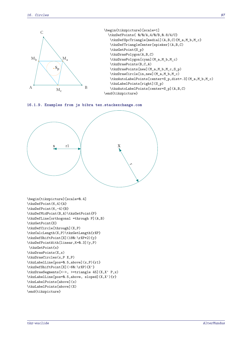

**16.1.9. Examples from js bibra tex.stackexchange.com**



```
\begin{tikzpicture}[scale=0.4]
\tkzDefPoint(6,4){A}
\tkzDefPoint(6,-4){B}
\tkzDefMidPoint(B,A)\tkzGetPoint{P}
\tkzDefLine[orthogonal =through P](A,B)
\tkzGetPoint{X}
\tkzDefCircle[through](X,P)
\tkzCalcLength(X,P)\tkzGetLength{rXP}
\tkzDefShiftPoint[X](180:\rXP*2){y}
\tkzDefPointWith[linear,K=0.3](y,P)
\tkzGetPoint{x}
\tkzDrawPoints(X,x)
\tkzDrawCircles(x,P X,P)
\tkzLabelLine[pos=0.5,above](x,P){r1}
\tkzDefShiftPoint[X](-60:\rXP){X'}
\tkzDrawSegments[<->, >=triangle 45](X,X' P,x)
\tkzLabelLine[pos=0.5,above, sloped](X,X'){r}
\tkzLabelPoints[above](x)
\tkzLabelPoints[above](X)
\end{tikzpicture}
```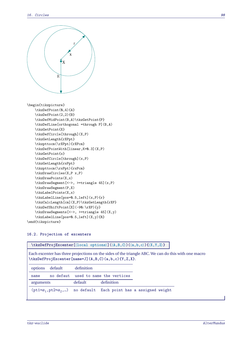

\begin{tikzpicture} \tkzDefPoint(0,4){A} \tkzDefPoint(2,2){B} \tkzDefMidPoint(B,A)\tkzGetPoint{P} \tkzDefLine[orthogonal =through P](B,A) \tkzGetPoint{X} \tkzDefCircle[through](X,P) \tkzGetLength{rXPpt} \tkzpttocm(\rXPpt){rXPcm} \tkzDefPointWith[linear,K=0.3](X,P) \tkzGetPoint{x} \tkzDefCircle[through](x,P) \tkzGetLength{rxPpt} \tkzpttocm(\rxPpt){rxPcm} \tkzDrawCircles(X,P x,P) \tkzDrawPoints(X,x) \tkzDrawSegment[<->, >=triangle 45](x,P) \tkzDrawSegment(P,X) \tkzLabelPoints(X,x) \tkzLabelLine[pos=0.5,left](x,P){r} \tkzCalcLength[cm](X,P)\tkzGetLength{rXP} \tkzDefShiftPoint[X](-90:\rXP){y} \tkzDrawSegments[<->, >=triangle 45](X,y) \tkzLabelLine[pos=0.5,left](X,y){R} \end{tikzpicture}

## **16.2. Projection of excenters**

**\tkzDefProjExcenter[**⟨**local options**⟩**](**⟨**A,B,C**⟩**)(**⟨**a,b,c**⟩**){**⟨**X,Y,Z**⟩**}**

Each excenter has three projections on the sides of the triangle ABC. We can do this with one macro **\tkzDefProjExcenter[name=J](A,B,C)(a,b,c){Y,Z,X}**. options default definition

| name      |         | no defaut used to name the vertices                                |
|-----------|---------|--------------------------------------------------------------------|
| arguments | default | definition                                                         |
|           |         | $(pt1=a_1, pt2=a_2, )$ no default Each point has a assigned weight |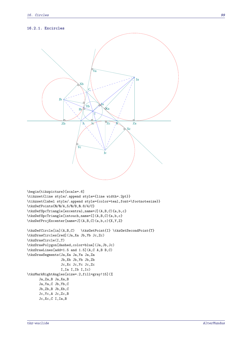## **16.2.1. Excircles**



```
\begin{tikzpicture}[scale=.6]
\tikzset{line style/.append style={line width=.2pt}}
\tikzset{label style/.append style={color=teal,font=\footnotesize}}
\tkzDefPoints{0/0/A,5/0/B,0.8/4/C}
\tkzDefSpcTriangle[excentral,name=J](A,B,C){a,b,c}
\tkzDefSpcTriangle[intouch,name=I](A,B,C){a,b,c}
\tkzDefProjExcenter[name=J](A,B,C)(a,b,c){X,Y,Z}
\tkzDefCircle[in](A,B,C) \tkzGetPoint{I} \tkzGetSecondPoint{T}
\tkzDrawCircles[red](Ja,Xa Jb,Yb Jc,Zc)
\tkzDrawCircle(I,T)
\tkzDrawPolygon[dashed,color=blue](Ja,Jb,Jc)
\tkzDrawLines[add=1.5 and 1.5](A,C A,B B,C)
\tkzDrawSegments(Ja,Xa Ja,Ya Ja,Za
                 Jb,Xb Jb,Yb Jb,Zb
                 Jc,Xc Jc,Yc Jc,Zc
                 I,Ia I,Ib I,Ic)
\tkzMarkRightAngles[size=.2,fill=gray!15](%
     Ja,Za,B Ja,Xa,B
     Ja,Ya,C Jb,Yb,C
     Jb,Zb,B Jb,Xb,C
      Jc,Yc,A Jc,Zc,B
      Jc,Xc,C I,Ia,B
```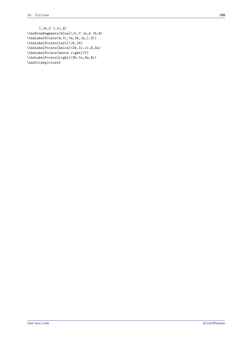```
I,Ib,C I,Ic,A)
\tkzDrawSegments[blue](Jc,C Ja,A Jb,B)
\tkzLabelPoints(A,Yc,Ya,Yb,Ja,I,Zc)
\tkzLabelPoints[left](Jb,Ib)
\tkzLabelPoints[below](Zb,Ic,Jc,B,Za)
\tkzLabelPoints[above right](C)
\tkzLabelPoints[right](Xb,Ia,Xa,Xc)
\end{tikzpicture}
```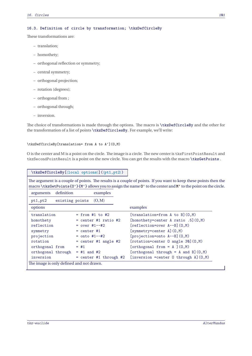## **16.3. Definition of circle by transformation; \tkzDefCircleBy**

These transformations are:

- translation;
- homothety;
- orthogonal reflection or symmetry;
- central symmetry;
- orthogonal projection;
- rotation (degrees);
- orthogonal from ;
- orthogonal through;
- inversion.

The choice of transformations is made through the options. The macro is **\tkzDefCircleBy** and the other for the transformation of a list of points **\tkzDefCirclesBy**. For example, we'll write:

#### \tkzDefCircleBy[translation= from A to A'](O,M)

<sup>O</sup> is the center and <sup>M</sup> is a point on the circle. The image is a circle. The new center is tkzFirstPointResult and tkzSecondPointResult is a point on the new circle. You can get the results with the macro **\tkzGetPoints** .

```
\tkzDefCircleBy[⟨local options⟩](⟨pt1,pt2⟩)
```
The argument is a couple of points. The results is a couple of points. If you want to keep these points then the macro **\tkzGetPoints{O'}{M'}** allows you to assign the name **O'** to the center and **M'** to the point on the circle.

| arguments          | definition      | examples                 |                                                |
|--------------------|-----------------|--------------------------|------------------------------------------------|
| pt1, pt2           | existing points | (O, M)                   |                                                |
| options            |                 |                          | examples                                       |
| translation        |                 | $=$ from #1 to #2        | $[translation=from A to B](0,M)$               |
| homothety          |                 | $=$ center #1 ratio #2   | [homothety=center A ratio .5] $(0,M)$          |
| reflection         |                 | $= over #1--#2$          | $[reflection=over A--B](0,M)$                  |
| symmetry           |                 | $=$ center #1            | [symmetry=center A] (0,M)                      |
| projection         |                 | $=$ onto #1--#2          | $[projection=onto A--B](0,M)$                  |
| rotation           |                 | $=$ center #1 angle #2   | $[rotation=center 0 angle 30](0,M)$            |
| orthogonal from    |                 | $=$ #1                   | [orthogonal from = $A$ ] $(0,M)$               |
| orthogonal through |                 | $=$ #1 and #2            | [orthogonal through = A and B] $(0,M)$         |
| inversion          |                 | $=$ center #1 through #2 | [inversion = center $0$ through $A$ ] $(0, M)$ |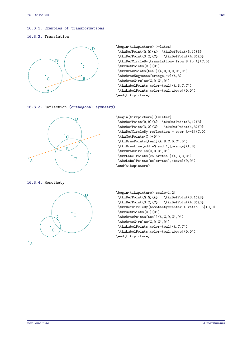#### **16.3.1. Examples of transformations**

#### **16.3.2. Translation**



```
\begin{tikzpicture}[>=latex]
\tkzDefPoint(0,0){A} \tkzDefPoint(3,1){B}
\tkzDefPoint(3,2){C} \tkzDefPoint(4,3){D}
\tkzDefCircleBy[translation= from B to A](C,D)
\tkzGetPoints{C'}{D'}
\tkzDrawPoints[teal](A,B,C,D,C',D')
\tkzDrawSegments[orange,->](A,B)
\tkzDrawCircles(C,D C',D')
\tkzLabelPoints[color=teal](A,B,C,C')
\tkzLabelPoints[color=teal,above](D,D')
\end{tikzpicture}
```
**16.3.3. Reflection (orthogonal symmetry)**



**16.3.4. Homothety**



```
\begin{tikzpicture}[>=latex]
\tkzDefPoint(0,0){A} \tkzDefPoint(3,1){B}
\tkzDefPoint(3,2){C} \tkzDefPoint(4,3){D}
\tkzDefCircleBy[reflection = over A--B](C,D)
\tkzGetPoints{C'}{D'}
\tkzDrawPoints[teal](A,B,C,D,C',D')
\tkzDrawLine[add =0 and 1][orange](A,B)
\tkzDrawCircles(C,D C',D')
\tkzLabelPoints[color=teal](A,B,C,C')
\tkzLabelPoints[color=teal,above](D,D')
\end{tikzpicture}
```

```
\begin{tikzpicture}[scale=1.2]
\tkzDefPoint(0,0){A} \tkzDefPoint(3,1){B}
\tkzDefPoint(3,2){C} \tkzDefPoint(4,3){D}
\tkzDefCircleBy[homothety=center A ratio .5](C,D)
\tkzGetPoints{C'}{D'}
\tkzDrawPoints[teal](A,C,D,C',D')
\tkzDrawCircles(C,D C',D')
\tkzLabelPoints[color=teal](A,C,C')
\tkzLabelPoints[color=teal,above](D,D')
\end{tikzpicture}
```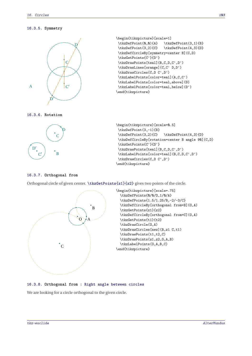## **16.3.5. Symmetry**



```
\begin{tikzpicture}[scale=1]
\tkzDefPoint(0,0){A} \tkzDefPoint(3,1){B}
\tkzDefPoint(3,2){C} \tkzDefPoint(4,3){D}
\tkzDefCircleBy[symmetry=center B](C,D)
\tkzGetPoints{C'}{D'}
\tkzDrawPoints[teal](B,C,D,C',D')
\tkzDrawLines[orange](C,C' D,D')
\tkzDrawCircles(C,D C',D')
\tkzLabelPoints[color=teal](A,C,C')
\tkzLabelPoints[color=teal,above](D)
\tkzLabelPoints[color=teal,below](D')
\end{tikzpicture}
```






## **16.3.7. Orthogonal from**

Orthogonal circle of given center. **\tkzGetPoints{z1}{z2}** gives two points of the circle.



## **16.3.8. Orthogonal from : Right angle between circles**

We are looking for a circle orthogonal to the given circle.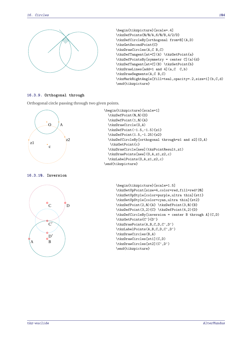

```
\begin{tikzpicture}[scale=.4]
\tkzDefPoints{0/0/A,6/0/B,4/2/D}
\tkzDefCircleBy[orthogonal from=B](A,D)
\tkzGetSecondPoint{C}
\tkzDrawCircles(A,C B,C)
\tkzDefTangent[at=C](A) \tkzGetPoint{a}
\tkzDefPointsBy[symmetry = center C](a){d}
\tkzDefTangent[at=C](B) \tkzGetPoint{b}
\tkzDrawLines[add=1 and 4](a,C C,b)
\tkzDrawSegments(A,C B,C)
\tkzMarkRightAngle[fill=teal,opacity=.2,size=1](b,C,d)
\end{tikzpicture}
```
## **16.3.9. Orthogonal through**

Orthogonal circle passing through two given points.



**16.3.10. Inversion**



```
\begin{tikzpicture}[scale=1]
  \tkzDefPoint(0,0){0}
  \tkzDefPoint(1,0){A}
  \tkzDrawCircle(0,A)
  \tkzDefPoint(-1.5,-1.5){z1}
  \tkzDefPoint(1.5,-1.25){z2}
  \tkzDefCircleBy[orthogonal through=z1 and z2](O,A)
   \tkzGetPoint{c}
  \tkzDrawCircle[new](tkzPointResult,z1)
  \tkzDrawPoints[new](O,A,z1,z2,c)
  \tkzLabelPoints(O,A,z1,z2,c)
\end{tikzpicture}
```

```
\begin{tikzpicture}[scale=1.5]
\tkzSetUpPoint[size=4,color=red,fill=red!20]
\tkzSetUpStyle[color=purple,ultra thin]{st1}
\tkzSetUpStyle[color=cyan,ultra thin]{st2}
\tkzDefPoint(2,0){A} \tkzDefPoint(3,0){B}
\tkzDefPoint(3,2){C} \tkzDefPoint(4,2){D}
\tkzDefCircleBy[inversion = center B through A](C,D)
\tkzGetPoints{C'}{D'}
\tkzDrawPoints(A,B,C,D,C',D')
\tkzLabelPoints(A,B,C,D,C',D')
\tkzDrawCircles(B,A)
\tkzDrawCircles[st1](C,D)
\tkzDrawCircles[st2](C',D')
\end{tikzpicture}
```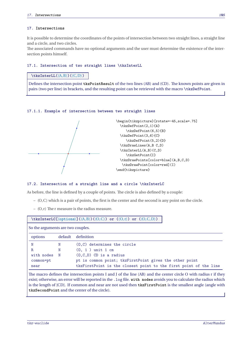## **17. Intersections**

It is possible to determine the coordinates of the points of intersection between two straight lines, a straight line and a circle, and two circles.

The associated commands have no optional arguments and the user must determine the existence of the intersection points himself.

## **17.1. Intersection of two straight lines \tkzInterLL**

## **\tkzInterLL(**⟨A,B⟩**)(**⟨C,D⟩**)**

Defines the intersection point **tkzPointResult** of the two lines (AB) and (CD). The known points are given in pairs (two per line) in brackets, and the resulting point can be retrieved with the macro **\tkzDefPoint**.

## **17.1.1. Example of intersection between two straight lines**



## **17.2. Intersection of a straight line and a circle \tkzInterLC**

As before, the line is defined by a couple of points. The circle is also defined by a couple:

- (O,C) which is a pair of points, the first is the center and the second is any point on the circle.
- $(0, r)$  The r measure is the radius measure.

| $\texttt{\texttt{C}(\mathrm{options})}(\langle A, B \rangle) (\langle O, C \rangle)$ or $(\langle O, r \rangle)$ or $(\langle O, C, D \rangle)$ |             |                                                                   |
|-------------------------------------------------------------------------------------------------------------------------------------------------|-------------|-------------------------------------------------------------------|
| So the arguments are two couples.                                                                                                               |             |                                                                   |
| options                                                                                                                                         | default     | definition                                                        |
| N                                                                                                                                               | N           | $(0, C)$ determines the circle                                    |
| R.                                                                                                                                              | N           | $(0, 1)$ unit 1 cm                                                |
| with nodes                                                                                                                                      | $\mathbb N$ | $(0, C, D)$ CD is a radius                                        |
| common=pt                                                                                                                                       |             | pt is common point; tkzFirstPoint gives the other point           |
| near                                                                                                                                            |             | tkzFirstPoint is the closest point to the first point of the line |
| The macro defines the intersection points I and J of the line (AB) and the center circle O with radius r if they                                |             |                                                                   |

The macro defines the intersection points I and J of the line (AB) and the center circle O with radius r if they<br>exist; otherwise, an error will be reported in the . log file. **with nodes** avoids you to calculate the radiu is the length of [CD]. If common and near are not used then **tkzFirstPoint** is the smallest angle (angle with **tkzSecondPoint** and the center of the circle).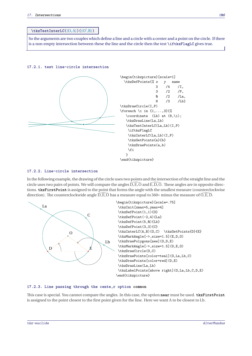# **\tkzTestInterLC(**⟨O,A⟩**)(**⟨O′ ,B⟩**)**

So the arguments are two couples which define a line and a circle with a center and a point on the circle. If there is a non empty intersection between these the line and the circle then the test **\iftkzFlagLC** gives true.

## **17.2.1. test line-circle intersection**



## **17.2.2. Line-circle intersection**

In the following example, the drawing of the circle uses two points and the intersection of the straight line and the circle uses two pairs of points. We will compare the angles  $\overline{D}, \overline{E}, \overline{O}$  and  $\overline{E}, \overline{D}, \overline{O}$ . These angles are in opposite directions. **tkzFirstPoint** is assigned to the point that forms the angle with the smallest measure (counterclockwise direction). The counterclockwide angle  $\widehat{D, E, O}$  has a measure equal to 360∘ minus the measure of  $\widehat{O, E, D}$ .



## **17.2.3. Line passing through the cente,r option common**

This case is special. You cannot compare the angles. In this case, the option **near** must be used. **tkzFirstPoint** is assigned to the point closest to the first point given for the line. Here we want <sup>A</sup> to be closest to Lb.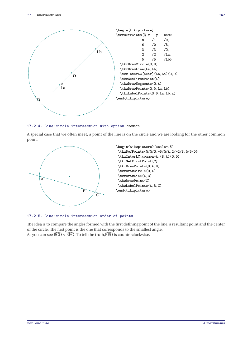

#### **17.2.4. Line-circle intersection with option common**

A special case that we often meet, a point of the line is on the circle and we are looking for the other common point.



#### **17.2.5. Line-circle intersection order of points**

The idea is to compare the angles formed with the first defining point of the line, a resultant point and the center of the circle. The first point is the one that corresponds to the smallest angle. As you can see  $\widehat{BCO}$  <  $\widehat{BEO}$ . To tell the truth,  $\widehat{BEO}$  is counterclockwise.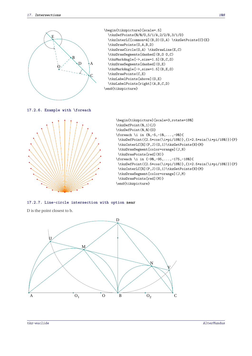

**17.2.7. Line-circle intersection with option near**

<sup>D</sup> is the point closest to <sup>b</sup>.

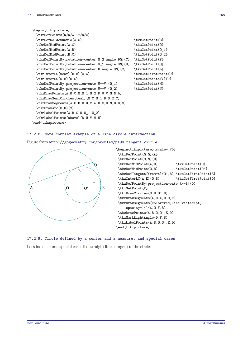| \begin{tikzpicture}                                   |                      |
|-------------------------------------------------------|----------------------|
| \tkzDefPoints{0/0/A,12/0/C}                           |                      |
| \tkzDefGoldenRatio(A,C)                               | \tkzGetPoint{B}      |
| \tkzDefMidPoint(A,C)                                  | \tkzGetPoint{0}      |
| \tkzDefMidPoint(A,B)                                  | \tkzGetPoint{0 1}    |
| \tkzDefMidPoint(B,C)                                  | \tkzGetPoint{0 2}    |
| \tkzDefPointBy[rotation=center 0_2 angle 90](C)       | \tkzGetPoint{P}      |
| \tkzDefPointBy[rotation=center 0 1 angle 90](B)       | \tkzGetPoint{Q}      |
| \tkzDefPointBy[rotation=center B angle 90] (C)        | \tkzGetPoint{b}      |
| \tkzInterLC[near](b,B)(0,A)                           | \tkzGetFirstPoint{D} |
| $\text{tkzInterCC}(D, B) (0, C)$                      | \tkzGetPoints{V}{U}  |
| \tkzDefPointBy[projection=onto U--V](0 1)             | \tkzGetPoint{M}      |
| \tkzDefPointBy[projection=onto U--V](0_2)             | \tkzGetPoint{N}      |
| $\texttt{\&zDrawPoints(A,B,C,0,0 1,0 2,D,U,V,M,N,b)}$ |                      |
| \tkzDrawSemiCircles[teal](0,C 0 1,B 0 2,C)            |                      |
| \tkzDrawSegments(A,C B,D U,V A,D C,D M,B B,N)         |                      |
| \tkzDrawArc(D,U)(V)                                   |                      |
| $\text{tkzLabelPoints}(A, B, C, 0, 0 1, 0 2)$         |                      |
| \tkzLabelPoints[above](D,U,V,M,N)                     |                      |
|                                                       |                      |

## \end{tikzpicture}

#### **17.2.8. More complex example of a line-circle intersection**

Figure from [http://gogeometry.com/problem/p190\\_tangent\\_circle](http://gogeometry.com/problem/p190_tangent_circle)



## **17.2.9. Circle defined by a center and a measure, and special cases**

Let's look at some special cases like straight lines tangent to the circle.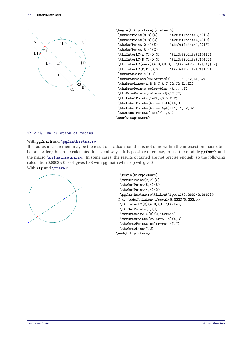

```
\begin{tikzpicture}[scale=.5]
\tkzDefPoint(0,8){A} \tkzDefPoint(8,0){B}
\tkzDefPoint(8,8){C} \tkzDefPoint(4,4){D}
\text{LkzDefPoint}(2,4){E} \text{LkzDefPoint}(4,2){F}
\tkzDefPoint(8,4){G}
\text{LCA}(A, C) (D, G) \text{tkcGetPoints} [I1]{I2}\tkzInterLC(B,C)(D,G) \tkzGetPoints{J1}{J2}
\tkzInterLC[near](A,B)(D,G) \tkzGetPoints{K1}{K2}
\tkzInterLC(E,F)(D,G) \tkzGetPoints{E1}{E2}
\tkzDrawCircle(D,G)
\tkzDrawPoints[color=red](I1,J1,K1,K2,E1,E2)
\tkzDrawLines(A,B B,C A,C I2,J2 E1,E2)
\tkzDrawPoints[color=blue](A,...,F)
\tkzDrawPoints[color=red](I2,J2)
\tkzLabelPoints[left](B,D,E,F)
\tkzLabelPoints[below left](A,C)
\tkzLabelPoints[below=4pt](I1,K1,K2,E2)
\tkzLabelPoints[left](J1,E1)
\end{tikzpicture}
```
#### **17.2.10. Calculation of radius**

### With **pgfmath** and **\pgfmathsetmacro**

The radius measurement may be the result of a calculation that is not done within the intersection macro, but before. A length can be calculated in several ways. It is possible of course, to use the module **pgfmath** and the macro **\pgfmathsetmacro**. In some cases, the results obtained are not precise enough, so the following calculation  $0.0002 \div 0.0001$  gives 1.98 with pgfmath while xfp will give 2. With **xfp** and **\fpeval**:



```
\begin{tikzpicture}
  \tkzDefPoint(2,2){A}
  \tkzDefPoint(5,4){B}
  \tkzDefPoint(4,4){0}
  \pgfmathsetmacro\tkzLen{\fpeval{0.0002/0.0001}}
 % or \edef\tkzLen{\fpeval{0.0002/0.0001}}
  \tkzInterLC[R](A,B)(O, \tkzLen)
  \tkzGetPoints{I}{J}
  \tkzDrawCircle[R](O,\tkzLen)
  \tkzDrawPoints[color=blue](A,B)
  \tkzDrawPoints[color=red](I,J)
  \tkzDrawLine(I,J)
\end{tikzpicture}
```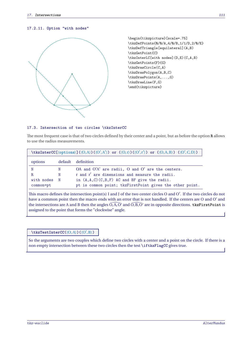## **17.2.11. Option "with nodes"**



\begin{tikzpicture}[scale=.75] \tkzDefPoints{0/0/A,4/0/B,1/1/D,2/0/E} \tkzDefTriangle[equilateral](A,B) \tkzGetPoint{C} \tkzInterLC[with nodes](D,E)(C,A,B) \tkzGetPoints{F}{G} \tkzDrawCircle(C,A) \tkzDrawPolygon(A,B,C) \tkzDrawPoints(A,...,G) \tkzDrawLine(F,G) \end{tikzpicture}

## **17.3. Intersection of two circles \tkzInterCC**

The most frequent case is that of two circles defined by their center and a point, but as before the option **R** allows to use the radius measurements.

| $\texttt{\texttt{KzInterCC}(\mathcal{O}(\mathcal{O}, A))(\langle O, A' \rangle) \text{ or } (\langle O, r \rangle) (\langle O', r' \rangle) \text{ or } (\langle O, A, B \rangle) (\langle O', C, D \rangle)$ |             |                                                          |  |
|---------------------------------------------------------------------------------------------------------------------------------------------------------------------------------------------------------------|-------------|----------------------------------------------------------|--|
| options                                                                                                                                                                                                       |             | default definition                                       |  |
| N                                                                                                                                                                                                             | N           | OA and $O'A'$ are radii, O and $O'$ are the centers.     |  |
| R.                                                                                                                                                                                                            | N           | r and r' are dimensions and measure the radii.           |  |
| with nodes                                                                                                                                                                                                    | $\mathbf N$ | in $(A, A, C)$ $(C, B, F)$ AC and BF give the radii.     |  |
| common=pt                                                                                                                                                                                                     |             | pt is common point; tkzFirstPoint gives the other point. |  |
|                                                                                                                                                                                                               |             |                                                          |  |

This macro defines the intersection point(s) I and J of the two center circles O and O'. If the two circles do not have a common point then the macro ends with an error that is not handled. If the centers are O and O' and the intersections are A and B then the angles  $\widehat{O, A, O'}$  and  $\widehat{O, B, O'}$  are in opposite directions. **tkzFirstPoint** is assigned to the point that forms the "clockwise" angle.

## **\tkzTestInterCC(**⟨O,A⟩**)(**⟨O′ ,B⟩**)**

So the arguments are two couples which define two circles with a center and a point on the circle. If there is a non empty intersection between these two circles then the test **\iftkzFlagCC** gives true.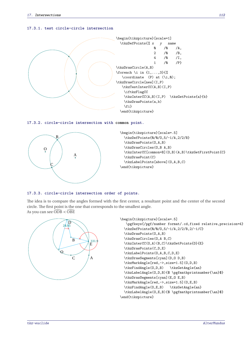#### **17.3.1. test circle-circle intersection**



**17.3.2. circle-circle intersection with common point.**



```
\begin{tikzpicture}[scale=.5]
  \tkzDefPoints{0/0/O,5/-1/A,2/2/B}
 \tkzDrawPoints(O,A,B)
 \tkzDrawCircles(O,B A,B)
 \tkzInterCC[common=B](O,B)(A,B)\tkzGetFirstPoint{C}
 \tkzDrawPoint(C)
 \tkzLabelPoints[above](O,A,B,C)
\end{tikzpicture}
```
#### **17.3.3. circle-circle intersection order of points.**

The idea is to compare the angles formed with the first center, a resultant point and the center of the second circle. The first point is the one that corresponds to the smallest angle. As you can see  $\widehat{\mathrm{ODB}} < \widehat{\mathrm{OBE}}$ 



\end{tikzpicture}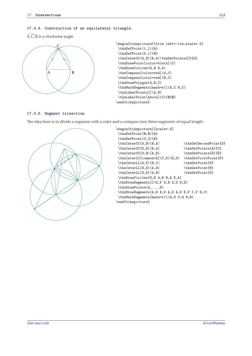## **17.3.4. Construction of an equilateral triangle.**

 $A, C, B$  is a clockwise angle



```
\begin{tikzpicture}[trim left=-1cm,scale=.5]
\tkzDefPoint(1,1){A}
\tkzDefPoint(5,1){B}
\tkzInterCC(A,B)(B,A)\tkzGetPoints{C}{D}
\tkzDrawPoint[color=black](C)
\tkzDrawCircles(A,B B,A)
\tkzCompass[color=red](A,C)
\tkzCompass[color=red](B,C)
\tkzDrawPolygon(A,B,C)
\tkzMarkSegments[mark=s|](A,C B,C)
\tkzLabelPoints[](A,B)
\tkzLabelPoint[above](C){$C$}
\end{tikzpicture}
```
## **17.3.5. Segment trisection**

The idea here is to divide a segment with a ruler and a compass into three segments of equal length.



```
\begin{tikzpicture}[scale=.6]
\tkzDefPoint(0,0){A}
\tkzDefPoint(3,2){B}
\tkzInterCC(A,B)(B,A) \tkzGetSecondPoint{D}
\tkzInterCC(D,B)(B,A) \tkzGetPoints{A}{C}
\tkzInterCC(D,B)(A,B) \tkzGetPoints{E}{B}
\tkzInterLC[common=D](C,D)(E,D) \tkzGetFirstPoint{F}
\tkzInterLL(A,F)(B,C) \tkzGetPoint{0}
\tkzInterLL(0,D)(A,B) \tkzGetPoint{H}
\tkzInterLL(0,E)(A,B) <br> \tkzGetPoint{G}
\tkzDrawCircles(D,E A,B B,A E,A)
\tkzDrawSegments[](O,F O,B O,D O,E)
\tkzDrawPoints(A,...,H)
\tkzDrawSegments(A,B B,D A,D A,E E,F C,F B,C)
\tkzMarkSegments[mark=s|](A,G G,H H,B)
\end{tikzpicture}
```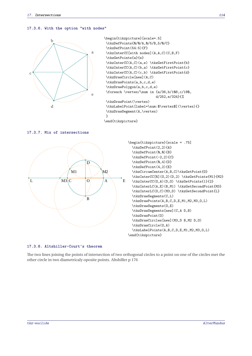## **17.3.6. With the option "with nodes"**



```
\begin{tikzpicture}[scale=.5]
\tkzDefPoints{0/0/A,0/5/B,5/0/C}
\tkzDefPoint(54:5){F}
\tkzInterCC[with nodes](A,A,C)(C,B,F)
\tkzGetPoints{a}{e}
\tkzInterCC(A,C)(a,e) \tkzGetFirstPoint{b}
\tkzInterCC(A,C)(b,a) \tkzGetFirstPoint{c}
\tkzInterCC(A,C)(c,b) \tkzGetFirstPoint{d}
\tkzDrawCircle[new](A,C)
\tkzDrawPoints(a,b,c,d,e)
\tkzDrawPolygon(a,b,c,d,e)
\foreach \vertex/\num in {a/36,b/108,c/180,
                          d/252,e/324}{%
\tkzDrawPoint(\vertex)
\tkzLabelPoint[label=\num:$\vertex$](\vertex){}
\tkzDrawSegment(A,\vertex)
}
```
\end{tikzpicture}

## **17.3.7. Mix of intersections**





#### **17.3.8. Altshiller-Court's theorem**

The two lines joining the points of intersection of two orthogonal circles to a point on one of the circles met the other circle in two diametricaly oposite points. Altshiller p 176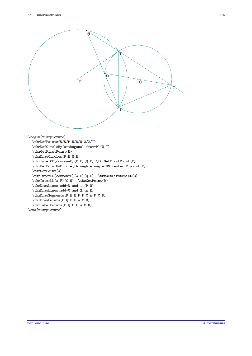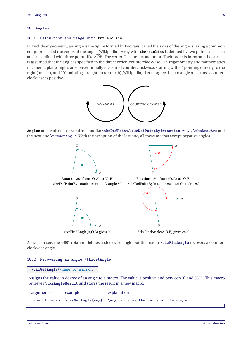#### **18. Angles**

#### **18.1. Definition and usage with tkz-euclide**

In Euclidean geometry, an angle is the figure formed by two rays, called the sides of the angle, sharing a common endpoint, called the vertex of the angle.[Wikipedia]. A ray with **tkz-euclide** is defined by two points also each angle is defined with three points like  $\overline{AOB}$ . The vertex O is the second point. Their order is important because it is assumed that the angle is specified in the direct order (counterclockwise). In trigonometry and mathematics in general, plane angles are conventionally measured counterclockwise, starting with <sup>0</sup> ∘ pointing directly to the right (or east), and <sup>90</sup><sup>∘</sup> pointing straight up (or north)[Wikipedia]. Let us agree that an angle measured counterclockwise is positive.



**Angles** are involved in several macros like **\tkzDefPoint**,**\tkzDefPointBy[rotation = …]**, **\tkzDrawArc** and the next one **\tkzGetAngle**. With the exception of the last one, all these macros accept negative angles.



As we can see, the −80<sup>∘</sup> rotation defines a clockwise angle but the macro **\tkzFindAngle** recovers a counterclockwise angle.

#### **18.2. Recovering an angle \tkzGetAngle**

|               | $\texttt{tkzGetAngle}(\text{name of macro})$                    |                                                                                                               |  |
|---------------|-----------------------------------------------------------------|---------------------------------------------------------------------------------------------------------------|--|
|               | retrieves \tkzAngleResult and stores the result in a new macro. | Assigns the value in degree of an angle to a macro. The value is positive and between 0° and 360°. This macro |  |
| arguments     | example                                                         | explanation                                                                                                   |  |
| name of macro | $\text{tkzGetAngle}\$                                           | \ang contains the value of the angle.                                                                         |  |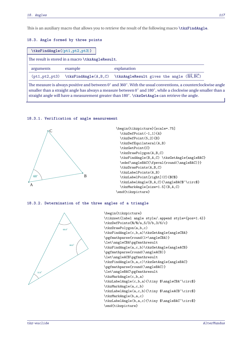This is an auxiliary macro that allows you to retrieve the result of the following macro **\tkzFindAngle**.

## **18.3. Angle formed by three points**

|                 | $\texttt{\texttt{tkzFindAngle}(\phi t1, pt2, pt3)}$ |                                                                                                                                                                                                                                                                      |  |
|-----------------|-----------------------------------------------------|----------------------------------------------------------------------------------------------------------------------------------------------------------------------------------------------------------------------------------------------------------------------|--|
|                 | The result is stored in a macro \tkzAngleResult.    |                                                                                                                                                                                                                                                                      |  |
| arguments       | example                                             | explanation                                                                                                                                                                                                                                                          |  |
| (pt1, pt2, pt3) | \tkzFindAngle(A,B,C)                                | \tkzAngleResult gives the angle (BA, BC)                                                                                                                                                                                                                             |  |
|                 |                                                     | The measure is always positive and between $0^{\circ}$ and $360^{\circ}$ . With the usual conventions, a counterclockwise angle<br>smaller than a straight angle has always a measure between $0^{\circ}$ and $180^{\circ}$ , while a clockwise angle smaller than a |  |

straight angle will have a measurement greater than <sup>180</sup><sup>∘</sup> . **\tkzGetAngle** can retrieve the angle.

# **18.3.1. Verification of angle measurement**



**18.3.2. Determination of the three angles of a triangle**



```
\begin{tikzpicture}
\tikzset{label angle style/.append style={pos=1.4}}
\tkzDefPoints{0/0/a,5/3/b,3/6/c}
\tkzDrawPolygon(a,b,c)
\tkzFindAngle(c,b,a)\tkzGetAngle{angleCBA}
\pgfmathparse{round(1+\angleCBA)}
\let\angleCBA\pgfmathresult
\tkzFindAngle(a,c,b)\tkzGetAngle{angleACB}
\pgfmathparse{round(\angleACB)}
\let\angleACB\pgfmathresult
\tkzFindAngle(b,a,c)\tkzGetAngle{angleBAC}
\pgfmathparse{round(\angleBAC)}
\let\angleBAC\pgfmathresult
\tkzMarkAngle(c,b,a)
\tkzLabelAngle(c,b,a){\tiny $\angleCBA^\circ$}
\tkzMarkAngle(a,c,b)
\tkzLabelAngle(a,c,b){\tiny $\angleACB^\circ$}
\tkzMarkAngle(b,a,c)
\tkzLabelAngle(b,a,c){\tiny $\angleBAC^\circ$}
\end{tikzpicture}
```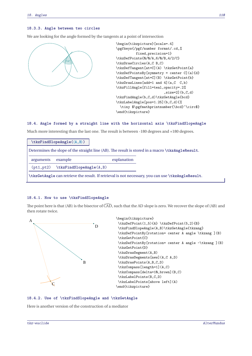## **18.3.3. Angle between two circles**

We are looking for the angle formed by the tangents at a point of intersection



```
\begin{tikzpicture}[scale=.4]
\pgfkeys{/pgf/number format/.cd,%
          fixed,precision=1}
\tkzDefPoints{0/0/A,6/0/B,4/2/C}
\tkzDrawCircles(A,C B,C)
\tkzDefTangent[at=C](A) \tkzGetPoint{a}
\tkzDefPointsBy[symmetry = center C](a){d}
\tkzDefTangent[at=C](B) \tkzGetPoint{b}
\tkzDrawLines[add=1 and 4](a,C C,b)
\tkzFillAngle[fill=teal,opacity=.2%
                        ,size=2](b,C,d)\tkzFindAngle(b,C,d)\tkzGetAngle{bcd}
\tkzLabelAngle[pos=1.25](b,C,d){%
  \tiny $\pgfmathprintnumber{\bcd}^\circ$}
\end{tikzpicture}
```
## **18.4. Angle formed by a straight line with the horizontal axis \tkzFindSlopeAngle**

Much more interesting than the last one. The result is between -180 degrees and +180 degrees.

|            | $\texttt{\texttt{tkzFindSlopeAngle}(\langle A, B \rangle)}$ |             |                                                                                                   |
|------------|-------------------------------------------------------------|-------------|---------------------------------------------------------------------------------------------------|
|            |                                                             |             | Determines the slope of the straight line (AB). The result is stored in a macro \tkzAngleResult.  |
| arguments  | example                                                     | explanation |                                                                                                   |
| (pt1, pt2) | \tkzFindSlopeAngle(A,B)                                     |             |                                                                                                   |
|            |                                                             |             | \tkzGetAngle can retrieve the result. If retrieval is not necessary, you can use \tkzAngleResult. |

## **18.4.1. How to use \tkzFindSlopeAngle**

The point here is that (AB) is the bisector of  $\widehat{CAD}$ , such that the AD slope is zero. We recover the slope of (AB) and then rotate twice.



## **18.4.2. Use of \tkzFindSlopeAngle and \tkzGetAngle**

Here is another version of the construction of a mediator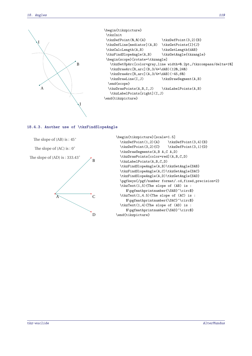

## **18.4.3. Another use of \tkzFindSlopeAngle**



```
\begin{tikzpicture}[scale=1.5]
  \text{DefPoint}(1,2){A} \text{DefPoint}(3,4){B}
  \tkzDefPoint(3,2){C} \tkzDefPoint(3,1){D}
  \tkzDrawSegments(A,B A,C A,D)
  \tkzDrawPoints[color=red](A,B,C,D)
  \tkzLabelPoints(A,B,C,D)
  \tkzFindSlopeAngle(A,B)\tkzGetAngle{SAB}
  \tkzFindSlopeAngle(A,C)\tkzGetAngle{SAC}
  \tkzFindSlopeAngle(A,D)\tkzGetAngle{SAD}
  \pgfkeys{/pgf/number format/.cd,fixed,precision=2}
  \tkzText(1,5){The slope of (AB) is :
     $\pgfmathprintnumber{\SAB}^\circ$}
  \tkzText(1,4.5){The slope of (AC) is :
     $\pgfmathprintnumber{\SAC}^\circ$}
  \tkzText(1,4){The slope of (AD) is :
     $\pgfmathprintnumber{\SAD}^\circ$}
\end{tikzpicture}
```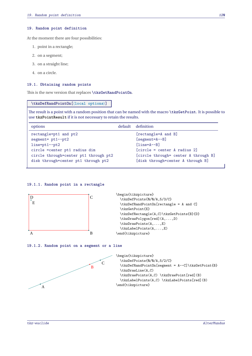#### **19. Random point definition**

At the moment there are four possibilities:

- 1. point in a rectangle;
- 2. on a segment;
- 3. on a straight line;
- 4. on a circle.

#### **19.1. Obtaining random points**

This is the new version that replaces **\tkzGetRandPointOn**.

#### **\tkzDefRandPointOn[**⟨**local options**⟩**]**

The result is a point with a random position that can be named with the macro **\tkzGetPoint**. It is possible to use **tkzPointResult** if it is not necessary to retain the results.

| options                               | default definition                   |
|---------------------------------------|--------------------------------------|
| rectangle=pt1 and pt2                 | [rectangle=A and B]                  |
| $segment = pt1--pt2$                  | $[segment=A--B]$                     |
| $line=pt1--pt2$                       | $[line=A--B]$                        |
| circle = center pt1 radius dim        | $[circle = center A radius 2]$       |
| circle through=center pt1 through pt2 | [circle through= center A through B] |
| disk through=center pt1 through pt2   | [disk through=center A through B]    |

## **19.1.1. Random point in a rectangle**



#### **19.1.2. Random point on a segment or a line**

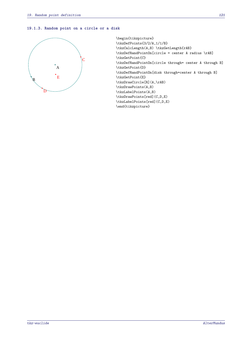## **19.1.3. Random point on a circle or a disk**



\begin{tikzpicture} \tkzDefPoints{3/2/A,1/1/B} \tkzCalcLength(A,B) \tkzGetLength{rAB} \tkzDefRandPointOn[circle = center A radius \rAB] \tkzGetPoint{C} \tkzDefRandPointOn[circle through= center A through B] \tkzGetPoint{D} \tkzDefRandPointOn[disk through=center A through B] \tkzGetPoint{E} \tkzDrawCircle[R](A,\rAB) \tkzDrawPoints(A,B) \tkzLabelPoints(A,B) \tkzDrawPoints[red](C,D,E) \tkzLabelPoints[red](C,D,E) \end{tikzpicture}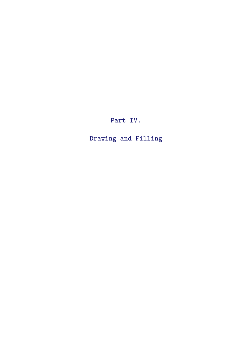**Part IV.**

**Drawing and Filling**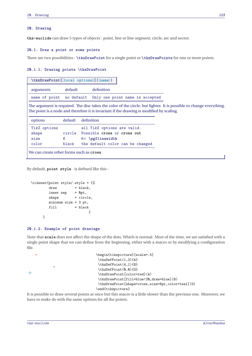#### **20. Drawing**

**tkz-euclide** can draw 5 types of objects : point, line or line segment, circle, arc and sector.

#### **20.1. Draw a point or some points**

There are two possibilities : **\tkzDrawPoint** for a single point or **\tkzDrawPoints** for one or more points.

#### **20.1.1. Drawing points \tkzDrawPoint**

|                                         |            | \tkzDrawPoint[\{local options\](\\name\)                                                                                                                                                                        |  |
|-----------------------------------------|------------|-----------------------------------------------------------------------------------------------------------------------------------------------------------------------------------------------------------------|--|
| arguments                               | default    | definition                                                                                                                                                                                                      |  |
| name of point                           | no default | Only one point name is accepted                                                                                                                                                                                 |  |
|                                         |            | The argument is required. The disc takes the color of the circle, but lighter. It is possible to change everything.<br>The point is a node and therefore it is invariant if the drawing is modified by scaling. |  |
| options                                 | default    | definition                                                                                                                                                                                                      |  |
| TikZ options                            |            | all TikZ options are valid.                                                                                                                                                                                     |  |
| shape                                   |            | circle Possible cross or cross out                                                                                                                                                                              |  |
| size                                    | 6          | $6\times$ \pgflinewidth                                                                                                                                                                                         |  |
| color                                   | black      | the default color can be changed                                                                                                                                                                                |  |
| We can create other forms such as cross |            |                                                                                                                                                                                                                 |  |

By default, **point style** is defined like this :

```
\tikzset{point style/.style = {%
       draw = black,inner sep = 0pt,
       shape = circle,minimum size = 3 pt,
       fill = black}
    }
```
#### **20.1.2. Example of point drawings**

Note that **scale** does not affect the shape of the dots. Which is normal. Most of the time, we are satisfied with a single point shape that we can define from the beginning, either with a macro or by modifying a configuration file.



It is possible to draw several points at once but this macro is a little slower than the previous one. Moreover, we have to make do with the same options for all the points.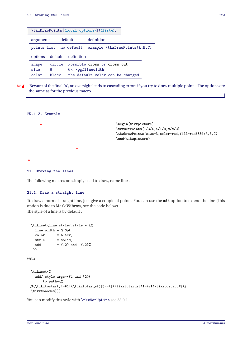|                        | \tkzDrawPoints[\{local options\](\{liste\) |                    |                                                                                            |  |
|------------------------|--------------------------------------------|--------------------|--------------------------------------------------------------------------------------------|--|
| default<br>arguments   |                                            |                    | definition                                                                                 |  |
|                        | points list no default                     |                    | example \tkzDrawPoints(A,B,C)                                                              |  |
| options                |                                            | default definition |                                                                                            |  |
| shape<br>size<br>color | circle<br>6<br>black                       |                    | Possible cross or cross out<br>$6\times$ \pgflinewidth<br>the default color can be changed |  |

 $\frac{1}{2}$  Beware of the final "s", an oversight leads to cascading errors if you try to draw multiple points. The options are the same as for the previous macro.

## **20.1.3. Example**



### **21. Drawing the lines**

 $\bullet$ 

The following macros are simply used to draw, name lines.

## **21.1. Draw a straight line**

To draw a normal straight line, just give a couple of points. You can use the **add** option to extend the line (This option is due to **Mark Wibrow**, see the code below). The style of a line is by default :

```
\tikzset{line style/.style = {%
   line width = 0.6pt,
   color = black,style = solid,
   add = \{ .2 \} and \{ .2 \}%
  }}
with
 \tikzset{%
   add/.style args={#1 and #2}{
       to path={%
 ($(\tikztostart)!-#1!(\tikztotarget)$)--($(\tikztotarget)!-#2!(\tikztostart)$)%
 \tikztonodes}}}
```
You can modify this style with **\tkzSetUpLine** see [38.0.1](#page-185-0)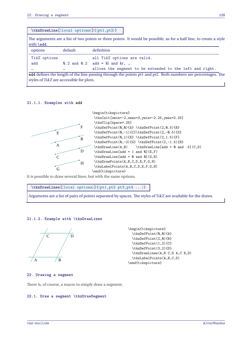|                                          | $\texttt{\texttt{tkzDrawLine}(\texttt{local options})(\phi\texttt{pt1},\texttt{pt2})$ |                                                                                                                     |  |  |
|------------------------------------------|---------------------------------------------------------------------------------------|---------------------------------------------------------------------------------------------------------------------|--|--|
| with \add.                               |                                                                                       | The arguments are a list of two points or three points. It would be possible, as for a half line, to create a style |  |  |
| options                                  | default                                                                               | definition                                                                                                          |  |  |
| TikZ options                             |                                                                                       | all TikZ options are valid.                                                                                         |  |  |
| add                                      |                                                                                       | $0.2$ and $0.2$ add = kl and kr,                                                                                    |  |  |
| $\cdots$                                 |                                                                                       | allows the segment to be extended to the left and right.                                                            |  |  |
|                                          |                                                                                       | add defines the length of the line passing through the points pt1 and pt2. Both numbers are percentages. The        |  |  |
| styles of TikZ are accessible for plots. |                                                                                       |                                                                                                                     |  |  |

#### **21.1.1. Examples with add**



It is possible to draw several lines, but with the same options.

**\tkzDrawLines[**⟨**local options**⟩**](**⟨**pt1,pt2 pt3,pt4 ...**⟩**)**

Arguments are a list of pairs of points separated by spaces. The styles of TikZ are available for the draws.

#### **21.1.2. Example with \tkzDrawLines**



\begin{tikzpicture} \tkzDefPoint(0,0){A} \tkzDefPoint(2,0){B} \tkzDefPoint(1,2){C} \tkzDefPoint(3,2){D} \tkzDrawLines(A,B C,D A,C B,D) \tkzLabelPoints(A,B,C,D) \end{tikzpicture}

## **22. Drawing a segment**

There is, of course, a macro to simply draw a segment.

### **22.1. Draw a segment \tkzDrawSegment**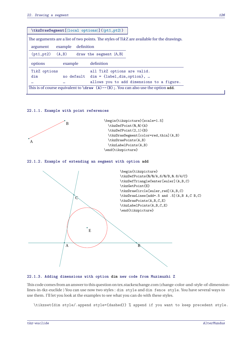|                       |          | $\texttt{\texttt{\&zDrawSegment}([local options)](\langle pt1, pt2 \rangle)}$              |
|-----------------------|----------|--------------------------------------------------------------------------------------------|
|                       |          | The arguments are a list of two points. The styles of TikZ are available for the drawings. |
| argument              | example  | definition                                                                                 |
| $(pt1, pt2)$ $(A, B)$ |          | draw the segment $[A, B]$                                                                  |
| options               | example  | definition                                                                                 |
| TikZ options          |          | all TikZ options are valid.                                                                |
| dim                   |          | no default dim = {label, dim, option},                                                     |
|                       | $\cdots$ | allows you to add dimensions to a figure.                                                  |

## **22.1.1. Example with point references**



#### **22.1.2. Example of extending an segment with option add**



#### **22.1.3. Adding dimensions with option dim new code from Muzimuzhi Z**

This code comesfrom an answer to this question on tex.stackexchange.com (change-color-and-style-of-dimensionlines-in-tkz-euclide ) You can use now two styles : dim style and dim fence style. You have several ways to use them. I'll let you look at the examples to see what you can do with these styles.

\tikzset{dim style/.append style={dashed}} % append if you want to keep precedent style.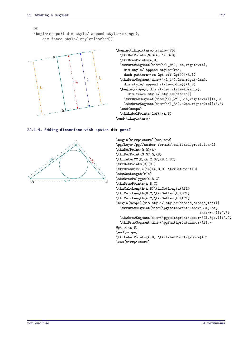```
or
\begin{scope}[ dim style/.append style={orange},
   dim fence style/.style={dashed}]
```


```
\begin{tikzpicture}[scale=.75]
  \tkzDefPoints{0/3/A, 1/-3/B}
  \tkzDrawPoints(A,B)
  \tkzDrawSegment[dim={\(l_0\),1cm,right=2mm},
    dim style/.append style={red,
    dash pattern={on 2pt off 2pt}}](A,B)
  \tkzDrawSegment[dim={\(l_1\),2cm,right=2mm},
    dim style/.append style={blue}](A,B)
  \begin{scope}[ dim style/.style={orange},
      dim fence style/.style={dashed}]
    \tkzDrawSegment[dim={\(l_2\),3cm,right=2mm}](A,B)
    \tkzDrawSegment[dim={\(l_3\),-2cm,right=2mm}](A,B)
  \end{scope}
  \tkzLabelPoints[left](A,B)
\end{tikzpicture}
```
#### **22.1.4. Adding dimensions with option dim partI**



```
\begin{tikzpicture}[scale=2]
\pgfkeys{/pgf/number format/.cd,fixed,precision=2}
\tkzDefPoint(0,0){A}
\tkzDefPoint(3.07,0){B}
\tkzInterCC[R](A,2.37)(B,1.82)
\tkzGetPoints{C}{C'}
\tkzDrawCircle[in](A,B,C) \tkzGetPoint{G}
\tkzGetLength{rIn}
\tkzDrawPolygon(A,B,C)
\tkzDrawPoints(A,B,C)
\tkzCalcLength(A,B)\tkzGetLength{ABl}
\tkzCalcLength(B,C)\tkzGetLength{BCl}
\tkzCalcLength(A,C)\tkzGetLength{ACl}
\begin{scope}[dim style/.style={dashed,sloped,teal}]
  \tkzDrawSegment[dim={\pgfmathprintnumber\BCl,6pt,
                                          text=red}](C,B)
  \tkzDrawSegment[dim={\pgfmathprintnumber\ACl,6pt,}](A,C)
  \tkzDrawSegment[dim={\pgfmathprintnumber\ABl,-
6pt,}](A,B)
\end{scope}
\tkzLabelPoints(A,B) \tkzLabelPoints[above](C)
\end{tikzpicture}
```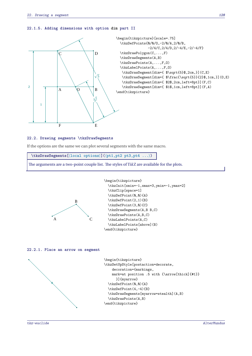#### **22.1.5. Adding dimensions with option dim part II**



```
\begin{tikzpicture}[scale=.75]
  \tkzDefPoints{0/0/O,-2/0/A,2/0/B,
                -2/4/C,2/4/D,2/-4/E,-2/-4/F}
  \tkzDrawPolygon(C,...,F)
  \tkzDrawSegments(A,B)
  \tkzDrawPoints(A,...,F,0)
  \tkzLabelPoints(A,...,F,O)
   \tkzDrawSegment[dim={ $\sqrt{5}$,2cm,}](C,E)
   \tkzDrawSegment[dim={ $\frac{\sqrt{5}}{2}$,1cm,}](O,E)
   \tkzDrawSegment[dim={ $2$,2cm,left=8pt}](F,C)
   \tkzDrawSegment[dim={ $1$,1cm,left=8pt}](F,A)
\end{tikzpicture}
```
## **22.2. Drawing segments \tkzDrawSegments**

If the options are the same we can plot several segments with the same macro.

**\tkzDrawSegments[**⟨**local options**⟩**](**⟨**pt1,pt2 pt3,pt4 ...**⟩**)**

The arguments are a two-point couple list. The styles of TikZ are available for the plots.



```
\begin{tikzpicture}
  \tkzInit[xmin=-1,xmax=3,ymin=-1,ymax=2]
  \tkzClip[space=1]
  \tkzDefPoint(0,0){A}
  \tkzDefPoint(2,1){B}
  \tkzDefPoint(3,0){C}
  \tkzDrawSegments(A,B B,C)
  \tkzDrawPoints(A,B,C)
  \tkzLabelPoints(A,C)
  \tkzLabelPoints[above](B)
\end{tikzpicture}
```
#### **22.2.1. Place an arrow on segment**

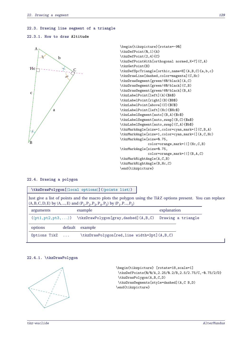#### **22.3. Drawing line segment of a triangle**

#### **22.3.1. How to draw Altitude**



```
\begin{tikzpicture}[rotate=-90]
\tkzDefPoint(0,1){A}
\tkzDefPoint(2,4){C}
\tkzDefPointWith[orthogonal normed,K=7](C,A)
\tkzGetPoint{B}
\tkzDefSpcTriangle[orthic,name=H](A,B,C){a,b,c}
\tkzDrawLine[dashed,color=magenta](C,Hc)
\tkzDrawSegment[green!60!black](A,C)
\tkzDrawSegment[green!60!black](C,B)
\tkzDrawSegment[green!60!black](B,A)
\tkzLabelPoint[left](A){$A$}
\tkzLabelPoint[right](B){$B$}
\tkzLabelPoint[above](C){$C$}
\tkzLabelPoint[left](Hc){$Hc$}
\tkzLabelSegment[auto](B,A){$c$}
\tkzLabelSegment[auto,swap](B,C){$a$}
\tkzLabelSegment[auto,swap](C,A){$b$}
\tkzMarkAngle[size=1,color=cyan,mark=|](C,B,A)
\tkzMarkAngle[size=1,color=cyan,mark=|](A,C,Hc)
\tkzMarkAngle[size=0.75,
              color=orange,mark=||](Hc,C,B)
\tkzMarkAngle[size=0.75,
              color=orange,mark=||](B,A,C)
\tkzMarkRightAngle(A,C,B)
\tkzMarkRightAngle(B,Hc,C)
\end{tikzpicture}
```
## **22.4. Drawing a polygon**

|              |         | \tkzDrawPolygon[\local options\](\points list\)                                                                                                                                                    |             |                    |  |
|--------------|---------|----------------------------------------------------------------------------------------------------------------------------------------------------------------------------------------------------|-------------|--------------------|--|
|              |         | Just give a list of points and the macro plots the polygon using the TikZ options present. You can replace<br>$(A, B, C, D, E)$ by $(A, , E)$ and $(P_1, P_2, P_3, P_4, P_5)$ by $(P_1, P_2, P_5)$ |             |                    |  |
| arguments    |         | example                                                                                                                                                                                            | explanation |                    |  |
|              |         | $(\phi t1, pt2, pt3, )$ \tkzDrawPolygon[gray,dashed] $(A, B, C)$                                                                                                                                   |             | Drawing a triangle |  |
| options      | default | example                                                                                                                                                                                            |             |                    |  |
| Options TikZ |         | \tkzDrawPolygon[red,line width=2pt](A,B,C)                                                                                                                                                         |             |                    |  |

## **22.4.1. \tkzDrawPolygon**



```
\begin{tikzpicture} [rotate=18,scale=1]
\tkzDefPoints{0/0/A,2.25/0.2/B,2.5/2.75/C,-0.75/2/D}
\tkzDrawPolygon(A,B,C,D)
\tkzDrawSegments[style=dashed](A,C B,D)
\end{tikzpicture}
```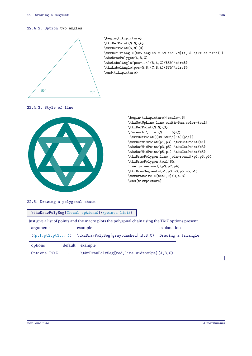## **22.4.2. Option two angles**



## **22.4.3. Style of line**



\begin{tikzpicture}[scale=.6] \tkzSetUpLine[line width=5mm,color=teal] \tkzDefPoint(0,0){0} \foreach \i in  $\{0, \ldots, 5\}\$ \tkzDefPoint({30+60\*\i}:4){p\i}} \tkzDefMidPoint(p1,p3) \tkzGetPoint{m1} \tkzDefMidPoint(p3,p5) \tkzGetPoint{m3} \tkzDefMidPoint(p5,p1) \tkzGetPoint{m5} \tkzDrawPolygon[line join=round](p1,p3,p5) \tkzDrawPolygon[teal!80, line join=round](p0,p2,p4) \tkzDrawSegments(m1,p3 m3,p5 m5,p1) \tkzDrawCircle[teal,R](0,4.8) \end{tikzpicture}

## **22.5. Drawing a polygonal chain**

|              | \tkzDrawPolySeg[)]())                                            |                                                                                                    |
|--------------|------------------------------------------------------------------|----------------------------------------------------------------------------------------------------|
|              |                                                                  | Just give a list of points and the macro plots the polygonal chain using the TikZ options present. |
| arguments    | example                                                          | explanation                                                                                        |
|              | $(\phi t1, pt2, pt3, )$ \tkzDrawPolySeg[gray,dashed] $(A, B, C)$ | Drawing a triangle                                                                                 |
| options      | default<br>example                                               |                                                                                                    |
| Options TikZ |                                                                  | \tkzDrawPolySeg[red,line width=2pt](A,B,C)                                                         |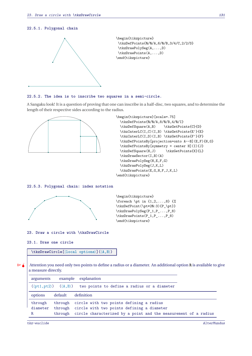#### **22.5.1. Polygonal chain**



#### **22.5.2. The idea is to inscribe two squares in a semi-circle.**

A Sangaku look! It is a question of proving that one can inscribe in a half-disc, two squares, and to determine the length of their respective sides according to the radius.



\begin{tikzpicture}[scale=.75] \tkzDefPoints{0/0/A,8/0/B,4/0/I} \tkzDefSquare(A,B) \tkzGetPoints{C}{D} \tkzInterLC(I,C)(I,B) \tkzGetPoints{E'}{E} \tkzInterLC(I,D)(I,B) \tkzGetPoints{F'}{F} \tkzDefPointsBy[projection=onto A--B](E,F){H,G} \tkzDefPointsBy[symmetry = center H](I){J} \tkzDefSquare(H,J) \tkzGetPoints{K}{L} \tkzDrawSector(I,B)(A) \tkzDrawPolySeg(H,E,F,G) \tkzDrawPolySeg(J,K,L) \tkzDrawPoints(E,G,H,F,J,K,L) \end{tikzpicture}

#### **22.5.3. Polygonal chain: index notation**



\begin{tikzpicture} \foreach \pt in  $\{1,2,\ldots,8\}$   $\{$ \tkzDefPoint(\pt\*20:3){P\_\pt}} \tkzDrawPolySeg(P\_1,P\_...,P\_8) \tkzDrawPoints(P\_1,P\_...,P\_8) \end{tikzpicture}

**23. Draw a circle with \tkzDrawCircle**

## **23.1. Draw one circle**

**\tkzDrawCircle[**⟨**local options**⟩**](**⟨**A,B**⟩**)**

 $\bullet$  Attention you need only two points to define a radius or a diameter. An additional option **R** is available to give a measure directly.

| arguments |                    | example explanation                                                                               |
|-----------|--------------------|---------------------------------------------------------------------------------------------------|
|           |                    | $(\langle pt1, pt2 \rangle)$ $(\langle A, B \rangle)$ two points to define a radius or a diameter |
| options   | default definition |                                                                                                   |
| through   |                    | through circle with two points defining a radius                                                  |
| diameter  |                    | through circle with two points defining a diameter                                                |
| R         |                    | through circle characterized by a point and the measurement of a radius                           |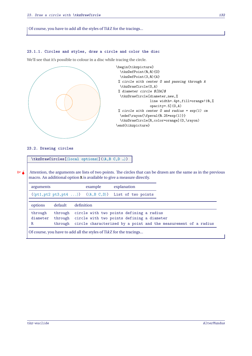Of course, you have to add all the styles of TikZ for the tracings...

#### **23.1.1. Circles and styles, draw a circle and color the disc**

We'll see that it's possible to colour in a disc while tracing the circle.



**23.2. Drawing circles**

**\tkzDrawCircles[**⟨**local options**⟩**](**⟨**A,B C,D …**⟩**)**

 $\binom{m}{k}$  Attention, the arguments are lists of two points. The circles that can be drawn are the same as in the previous macro. An additional option **R** is available to give a measure directly.

| arguments |                                                                                                                                               |            | example                                                                                  | explanation |  |  |  |  |
|-----------|-----------------------------------------------------------------------------------------------------------------------------------------------|------------|------------------------------------------------------------------------------------------|-------------|--|--|--|--|
|           |                                                                                                                                               |            | $(\langle pt1, pt2 pt3, pt4  \rangle)$ $(\langle A, B, C, D \rangle)$ List of two points |             |  |  |  |  |
| options   | default                                                                                                                                       | definition |                                                                                          |             |  |  |  |  |
| through   |                                                                                                                                               |            | through circle with two points defining a radius                                         |             |  |  |  |  |
| diameter  |                                                                                                                                               |            | through circle with two points defining a diameter                                       |             |  |  |  |  |
| R         |                                                                                                                                               |            |                                                                                          |             |  |  |  |  |
|           | through circle characterized by a point and the measurement of a radius<br>Of course, you have to add all the styles of TikZ for the tracings |            |                                                                                          |             |  |  |  |  |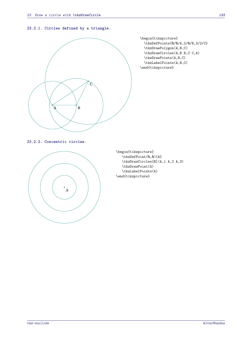### **23.2.1. Circles defined by a triangle.**



\begin{tikzpicture} \tkzDefPoints{0/0/A,2/0/B,3/2/C} \tkzDrawPolygon(A,B,C) \tkzDrawCircles(A,B B,C C,A) \tkzDrawPoints(A,B,C) \tkzLabelPoints(A,B,C) \end{tikzpicture}

**23.2.2. Concentric circles.**



\begin{tikzpicture} \tkzDefPoint(0,0){A} \tkzDrawCircles[R](A,1 A,2 A,3) \tkzDrawPoint(A) \tkzLabelPoints(A) \end{tikzpicture}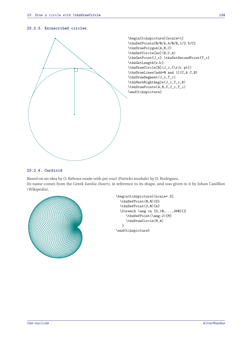## **23.2.3. Exinscribed circles.**



## **23.2.4. Cardioid**

Based on an idea by O. Reboux made with pst-eucl (Pstricks module) by D. Rodriguez. Its name comes from the Greek *kardia (heart)*, in reference to its shape, and was given to it by Johan Castillon (Wikipedia).



```
\begin{tikzpicture}[scale=.5]
  \tkzDefPoint(0,0){0}
  \tkzDefPoint(2,0){A}
  \text{10}, \ldots, 360}{%
     \tkzDefPoint(\ang:2){M}
    \tkzDrawCircle(M,A)
  }
\end{tikzpicture}
```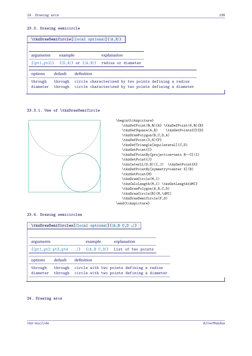## **23.3. Drawing semicircle**

| $\texttt{\texttt{kkzDrawSemicircle}([local options)](\langle A, B \rangle)}$ |                    |                                                                                                                |                    |  |  |  |
|------------------------------------------------------------------------------|--------------------|----------------------------------------------------------------------------------------------------------------|--------------------|--|--|--|
| arguments                                                                    | example            | explanation                                                                                                    |                    |  |  |  |
|                                                                              |                    | $(\langle pt1, pt2 \rangle)$ $(\langle 0, A \rangle)$ or $(\langle A, B \rangle)$                              | radius or diameter |  |  |  |
| options                                                                      | default            | definition                                                                                                     |                    |  |  |  |
| through<br>diameter                                                          | through<br>through | circle characterized by two points defining a radius<br>circle characterized by two points defining a diameter |                    |  |  |  |

## **23.3.1. Use of \tkzDrawSemiCircle**



```
\begin{tikzpicture}
   \tkzDefPoint(0,0){A} \tkzDefPoint(6,0){B}
   \tkzDefSquare(A,B) \tkzGetPoints{C}{D}
   \tkzDrawPolygon(B,C,D,A)
   \tkzDefPoint(3,6){F}
   \tkzDefTriangle[equilateral](C,D)
   \tkzGetPoint{I}
   \tkzDefPointBy[projection=onto B--C](I)
   \tkzGetPoint{J}
   \tkzInterLL(D,B)(I,J) \tkzGetPoint{K}
   \tkzDefPointBy[symmetry=center K](B)
   \tkzGetPoint{M}
   \tkzDrawCircle(M,I)
   \tkzCalcLength(M,I) \tkzGetLength{dMI}
   \tkzDrawPolygon(A,B,C,D)
   \tkzDrawCircle[R](M,\dMI)
   \tkzDrawSemiCircle(F,D)
\end{tikzpicture}
```
## **23.4. Drawing semicircles**

| $\texttt{\texttt{kkzDrawSemicircles}([local options)](\langle A, B, C, D \dots \rangle)}$ |                                                                                          |            |         |  |                                                                                        |  |  |  |  |
|-------------------------------------------------------------------------------------------|------------------------------------------------------------------------------------------|------------|---------|--|----------------------------------------------------------------------------------------|--|--|--|--|
|                                                                                           |                                                                                          |            |         |  |                                                                                        |  |  |  |  |
| arguments                                                                                 |                                                                                          |            | example |  | explanation                                                                            |  |  |  |  |
|                                                                                           | $(\langle pt1, pt2 pt3, pt4  \rangle)$ $(\langle A, B, C, D \rangle)$ List of two points |            |         |  |                                                                                        |  |  |  |  |
| options                                                                                   | default                                                                                  | definition |         |  |                                                                                        |  |  |  |  |
| through<br>diameter                                                                       | through<br>through                                                                       |            |         |  | circle with two points defining a radius<br>circle with two points defining a diameter |  |  |  |  |
|                                                                                           |                                                                                          |            |         |  |                                                                                        |  |  |  |  |

## **24. Drawing arcs**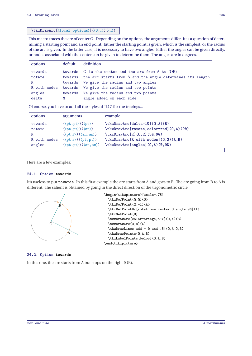## **\tkzDrawArc[**⟨**local options**⟩**](**⟨**O,…**⟩**)(**⟨**…**⟩**)**

This macro traces the arc of center <sup>O</sup>. Depending on the options, the arguments differ. It is a question of determining a starting point and an end point. Either the starting point is given, which is the simplest, or the radius of the arc is given. In the latter case, it is necessary to have two angles. Either the angles can be given directly, or nodes associated with the center can be given to determine them. The angles are in degrees.

| options                                                            | default   | definition                                                        |  |  |  |
|--------------------------------------------------------------------|-----------|-------------------------------------------------------------------|--|--|--|
| towards                                                            |           | towards O is the center and the arc from A to (OB)                |  |  |  |
| rotate                                                             |           | towards the arc starts from A and the angle determines its length |  |  |  |
| R                                                                  | towards   | We give the radius and two angles                                 |  |  |  |
| R with nodes                                                       | towards   | We give the radius and two points                                 |  |  |  |
| angles                                                             | towards   | We give the radius and two points                                 |  |  |  |
| delta                                                              | Ø         | angle added on each side                                          |  |  |  |
| Of course, you have to add all the styles of TikZ for the tracings |           |                                                                   |  |  |  |
| options                                                            | arguments | example                                                           |  |  |  |

| towards      | $(\langle pt, pt \rangle) (\langle pt \rangle)$     | \tkzDrawArc[delta=10](0,A)(B)               |
|--------------|-----------------------------------------------------|---------------------------------------------|
| rotate       | $(\langle pt, pt \rangle)(\langle an \rangle)$      | \tkzDrawArc[rotate,color=red](0,A)(90)      |
| R.           | $(\langle pt, r \rangle)(\langle an, an \rangle)$   | \tkzDrawArc[R](0,2)(30,90)                  |
| R with nodes | $(\langle pt, r \rangle) (\langle pt, pt \rangle)$  | $\text{tkzDrawArc}[R with nodes](0,2)(A,B)$ |
| angles       | $(\langle pt, pt \rangle) (\langle an, an \rangle)$ | $\text{tkzDrawArc[angles](0,A)(\&,9\&)}$    |

Here are a few examples:

#### **24.1. Option towards**

It's useless to put **towards**. In this first example the arc starts from <sup>A</sup> and goes to <sup>B</sup>. The arc going from <sup>B</sup> to <sup>A</sup> is different. The salient is obtained by going in the direct direction of the trigonometric circle.



#### **24.2. Option towards**

In this one, the arc starts from A but stops on the right (OB).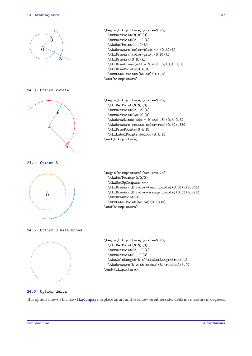

**24.6. Option delta**

This option allows a bit like **\tkzCompass** to place an arc and overflow on either side. delta is ameasure in degrees.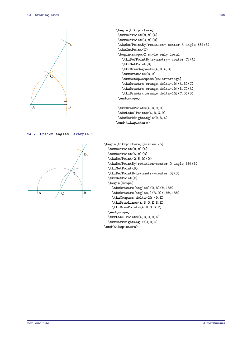

\begin{tikzpicture} \tkzDefPoint(0,0){A} \tkzDefPoint(3,0){B} \tkzDefPointBy[rotation= center A angle 60](B) \tkzGetPoint{C} \begin{scope}% style only local \tkzDefPointBy[symmetry= center C](A) \tkzGetPoint{D} \tkzDrawSegments(A,B A,D) \tkzDrawLine(B,D) \tkzSetUpCompass[color=orange] \tkzDrawArc[orange,delta=10](A,B)(C) \tkzDrawArc[orange,delta=10](B,C)(A) \tkzDrawArc[orange,delta=10](C,D)(D) \end{scope} \tkzDrawPoints(A,B,C,D) \tkzLabelPoints(A,B,C,D)

**24.7. Option angles: example 1**



```
\begin{tikzpicture}[scale=.75]
  \tkzDefPoint(0,0){A}
  \tkzDefPoint(5,0){B}
  \tkzDefPoint(2.5,0){O}
  \tkzDefPointBy[rotation=center O angle 60](B)
  \tkzGetPoint{D}
  \tkzDefPointBy[symmetry=center D](O)
  \tkzGetPoint{E}
  \begin{scope}
    \tkzDrawArc[angles](O,B)(0,180)
    \tkzDrawArc[angles,](B,O)(100,180)
    \tkzCompass[delta=20](D,E)
    \tkzDrawLines(A,B O,E B,E)
    \tkzDrawPoints(A,B,O,D,E)
  \end{scope}
  \tkzLabelPoints(A,B,O,D,E)
  \tkzMarkRightAngle(O,B,E)
\end{tikzpicture}
```
\tkzMarkRightAngle(D,B,A)

\end{tikzpicture}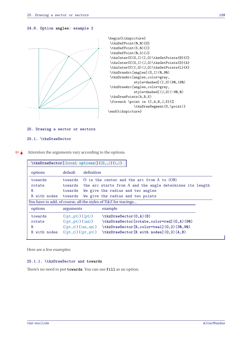## **24.8. Option angles: example 2**



```
\begin{tikzpicture}
\tkzDefPoint(0,0){0}
\tkzDefPoint(5,0){I}
\tkzDefPoint(0,5){J}
\tkzInterCC(0,I)(I,0)\tkzGetPoints{B}{C}
\tkzInterCC(O,I)(J,O)\tkzGetPoints{D}{A}
\tkzInterCC(I,0)(J,0)\tkzGetPoints{L}{K}
\tkzDrawArc[angles](O,I)(0,90)
 \tkzDrawArc[angles,color=gray,
             style=dashed](I,O)(90,180)
 \tkzDrawArc[angles,color=gray,
             style=dashed](J,O)(-90,0)
\tkzDrawPoints(A,B,K)
\foreach \point in {I,A,B,J,K}{%
             \tkzDrawSegment(O,\point)}
\end{tikzpicture}
```
#### **25. Drawing a sector or sectors**

#### **25.1. \tkzDrawSector**

 $\bullet$  Attention the arguments vary according to the options.

| $\texttt{\texttt{\char'136}t}(\langle \texttt{0}, \ldots \rangle)$ ( $\langle \ldots \rangle$ ) ( $\langle \ldots \rangle$ ) |                                                                                                                                                                                                                |                                                                                                                                                                                       |  |  |  |  |
|------------------------------------------------------------------------------------------------------------------------------|----------------------------------------------------------------------------------------------------------------------------------------------------------------------------------------------------------------|---------------------------------------------------------------------------------------------------------------------------------------------------------------------------------------|--|--|--|--|
| options                                                                                                                      | default                                                                                                                                                                                                        | definition                                                                                                                                                                            |  |  |  |  |
| towards<br>rotate<br>R.<br>R with nodes                                                                                      | towards<br>towards<br>towards<br>towards                                                                                                                                                                       | O is the center and the arc from $A$ to $(OB)$<br>the arc starts from A and the angle determines its length<br>We give the radius and two angles<br>We give the radius and two points |  |  |  |  |
|                                                                                                                              | You have to add, of course, all the styles of TikZ for tracings                                                                                                                                                |                                                                                                                                                                                       |  |  |  |  |
| options                                                                                                                      | arguments                                                                                                                                                                                                      | example                                                                                                                                                                               |  |  |  |  |
| towards<br>rotate<br>R.<br>R with nodes                                                                                      | $(\langle pt, pt \rangle) (\langle pt \rangle)$<br>$(\langle pt, pt \rangle) (\langle an \rangle)$<br>$(\langle pt, r \rangle) (\langle an, an \rangle)$<br>$(\langle pt, r \rangle) (\langle pt, pt \rangle)$ | \tkzDrawSector(0,A)(B)<br>\tkzDrawSector[rotate,color=red](0,A)(90)<br>\tkzDrawSector[R,color=teal](0,2)(30,90)<br>\tkzDrawSector[R with nodes] (0,2)(A,B)                            |  |  |  |  |

Here are a few examples:

## **25.1.1. \tkzDrawSector and towards**

There's no need to put **towards**. You can use **fill** as an option.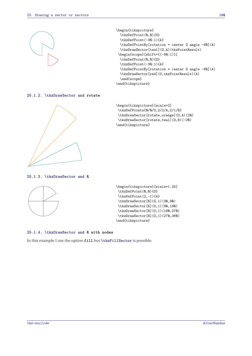

```
\begin{tikzpicture}
  \tkzDefPoint(0,0){0}
  \tkzDefPoint(-30:1){A}
 \tkzDefPointBy[rotation = center O angle -60](A)
  \tkzDrawSector[teal](O,A)(tkzPointResult)
 \begin{scope}[shift={(-60:1)}]
  \tkzDefPoint(0,0){0}
  \tkzDefPoint(-30:1){A}
 \tkzDefPointBy[rotation = center O angle -60](A)
 \tkzDrawSector[red](O,tkzPointResult)(A)
  \end{scope}
\end{tikzpicture}
```
**25.1.2. \tkzDrawSector and rotate**



\begin{tikzpicture}[scale=2] \tkzDefPoints{0/0/O,2/2/A,2/1/B} \tkzDrawSector[rotate,orange](O,A)(20) \tkzDrawSector[rotate,teal](O,B)(-20) \end{tikzpicture}

**25.1.3. \tkzDrawSector and R**



\begin{tikzpicture}[scale=1.25] \tkzDefPoint(0,0){0} \tkzDefPoint(2,-1){A} \tkzDrawSector[R](0,1)(30,90) \tkzDrawSector[R](0,1)(90,180) \tkzDrawSector[R](0,1)(180,270) \tkzDrawSector[R](0,1)(270,360) \end{tikzpicture}

**25.1.4. \tkzDrawSector and R with nodes**

In this example I use the option **fill** but **\tkzFillSector** is possible.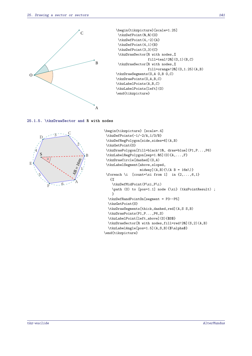

```
\begin{tikzpicture}[scale=1.25]
\tkzDefPoint(0,0){0}
\tkzDefPoint(4,-2){A}
\tkzDefPoint(4,1){B}
\tkzDefPoint(3,3){C}
\tkzDrawSector[R with nodes,%
                fill=teal!20](0,1)(B,C)\tkzDrawSector[R with nodes,%
                fill=orange!20](O,1.25)(A,B)
\tkzDrawSegments(O,A O,B O,C)
\tkzDrawPoints(O,A,B,C)
\tkzLabelPoints(A,B,C)
\tkzLabelPoints[left](O)
\end{tikzpicture}
```

```
25.1.5. \tkzDrawSector and R with nodes
```


```
\begin{tikzpicture} [scale=.4]
 \tkzDefPoints{-1/-2/A,1/3/B}
 \tkzDefRegPolygon[side,sides=6](A,B)
 \tkzGetPoint{O}
 \tkzDrawPolygon[fill=black!10, draw=blue](P1,P...,P6)
 \tkzLabelRegPolygon[sep=1.05](O){A,...,F}
 \tkzDrawCircle[dashed](O,A)
 \tkzLabelSegment[above,sloped,
                  midway](A,B){\{\langle A \ B = 16m \rangle\}}\foreach \i [count=\xi from 1] in \{2,\ldots,6,1\}{%
    \tkzDefMidPoint(P\xi,P\i)
    \path (O) to [pos=1.1] node {\xi} (tkzPointResult) ;
    }
  \tkzDefRandPointOn[segment = P3--P5]
  \tkzGetPoint{S}
  \tkzDrawSegments[thick,dashed,red](A,S S,B)
  \tkzDrawPoints(P1,P...,P6,S)
  \tkzLabelPoint[left,above](S){$S$}
  \tkzDrawSector[R with nodes,fill=red!20](S,2)(A,B)
  \tkzLabelAngle[pos=1.5](A,S,B){$\alpha$}
\end{tikzpicture}
```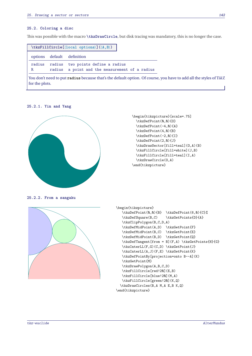#### **25.2. Coloring a disc**

This was possible with the macro **\tkzDrawCircle**, but disk tracing was mandatory, this is no longer the case.

|        | $\texttt{\texttt{tkzFillCircle}}(\texttt{local options}) (\langle A, B \rangle)$                                  |  |
|--------|-------------------------------------------------------------------------------------------------------------------|--|
|        | options default definition                                                                                        |  |
| radius | radius two points define a radius                                                                                 |  |
| R      | radius a point and the measurement of a radius                                                                    |  |
|        | You don't need to put radius because that's the default option. Of course, you have to add all the styles of TikZ |  |

**25.2.1. Yin and Yang**

for the plots.



```
\begin{tikzpicture}[scale=.75]
  \tkzDefPoint(0,0){O}
 \tkzDefPoint(-4,0){A}
 \tkzDefPoint(4,0){B}
 \tkzDefPoint(-2,0){I}
 \tkzDefPoint(2,0){J}
 \tkzDrawSector[fill=teal](O,A)(B)
 \tkzFillCircle[fill=white](J,B)
 \tkzFillCircle[fill=teal](I,A)
 \tkzDrawCircle(O,A)
\end{tikzpicture}
```
**25.2.2. From a sangaku**



```
\begin{tikzpicture}
   \tkzDefPoint(0,0){B} \tkzDefPoint(6,0){C}%
   \tkzDefSquare(B,C) \tkzGetPoints{D}{A}
   \tkzClipPolygon(B,C,D,A)
   \tkzDefMidPoint(A,D) \tkzGetPoint{F}
   \tkzDefMidPoint(B,C) \tkzGetPoint{E}
   \tkzDefMidPoint(B,D) \tkzGetPoint{Q}
   \tkzDefTangent[from = B](F,A) \tkzGetPoints{H}{G}
   \tkzInterLL(F,G)(C,D) \tkzGetPoint{J}
   \tkzInterLL(A,J)(F,E) \tkzGetPoint{K}
   \tkzDefPointBy[projection=onto B--A](K)
   \tkzGetPoint{M}
   \tkzDrawPolygon(A,B,C,D)
   \tkzFillCircle[red!20](E,B)
   \tkzFillCircle[blue!20](M,A)
   \tkzFillCircle[green!20](K,Q)
  \tkzDrawCircles(B,A M,A E,B K,Q)
\end{tikzpicture}
```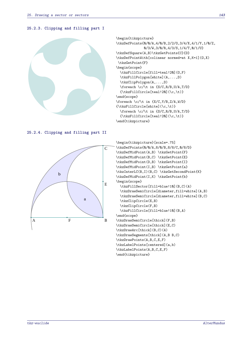## **25.2.3. Clipping and filling part I**



```
\begin{tikzpicture}
\tkzDefPoints{0/0/A,4/0/B,2/2/O,3/4/X,4/1/Y,1/0/Z,
              0/3/W,3/0/R,4/3/S,1/4/T,0/1/U}
\tkzDefSquare(A,B)\tkzGetPoints{C}{D}
\tkzDefPointWith[colinear normed=at X,K=1](O,X)
 \tkzGetPoint{F}
\begin{scope}
  \tkzFillCircle[fill=teal!20](O,F)
  \tkzFillPolygon[white](A,...,D)
  \tkzClipPolygon(A,...,D)
  \text{for each } \c/\t in \{S/C,R/B,U/A,T/D\}{\text{tkzFillCircle}[teal!20](\c,\t) }\end{scope}
\foreach \c/\t in {X/C,Y/B,Z/A,W/D}
{\tkzFillCircle[white](\c,\t)}
  \foreach \c/\t in {S/C,R/B,U/A,T/D}
  {\text{tkzFillCircle}[teal!20](\c,\t) }\end{tikzpicture}
```
**25.2.4. Clipping and filling part II**



```
\begin{tikzpicture}[scale=.75]
\tkzDefPoints{0/0/A,8/0/B,8/8/C,0/8/D}
\tkzDefMidPoint(A,B) \tkzGetPoint{F}
\tkzDefMidPoint(B,C) \tkzGetPoint{E}
\tkzDefMidPoint(D,B) \tkzGetPoint{I}
\tkzDefMidPoint(I,B) \tkzGetPoint{a}
\tkzInterLC(B,I)(B,C) \tkzGetSecondPoint{K}
\tkzDefMidPoint(I,K) \tkzGetPoint{b}
\begin{scope}
  \tkzFillSector[fill=blue!10](B,C)(A)
 \tkzDrawSemiCircle[diameter,fill=white](A,B)
  \tkzDrawSemiCircle[diameter,fill=white](B,C)
  \tkzClipCircle(E,B)
  \tkzClipCircle(F,B)
  \tkzFillCircle[fill=blue!10](B,A)
\end{scope}
\tkzDrawSemiCircle[thick](F,B)
\tkzDrawSemiCircle[thick](E,C)
\tkzDrawArc[thick](B,C)(A)
\tkzDrawSegments[thick](A,B B,C)
\tkzDrawPoints(A,B,C,E,F)
\tkzLabelPoints[centered](a,b)
\tkzLabelPoints(A,B,C,E,F)
\end{tikzpicture}
```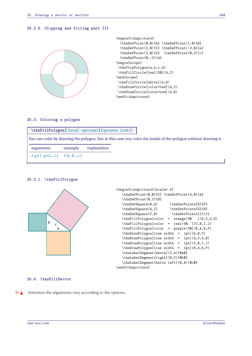## **25.2.5. Clipping and filling part III**



```
\begin{tikzpicture}
  \tkzDefPoint(0,0){A} \tkzDefPoint(1,0){B}
  \tkzDefPoint(2,0){C} \tkzDefPoint(-3,0){a}
  \tkzDefPoint(3,0){b} \tkzDefPoint(0,3){c}
  \tkzDefPoint(0,-3){d}
\begin{scope}
\tkzClipPolygon(a,b,c,d)
\tkzFillCircle[teal!20](A,C)
\end{scope}
\tkzFillCircle[white](A,B)
\tkzDrawCircle[color=red](A,C)
\tkzDrawCircle[color=red](A,B)
\end{tikzpicture}
```
### **25.3. Coloring a polygon**

|                                                         | \tkzFillPolygon[\local options\](\points list\)                                                                |             |  |  |  |  |  |
|---------------------------------------------------------|----------------------------------------------------------------------------------------------------------------|-------------|--|--|--|--|--|
|                                                         | You can color by drawing the polygon, but in this case you color the inside of the polygon without drawing it. |             |  |  |  |  |  |
| arguments                                               | example                                                                                                        | explanation |  |  |  |  |  |
| $(\langle pt1, pt2, \rangle)$ $(\langle A, B, \rangle)$ |                                                                                                                |             |  |  |  |  |  |

#### **25.3.1. \tkzFillPolygon**



```
\begin{tikzpicture}[scale=.5]
  \tkzDefPoint(0,0){C} \tkzDefPoint(4,0){A}
  \tkzDefPoint(0,3){B}
  \tkzDefSquare(B,A) \tkzGetPoints{E}{F}
  \tkzDefSquare(A,C) \tkzGetPoints{G}{H}
  \tkzDefSquare(C,B) \tkzGetPoints{I}{J}
  \tkzFillPolygon[color = orange!30 ](A,C,G,H)
  \tkzFillPolygon[color = teal!40 ](C,B,I,J)
  \tkzFillPolygon[color = purple!20](B,A,E,F)
  \tkzDrawPolygon[line width = 1pt](A,B,C)
  \tkzDrawPolygon[line width = 1pt](A,C,G,H)
  \tkzDrawPolygon[line width = 1pt](C,B,I,J)
  \tkzDrawPolygon[line width = 1pt](B,A,E,F)
  \tkzLabelSegment[above](C,A){$a$}
  \tkzLabelSegment[right](B,C){$b$}
  \tkzLabelSegment[below left](B,A){$c$}
\end{tikzpicture}
```
## **25.4. \tkzFillSector**

 $\bullet$  Attention the arguments vary according to the options.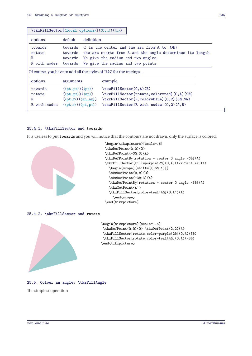|                                                                    | $\texttt{\texttt{tkzFillSection}}(\langle \texttt{local options} \rangle) (\langle \texttt{m}, \texttt{m} \rangle)$ |                                                           |  |  |
|--------------------------------------------------------------------|---------------------------------------------------------------------------------------------------------------------|-----------------------------------------------------------|--|--|
| options                                                            | default                                                                                                             | definition                                                |  |  |
| towards                                                            | towards                                                                                                             | O is the center and the arc from $A$ to $(OB)$            |  |  |
| rotate                                                             | towards                                                                                                             | the arc starts from A and the angle determines its length |  |  |
| R.                                                                 | towards                                                                                                             | We give the radius and two angles                         |  |  |
| R with nodes                                                       | towards                                                                                                             | We give the radius and two points                         |  |  |
| Of course, you have to add all the styles of TikZ for the tracings |                                                                                                                     |                                                           |  |  |
| options                                                            | arguments                                                                                                           | example                                                   |  |  |
| towards                                                            | $(\langle pt, pt \rangle) (\langle pt \rangle)$                                                                     | $\text{tkzFillSection}(0, A)$ (B)                         |  |  |
| rotate                                                             | $(\langle pt, pt \rangle) (\langle an \rangle)$                                                                     | \tkzFillSector[rotate,color=red](0,A)(90)                 |  |  |
| R.                                                                 | $(\langle pt, r \rangle) (\langle an, an \rangle)$                                                                  | \tkzFillSector[R,color=blue](0,2)(30,90)                  |  |  |
| R with nodes                                                       | $(\langle pt, r \rangle) (\langle pt, pt \rangle)$                                                                  | \tkzFillSector[R with nodes](0,2)(A,B)                    |  |  |

## **25.4.1. \tkzFillSector and towards**

It is useless to put **towards** and you will notice that the contours are not drawn, only the surface is colored.



```
\begin{tikzpicture}[scale=.6]
\tkzDefPoint(0.0){O}
\tkzDefPoint(-30:3){A}
\tkzDefPointBy[rotation = center O angle -60](A)
\tkzFillSector[fill=purple!20](O,A)(tkzPointResult)
  \begin{scope}[shift={(-60:1)}]
  \tkzDefPoint(0,0){O}
  \tkzDefPoint(-30:3){A}
  \tkzDefPointBy[rotation = center O angle -60](A)
  \tkzGetPoint{A'}
 \tkzFillSector[color=teal!40](O,A')(A)
    \end{scope}
\end{tikzpicture}
```
**25.4.2. \tkzFillSector and rotate**



```
\begin{tikzpicture}[scale=1.5]
\tkzDefPoint(0,0){0} \tkzDefPoint(2,2){A}
\tkzFillSector[rotate,color=purple!20](O,A)(30)
\tkzFillSector[rotate,color=teal!40](O,A)(-30)
\end{tikzpicture}
```
#### **25.5. Colour an angle: \tkzFillAngle**

The simplest operation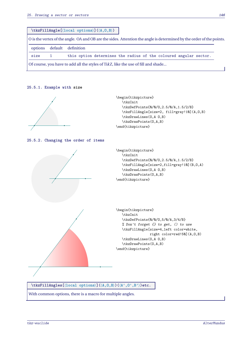|                                                                                                                      |  | $\texttt{kzFillAngle}(\texttt{local options}) (\langle A, 0, B \rangle)$          |  |  |  |
|----------------------------------------------------------------------------------------------------------------------|--|-----------------------------------------------------------------------------------|--|--|--|
| O is the vertex of the angle. OA and OB are the sides. Attention the angle is determined by the order of the points. |  |                                                                                   |  |  |  |
| options                                                                                                              |  | default definition                                                                |  |  |  |
| size                                                                                                                 |  | this option determines the radius of the coloured angular sector.                 |  |  |  |
|                                                                                                                      |  | Of course, you have to add all the styles of TikZ, like the use of fill and shade |  |  |  |

## **25.5.1. Example with size**

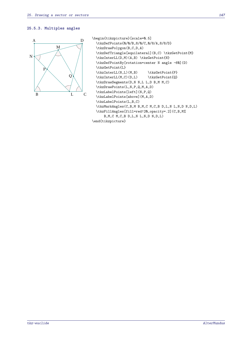#### **25.5.3. Multiples angles**



```
\begin{tikzpicture}[scale=0.5]
  \tkzDefPoints{0/0/B,8/0/C,0/8/A,8/8/D}
  \tkzDrawPolygon(B,C,D,A)
  \tkzDefTriangle[equilateral](B,C) \tkzGetPoint{M}
  \tkzInterLL(D,M)(A,B) \tkzGetPoint{N}
  \tkzDefPointBy[rotation=center N angle -60](D)
  \tkzGetPoint{L}
  \tkzInterLL(N,L)(M,B) \tkzGetPoint{P}
  \tkzInterLL(M,C)(D,L) \tkzGetPoint{Q}
  \tkzDrawSegments(D,N N,L L,D B,M M,C)
  \tkzDrawPoints(L,N,P,Q,M,A,D)
  \tkzLabelPoints[left](N,P,Q)
  \tkzLabelPoints[above](M,A,D)
  \tkzLabelPoints(L,B,C)
  \tkzMarkAngles(C,B,M B,M,C M,C,B D,L,N L,N,D N,D,L)
  \tkzFillAngles[fill=red!20,opacity=.2](C,B,M%
      B,M,C M,C,B D,L,N L,N,D N,D,L)
\end{tikzpicture}
```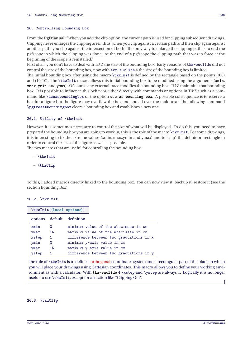#### **26. Controlling Bounding Box**

From the **PgfManual** :"When you add the clip option, the current path is used for clipping subsequent drawings. Clipping never enlarges the clipping area. Thus, when you clip against a certain path and then clip again against another path, you clip against the intersection of both. The only way to enlarge the clipping path is to end the pgfscope in which the clipping was done. At the end of a pgfscope the clipping path that was in force at the beginning of the scope is reinstalled."

First of all, you don't have to deal with TikZ the size of the bounding box. Early versions of tkz-euclide did not control the size of the bounding box, now with  $tkz$ -euclide 4 the size of the bounding box is limited.

The initial bounding box after using the macro **\tkzInit** is defined by the rectangle based on the points (0,0) and (10,10). The **\tkzInit** macro allows this initial bounding box to be modified using the arguments (**xmin**, **xmax**, **ymin**, and **ymax**). Of course any external trace modifies the bounding box. TikZ maintains that bounding box. It is possible to influence this behavior either directly with commands or options in TikZ such as a command like **\useasboundingbox** or the option **use as bounding box**. A possible consequence is to reserve a box for a figure but the figure may overflow the box and spread over the main text. The following command **\pgfresetboundingbox** clears a bounding box and establishes a new one.

#### **26.1. Utility of \tkzInit**

However, it is sometimes necessary to control the size of what will be displayed. To do this, you need to have prepared the bounding box you are going to work in, this is the role of the macro **\tkzInit**. For some drawings, it is interesting to fix the extreme values (xmin,xmax,ymin and ymax) and to "clip" the definition rectangle in order to control the size of the figure as well as possible.

The two macros that are useful for controlling the bounding box:

- **\tkzInit**
- **\tkzClip**

To this, I added macros directly linked to the bounding box. You can now view it, backup it, restore it (see the section Bounding Box).

#### **26.2. \tkzInit**

| \tkzInit[<br>(local options>)] |              |                                         |
|--------------------------------|--------------|-----------------------------------------|
|                                |              | options default definition              |
| xmin                           | Ø            | minimum value of the abscissae in cm    |
| xmax                           | 10           | maximum value of the abscissae in cm    |
| xstep                          | $\mathbf{1}$ | difference between two graduations in X |
| ymin                           | Ø            | minimum y-axis value in cm              |
| ymax                           | 10           | maximum y-axis value in cm              |
| ystep                          | 1            | difference between two graduations in y |

The role of **\tkzInit** is to define a orthogonal coordinates system and a rectangular part of the plane in which you will place your drawings using Cartesian coordinates. This macro allows you to define your working environment as with a calculator. With **tkz-euclide** 4 **\xstep** and **\ystep** are always 1. Logically it is no longer useful to use **\tkzInit**, except for an action like "Clipping Out".

#### **26.3. \tkzClip**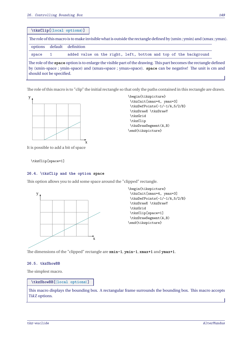**\tkzClip[**⟨**local options**⟩**]**

The role of thismacro is tomake invisible what is outside the rectangle defined by (xmin ; ymin) and (xmax ; ymax). options default definition space 1 added value on the right, left, bottom and top of the background The role of the **space** option is to enlarge the visible part of the drawing. This part becomes the rectangle defined by (xmin-space ; ymin-space) and (xmax+space ; ymax+space). **space** can be negative! The unit is cm and should not be specified.

The role of this macro is to "clip" the initial rectangle so that only the paths contained in this rectangle are drawn.



\tkzInit[xmax=4, ymax=3] \tkzDefPoints{-1/-1/A,5/2/B} \tkzDrawX \tkzDrawY \tkzGrid \tkzClip \tkzDrawSegment(A,B) \end{tikzpicture}

It is possible to add a bit of space

\tkzClip[space=1]

## **26.4. \tkzClip and the option space**

This option allows you to add some space around the "clipped" rectangle.



The dimensions of the "clipped" rectangle are **xmin-1**, **ymin-1**, **xmax+1** and **ymax+1**.

## **26.5. tkzShowBB**

The simplest macro.

**\tkzShowBB[**⟨**local options**⟩**]**

This macro displays the bounding box. A rectangular frame surrounds the bounding box. This macro accepts TikZ options.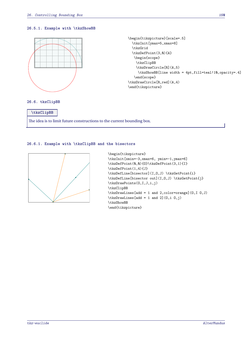## **26.5.1. Example with \tkzShowBB**



```
\begin{tikzpicture}[scale=.5]
  \tkzInit[ymax=5,xmax=8]
  \tkzGrid
  \tkzDefPoint(3,0){A}
  \begin{scope}
    \tkzClipBB
    \tkzDrawCircle[R](A,5)
     \tkzShowBB[line width = 4pt,fill=teal!10,opacity=.4]
   \end{scope}
\tkzDrawCircle[R,red](A,4)
\end{tikzpicture}
```
#### **26.6. tkzClipBB**

**\tkzClipBB** The idea is to limit future constructions to the current bounding box.

## **26.6.1. Example with \tkzClipBB and the bisectors**



```
\begin{tikzpicture}
\tkzInit[xmin=-3,xmax=6, ymin=-1,ymax=6]
\tkzDefPoint(0,0){O}\tkzDefPoint(3,1){I}
\tkzDefPoint(1,4){J}
\tkzDefLine[bisector](I,O,J) \tkzGetPoint{i}
\tkzDefLine[bisector out](I,O,J) \tkzGetPoint{j}
\tkzDrawPoints(O,I,J,i,j)
\tkzClipBB
\tkzDrawLines[add = 1 and 2,color=orange](O,I O,J)
\text{tkzDrawLines}[add = 1 and 2](0, i 0, j)\tkzShowBB
\end{tikzpicture}
```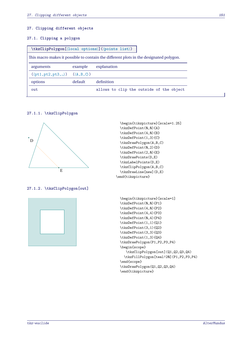## **27. Clipping different objects**

## **27.1. Clipping a polygon**

| \tkzClipPolygon[\local options\](\points list\)                                        |         |                                          |
|----------------------------------------------------------------------------------------|---------|------------------------------------------|
| This macro makes it possible to contain the different plots in the designated polygon. |         |                                          |
| arguments                                                                              | example | explanation                              |
| $(\langle pt1, pt2, pt3, \ldots \rangle)$ $(\langle A, B, C \rangle)$                  |         |                                          |
| options                                                                                | default | definition                               |
| out                                                                                    |         | allows to clip the outside of the object |

## **27.1.1. \tkzClipPolygon**



## **27.1.2. \tkzClipPolygon[out]**



| \begin{tikzpicture}[scale=1.25] |
|---------------------------------|
| \tkzDefPoint(0,0){A}            |
| \tkzDefPoint(4,0){B}            |
| \tkzDefPoint(1,3){C}            |
| \tkzDrawPolygon(A,B,C)          |
| \tkzDefPoint(0,2){D}            |
| \tkzDefPoint(2,0){E}            |
| \tkzDrawPoints(D,E)             |
| \tkzLabelPoints(D.E)            |
| \tkzClipPolygon(A,B,C)          |
| \tkzDrawLine[new](D,E)          |
| \end{tikzpicture}               |
|                                 |

```
\begin{tikzpicture}[scale=1]
\tkzDefPoint(0,0){P1}
\tkzDefPoint(4,0){P2}
\tkzDefPoint(4,4){P3}
\tkzDefPoint(0,4){P4}
\tkzDefPoint(1,1){Q1}
\tkzDefPoint(3,1){Q2}
\tkzDefPoint(3,3){Q3}
\tkzDefPoint(1,3){Q4}
\tkzDrawPolygon(P1,P2,P3,P4)
\begin{scope}
  \tkzClipPolygon[out](Q1,Q2,Q3,Q4)
  \tkzFillPolygon[teal!20](P1,P2,P3,P4)
\end{scope}
\tkzDrawPolygon(Q1,Q2,Q3,Q4)
\end{tikzpicture}
```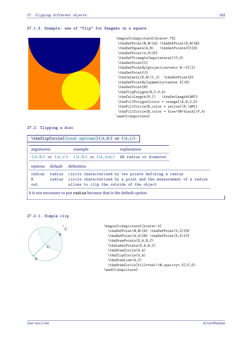## **27.1.3. Example: use of "Clip" for Sangaku in a square**



```
\begin{tikzpicture}[scale=.75]
\tkzDefPoint(0,0){A} \tkzDefPoint(8,0){B}
\tkzDefSquare(A,B) \tkzGetPoints{C}{D}
\tkzDefPoint(4,8){F}
\tkzDefTriangle[equilateral](C,D)
\tkzGetPoint{I}
\tkzDefPointBy[projection=onto B--C](I)
\tkzGetPoint{J}
\tkzInterLL(D,B)(I,J) \tkzGetPoint{K}
\tkzDefPointBy[symmetry=center K](B)
\tkzGetPoint{M}
\tkzClipPolygon(B,C,D,A)
\tkzCalcLength(M,I) \tkzGetLength{dMI}
\tkzFillPolygon[color = orange](A,B,C,D)
\tkzFillCircle[R,color = yellow](M,\dMI)
\tkzFillCircle[R,color = blue!50!black](F,4)
\end{tikzpicture}
```
## **27.2. Clipping a disc**

| $\texttt{\texttt{tkzClipCircle}(\texttt{local options})} (\langle A, B \rangle) \text{ or } (\langle A, r \rangle)$ |            |                                                                                                                                                                            |  |  |
|---------------------------------------------------------------------------------------------------------------------|------------|----------------------------------------------------------------------------------------------------------------------------------------------------------------------------|--|--|
| arguments                                                                                                           | example    | explanation                                                                                                                                                                |  |  |
|                                                                                                                     |            | $(\langle A, B \rangle)$ or $(\langle A, r \rangle)$ $(\langle A, B \rangle)$ or $(\langle A, 2cm \rangle)$ AB radius or diameter                                          |  |  |
| default<br>options                                                                                                  | definition |                                                                                                                                                                            |  |  |
| radius<br>radius<br>R.<br>out                                                                                       |            | circle characterized by two points defining a radius<br>radius circle characterized by a point and the measurement of a radius<br>allows to clip the outside of the object |  |  |

#### **27.2.1. Simple clip**



```
\begin{tikzpicture}[scale=.5]
 \tkzDefPoint(0,0){A} \tkzDefPoint(2,2){O}
 \tkzDefPoint(4,4){B} \tkzDefPoint(5,5){C}
 \tkzDrawPoints(O,A,B,C)
 \tkzLabelPoints(O,A,B,C)
 \tkzDrawCircle(O,A)
 \tkzClipCircle(O,A)
 \tkzDrawLine(A,C)
 \tkzDrawCircle[fill=teal!10,opacity=.5](C,O)
\end{tikzpicture}
```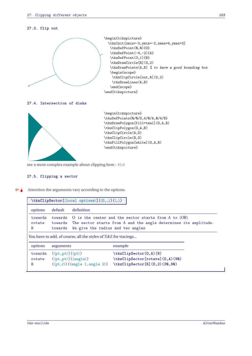## **27.3. Clip out**



## **27.5. Clipping a sector**

 $\bullet$  Attention the arguments vary according to the options.

| $\texttt{\texttt{kkzClipSection}(\texttt{local options})}(\langle 0, \ldots \rangle)(\langle \ldots \rangle)$ |                                                                                                                                                                                             |            |                                                                                            |  |
|---------------------------------------------------------------------------------------------------------------|---------------------------------------------------------------------------------------------------------------------------------------------------------------------------------------------|------------|--------------------------------------------------------------------------------------------|--|
| options                                                                                                       | default                                                                                                                                                                                     | definition |                                                                                            |  |
| towards<br>rotate<br>R                                                                                        | towards<br>O is the center and the sector starts from A to (OB)<br>towards The sector starts from A and the angle determines its amplitude.<br>We give the radius and two angles<br>towards |            |                                                                                            |  |
| You have to add, of course, all the styles of TikZ for tracings                                               |                                                                                                                                                                                             |            |                                                                                            |  |
| options                                                                                                       | arguments                                                                                                                                                                                   |            | example                                                                                    |  |
| towards<br>rotate<br>$\mathbf R$                                                                              | $(\langle pt, pt \rangle) (\langle pt \rangle)$<br>$(\langle pt, pt \rangle) (\langle angle \rangle)$<br>$(\langle pt, r \rangle) (\langle angle 1, angle 2 \rangle)$                       |            | \tkzClipSector(0,A)(B)<br>\tkzClipSector[rotate](0,A)(90)<br>\tkzClipSector[R](0,2)(30,90) |  |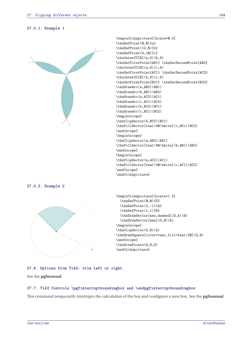



## **27.6. Options from TikZ: trim left or right**

See the **pgfmanual**

#### **27.7. TikZ Controls \pgfinterruptboundingbox and \endpgfinterruptboundingbox**

This command temporarily interrupts the calculation of the box and configures a new box. See the **pgfmanual**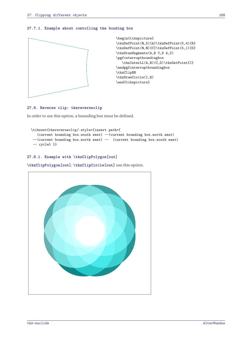## **27.7.1. Example about contolling the bouding box**



#### **27.8. Reverse clip: tkzreverseclip**

In order to use this option, a bounding box must be defined.

```
\tikzset{tkzreverseclip/.style={insert path={
   (current bounding box.south west) --(current bounding box.north west)
 --(current bounding box.north east) -- (current bounding box.south east)
-- cycle} }}
```
## **27.8.1. Example with \tkzClipPolygon[out]**

**\tkzClipPolygon[out]**, **\tkzClipCircle[out]** use this option.

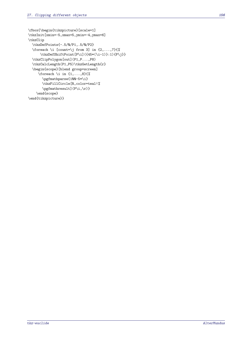```
\fbox{\begin{tikzpicture}[scale=1]
\tkzInit[xmin=-5,xmax=5,ymin=-4,ymax=6]
\tkzClip
  \tkzDefPoints{-.5/0/P1,.5/0/P2}
  \foreach \i [count=\j from 3] in \{2,\ldots,7\}\\tkzDefShiftPoint[P\i]({45*(\i-1)}:1){P\j}}
  \tkzClipPolygon[out](P1,P...,P8)
  \tkzCalcLength(P1,P5)\tkzGetLength{r}
  \begin{scope}[blend group=screen]
     \foreach \i in \{1,\ldots,8\}\\pgfmathparse{100-5*\i}
       \tkzFillCircle[R,color=teal!%
       \pgfmathresult](P\i,\r)}
    \end{scope}
\end{tikzpicture}}
```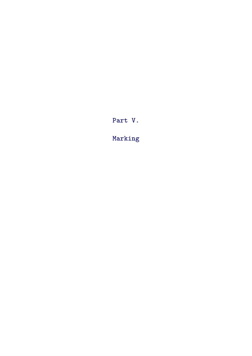**Part V.**

**Marking**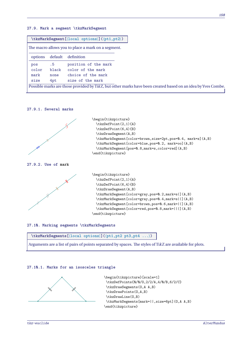## **27.9. Mark a segment \tkzMarkSegment**

| $\texttt{\texttt{kkzMarkSegment}([local options)](\t{pt1,pt2})$ |         |                                                                                                              |  |  |
|-----------------------------------------------------------------|---------|--------------------------------------------------------------------------------------------------------------|--|--|
|                                                                 |         | The macro allows you to place a mark on a segment.                                                           |  |  |
| options                                                         | default | definition                                                                                                   |  |  |
| pos                                                             | .5      | position of the mark                                                                                         |  |  |
| color                                                           | black   | color of the mark                                                                                            |  |  |
| mark                                                            | none    | choice of the mark                                                                                           |  |  |
| size                                                            | 4pt     | size of the mark                                                                                             |  |  |
|                                                                 |         | Possible marks are those provided by TikZ, but other marks have been created based on an idea by Yves Combe. |  |  |

## **27.9.1. Several marks**



## **27.10. Marking segments \tkzMarkSegments**



Arguments are a list of pairs of points separated by spaces. The styles of TikZ are available for plots.

## **27.10.1. Marks for an isosceles triangle**

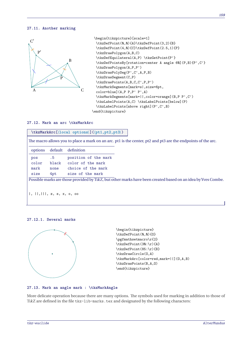#### **27.11. Another marking**



```
\begin{tikzpicture}[scale=1]
 \tkzDefPoint(0,0){A}\tkzDefPoint(3,2){B}
 \tkzDefPoint(4,0){C}\tkzDefPoint(2.5,1){P}
 \tkzDrawPolygon(A,B,C)
 \tkzDefEquilateral(A,P) \tkzGetPoint{P'}
 \tkzDefPointsBy[rotation=center A angle 60](P,B){P',C'}
 \tkzDrawPolygon(A,P,P')
 \tkzDrawPolySeg(P',C',A,P,B)
 \tkzDrawSegment(C,P)
 \tkzDrawPoints(A,B,C,C',P,P')
 \tkzMarkSegments[mark=s|,size=6pt,
 color=blue](A,P P,P' P',A)
 \tkzMarkSegments[mark=||,color=orange](B,P P',C')
 \tkzLabelPoints(A,C) \tkzLabelPoints[below](P)
 \tkzLabelPoints[above right](P',C',B)
\end{tikzpicture}
```
## **27.12. Mark an arc \tkzMarkArc**

| \tkzMarkArc[\local options\](\pt1,pt2,pt3\) |
|---------------------------------------------|
|                                             |

The macro allows you to place a mark on an arc. pt1 is the center, pt2 and pt3 are the endpoints of the arc.

| .5    | position of the mark |                                                                                                              |
|-------|----------------------|--------------------------------------------------------------------------------------------------------------|
| black |                      |                                                                                                              |
| none  | choice of the mark   |                                                                                                              |
| 4pt   |                      |                                                                                                              |
|       |                      | Possible marks are those provided by TikZ, but other marks have been created based on an idea by Yves Combe. |
|       |                      | default definition<br>color of the mark<br>size of the mark                                                  |

|, ||,|||, z, s, x, o, oo

## **27.12.1. Several marks**



## **27.13. Mark an angle mark : \tkzMarkAngle**

More delicate operation because there are many options. The symbols used for marking in addition to those of TikZ are defined in the file tkz-lib-marks.tex and designated by the following characters: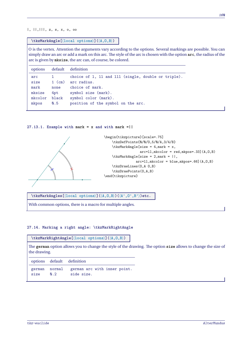## |, ||,|||, z, s, x, o, oo

#### **\tkzMarkAngle[**⟨**local options**⟩**](**⟨**A,O,B**⟩**)**

<sup>O</sup> is the vertex. Attention the arguments vary according to the options. Several markings are possible. You can simply draw an arc or add a mark on this arc. The style of the arc is chosen with the option **arc**, the radius of the arc is given by **mksize**, the arc can, of course, be colored.

| options                                                 |                                | default definition                                                                                                                                                         |
|---------------------------------------------------------|--------------------------------|----------------------------------------------------------------------------------------------------------------------------------------------------------------------------|
| arc<br>size<br>mark<br>mksize<br>mkcolor black<br>mkpos | $1$ (cm)<br>none<br>4pt<br>Q.5 | choice of 1, 11 and 111 (single, double or triple).<br>arc radius.<br>choice of mark.<br>symbol size (mark).<br>symbol color (mark).<br>position of the symbol on the arc. |

## **27.13.1. Example with mark = x and with mark =||**



**\tkzMarkAngles[**⟨**local options**⟩**](**⟨**A,O,B**⟩**)(**⟨**A',O',B'**⟩**)etc.**

With common options, there is a macro for multiple angles.

## **27.14. Marking a right angle: \tkzMarkRightAngle**

## **\tkzMarkRightAngle[**⟨**local options**⟩**](**⟨**A,O,B**⟩**)**

The **german** option allows you to change the style of the drawing. The option **size** allows to change the size of the drawing.

|      |     | options default definition                               |
|------|-----|----------------------------------------------------------|
| size | N.2 | german normal german arc with inner point.<br>side size. |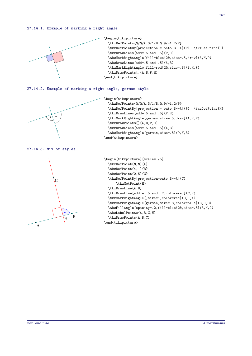## **27.14.1. Example of marking a right angle**



```
\begin{tikzpicture}
  \tkzDefPoints{0/0/A,3/1/B,0.9/-1.2/P}
  \tkzDefPointBy[projection = onto B--A](P) \tkzGetPoint{H}
  \tkzDrawLines[add=.5 and .5](P,H)
  \tkzMarkRightAngle[fill=blue!20,size=.5,draw](A,H,P)
  \tkzDrawLines[add=.5 and .5](A,B)
  \tkzMarkRightAngle[fill=red!20,size=.8](B,H,P)
  \tkzDrawPoints[](A,B,P,H)
\end{tikzpicture}
```
#### **27.14.2. Example of marking a right angle, german style**



```
\begin{tikzpicture}
  \tkzDefPoints{0/0/A,3/1/B,0.9/-1.2/P}
  \tkzDefPointBy[projection = onto B--A](P) \tkzGetPoint{H}
  \tkzDrawLines[add=.5 and .5](P,H)
  \tkzMarkRightAngle[german,size=.5,draw](A,H,P)
  \tkzDrawPoints[](A,B,P,H)
  \tkzDrawLines[add=.5 and .5](A,B)
  \tkzMarkRightAngle[german,size=.8](P,H,B)
\end{tikzpicture}
```
#### **27.14.3. Mix of styles**



```
\begin{tikzpicture}[scale=.75]
  \tkzDefPoint(0,0){A}
  \tkzDefPoint(4,1){B}
 \tkzDefPoint(2,5){C}
 \tkzDefPointBy[projection=onto B--A](C)
      \tkzGetPoint{H}
 \tkzDrawLine(A,B)
  \tkzDrawLine[add = .5 and .2,color=red](C,H)
  \tkzMarkRightAngle[,size=1,color=red](C,H,A)
  \tkzMarkRightAngle[german,size=.8,color=blue](B,H,C)
  \tkzFillAngle[opacity=.2,fill=blue!20,size=.8](B,H,C)
 \tkzLabelPoints(A,B,C,H)
 \tkzDrawPoints(A,B,C)
\end{tikzpicture}
```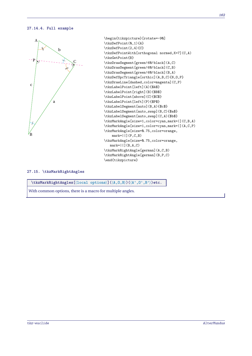## **27.14.4. Full example**



\begin{tikzpicture}[rotate=-90] \tkzDefPoint(0,1){A} \tkzDefPoint(2,4){C} \tkzDefPointWith[orthogonal normed,K=7](C,A) \tkzGetPoint{B} \tkzDrawSegment[green!60!black](A,C) \tkzDrawSegment[green!60!black](C,B) \tkzDrawSegment[green!60!black](B,A) \tkzDefSpcTriangle[orthic](A,B,C){N,O,P} \tkzDrawLine[dashed,color=magenta](C,P) \tkzLabelPoint[left](A){\$A\$} \tkzLabelPoint[right](B){\$B\$} \tkzLabelPoint[above](C){\$C\$} \tkzLabelPoint[left](P){\$P\$} \tkzLabelSegment[auto](B,A){\$c\$} \tkzLabelSegment[auto,swap](B,C){\$a\$} \tkzLabelSegment[auto,swap](C,A){\$b\$} \tkzMarkAngle[size=1,color=cyan,mark=|](C,B,A) \tkzMarkAngle[size=1,color=cyan,mark=|](A,C,P) \tkzMarkAngle[size=0.75,color=orange, mark=||](P,C,B) \tkzMarkAngle[size=0.75,color=orange,  $mark=[|](B,A,C)$ \tkzMarkRightAngle[german](A,C,B) \tkzMarkRightAngle[german](B,P,C) \end{tikzpicture}

## **27.15. \tkzMarkRightAngles**

**\tkzMarkRightAngles[**⟨**local options**⟩**](**⟨**A,O,B**⟩**)(**⟨**A',O',B'**⟩**)etc.**

With common options, there is a macro for multiple angles.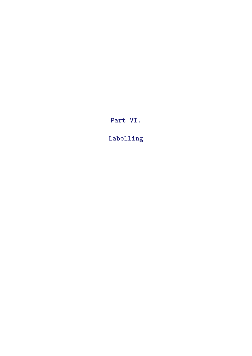**Part VI.**

**Labelling**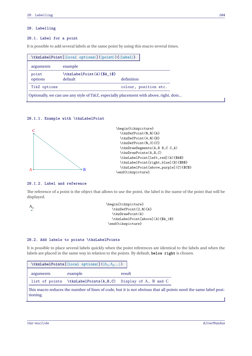## **28. Labelling**

## **28.1. Label for a point**

It is possible to add several labels at the same point by using this macro several times.

|              | \tkzLabelPoint[\{local options\](\\point\){\\fabel\} |                       |
|--------------|------------------------------------------------------|-----------------------|
| arguments    | example                                              |                       |
| point        | \tkzLabelPoint(A){\$A_1\$}                           |                       |
| options      | default                                              | definition            |
| TikZ options |                                                      | colour, position etc. |

## **28.1.1. Example with \tkzLabelPoint**



## **28.1.2. Label and reference**

The reference of a point is the object that allows to use the point, the label is the name of the point that will be displayed.

 $A<sub>1</sub>$ 

```
\begin{tikzpicture}
   \tkzDefPoint(2,0){A}
   \tkzDrawPoint(A)
   \tkzLabelPoint[above](A){$A_1$}
\end{tikzpicture}
```
## **28.2. Add labels to points \tkzLabelPoints**

It is possible to place several labels quickly when the point references are identical to the labels and when the labels are placed in the same way in relation to the points. By default, **below right** is chosen.

| \tkzLabelPoints[ $\langle$ local options $\rangle$ ] $(\langle A_1, A_2, \rangle)$ |                                                             |                                                                                                   |  |  |
|------------------------------------------------------------------------------------|-------------------------------------------------------------|---------------------------------------------------------------------------------------------------|--|--|
| arguments                                                                          | example                                                     | result                                                                                            |  |  |
|                                                                                    | list of points \tkzLabelPoints(A,B,C) Display of A, B and C |                                                                                                   |  |  |
|                                                                                    |                                                             | This macro reduces the number of lines of code $\overline{b}$ but it is not obvious that all poin |  |  |

the number of lines of code, but it is not obvious that all points need the same label positioning.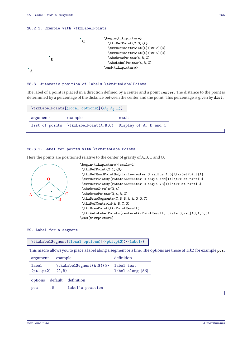## **28.2.1. Example with \tkzLabelPoints**



#### **28.3. Automatic position of labels \tkzAutoLabelPoints**

The label of a point is placed in a direction defined by a center and a point **center**. The distance to the point is determined by a percentage of the distance between the center and the point. This percentage is given by **dist**.

|           | \tkzLabelPoints[ $\langle$ local options $\rangle$ ] $(\langle A_1, A_2, \rangle)$ |                                                                 |
|-----------|------------------------------------------------------------------------------------|-----------------------------------------------------------------|
| arguments | example                                                                            | result                                                          |
|           |                                                                                    | list of points \tkzLabelPoint $(A, B, C)$ Display of A, B and C |

## **28.3.1. Label for points with \tkzAutoLabelPoints**

Here the points are positioned relative to the center of gravity of A, B, C and O.



```
\begin{tikzpicture}[scale=1]
\tkzDefPoint(2,1){0}
 \tkzDefRandPointOn[circle=center O radius 1.5]\tkzGetPoint{A}
\tkzDefPointBy[rotation=center O angle 100](A)\tkzGetPoint{C}
 \tkzDefPointBy[rotation=center O angle 78](A)\tkzGetPoint{B}
 \tkzDrawCircle(0.A)
 \tkzDrawPoints(O,A,B,C)
 \tkzDrawSegments(C,B B,A A,O O,C)
\tkzDefCentroid(A,B,C,O)
 \tkzDrawPoint(tkzPointResult)
 \tkzAutoLabelPoints[center=tkzPointResult, dist=.3,red](O,A,B,C)
\end{tikzpicture}
```
## **29. Label for a segment**

| \tkzLabelSegment[\local options)](\pt1,pt2)){\label}}                                                            |                  |  |
|------------------------------------------------------------------------------------------------------------------|------------------|--|
| This macro allows you to place a label along a segment or a line. The options are those of TikZ for example pos. |                  |  |
| example<br>argument                                                                                              | definition       |  |
| \tkzLabelSegment(A,B){5}<br>label                                                                                | label text       |  |
| (A, B)<br>(pt1, pt2)                                                                                             | label along [AB] |  |
| default<br>definition<br>options                                                                                 |                  |  |
| label's position<br>.5<br>pos                                                                                    |                  |  |
|                                                                                                                  |                  |  |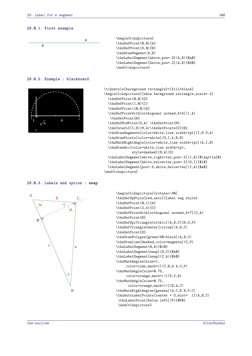#### **29.0.1. First example**



#### **29.0.2. Example : blackboard**



| \begin{tikzpicture}                        |
|--------------------------------------------|
| \tkzDefPoint(0,0){A}                       |
| \tkzDefPoint(6,0){B}                       |
| \tkzDrawSegment(A,B)                       |
| \tkzLabelSegment[above,pos=.8](A,B){\$a\$} |
| \tkzLabelSegment[below,pos=.2](A,B){\$4\$} |
| \end{tikzpicture}                          |

```
\tikzstyle{background rectangle}=[fill=black]
\begin{tikzpicture}[show background rectangle,scale=.4]
  \tkzDefPoint(0,0){0}
  \tkzDefPoint(1,0){I}
  \tkzDefPoint(10,0){A}
  \tkzDefPointWith[orthogonal normed,K=4](I,A)
   \tkzGetPoint{H}
  \tkzDefMidPoint(O,A) \tkzGetPoint{M}
  \tkzInterLC(I,H)(M,A)\tkzGetPoints{C}{B}
  \tkzDrawSegments[color=white,line width=1pt](I,H O,A)
  \tkzDrawPoints[color=white](O,I,A,B,M)
  \tkzMarkRightAngle[color=white,line width=1pt](A,I,B)
  \tkzDrawArc[color=white,line width=1pt,
              style=dashed](M,A)(O)
  \tkzLabelSegment[white,right=1ex,pos=.5](I,B){$\sqrt{a}$}
  \tkzLabelSegment[white,below=1ex,pos=.5](0,I){$1$}
  \tkzLabelSegment[pos=.6,white,below=1ex](I,A){$a$}
\end{tikzpicture}
```
## **29.0.3. Labels and option : swap**



```
\begin{tikzpicture}[rotate=-60]
\tkzSetUpStyle[red,auto]{label seg style}
\tkzDefPoint(0,1){A}
\tkzDefPoint(2,4){C}
\tkzDefPointWith[orthogonal normed,K=7](C,A)
\tkzGetPoint{B}
\tkzDefSpcTriangle[orthic](A,B,C){N,O,P}
\tkzDefTriangleCenter[circum](A,B,C)
\tkzGetPoint{O}
\tkzDrawPolygon[green!60!black](A,B,C)
\tkzDrawLine[dashed,color=magenta](C,P)
\tkzLabelSegment(B,A){$c$}
\tkzLabelSegment[swap](B,C){$a$}
\tkzLabelSegment[swap](C,A){$b$}
\tkzMarkAngles[size=1,
     color=cyan,mark=|](C,B,A A,C,P)
\tkzMarkAngle[size=0.75,
     color=orange,mark=||](P,C,B)
\tkzMarkAngle[size=0.75,
      color=orange,mark=||](B,A,C)
\tkzMarkRightAngles[german](A,C,B B,P,C)
\tkzAutoLabelPoints[center = O,dist= .1](A,B,C)
\tkzLabelPoint[below left](P){$P$}
\end{tikzpicture}
```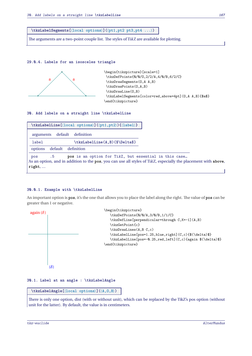**\tkzLabelSegments[**⟨**local options**⟩**](**⟨**pt1,pt2 pt3,pt4 ...**⟩**)**

The arguments are a two-point couple list. The styles of TikZ are available for plotting.

#### **29.0.4. Labels for an isosceles triangle**



\begin{tikzpicture}[scale=1] \tkzDefPoints{0/0/O,2/2/A,4/0/B,6/2/C} \tkzDrawSegments(O,A A,B) \tkzDrawPoints(O,A,B) \tkzDrawLine(0,B) \tkzLabelSegments[color=red,above=4pt](O,A A,B){\$a\$} \end{tikzpicture}

**30. Add labels on a straight line \tkzLabelLine**

| \tkzLabelLine[\{local options)](\pt1,pt2)){\label}}    |  |
|--------------------------------------------------------|--|
| arguments default definition                           |  |
| \tkzLabelLine(A,B){\$\Delta\$}<br>label                |  |
| options default definition                             |  |
| pos is an option for TikZ, but essential<br>. 5<br>pos |  |

in this case... As an option, and in addition to the **pos**, you can use all styles of TikZ, especially the placement with **above**, **right**, …

## **30.0.1. Example with \tkzLabelLine**

An important option is **pos**, it's the one that allows you to place the label along the right. The value of **pos** can be greater than 1 or negative.



**30.1. Label at an angle : \tkzLabelAngle**

**\tkzLabelAngle[**⟨**local options**⟩**](**⟨**A,O,B**⟩**)**

There is only one option, dist (with or without unit), which can be replaced by the TikZ's pos option (without unit for the latter). By default, the value is in centimeters.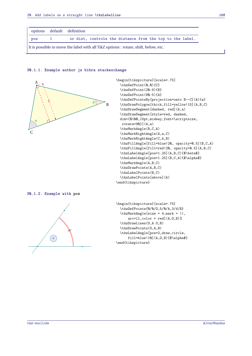| options | default definition                                        |
|---------|-----------------------------------------------------------|
| pos     | or dist, controls the distance from the top to the label. |

## **30.1.1. Example author js bibra stackexchange**



```
\begin{tikzpicture}[scale=.75]
  \tkzDefPoint(0,0){C}
  \tkzDefPoint(20:9){B}
  \tkzDefPoint(80:5){A}
  \tkzDefPointsBy[projection=onto B--C](A){a}
  \tkzDrawPolygon[thick,fill=yellow!15](A,B,C)
  \tkzDrawSegment[dashed, red](A,a)
  \tkzDrawSegment[style=red, dashed,
 dim={$10$,15pt,midway,font=\scriptsize,
  rotate=90}](A,a)
  \tkzMarkAngle(B,C,A)
  \tkzMarkRightAngle(A,a,C)
  \tkzMarkRightAngle(C,A,B)
  \tkzFillAngle[fill=blue!20, opacity=0.5](B,C,A)
  \tkzFillAngle[fill=red!20, opacity=0.5](A,B,C)
  \tkzLabelAngle[pos=1.25](A,B,C){$\beta$}
  \tkzLabelAngle[pos=1.25](B,C,A){$\alpha$}
  \tkzMarkAngle(A,B,C)
  \tkzDrawPoints(A,B,C)
  \tkzLabelPoints(B,C)
  \tkzLabelPoints[above](A)
\end{tikzpicture}
```
#### **30.1.2. Example with pos**



```
\begin{tikzpicture}[scale=.75]
  \tkzDefPoints{0/0/O,5/0/A,3/4/B}
  \tkzMarkAngle[size = 4,mark = ||,
      arc=11, color = red](A,0,B)%
  \tkzDrawLines(O,A O,B)
  \tkzDrawPoints(O,A,B)
  \tkzLabelAngle[pos=2,draw,circle,
      fill=blue!10](A,0,B){$\alpha$}
\end{tikzpicture}
```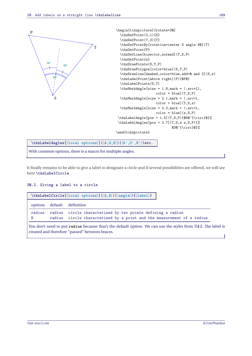

With common options, there is a macro for multiple angles.

It finally remains to be able to give a label to designate a circle and if several possibilities are offered, we will see here **\tkzLabelCircle**.

## **30.2. Giving a label to a circle**

| options default definition<br>radius circle characterized by two points defining a radius<br>radius |  |
|-----------------------------------------------------------------------------------------------------|--|
|                                                                                                     |  |
|                                                                                                     |  |
| radius circle characterized by a point and the measurement of a radius<br>R                         |  |

You don't need to put **radius** because that's the default option. We can use the styles from TikZ. The label is created and therefore "passed" between braces.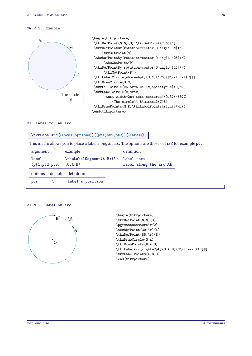## **30.2.1. Example**





## **31. Label for an arc**

|                                        | \tkzLabelArc[\{local options\](\pt1,pt2,pt3\){\label\} |                                                                                                     |
|----------------------------------------|--------------------------------------------------------|-----------------------------------------------------------------------------------------------------|
|                                        |                                                        | This macro allows you to place a label along an arc. The options are those of TikZ for example pos. |
| argument                               | example                                                | definition                                                                                          |
| label<br>$(pt1, pt2, pt3)$ $(0, A, B)$ | \tkzLabelSegment(A,B){5}                               | label text<br>label along the arc AB                                                                |
| default<br>options                     | definition                                             |                                                                                                     |
| .5<br>pos                              | label's position                                       |                                                                                                     |

#### **31.0.1. Label on arc**



```
\begin{tikzpicture}
\tkzDefPoint(0,0){0}
\pgfmathsetmacro\r{2}
\tkzDefPoint(30:\r){A}
\tkzDefPoint(85:\r){B}
\tkzDrawCircle(O,A)
\tkzDrawPoints(B,A,O)
\tkzLabelArc[right=2pt](0,A,B){$\widearc{AB}$}
\tkzLabelPoints(A,B,O)
\end{tikzpicture}
```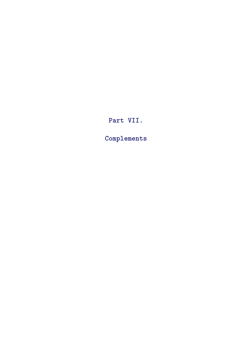# **Part VII.**

**Complements**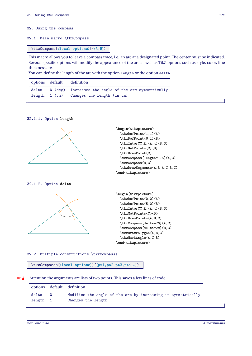#### **32. Using the compass**

## **32.1. Main macro \tkzCompass**

## **\tkzCompass[**⟨**local options**⟩**](**⟨**A,B**⟩**)**

This macro allows you to leave a compass trace, i.e. an arc at a designated point. The center must be indicated. Several specific options will modify the appearance of the arc as well as TikZ options such as style, color, line thickness etc.

You can define the length of the arc with the option length or the option delta.

|  | options default definition                                        |
|--|-------------------------------------------------------------------|
|  | delta $\theta$ (deg) Increases the angle of the arc symmetrically |
|  | length 1 (cm) Changes the length (in cm)                          |

## **32.1.1. Option length**





## **32.1.2. Option delta**





**32.2. Multiple constructions \tkzCompasss**

**\tkzCompasss[**⟨**local options**⟩**](**⟨**pt1,pt2 pt3,pt4,…**⟩**)**

 $\mathcal{F}$  Attention the arguments are lists of two points. This saves a few lines of code.

|          |          | options default definition                                   |
|----------|----------|--------------------------------------------------------------|
| delta    | $\sim$ 0 | Modifies the angle of the arc by increasing it symmetrically |
| length 1 |          | Changes the length                                           |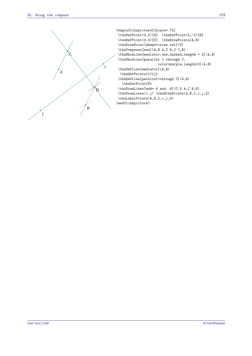

```
\begin{tikzpicture}[scale=.75]
\tkzDefPoint(2,2){A} \tkzDefPoint(5,-2){B}
\tkzDefPoint(3,4){C} \tkzDrawPoints(A,B)
\tkzDrawPoint[shape=cross out](C)
\tkzCompasss[new](A,B A,C B,C C,B)
\tkzShowLine[mediator,new,dashed,length = 2](A,B)
 \tkzShowLine[parallel = through C,
                     color=purple,length=2](A,B)
\tkzDefLine[mediator](A,B)
 \tkzGetPoints{i}{j}
\tkzDefLine[parallel=through C](A,B)
   \tkzGetPoint{D}
\tkzDrawLines[add=.6 and .6](C,D A,C B,D)
\tkzDrawLines(i,j) \tkzDrawPoints(A,B,C,i,j,D)
\tkzLabelPoints(A,B,C,i,j,D)
\end{tikzpicture}
```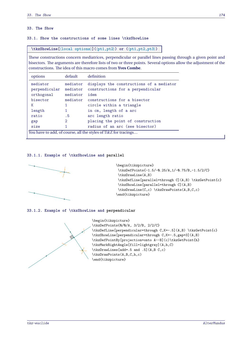## **33. The Show**

**33.1. Show the constructions of some lines \tkzShowLine**

**\tkzShowLine[**⟨**local options**⟩**](**⟨**pt1,pt2**⟩**) or (**⟨**pt1,pt2,pt3**⟩**)**

These constructions concern mediatrices, perpendicular or parallel lines passing through a given point and bisectors. The arguments are therefore lists of two or three points. Several options allow the adjustment of the constructions. The idea of this macro comes from **Yves Combe**.

| options                                                         | default                          | definition                                                                            |  |
|-----------------------------------------------------------------|----------------------------------|---------------------------------------------------------------------------------------|--|
| mediator<br>perpendicular<br>orthogonal                         | mediator<br>mediator<br>mediator | displays the constructions of a mediator<br>constructions for a perpendicular<br>idem |  |
| bisector<br>Κ                                                   | mediator<br>1                    | constructions for a bisector<br>circle within a triangle                              |  |
| length                                                          | 1                                | in cm, length of a arc                                                                |  |
| ratio                                                           | .5                               | arc length ratio                                                                      |  |
| gap                                                             | 2                                | placing the point of construction                                                     |  |
| size                                                            |                                  | radius of an arc (see bisector)                                                       |  |
| You have to add, of course, all the styles of TikZ for tracings |                                  |                                                                                       |  |

## **33.1.1. Example of \tkzShowLine and parallel**



## **33.1.2. Example of \tkzShowLine and perpendicular**



```
\begin{tikzpicture}
\tkzDefPoints{0/0/A, 3/2/B, 2/2/C}
\tkzDefLine[perpendicular=through C,K=-.5](A,B) \tkzGetPoint{c}
\tkzShowLine[perpendicular=through C,K=-.5,gap=3](A,B)
\tkzDefPointBy[projection=onto A--B](c)\tkzGetPoint{h}
\tkzMarkRightAngle[fill=lightgray](A,h,C)
\tkzDrawLines[add=.5 and .5](A,B C,c)
\tkzDrawPoints(A,B,C,h,c)
\end{tikzpicture}
```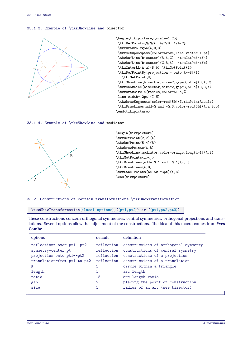#### **33.1.3. Example of \tkzShowLine and bisector**



```
\begin{tikzpicture}[scale=1.25]
\tkzDefPoints{0/0/A, 4/2/B, 1/4/C}
\tkzDrawPolygon(A,B,C)
\tkzSetUpCompass[color=brown,line width=.1 pt]
\tkzDefLine[bisector](B,A,C) \tkzGetPoint{a}
\tkzDefLine[bisector](C,B,A) \tkzGetPoint{b}
\tkzInterLL(A,a)(B,b) \tkzGetPoint{I}
\tkzDefPointBy[projection = onto A--B](I)
   \tkzGetPoint{H}
\tkzShowLine[bisector,size=2,gap=3,blue](B,A,C)
\tkzShowLine[bisector,size=2,gap=3,blue](C,B,A)
\tkzDrawCircle[radius,color=blue,%
line width=.2pt](I,H)
\tkzDrawSegments[color=red!50](I,tkzPointResult)
\tkzDrawLines[add=0 and -0.3,color=red!50](A,a B,b)
\end{tikzpicture}
```
## **33.1.4. Example of \tkzShowLine and mediator**



\begin{tikzpicture} \tkzDefPoint(2,2){A} \tkzDefPoint(5,4){B} \tkzDrawPoints(A,B) \tkzShowLine[mediator,color=orange,length=1](A,B) \tkzGetPoints{i}{j} \tkzDrawLines[add=-0.1 and -0.1](i,j) \tkzDrawLines(A,B) \tkzLabelPoints[below =3pt](A,B) \end{tikzpicture}

#### **33.2. Constructions of certain transformations \tkzShowTransformation**

**\tkzShowTransformation[**⟨**local options**⟩**](**⟨**pt1,pt2**⟩**) or (**⟨**pt1,pt2,pt3**⟩**)**

These constructions concern orthogonal symmetries, central symmetries, orthogonal projections and translations. Several options allow the adjustment of the constructions. The idea of this macro comes from **Yves Combe**.

| options                                                                                                         | default                                              | definition                                                                                                                                   |
|-----------------------------------------------------------------------------------------------------------------|------------------------------------------------------|----------------------------------------------------------------------------------------------------------------------------------------------|
| reflection= over pt1--pt2<br>symmetry=center pt<br>projection=onto pt1--pt2<br>translation=from pt1 to pt2<br>Κ | reflection<br>reflection<br>reflection<br>reflection | constructions of orthogonal symmetry<br>constructions of central symmetry<br>constructions of a projection<br>constructions of a translation |
| length                                                                                                          |                                                      | circle within a triangle<br>arc length                                                                                                       |
| ratio                                                                                                           | . 5                                                  | arc length ratio                                                                                                                             |
| gap                                                                                                             | $\overline{2}$                                       | placing the point of construction                                                                                                            |
| size                                                                                                            |                                                      | radius of an arc (see bisector)                                                                                                              |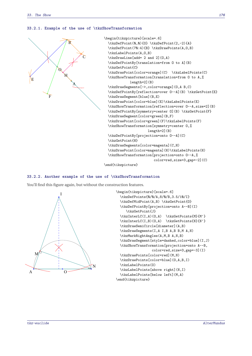#### **33.2.1. Example of the use of \tkzShowTransformation**



```
\begin{tikzpicture}[scale=.6]
  \tkzDefPoint(0,0){O} \tkzDefPoint(2,-2){A}
  \tkzDefPoint(70:4){B} \tkzDrawPoints(A,O,B)
  \tkzLabelPoints(A,O,B)
  \tkzDrawLine[add= 2 and 2](O,A)
  \tkzDefPointBy[translation=from O to A](B)
  \tkzGetPoint{C}
  \tkzDrawPoint[color=orange](C) \tkzLabelPoints(C)
  \tkzShowTransformation[translation=from O to A,%
            length=2](B)
  \tkzDrawSegments[->,color=orange](O,A B,C)
  \tkzDefPointBy[reflection=over O--A](B) \tkzGetPoint{E}
  \tkzDrawSegment[blue](B,E)
  \tkzDrawPoint[color=blue](E)\tkzLabelPoints(E)
  \tkzShowTransformation[reflection=over O--A,size=2](B)
  \tkzDefPointBy[symmetry=center O](B) \tkzGetPoint{F}
  \tkzDrawSegment[color=green](B,F)
  \tkzDrawPoint[color=green](F)\tkzLabelPoints(F)
  \tkzShowTransformation[symmetry=center O,%
                      length=2](B)
  \tkzDefPointBy[projection=onto O--A](C)
  \tkzGetPoint{H}
  \tkzDrawSegments[color=magenta](C,H)
  \tkzDrawPoint[color=magenta](H)\tkzLabelPoints(H)
  \tkzShowTransformation[projection=onto O--A,%
                         color=red,size=3,gap=-2](C)
```
\end{tikzpicture}

#### **33.2.2. Another example of the use of \tkzShowTransformation**

You'll find this figure again, but without the construction features.



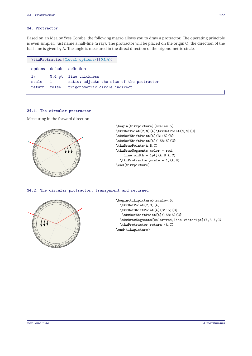## **34. Protractor**

Based on an idea by Yves Combe, the following macro allows you to draw a protractor. The operating principle is even simpler. Just name a half-line (a ray). The protractor will be placed on the origin <sup>O</sup>, the direction of the half-line is given by A. The angle is measured in the direct direction of the trigonometric circle.

| $\texttt{\texttt{local options}}(\langle 0, A \rangle)$ |                   |                                                                                                     |  |
|---------------------------------------------------------|-------------------|-----------------------------------------------------------------------------------------------------|--|
|                                                         |                   | options default definition                                                                          |  |
| lw<br>scale<br>return                                   | $\sim$ 1<br>false | Q.4 pt line thickness<br>ratio: adjusts the size of the protractor<br>trigonometric circle indirect |  |

## **34.1. The circular protractor**

Measuring in the forward direction



```
\begin{tikzpicture}[scale=.5]
\tkzDefPoint(2,0){A}\tkzDefPoint(0,0){0}
\tkzDefShiftPoint[A](31:5){B}
\tkzDefShiftPoint[A](158:5){C}
\tkzDrawPoints(A,B,C)
\tkzDrawSegments[color = red,
   line width = 1pt] (A, B, A, C)\tkzProtractor[scale = 1](A,B)
\end{tikzpicture}
```
## **34.2. The circular protractor, transparent and returned**



```
\begin{tikzpicture}[scale=.5]
 \tkzDefPoint(2,3){A}
 \tkzDefShiftPoint[A](31:5){B}
  \tkzDefShiftPoint[A](158:5){C}
 \tkzDrawSegments[color=red,line width=1pt](A,B A,C)
 \tkzProtractor[return](A,C)
\end{tikzpicture}
```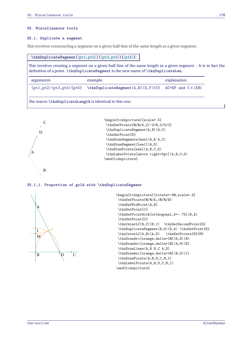#### **35. Miscellaneous tools**

#### **35.1. Duplicate a segment**

This involves constructing a segment on a given half-line of the same length as a given segment.

#### **\tkzDuplicateSegment(**⟨**pt1,pt2**⟩**)(**⟨**pt3,pt4**⟩**){**⟨**pt5**⟩**}**

This involves creating a segment on a given half-line of the same length as a given segment . It is in fact the definition of a point. **\tkzDuplicateSegment** is the new name of **\tkzDuplicateLen**.

| arguments | example                                                                                 | explanation |
|-----------|-----------------------------------------------------------------------------------------|-------------|
|           | $(pt1, pt2) (pt3, pt4) {pt5} \tkkzDuplicateSegment(A, B) (E, F) {C} AC=EF and C ∈ [AB)$ |             |

The macro **\tkzDuplicateLength** is identical to this one.





#### **35.1.1. Proportion of gold with \tkzDuplicateSegment**



```
\begin{tikzpicture}[rotate=-90,scale=.4]
\tkzDefPoints{0/0/A,10/0/B}
\tkzDefMidPoint(A,B)
\tkzGetPoint{I}
\tkzDefPointWith[orthogonal,K=-.75](B,A)
\tkzGetPoint{C}
\tkzInterLC(B,C)(B,I) \tkzGetSecondPoint{D}
\tkzDuplicateSegment(B,D)(D,A) \tkzGetPoint{E}
\tkzInterLC(A,B)(A,E) \tkzGetPoints{N}{M}
\tkzDrawArc[orange,delta=10](D,E)(B)
\tkzDrawArc[orange,delta=10](A,M)(E)
\tkzDrawLines(A,B B,C A,D)
\tkzDrawArc[orange,delta=10](B,D)(I)
\tkzDrawPoints(A,B,D,C,M,I)
\tkzLabelPoints(A,B,D,C,M,I)
\end{tikzpicture}
```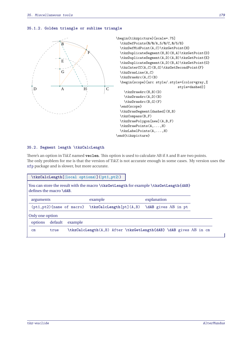## **35.1.2. Golden triangle or sublime triangle**



## **35.2. Segment length \tkzCalcLength**

There's an option in TikZ named **veclen**. This option is used to calculate AB if A and B are two points. The only problem for me is that the version of TikZ is not accurate enough in some cases. My version uses the xfp package and is slower, but more accurate.

| \tkzCalcLength[\{local options\](\pt1,pt2\) |         |         |         |  |  |                                                                                      |  |  |
|---------------------------------------------|---------|---------|---------|--|--|--------------------------------------------------------------------------------------|--|--|
| defines the macro \dAB.                     |         |         |         |  |  | You can store the result with the macro \tkzGetLength for example \tkzGetLength{dAB} |  |  |
| arguments                                   |         |         | example |  |  | explanation                                                                          |  |  |
|                                             |         |         |         |  |  | $(pt1, pt2)$ (name of macro) \tkzCalcLength [pt] $(A, B)$ \dAB gives AB in pt        |  |  |
| Only one option                             |         |         |         |  |  |                                                                                      |  |  |
| options                                     | default | example |         |  |  |                                                                                      |  |  |
| $\mathsf{cm}$                               | true    |         |         |  |  | \tkzCalcLength(A,B) After \tkzGetLength{dAB} \dAB gives AB in cm                     |  |  |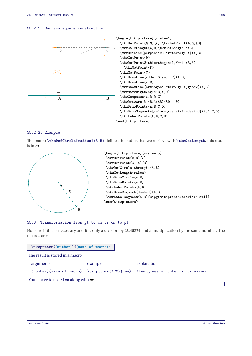#### **35.2.1. Compass square construction**



## **35.2.2. Example**

The macro **\tkzDefCircle[radius](A,B)** defines the radius that we retrieve with **\tkzGetLength**, this result is in **cm**.



```
\begin{tikzpicture}[scale=.5]
\tkzDefPoint(0,0){A}
\tkzDefPoint(3,-4){B}
\tkzDefCircle[through](A,B)
\tkzGetLength{rABcm}
\tkzDrawCircle(A,B)
\tkzDrawPoints(A,B)
\tkzLabelPoints(A,B)
\tkzDrawSegment[dashed](A,B)
\tkzLabelSegment(A,B){$\pgfmathprintnumber{\rABcm}$}
\end{tikzpicture}
```
## **35.3. Transformation from pt to cm or cm to pt**

Not sure if this is necessary and it is only a division by 28.45274 and a multiplication by the same number. The macros are:

| $\texttt{\textcirc}(\texttt{\textcirc})$ (name of macro)} |         |                                                                                 |
|-----------------------------------------------------------|---------|---------------------------------------------------------------------------------|
| The result is stored in a macro.                          |         |                                                                                 |
| arguments                                                 | example | explanation                                                                     |
|                                                           |         | (number) {name of macro} \tkzpttocm(120) {len} \len gives a number of tkznamecm |
| You'll have to use <b>\len</b> along with cm.             |         |                                                                                 |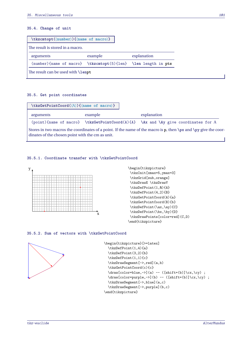## **35.4. Change of unit**

| $\texttt{\langle number\rangle}(\texttt{name of macro})$      |         |             |  |
|---------------------------------------------------------------|---------|-------------|--|
| l The result is stored in a macro.                            |         |             |  |
| arguments                                                     | example | explanation |  |
| (number){name of macro} \tkzcmtopt(5){len} \len length in pts |         |             |  |
| The result can be used with <b>\lenpt</b>                     |         |             |  |

## **35.5. Get point coordinates**

| $\texttt{\texttt{Cord}}(\langle A \rangle)$ { $\langle \texttt{name} \texttt{ of } \texttt{macro} \rangle$ } |         |                                                                                                                             |
|--------------------------------------------------------------------------------------------------------------|---------|-----------------------------------------------------------------------------------------------------------------------------|
| arguments                                                                                                    | example | explanation                                                                                                                 |
|                                                                                                              |         | $(point)$ fname of macro} \tkzGetPointCoord(A){A} \Ax and \Ay give coordinates for A                                        |
| dinates of the chosen point with the cm as unit.                                                             |         | Stores in two macros the coordinates of a point. If the name of the macro is <b>p</b> , then $\px$ and $\py$ give the coor- |

## **35.5.1. Coordinate transfer with \tkzGetPointCoord**



```
\tkzInit[xmax=5,ymax=3]
\tkzGrid[sub,orange]
\tkzDrawX \tkzDrawY
\tkzDefPoint(1,0){A}
\tkzDefPoint(4,2){B}
\tkzGetPointCoord(A){a}
\tkzGetPointCoord(B){b}
\tkzDefPoint(\ax,\ay){C}
\tkzDefPoint(\bx,\by){D}
\tkzDrawPoints[color=red](C,D)
\end{tikzpicture}
```
## **35.5.2. Sum of vectors with \tkzGetPointCoord**



```
\begin{tikzpicture}[>=latex]
  \tkzDefPoint(1,4){a}
  \tkzDefPoint(3,2){b}
  \tkzDefPoint(1,1){c}
  \tkzDrawSegment[->,red](a,b)
  \tkzGetPointCoord(c){c}
  \draw[color=blue,->](a) -- ([shift=(b)]\cx, \cy) ;
  \label{cor:conv} $$\draw[color=purple,->](b) -- ([shift=(b)]\c x,\c y) ;\tkzDrawSegment[->,blue](a,c)
  \tkzDrawSegment[->,purple](b,c)
\end{tikzpicture}
```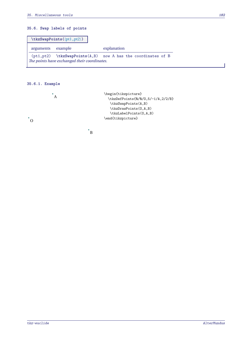# **35.6. Swap labels of points**

|           | $\texttt{\text{tkzSwapPoints}}(\phi_1, \texttt{pt2})$ |                                                              |
|-----------|-------------------------------------------------------|--------------------------------------------------------------|
| arguments | example                                               | explanation                                                  |
|           | The points have exchanged their coordinates.          | (pt1,pt2) \tkzSwapPoints(A,B) now A has the coordinates of B |

# **35.6.1. Example**



 $\cdot$ <sub>B</sub>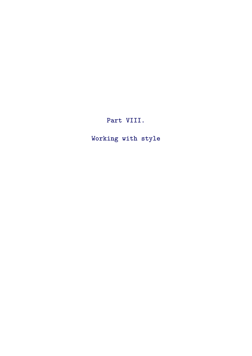**Part VIII.**

**Working with style**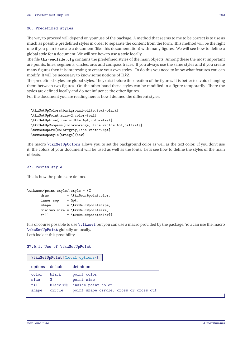## **36. Predefined styles**

The way to proceed will depend on your use of the package. A method that seems to me to be correct is to use as much as possible predefined styles in order to separate the content from the form. This method will be the right one if you plan to create a document (like this documentation) with many figures. We will see how to define a global style for a document. We will see how to use a style locally.

The file **tkz-euclide.cfg** contains the predefined styles of the main objects. Among these the most important are points, lines, segments, circles, arcs and compass traces. If you always use the same styles and if you create many figures then it is interesting to create your own styles . To do this you need to know what features you can modify. It will be necessary to know some notions of TikZ.

The predefined styles are global styles. They exist before the creation of the figures. It is better to avoid changing them between two figures. On the other hand these styles can be modified in a figure temporarily. There the styles are defined locally and do not influence the other figures.

For the document you are reading here is how I defined the different styles.

```
\tkzSetUpColors[background=white,text=black]
\tkzSetUpPoint[size=2,color=teal]
\tkzSetUpLine[line width=.4pt,color=teal]
\tkzSetUpCompass[color=orange, line width=.4pt,delta=10]
\tkzSetUpArc[color=gray,line width=.4pt]
\tkzSetUpStyle[orange]{new}
```
The macro **\tkzSetUpColors** allows you to set the background color as well as the text color. If you don't use it, the colors of your document will be used as well as the fonts. Let's see how to define the styles of the main objects.

## **37. Points style**

This is how the points are defined :

```
\tikzset{point style/.style = {%
      draw = \tkz@euc@pointcolor,
      inner sep = Qpt,
      shape = \tkz@euc@pointshape,
     minimum size = \tkz@euc@pointsize,
      fill = \tkz@euc@pointcolor}}
```
It is of course possible to use **\tikzset** but you can use a macro provided by the package. You can use the macro **\tkzSetUpPoint** globally or locally, Let's look at this possibility.

#### **37.0.1. Use of \tkzSetUpPoint**

| \tkzSetUpPoint[\local options)] |           |                                        |
|---------------------------------|-----------|----------------------------------------|
| options                         | default   | definition                             |
| color                           | black     | point color                            |
| size                            | 3         | point size                             |
| fill                            | black!/50 | inside point color                     |
| shape                           | circle    | point shape circle, cross or cross out |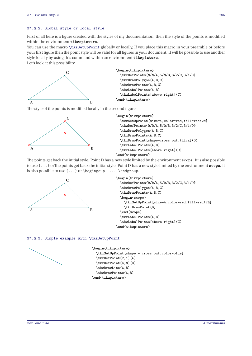## **37.0.2. Global style or local style**

First of all here is a figure created with the styles of my documentation, then the style of the points is modified within the environment **tikzspicture**.

You can use the macro **\tkzSetUpPoint** globally or locally, If you place this macro in your preamble or before your first figure then the point style will be valid for all figures in your document. It will be possible to use another style locally by using this command within an environment **tikzpicture**.

Let's look at this possibility.



\begin{tikzpicture} \tkzDefPoints{0/0/A,5/0/B,3/2/C,3/1/D} \tkzDrawPolygon(A,B,C) \tkzDrawPoints(A,B,C) \tkzLabelPoints(A,B) \tkzLabelPoints[above right](C) \end{tikzpicture}

The style of the points is modified locally in the second figure



\begin{tikzpicture} \tkzSetUpPoint[size=4,color=red,fill=red!20] \tkzDefPoints{0/0/A,5/0/B,3/2/C,3/1/D} \tkzDrawPolygon(A,B,C) \tkzDrawPoints(A,B,C) \tkzDrawPoint[shape=cross out,thick](D) \tkzLabelPoints(A,B) \tkzLabelPoints[above right](C) \end{tikzpicture}

The points get back the initial style. Point D has a new style limited by the environment **scope**. It is also possible to use {...} orThe points get back the initial style. Point <sup>D</sup> has a new style limited by the environment **scope**. It is also possible to use {...} or \begingoup ... \endgroup.





#### **37.0.3. Simple example with \tkzSetUpPoint**

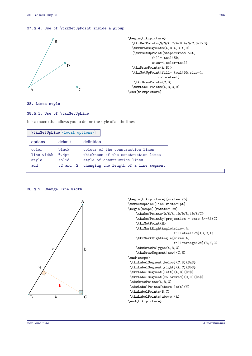## **37.0.4. Use of \tkzSetUpPoint inside a group**



```
\begin{tikzpicture}
  \tkzDefPoints{0/0/A,2/4/B,4/0/C,3/2/D}
  \tkzDrawSegments(A,B A,C A,D)
  {\tkzSetUpPoint[shape=cross out,
            fill= teal!50,
            size=4,color=teal]
  \tkzDrawPoints(A,B)}
  \tkzSetUpPoint[fill= teal!50,size=4,
               color=teal]
  \tkzDrawPoints(C,D)
  \tkzLabelPoints(A,B,C,D)
\end{tikzpicture}
```
**38. Lines style**

## **38.0.1. Use of \tkzSetUpLine**

It is a macro that allows you to define the style of all the lines.

|            | \tkzSetUpLine[\local options)] |                                       |
|------------|--------------------------------|---------------------------------------|
| options    | default                        | definition                            |
| color      | black                          | colour of the construction lines      |
| line width | Q.4pt                          | thickness of the construction lines   |
| style      | solid                          | style of construction lines           |
| add        | $.2$ and $.2$                  | changing the length of a line segment |



**38.0.2. Change line width**

```
\begin{tikzpicture}[scale=.75]
\tkzSetUpLine[line width=1pt]
\begin{scope}[rotate=-90]
    \tkzDefPoints{0/6/A,10/0/B,10/6/C}
    \tkzDefPointBy[projection = onto B--A](C)
    \tkzGetPoint{H}
    \tkzMarkRightAngle[size=.4,
                       fill=teal!20](B,C,A)
    \tkzMarkRightAngle[size=.4,
                       fill=orange!20](B,H,C)
    \tkzDrawPolygon(A,B,C)
    \tkzDrawSegment[new](C,H)
\end{scope}
\tkzLabelSegment[below](C,B){$a$}
\tkzLabelSegment[right](A,C){$b$}
\tkzLabelSegment[left](A,B){$c$}
\tkzLabelSegment[color=red](C,H){$h$}
\tkzDrawPoints(A,B,C)
\tkzLabelPoints[above left](H)
\tkzLabelPoints(B,C)
 \tkzLabelPoints[above](A)
\end{tikzpicture}
```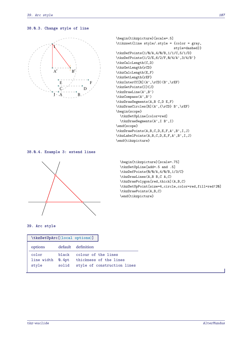# **38.0.3. Change style of line**



```
\begin{tikzpicture}[scale=.5]
\tikzset{line style/.style = {color = gray,
                             style=dashed}}
\tkzDefPoints{1/0/A,4/0/B,1/1/C,5/1/D}
\tkzDefPoints{1/2/E,6/2/F,0/4/A',3/4/B'}
\tkzCalcLength(C,D)
\tkzGetLength{rCD}
\tkzCalcLength(E,F)
\tkzGetLength{rEF}
\tkzInterCC[R](A',\rCD)(B',\rEF)
\tkzGetPoints{I}{J}
\tkzDrawLine(A',B')
\tkzCompass(A',B')
\tkzDrawSegments(A,B C,D E,F)
\tkzDrawCircles[R](A',{\rCD} B',\rEF)
\begin{scope}
  \tkzSetUpLine[color=red]
  \tkzDrawSegments(A',I B',I)
\end{scope}
\tkzDrawPoints(A,B,C,D,E,F,A',B',I,J)
\tkzLabelPoints(A,B,C,D,E,F,A',B',I,J)
\end{tikzpicture}
```
## **38.0.4. Example 3: extend lines**



\begin{tikzpicture}[scale=.75] \tkzSetUpLine[add=.5 and .5] \tkzDefPoints{0/0/A,4/0/B,1/3/C} \tkzDrawLines(A,B B,C A,C) \tkzDrawPolygon[red,thick](A,B,C) \tkzSetUpPoint[size=4,circle,color=red,fill=red!20] \tkzDrawPoints(A,B,C) \end{tikzpicture}

## **39. Arc style**

| \tkzSetUpArc[<br>(local options>)] |                          |                                                                              |
|------------------------------------|--------------------------|------------------------------------------------------------------------------|
| options                            |                          | default definition                                                           |
| color<br>line width<br>style       | black.<br>Q.4pt<br>solid | colour of the lines<br>thickness of the lines<br>style of construction lines |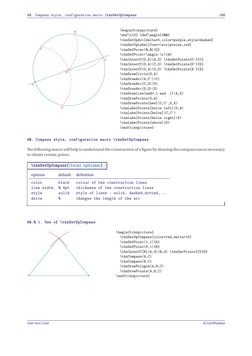

\begin{tikzpicture}  $\def\f3} \def\g9$ \tkzSetUpArc[delta=5,color=purple,style=dashed] \tkzSetUpLabel[font=\scriptsize,red] \tkzDefPoint(0,0){O} \tkzDefPoint(\angle:\r){A} \tkzInterCC(O,A)(A,O) \tkzGetPoints{C'}{C} \tkzInterCC(O,A)(C,O) \tkzGetPoints{D'}{D} \tkzInterCC(O,A)(D,O) \tkzGetPoints{X'}{X} \tkzDrawCircle(O,A) \tkzDrawArc(A,C')(C) \tkzDrawArc(C,O)(D) \tkzDrawArc(D,O)(X) \tkzDrawLine[add=.1 and .1](A,X) \tkzDrawPoints(O,A) \tkzDrawPoints[new](C,C',D,X) \tkzLabelPoints[below left](O,A) \tkzLabelPoints[below](C,C') \tkzLabelPoints[below right](X) \tkzLabelPoints[above](D) \end{tikzpicture}

#### **40. Compass style, configuration macro \tkzSetUpCompass**

The following macro will help to understand the construction of a figure by showing the compass traces necessary to obtain certain points.

|            |       | $\texttt{\texttt{\&zSetUpCompass}([local options)]}$ |
|------------|-------|------------------------------------------------------|
| options    |       | default definition                                   |
| color      | black | colour of the construction lines                     |
| line width | Q.4pt | thickness of the construction lines                  |
| style      | solid | style of lines : solid, dashed, dotted,              |
| delta      | Ø     | changes the length of the arc                        |
|            |       |                                                      |





```
\begin{tikzpicture}
  \tkzSetUpCompass[color=red,delta=15]
  \tkzDefPoint(1,1){A}
  \tkzDefPoint(6,1){B}
  \tkzInterCC[R](A,4)(B,4) \tkzGetPoints{C}{D}
  \tkzCompass(A,C)
  \tkzCompass(B,C)
  \tkzDrawPolygon(A,B,C)
  \tkzDrawPoints(A,B,C)
\end{tikzpicture}
```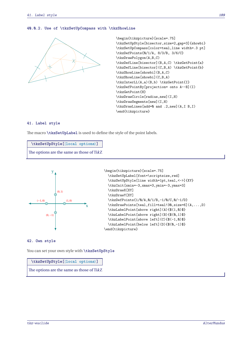## **40.0.2. Use of \tkzSetUpCompass with \tkzShowLine**



```
\begin{tikzpicture}[scale=.75]
\tkzSetUpStyle[bisector,size=2,gap=3]{showbi}
\tkzSetUpCompass[color=teal,line width=.3 pt]
\tkzDefPoints{0/1/A, 8/3/B, 3/6/C}
\tkzDrawPolygon(A,B,C)
\tkzDefLine[bisector](B,A,C) \tkzGetPoint{a}
\tkzDefLine[bisector](C,B,A) \tkzGetPoint{b}
\tkzShowLine[showbi](B,A,C)
\tkzShowLine[showbi](C,B,A)
\tkzInterLL(A,a)(B,b) \tkzGetPoint{I}
\tkzDefPointBy[projection= onto A--B](I)
\tkzGetPoint{H}
\tkzDrawCircle[radius,new](I,H)
\tkzDrawSegments[new](I,H)
\tkzDrawLines[add=0 and .2,new](A,I B,I)
\end{tikzpicture}
```
## **41. Label style**

The macro **\tkzSetUpLabel** is used to define the style of the point labels.

| \tkzSetUpStyle[\local options)]           |
|-------------------------------------------|
| The options are the same as those of TikZ |



```
\begin{tikzpicture}[scale=.75]
  \tkzSetUpLabel[font=\scriptsize,red]
 \tkzSetUpStyle[line width=1pt,teal,<->]{XY}
 \tkzInit[xmin=-3,xmax=3,ymin=-3,ymax=3]
  \tkzDrawX[XY]
  \tkzDrawY[XY]
  \tkzDefPoints{1/0/A,0/1/B,-1/0/C,0/-1/D}
  \tkzDrawPoints[teal,fill=teal!30,size=6](A,...,D)
 \tkzLabelPoint[above right](A){$(1,0)$}
 \tkzLabelPoint[above right](B){$(0,1)$}
 \tkzLabelPoint[above left](C){$(-1,0)$}
 \tkzLabelPoint[below left](D){$(0,-1)$}
\end{tikzpicture}
```
#### **42. Own style**

You can set your own style with **\tkzSetUpStyle** 

## **\tkzSetUpStyle[**⟨**local options**⟩**]**

The options are the same as those of TikZ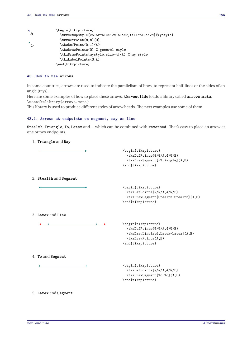| $\circ$  | \begin{tikzpicture}                                       |
|----------|-----------------------------------------------------------|
| A        | \tkzSetUpStyle[color=blue!20!black,fill=blue!20]{mystyle} |
|          | \tkzDefPoint(0,0){0}                                      |
| $\Omega$ | \tkzDefPoint(0,1){A}                                      |
|          | \tkzDrawPoints(0) % general style                         |
|          | \tkzDrawPoints[mystyle,size=4](A) % my style              |
|          | \tkzLabelPoints(0,A)                                      |
|          | \end{tikzpicture}                                         |

## **43. How to use arrows**

In some countries, arrows are used to indicate the parallelism of lines, to represent half-lines or the sides of an angle (rays).

Here are some examples of how to place these arrows. **tkz-euclide** loads a library called **arrows.meta**. \usetikzlibrary{arrows.meta}

This library is used to produce different styles of arrow heads. The next examples use some of them.

#### **43.1. Arrows at endpoints on segment, ray or line**

 $\rightarrow$ 

**Stealth**, **Triangle**, **To**, **Latex** and …which can be combined with **reversed**. That's easy to place an arrow at one or two endpoints.

1. **Triangle** and **Ray**

\begin{tikzpicture} \tkzDefPoints{0/0/A,4/0/B} \tkzDrawSegment[-Triangle](A,B) \end{tikzpicture}

2. **Stealth** and **Segment**

\begin{tikzpicture} \tkzDefPoints{0/0/A,4/0/B} \tkzDrawSegment[Stealth-Stealth](A,B) \end{tikzpicture}

3. **Latex** and **Line**

```
\begin{tikzpicture}
 \tkzDefPoints{0/0/A,4/0/B}
 \tkzDrawLine[red,Latex-Latex](A,B)
 \tkzDrawPoints(A,B)
\end{tikzpicture}
```
4. **To** and **Segment**

\begin{tikzpicture} \tkzDefPoints{0/0/A,4/0/B} \tkzDrawSegment[To-To](A,B) \end{tikzpicture}

5. **Latex** and **Segment**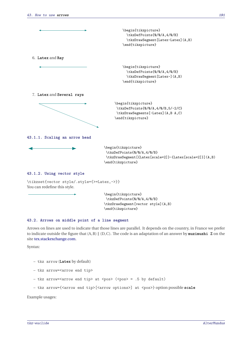

\tikzset{vector style/.style={>=Latex,->}} You can redefine this style.

> \begin{tikzpicture} \tkzDefPoints{0/0/A,4/0/B} \tkzDrawSegment[vector style](A,B) \end{tikzpicture}

#### **43.2. Arrows on middle point of a line segment**

Arrows on lines are used to indicate that those lines are parallel. It depends on the country, in France we prefer to indicate outside the figure that (A,B) ∥ (D,C). The code is an adaptation of an answer by **muzimuzhi Z** on the site [tex.stackexchange.com.](https://tex.stackexchange.com/questions/632596/how-to-manage-argument-pattern-keys-and-subways)

Syntax:

- tkz arrow (**Latex** by default)
- tkz arrow=<arrow end tip>
- tkz arrow=<arrow end tip> at <pos> (<pos> = .5 by default)
- tkz arrow={<arrow end tip>[<arrow options>] at <pos>} option possible **scale**

Example usages: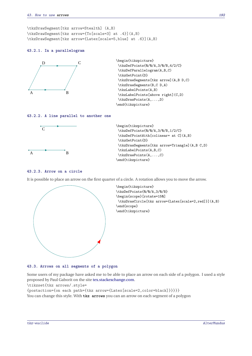\tkzDrawSegment[tkz arrow=Stealth] (A,B) \tkzDrawSegment[tkz arrow={To[scale=3] at .4}](A,B) \tkzDrawSegment[tkz arrow={Latex[scale=5,blue] at .6}](A,B)

#### **43.2.1. In a parallelogram**



```
\begin{tikzpicture}
\tkzDefPoints{0/0/A,3/0/B,4/2/C}
\tkzDefParallelogram(A,B,C)
\tkzGetPoint{D}
\tkzDrawSegments[tkz arrow](A,B D,C)
\tkzDrawSegments(B,C D,A)
\tkzLabelPoints(A,B)
\tkzLabelPoints[above right](C,D)
 \tkzDrawPoints(A,...,D)
\end{tikzpicture}
```
#### **43.2.2. A line parallel to another one**



```
\begin{tikzpicture}
\tkzDefPoints{0/0/A,3/0/B,1/2/C}
\tkzDefPointWith[colinear= at C](A,B)
\tkzGetPoint{D}
\tkzDrawSegments[tkz arrow=Triangle](A,B C,D)
\tkzLabelPoints(A,B,C)
\tkzDrawPoints(A,...,C)
\end{tikzpicture}
```
#### **43.2.3. Arrow on a circle**

It is possible to place an arrow on the first quarter of a circle. A rotation allows you to move the arrow.



**43.3. Arrows on all segments of a polygon**

Some users of my package have asked me to be able to place an arrow on each side of a polygon. I used a style proposed by Paul Gaborit on the site [tex.stackexchange.com.](https://tex.stackexchange.com/questions/3161/tikz-how-to-draw-an-arrow-in-the-middle-of-the-line)

\tikzset{tkz arrows/.style=

{postaction={on each path={tkz arrow={Latex[scale=2,color=black]}}}}} You can change this style. With **tkz arrows** you can an arrow on each segment of a polygon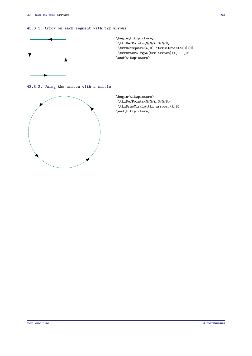## **43.3.1. Arrow on each segment with tkz arrows**



**43.3.2. Using tkz arrows with a circle**



\begin{tikzpicture} \tkzDefPoints{0/0/A,3/0/B} \tkzDrawCircle[tkz arrows](A,B) \end{tikzpicture}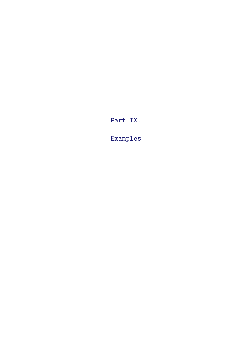**Part IX.**

**Examples**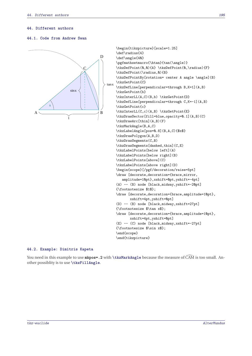#### **44. Different authors**

## **44.1. Code from Andrew Swan**



```
\begin{tikzpicture}[scale=1.25]
\def\radius{4}
\def\angle{40}
\pgfmathsetmacro{\htan}{tan(\angle)}
\tkzDefPoint(0,0){A} \tkzDefPoint(0,\radius){F}
\tkzDefPoint(\radius,0){B}
\tkzDefPointBy[rotation= center A angle \angle](B)
\tkzGetPoint{C}
\tkzDefLine[perpendicular=through B,K=1](A,B)
\tkzGetPoint{b}
\tkzInterLL(A,C)(B,b) \tkzGetPoint{D}
\tkzDefLine[perpendicular=through C,K=-1](A,B)
\tkzGetPoint{c}
\tkzInterLL(C,c)(A,B) \tkzGetPoint{E}
\tkzDrawSector[fill=blue,opacity=0.1](A,B)(C)
\tkzDrawArc[thin](A,B)(F)
\tkzMarkAngle(B,A,C)
\tkzLabelAngle[pos=0.8](B,A,C){$x$}
\tkzDrawPolygon(A,B,D)
\tkzDrawSegments(C,B)
\tkzDrawSegments[dashed,thin](C,E)
\tkzLabelPoints[below left](A)
\tkzLabelPoints[below right](B)
\tkzLabelPoints[above](C)
\tkzLabelPoints[above right](D)
\begin{scope}[/pgf/decoration/raise=5pt]
\draw [decorate,decoration={brace,mirror,
   amplitude=10pt},xshift=0pt,yshift=-4pt]
(A) -- (B) node [black,midway,yshift=-20pt]
{\footnotesize $1$};
\draw [decorate,decoration={brace,amplitude=10pt},
       xshift=4pt,yshift=0pt]
(D) -- (B) node [black,midway,xshift=27pt]
{\footnotesize $\tan x$};
\draw [decorate,decoration={brace,amplitude=10pt},
      xshift=4pt,yshift=0pt]
(E) -- (C) node [black,midway,xshift=-27pt]
{\footnotesize $\sin x$};
\end{scope}
\end{tikzpicture}
```
#### **44.2. Example: Dimitris Kapeta**

You need in this example to use **mkpos=.2** with **\tkzMarkAngle** because the measure of CAM is too small. Another possiblity is to use **\tkzFillAngle**.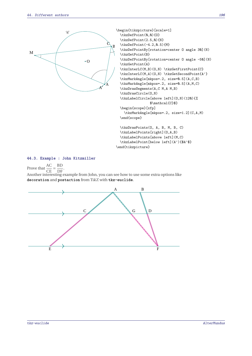

```
\begin{tikzpicture}[scale=1]
  \tkzDefPoint(0,0){0}
  \tkzDefPoint(2.5,0){N}
  \tkzDefPoint(-4.2,0.5){M}
  \tkzDefPointBy[rotation=center O angle 30](N)
  \tkzGetPoint{B}
  \tkzDefPointBy[rotation=center O angle -50](N)
  \tkzGetPoint{A}
  \tkzInterLC(M,B)(O,N) \tkzGetFirstPoint{C}
  \tkzInterLC(M,A)(O,N) \tkzGetSecondPoint{A'}
  \tkzMarkAngle[mkpos=.2, size=0.5](A,C,B)
  \tkzMarkAngle[mkpos=.2, size=0.5](A,M,C)
  \tkzDrawSegments(A,C M,A M,B)
  \tkzDrawCircle(O,N)
  \tkzLabelCircle[above left](O,N)(120){%
                 $\mathcal{C}$}
  \begin{scope}[xfp]
    \tkzMarkAngle[mkpos=.2, size=1.2](C,A,M)
  \end{scope}
  \tkzDrawPoints(O, A, B, M, B, C)
  \tkzLabelPoints[right](O,A,B)
```
\tkzLabelPoints[above left](M,C) \tkzLabelPoint[below left](A'){\$A'\$}

\end{tikzpicture}

#### **44.3. Example : John Kitzmiller**

Prove that  $\frac{AC}{CE} = \frac{BD}{DF}$ . Another interesting example from John, you can see how to use some extra options like **decoration** and **postaction** from TikZ with **tkz-euclide**.

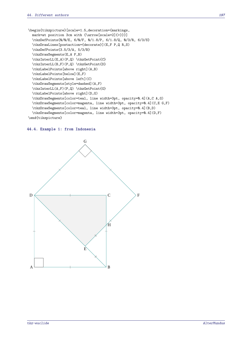```
\begin{tikzpicture}[scale=1.5,decoration={markings,
 mark=at position 3cm with {\arrow}scale=2]{>}}}]
 \tkzDefPoints{0/0/E, 6/0/F, 0/1.8/P, 6/1.8/Q, 0/3/R, 6/3/S}
 \tkzDrawLines[postaction={decorate}](E,F P,Q R,S)
 \tkzDefPoints{3.5/3/A, 5/3/B}
 \tkzDrawSegments(E,A F,B)
 \tkzInterLL(E,A)(P,Q) \tkzGetPoint{C}
 \tkzInterLL(B,F)(P,Q) \tkzGetPoint{D}
 \tkzLabelPoints[above right](A,B)
 \tkzLabelPoints[below](E,F)
 \tkzLabelPoints[above left](C)
 \tkzDrawSegments[style=dashed](A,F)
 \tkzInterLL(A,F)(P,Q) \tkzGetPoint{G}
 \tkzLabelPoints[above right](D,G)
 \tkzDrawSegments[color=teal, line width=3pt, opacity=0.4](A,C A,G)
 \tkzDrawSegments[color=magenta, line width=3pt, opacity=0.4](C,E G,F)
 \tkzDrawSegments[color=teal, line width=3pt, opacity=0.4](B,D)
 \tkzDrawSegments[color=magenta, line width=3pt, opacity=0.4](D,F)
\end{tikzpicture}
```
#### **44.4. Example 1: from Indonesia**

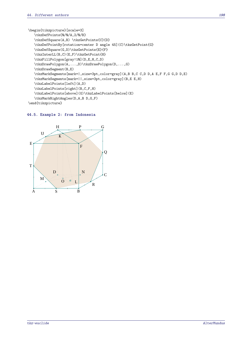\begin{tikzpicture}[scale=3] \tkzDefPoints{\\Q\dlang\ddlang\ddlang\ddlang\ddlang\ddlang\ddlang\ddlang\ddlang\ddlang\ddlang\ddlang\ddlang\ddlang\ddlang\ddlang\ddlang\ddlang\ddlang\ddlang\ddlang\ddlang\ddlang\ddlang\ddlang\ddlang\ddlang\ddlang\ddlang\dd \tkzDefSquare(A,B) \tkzGetPoints{C}{D} \tkzDefPointBy[rotation=center D angle 45](C)\tkzGetPoint{G} \tkzDefSquare(G,D)\tkzGetPoints{E}{F} \tkzInterLL(B,C)(E,F)\tkzGetPoint{H} \tkzFillPolygon[gray!10](D,E,H,C,D) \tkzDrawPolygon(A,...,D)\tkzDrawPolygon(D,...,G) \tkzDrawSegment(B,E) \tkzMarkSegments[mark=|,size=3pt,color=gray](A,B B,C C,D D,A E,F F,G G,D D,E) \tkzMarkSegments[mark=||,size=3pt,color=gray](B,E E,H) \tkzLabelPoints[left](A,D) \tkzLabelPoints[right](B,C,F,H) \tkzLabelPoints[above](G)\tkzLabelPoints[below](E) \tkzMarkRightAngles(D,A,B D,G,F) \end{tikzpicture}

# **44.5. Example 2: from Indonesia**

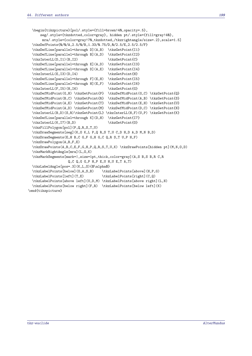```
\begin{tikzpicture}[pol/.style={fill=brown!40,opacity=.5},
     seg/.style={tkzdotted,color=gray}, hidden pt/.style={fill=gray!40},
      mra/.style={color=gray!70,tkzdotted,/tkzrightangle/size=.2},scale=1.5]
 \tkzDefPoints{0/0/A,2.5/0/B,1.33/0.75/D,0/2.5/E,2.5/2.5/F}
 \tkzDefLine[parallel=through D](A,B) \tkzGetPoint{I1}
 \tkzDefLine[parallel=through B](A,D) \tkzGetPoint{I2}
 \tkzInterLL(D,I1)(B,I2) \tkzGetPoint{C}
 \tkzDefLine[parallel=through E](A,D) \tkzGetPoint{I3}
 \tkzDefLine[parallel=through D](A,E) \tkzGetPoint{I4}
 \tkzInterLL(E,I3)(D,I4) \tkzGetPoint{H}
 \tkzDefLine[parallel=through F](E,H) \tkzGetPoint{I5}
 \tkzDefLine[parallel=through H](E,F) \tkzGetPoint{I6}
 \tkzInterLL(F,I5)(H,I6) \tkzGetPoint{G}
 \tkzDefMidPoint(G,H) \tkzGetPoint{P} \tkzDefMidPoint(G,C) \tkzGetPoint{Q}
 \tkzDefMidPoint(B,C) \tkzGetPoint{R} \tkzDefMidPoint(A,B) \tkzGetPoint{S}
 \tkzDefMidPoint(A,E) \tkzGetPoint{T} \tkzDefMidPoint(E,H) \tkzGetPoint{U}
 \tkzDefMidPoint(A,D) \tkzGetPoint{M} \tkzDefMidPoint(D,C) \tkzGetPoint{N}
 \tkzInterLL(B,D)(S,R)\tkzGetPoint{L} \tkzInterLL(H,F)(U,P) \tkzGetPoint{K}
 \tkzDefLine[parallel=through K](D,H) \tkzGetPoint{I7}
 \tkzInterLL(K,I7)(B,D) \tkzGetPoint{0}
 \tkzFillPolygon[pol](P,Q,R,S,T,U)
 \tkzDrawSegments[seg](K,O K,L P,Q R,S T,U C,D H,D A,D M,N B,D)
 \tkzDrawSegments(E,H B,C G,F G,H G,C Q,R S,T U,P H,F)
 \tkzDrawPolygon(A,B,F,E)
 \tkzDrawPoints(A,B,C,E,F,G,H,P,Q,R,S,T,U,K) \tkzDrawPoints[hidden pt](M,N,O,D)
 \tkzMarkRightAngle[mra](L,O,K)
 \tkzMarkSegments[mark=|,size=1pt,thick,color=gray](A,S B,S B,R C,R
                   Q, C, Q, G, G, P, H, P, E, U, H, U, E, T, A, T)\tkzLabelAngle[pos=.3](K,L,O){$\alpha$}
 \tkzLabelPoints[below](O,A,S,B) \tkzLabelPoints[above](H,P,G)
 \tkzLabelPoints[left](T,E) \tkzLabelPoints[right](C,Q)
 \tkzLabelPoints[above left](U,D,M) \tkzLabelPoints[above right](L,N)
 \tkzLabelPoints[below right](F,R) \tkzLabelPoints[below left](K)
\end{tikzpicture}
```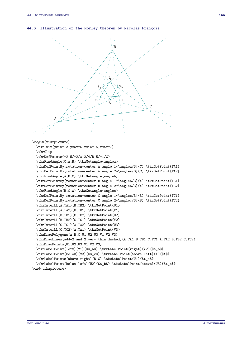#### **44.6. Illustration of the Morley theorem by Nicolas François**

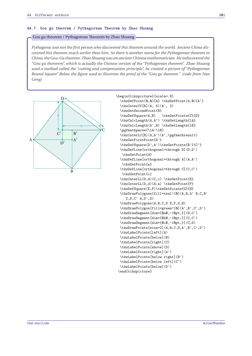## **44.7. Gou gu theorem / Pythagorean Theorem by Zhao Shuang**

#### Gou gu theorem / Pythagorean Theorem by Zhao Shuang

*Pythagoras was not the first person who discovered this theorem around the world. Ancient China discovered this theorem much earlier than him. So there is another name for the Pythagorean theorem in China, the Gou-Gu theorem. Zhao Shuang was an ancient Chinese mathematician. He rediscovered the "Gou gu therorem", which is actually the Chinese version of the "Pythagorean theorem". Zhao Shuang used a method called the "cutting and compensation principle", he created a picture of "Pythagorean Round Square" Below the figure used to illustrate the proof of the "Gou gu theorem." (code from Nan Geng)*



```
\begin{tikzpicture}[scale=.8]
 \tkzDefPoint(0,0){A} \tkzDefPoint(4,0){A'}
 \text{tkzInterCC}[R](A, 5)(A', 3)\tkzGetSecondPoint{B}
 \tkzDefSquare(A,B) \tkzGetPoints{C}{D}
 \tkzCalcLength(A,A') \tkzGetLength{lA}
 \tkzCalcLength(A',B) \tkzGetLength{lB}
  \pgfmathparse{\lA-\lB}
 \tkzInterLC[R](A,A')(A',\pgfmathresult)
 \tkzGetFirstPoint{D'}
 \tkzDefSquare(D',A')\tkzGetPoints{B'}{C'}
 \tkzDefLine[orthogonal=through D](D,D')
  \tkzGetPoint{d}
 \tkzDefLine[orthogonal=through A](A,A')
  \tkzGetPoint{a}
 \tkzDefLine[orthogonal=through C](C,C')
  \tkzGetPoint{c}
 \tkzInterLL(D,d)(C,c) \tkzGetPoint{E}
 \tkzInterLL(D,d)(A,a) \tkzGetPoint{F}
 \tkzDefSquare(E,F)\tkzGetPoints{G}{H}
 \tkzDrawPolygons[fill=teal!10](A,B,A' B,C,B'
    C,D,C' A,D',D)
 \tkzDrawPolygons(A,B,C,D E,F,G,H)
 \tkzDrawPolygon[fill=green!10](A',B',C',D')
 \tkzDrawSegment[dim={$a$,-10pt,}](D,C')
 \tkzDrawSegment[dim={$b$,-10pt,}](C,C')
 \tkzDrawSegment[dim={$c$,-10pt,}](C,D)
 \tkzDrawPoints[size=2](A,B,C,D,A',B',C',D')
 \tkzLabelPoints[left](A)
 \tkzLabelPoints[below](B)
 \tkzLabelPoints[right](C)
 \tkzLabelPoints[above](D)
 \tkzLabelPoints[right](A')
 \tkzLabelPoints[below right](B')
 \tkzLabelPoints[below left](C')
 \tkzLabelPoints[below](D')
\end{tikzpicture}
```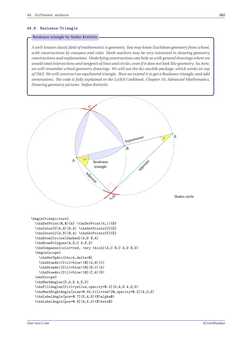#### **44.8. Reuleaux-Triangle**

#### Reuleaux-triangle by Stefan Kottwitz

*A well-known classic field of mathematics is geometry. You may know Euclidean geometry from school, with constructions by compass and ruler. Math teachers may be very interested in drawing geometry constructions and explanations. Underlying constructions can help us with general drawings where we would need intersections and tangents of lines and circles, even if it does not look like geometry. So, here, we will remember school geometry drawings. We will use the tkz-euclide package, which works on top of TikZ. We will construct an equilateral triangle. Then we extend it to get a Reuleaux triangle, and add annotations. The code is fully explained in the LaTeX Cookbook, Chapter 10, Advanced Mathematics, Drawing geometry pictures. Stefan Kottwitz*

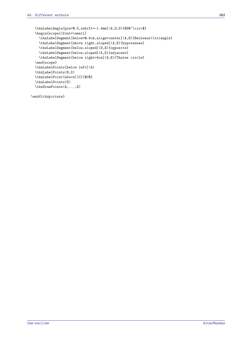```
\tkzLabelAngle[pos=0.5,xshift=-1.4mm](A,D,D){$90^\circ$}
\begin{scope}[font=\small]
  \tkzLabelSegment[below=0.6cm,align=center](A,B){Reuleaux\\triangle}
  \tkzLabelSegment[above right,sloped](A,E){hypotenuse}
  \tkzLabelSegment[below,sloped](D,E){opposite}
  \tkzLabelSegment[below,sloped](A,D){adjacent}
  \tkzLabelSegment[below right=4cm](A,E){Thales circle}
\end{scope}
\tkzLabelPoints[below left](A)
\tkzLabelPoints(B,D)
\tkzLabelPoint[above](C){$C$}
\tkzLabelPoints(E)
\tkzDrawPoints(A,...,E)
```
\end{tikzpicture}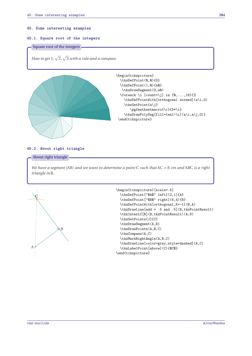#### **45. Some interesting examples**

#### **45.1. Square root of the integers**

## Square root of the integers

*How to get* 1*,*  $\sqrt{2}$ *,*  $\sqrt{3}$  *with a rule and a compass.* 



| begin{tikzpicture}                                        |
|-----------------------------------------------------------|
| \tkzDefPoint(0,0){0}                                      |
| \tkzDefPoint(1,0){a0}                                     |
| \tkzDrawSegment(0,a0)                                     |
| \foreach \i [count=\j] in $\{\mathbb{Q}, \ldots, 16\}$ {% |
| \tkzDefPointWith[orthogonal normed](a\i,0)                |
| \tkzGetPoint{a\j}                                         |
| \pgfmathsetmacro{\c}{5*\i}                                |
| \tkzDrawPolySeg[fill=teal!\c](a\i,a\j,0)}                 |
| \end{tikzpicture}                                         |
|                                                           |

#### **45.2. About right triangle**

#### About right triangle

*We have a segment* [AB] *and we want to determine a point* <sup>C</sup> *such that* AC = 8 *cm and* ABC *is a right triangle in* <sup>B</sup>*.*

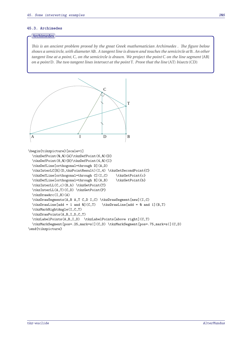## **45.3. Archimedes**

# Archimedes

*This is an ancient problem proved by the great Greek mathematician Archimedes . The figure below shows a semicircle, with diameter* AB*. A tangent line is drawn and touches the semicircle at* <sup>B</sup>*. An other tangent line at a point,* <sup>C</sup>*, on the semicircle is drawn. We project the point* <sup>C</sup> *on the line segment* [AB] *on a point* <sup>D</sup>*. The two tangent lines intersect at the point* <sup>T</sup>*. Prove that the line* (AT) *bisects* (CD)

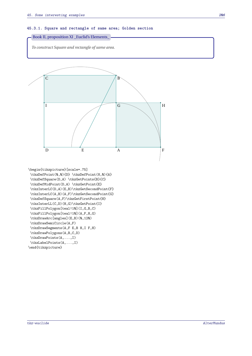#### **45.3.1. Square and rectangle of same area; Golden section**



*To construct Square and rectangle of same area.*



\tkzDrawSemiCircle(A,F)

- \tkzDrawSegments(A,F E,B H,I F,H)
- \tkzDrawPolygons(A,B,C,D)
- \tkzDrawPoints(A,...,I)
- \tkzLabelPoints(A,...,I)
- \end{tikzpicture}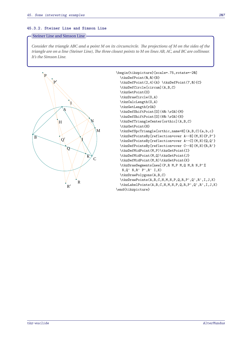## **45.3.2. Steiner Line and Simson Line**

## Steiner Line and Simson Line

*Consider the triangle ABC and a point M on its circumcircle. The projections of M on the sides of the triangle are on a line (Steiner Line), The three closest points to M on lines AB, AC, and BC are collinear. It's the Simson Line.*



tkz-euclide AlterMundus et al. AlterMundus et al. AlterMundus et al. AlterMundus et al. AlterMundus et al. AlterMundus et al. AlterMundus et al. AlterMundus et al. AlterMundus et al. AlterMundus et al. AlterMundus et al. A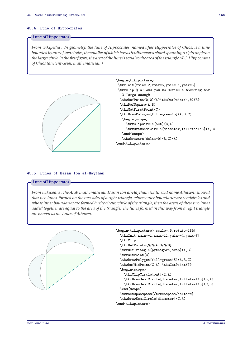#### **45.4. Lune of Hippocrates**

#### Lune of Hippocrates

*From wikipedia : In geometry, the lune of Hippocrates, named after Hippocrates of Chios, is a lune bounded by arcs of two circles, the smaller of which has as its diameter a chord spanning a right angle on the larger circle.In the first figure, the area of the lune is equal to the area of the triangle ABC.Hippocrates of Chios (ancient Greek mathematician,)*



```
\begin{tikzpicture}
\tkzInit[xmin=-2,xmax=5,ymin=-1,ymax=6]
\tkzClip % allows you to define a bounding box
   % large enough
  \tkzDefPoint(0,0){A}\tkzDefPoint(4,0){B}
  \tkzDefSquare(A,B)
  \tkzGetFirstPoint{C}
  \tkzDrawPolygon[fill=green!5](A,B,C)
   \begin{scope}
     \tkzClipCircle[out](B,A)
     \tkzDrawSemiCircle[diameter,fill=teal!5](A,C)
   \end{scope}
   \tkzDrawArc[delta=0](B,C)(A)
\end{tikzpicture}
```
## **45.5. Lunes of Hasan Ibn al-Haytham**

#### Lune of Hippocrates

*From wikipedia : the Arab mathematician Hasan Ibn al-Haytham (Latinized name Alhazen) showed that two lunes, formed on the two sides of a right triangle, whose outer boundaries are semicircles and whose inner boundaries are formed by the circumcircle of the triangle, then the areas of these two lunes added together are equal to the area of the triangle. The lunes formed in this way from a right triangle are known as the lunes of Alhazen.*



```
\begin{tikzpicture}[scale=.5,rotate=180]
 \tkzInit[xmin=-1,xmax=11,ymin=-4,ymax=7]
 \tkzClip
 \tkzDefPoints{0/0/A,8/0/B}
 \tkzDefTriangle[pythagore,swap](A,B)
 \tkzGetPoint{C}
 \tkzDrawPolygon[fill=green!5](A,B,C)
 \tkzDefMidPoint(C,A) \tkzGetPoint{I}
 \begin{scope}
   \tkzClipCircle[out](I,A)
   \tkzDrawSemiCircle[diameter,fill=teal!5](B,A)
   \tkzDrawSemiCircle[diameter,fill=teal!5](C,B)
 \end{scope}
 \tkzSetUpCompass[/tkzcompass/delta=0]
 \tkzDrawSemiCircle[diameter](C,A)
\end{tikzpicture}
```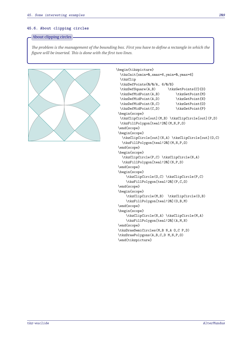## **45.6. About clipping circles**

## About clipping circles

*The problem is the management of the bounding box. First you have to define a rectangle in which the figure will be inserted. This is done with the first two lines.*



```
\begin{tikzpicture}
  \tkzInit[xmin=0,xmax=6,ymin=0,ymax=6]
  \tkzClip
  \tkzDefPoints{0/0/A, 6/0/B}
  \tkzDefSquare(A,B) \tkzGetPoints{C}{D}
  \tkzDefMidPoint(A,B) \tkzGetPoint{M}
  \tkzDefMidPoint(A,D) \tkzGetPoint{N}
  \tkzDefMidPoint(B,C) \tkzGetPoint{0}
  \tkzDefMidPoint(C,D) \tkzGetPoint{P}
\begin{scope}
  \tkzClipCircle[out](M,B) \tkzClipCircle[out](P,D)
  \tkzFillPolygon[teal!20](M,N,P,O)
 \end{scope}
\begin{scope}
  \tkzClipCircle[out](N,A) \tkzClipCircle[out](O,C)
  \tkzFillPolygon[teal!20](M,N,P,O)
\end{scope}
\begin{scope}
  \tkzClipCircle(P,C) \tkzClipCircle(N,A)
  \tkzFillPolygon[teal!20](N,P,D)
\end{scope}
\begin{scope}
    \tkzClipCircle(O,C) \tkzClipCircle(P,C)
    \tkzFillPolygon[teal!20](P,C,O)
\end{scope}
\begin{scope}
    \tkzClipCircle(M,B) \tkzClipCircle(O,B)
     \tkzFillPolygon[teal!20](O,B,M)
\end{scope}
\begin{scope}
     \tkzClipCircle(N,A) \tkzClipCircle(M,A)
     \tkzFillPolygon[teal!20](A,M,N)
\end{scope}
\tkzDrawSemiCircles(M,B N,A O,C P,D)
\tkzDrawPolygons(A,B,C,D M,N,P,O)
\end{tikzpicture}
```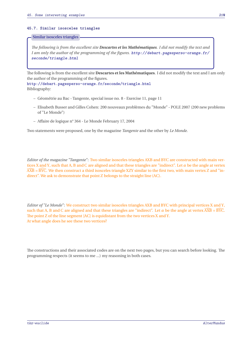## **45.7. Similar isosceles triangles**

#### Similar isosceles triangles

*The following is from the excellent site Descartes et les Mathématiques. I did not modify the text and I am only the author of the programming of the figures.* [http://debart.pagesperso-orange.fr/](http://debart.pagesperso-orange.fr/seconde/triangle.html) [seconde/triangle.html](http://debart.pagesperso-orange.fr/seconde/triangle.html)

The following is from the excellent site **Descartes et les Mathématiques**. I did not modify the text and I am only the author of the programming of the figures. <http://debart.pagesperso-orange.fr/seconde/triangle.html>

Bibliography:

- Géométrie au Bac Tangente, special issue no. 8 Exercise 11, page 11
- Elisabeth Busser and Gilles Cohen: 200 nouveaux problèmes du "Monde" POLE 2007 (200 new problems of "Le Monde")
- Affaire de logique n° 364 Le Monde February 17, 2004

Two statements were proposed, one by the magazine *Tangente* and the other by *Le Monde*.

*Editor of the magazine "Tangente"*: Two similar isosceles triangles AXB and BYC are constructed with main vertices X and Y, such that A, B and C are aligned and that these triangles are "indirect". Let  $\alpha$  be the angle at vertex  $\widehat{AXB} = \widehat{BYC}$ . We then construct a third isosceles triangle XZY similar to the first two, with main vertex Z and "indirect". We ask to demonstrate that point <sup>Z</sup> belongs to the straight line (AC).

*Editor of "Le Monde"*: We construct two similar isosceles triangles AXB and BYC with principal vertices <sup>X</sup> and <sup>Y</sup>, such that A, B and C are aligned and that these triangles are "indirect". Let  $\alpha$  be the angle at vertex  $\widehat{AXB} = \widehat{BYC}$ . The point Z of the line segment [AC] is equidistant from the two vertices <sup>X</sup> and <sup>Y</sup>. At what angle does he see these two vertices?

The constructions and their associated codes are on the next two pages, but you can search before looking. The programming respects (it seems to me ...) my reasoning in both cases.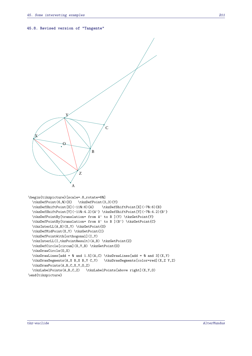#### **45.8. Revised version of "Tangente"**



\end{tikzpicture}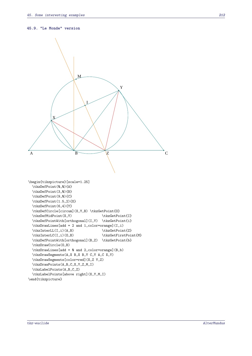#### **45.9. "Le Monde" version**

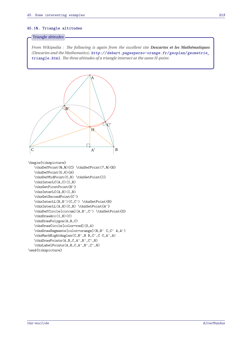#### **45.10. Triangle altitudes**

#### Triangle altitudes

*From Wikipedia : The following is again from the excellent site Descartes et les Mathématiques (Descartes and the Mathematics).* [http://debart.pagesperso-orange.fr/geoplan/geometrie\\_](http://debart.pagesperso-orange.fr/geoplan/geometrie_triangle.html) [triangle.html](http://debart.pagesperso-orange.fr/geoplan/geometrie_triangle.html)*. The three altitudes of a triangle intersect at the same H-point.*

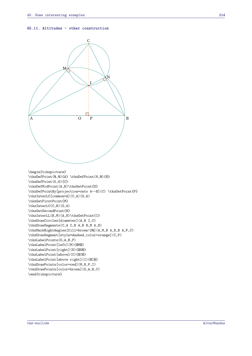#### **45.11. Altitudes - other construction**

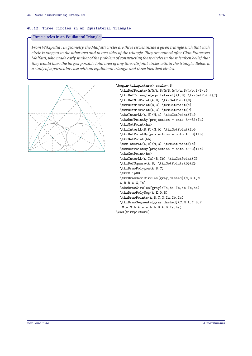#### **45.12. Three circles in an Equilateral Triangle**

## Three circles in an Equilateral Triangle

*From Wikipedia : In geometry, the Malfatti circles are three circles inside a given triangle such that each circle is tangent to the other two and to two sides of the triangle. They are named after Gian Francesco Malfatti, who made early studies of the problem of constructing these circles in the mistaken belief that they would have the largest possible total area of any three disjoint circles within the triangle. Below is a study of a particular case with an equilateral triangle and three identical circles.*



```
\begin{tikzpicture}[scale=.8]
  \tkzDefPoints{0/0/A,8/0/B,0/4/a,8/4/b,8/8/c}
  \tkzDefTriangle[equilateral](A,B) \tkzGetPoint{C}
  \tkzDefMidPoint(A,B) \tkzGetPoint{M}
  \tkzDefMidPoint(B,C) \tkzGetPoint{N}
  \tkzDefMidPoint(A,C) \tkzGetPoint{P}
  \tkzInterLL(A,N)(M,a) \tkzGetPoint{Ia}
  \tkzDefPointBy[projection = onto A--B](Ia)
  \tkzGetPoint{ha}
  \tkzInterLL(B,P)(M,b) \tkzGetPoint{Ib}
  \tkzDefPointBy[projection = onto A--B](Ib)
  \tkzGetPoint{hb}
  \tkzInterLL(A,c)(M,C) \tkzGetPoint{Ic}
  \tkzDefPointBy[projection = onto A--C](Ic)
  \tkzGetPoint{hc}
  \tkzInterLL(A,Ia)(B,Ib) \tkzGetPoint{G}
  \tkzDefSquare(A,B) \tkzGetPoints{D}{E}
  \tkzDrawPolygon(A,B,C)
  \tkzClipBB
  \tkzDrawSemiCircles[gray,dashed](M,B A,M
  A, B, B, A, G, Ia\tkzDrawCircles[gray](Ia,ha Ib,hb Ic,hc)
  \tkzDrawPolySeg(A,E,D,B)
  \tkzDrawPoints(A,B,C,G,Ia,Ib,Ic)
  \tkzDrawSegments[gray,dashed](C,M A,N B,P
  M,a M,b A,a a,b b,B A,D Ia,ha)
```
\end{tikzpicture}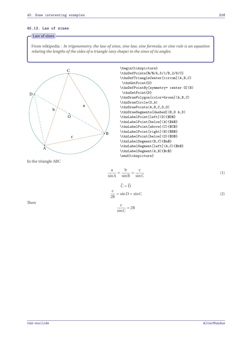## **45.13. Law of sines**

# - Law of sines -

From wikipedia : *In trigonometry, the law of sines, sine law, sine formula, or sine rule is an equation relating the lengths of the sides of a triangle (any shape) to the sines of its angles.*



 $\frac{a}{\sqrt{a}}$  $rac{a}{\sin A} = \frac{b}{\sin A}$  $\frac{b}{\sin B} = \frac{c}{\sin B}$ sin<sup>C</sup> (1)

$$
\hat{C} = \hat{D}
$$
  

$$
\frac{c}{2R} = \sin D = \sin C
$$
 (2)

Then

$$
\frac{c}{\sin C} = 2R
$$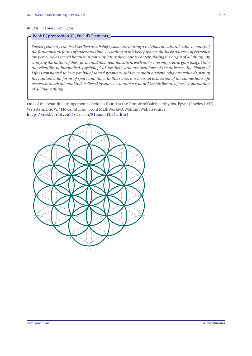## **45.14. Flower of Life**

# Book IV, proposition XI \_Euclid's Elements\_

*Sacred geometry can be described as a belief system attributing a religious or cultural value to many of the fundamental forms of space and time. According to this belief system, the basic patterns of existence are perceived as sacred because in contemplating them one is contemplating the origin of all things. By studying the nature of these forms and their relationship to each other, one may seek to gain insight into the scientific, philosophical, psychological, aesthetic and mystical laws of the universe. The Flower of Life is considered to be a symbol of sacred geometry, said to contain ancient, religious value depicting the fundamental forms of space and time. In this sense, it is a visual expression of the connections life weaves through all mankind, believed by some to contain a type of Akashic Record of basic information of all living things.*

One of the beautiful arrangements of circles found at the Temple of Osiris at Abydos, Egypt (Rawles 1997). Weisstein, Eric W. "Flower of Life." From MathWorld–A Wolfram Web Resource. <http://mathworld.wolfram.com/FlowerofLife.html>

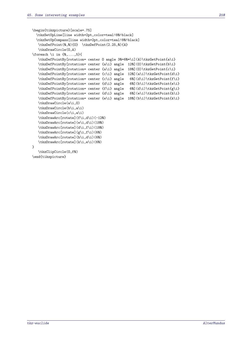```
\begin{tikzpicture}[scale=.75]
  \tkzSetUpLine[line width=2pt,color=teal!80!black]
  \tkzSetUpCompass[line width=2pt,color=teal!80!black]
   \tkzDefPoint(0,0){0} \tkzDefPoint(2.25,0){A}
   \tkzDrawCircle(O,A)
\foreach \i in {0,...,5}{
   \tkzDefPointBy[rotation= center O angle 30+60*\i](A)\tkzGetPoint{a\i}
   \tkzDefPointBy[rotation= center {a\i} angle 120](0)\tkzGetPoint{b\i}
   \tkzDefPointBy[rotation= center {a\i} angle 180](O)\tkzGetPoint{c\i}
   \tkzDefPointBy[rotation= center {c\i} angle 120](a\i)\tkzGetPoint{d\i}
   \tkzDefPointBy[rotation= center {c\i} angle 60](d\i)\tkzGetPoint{f\i}
   \tkzDefPointBy[rotation= center {d\i} angle 60](b\i)\tkzGetPoint{e\i}
   \tkzDefPointBy[rotation= center {f\i} angle 60](d\i)\tkzGetPoint{g\i}
   \tkzDefPointBy[rotation= center {d\i} angle 60](e\i)\tkzGetPoint{h\i}
   \tkzDefPointBy[rotation= center {e\i} angle 180](b\i)\tkzGetPoint{k\i}
   \tkzDrawCircle(a\i,O)
   \tkzDrawCircle(b\i,a\i)
   \tkzDrawCircle(c\i,a\i)
   \tkzDrawArc[rotate](f\i,d\i)(-120)
   \tkzDrawArc[rotate](e\i,d\i)(180)
   \tkzDrawArc[rotate](d\i,f\i)(180)
   \tkzDrawArc[rotate](g\i,f\i)(60)
   \tkzDrawArc[rotate](h\i,d\i)(60)
   \tkzDrawArc[rotate](k\i,e\i)(60)
}
   \tkzClipCircle(O,f0)
\end{tikzpicture}
```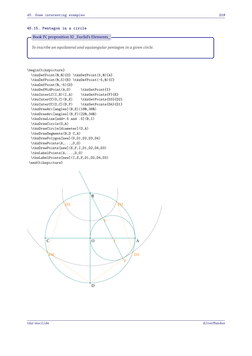## **45.15. Pentagon in a circle**

Book IV, proposition XI \_Euclid's Elements\_

*To inscribe an equilateral and equiangular pentagon in a given circle.*

```
\begin{tikzpicture}
  \tkzDefPoint(0,0){O} \tkzDefPoint(5,0){A}
 \tkzDefPoint(0,5){B} \tkzDefPoint(-5,0){C}
 \tkzDefPoint(0,-5){D}
 \tkzDefMidPoint(A,O) \tkzGetPoint{I}
  \text{LC}(I,B)(I,A) \tkzGetPoints{F}{E}
  \tkzInterCC(0,C)(B,E) \tkzGetPoints{D3}{D2}
 \tkzInterCC(O,C)(B,F) \tkzGetPoints{D4}{D1}
  \tkzDrawArc[angles](B,E)(180,360)
 \tkzDrawArc[angles](B,F)(220,340)
 \tkzDrawLine[add=.5 and .5](B,I)
 \tkzDrawCircle(O,A)
 \tkzDrawCircle[diameter](O,A)
 \tkzDrawSegments(B,D C,A)
 \tkzDrawPolygon[new](D,D1,D2,D3,D4)
 \tkzDrawPoints(A,...,D,0)
 \tkzDrawPoints[new](E,F,I,D1,D2,D4,D3)
 \tkzLabelPoints(A,...,D,0)
  \tkzLabelPoints[new](I,E,F,D1,D2,D4,D3)
 \end{tikzpicture}
                                                          A
                                  B
          \overline{C}\overline{a}E
                                                        D1
                                                \mu\overline{\mathcal{M}}\overline{\text{)}3
```
D

F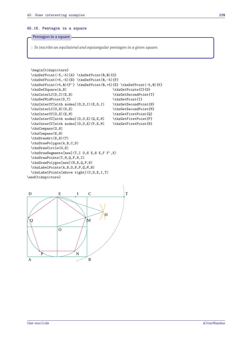#### **45.16. Pentagon in a square**

## Pentagon in a square

: *To inscribe an equilateral and equiangular pentagon in a given square.*

```
\begin{tikzpicture}
 \tkzDefPoint(-5,-5){A} \tkzDefPoint(0,0){O}
 \tkzDefPoint(+5,-5){B} \tkzDefPoint(0,-5){F}
 \tkzDefPoint(+5,0){F'} \tkzDefPoint(0,+5){E} \tkzDefPoint(-5,0){K}
 \tkzDefSquare(A,B) \tkzGetPoints{C}{D}
 \tkzInterLC(D,C)(E,B) <br> \tkzGetSecondPoint{T}
 \tkzDefMidPoint(D,T) \tkzGetPoint{I}
 \tkzInterCC[with nodes](0,D,I)(E,D,I) \tkzGetSecondPoint{H}
 \tkzInterLC(0,H)(0,E) \tkzGetSecondPoint{M}
 \tkzInterCC(0,E)(E,M) \tkzGetFirstPoint{0}
 \label{thm:rel} $$\tkzInterCC[with nodes] (0,0,E) (Q,E,M) $$\tkzGetFirstPoint{P}\tkzInterCC[with nodes](O,O,E)(P,E,M) \tkzGetFirstPoint{N}
 \tkzCompass(0,H)
 \tkzCompass(E,H)
 \tkzDrawArc(E,B)(T)
 \tkzDrawPolygon(A,B,C,D)
 \tkzDrawCircle(O,E)
 \tkzDrawSegments[new](T,I O,H E,H E,F F',K)
 \tkzDrawPoints(T,M,Q,P,N,I)
 \tkzDrawPolygon[new](M,E,Q,P,N)
 \tkzLabelPoints(A,B,O,N,P,Q,M,H)
 \tkzLabelPoints[above right](C,D,E,I,T)
\end{tikzpicture}
```
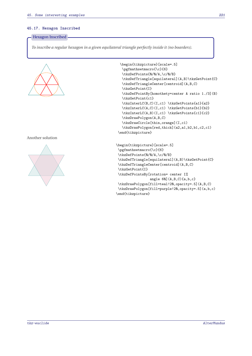## **45.17. Hexagon Inscribed**

## Hexagon Inscribed

*To inscribe a regular hexagon in a given equilateral triangle perfectly inside it (no boarders).*



# Another solution



```
\begin{tikzpicture}[scale=.5]
  \pgfmathsetmacro{\c}{6}
  \tkzDefPoints{0/0/A,\c/0/B}
  \tkzDefTriangle[equilateral](A,B)\tkzGetPoint{C}
  \tkzDefTriangleCenter[centroid](A,B,C)
  \tkzGetPoint{I}
  \tkzDefPointBy[homothety=center A ratio 1./3](B)
  \tkzGetPoint{c1}
  \tkzInterLC(B,C)(I,c1) \tkzGetPoints{a1}{a2}
  \tkzInterLC(A,C)(I,c1) \tkzGetPoints{b1}{b2}
  \tkzInterLC(A,B)(I,c1) \tkzGetPoints{c1}{c2}
  \tkzDrawPolygon(A,B,C)
  \tkzDrawCircle[thin,orange](I,c1)
  \tkzDrawPolygon[red,thick](a2,a1,b2,b1,c2,c1)
\end{tikzpicture}
```

```
\begin{tikzpicture}[scale=.5]
\pgfmathsetmacro{\c}{6}
\tkzDefPoints{0/0/A,\c/0/B}
\tkzDefTriangle[equilateral](A,B)\tkzGetPoint{C}
\tkzDefTriangleCenter[centroid](A,B,C)
\tkzGetPoint{I}
\tkzDefPointsBy[rotation= center I%
                 angle 60] (A, B, C) {a, b, c}
\tkzDrawPolygon[fill=teal!20,opacity=.5](A,B,C)
\tkzDrawPolygon[fill=purple!20,opacity=.5](a,b,c)
\end{tikzpicture}
```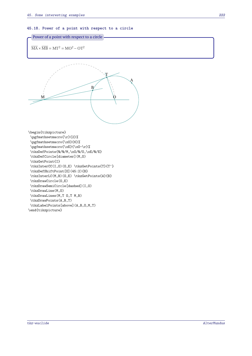**45.18. Power of a point with respect to a circle**

```
Power of a point with respect to a circle
```

$$
\overline{\text{MA}} \times \overline{\text{MB}} = \text{MT}^2 = \text{MO}^2 - \text{OT}^2
$$



\begin{tikzpicture} \pgfmathsetmacro{\r}{2}% \pgfmathsetmacro{\xO}{6}% \pgfmathsetmacro{\xE}{\xO-\r}% \tkzDefPoints{0/0/M,\xO/0/O,\xE/0/E} \tkzDefCircle[diameter](M,O) \tkzGetPoint{I} \tkzInterCC(I,O)(O,E) \tkzGetPoints{T}{T'} \tkzDefShiftPoint[O](45:2){B} \tkzInterLC(M,B)(O,E) \tkzGetPoints{A}{B} \tkzDrawCircle(O,E) \tkzDrawSemiCircle[dashed](I,O) \tkzDrawLine(M,O) \tkzDrawLines(M,T O,T M,B) \tkzDrawPoints(A,B,T) \tkzLabelPoints[above](A,B,O,M,T) \end{tikzpicture}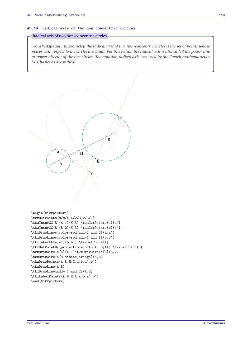### **45.19. Radical axis of two non-concentric circles**

## Radical axis of two non-concentric circles

From Wikipedia : *In geometry, the radical axis of two non-concentric circles is the set of points whose power with respect to the circles are equal. For this reason the radical axis is also called the power line or power bisector of the two circles. The notation radical axis was used by the French mathematician M. Chasles as axe radical.*



```
\tkzDrawLines[color=red,add=2 and 2](a,a')
\tkzDrawLines[color=red,add=1 and 1](b,b')
\tkzInterLL(a,a')(b,b') \tkzGetPoint{X}
\tkzDefPointBy[projection= onto A--B](X) \tkzGetPoint{H}
\tkzDrawCircle[R](A,1)\tkzDrawCircle[R](B,2)
\tkzDrawCircle[R,dashed,orange](K,3)
\tkzDrawPoints(A,B,H,X,a,b,a',b')
\tkzDrawLine(A,B)
\tkzDrawLine[add= 1 and 2](X,H)
\tkzLabelPoints(A,B,H,X,a,b,a',b')
\end{tikzpicture}
```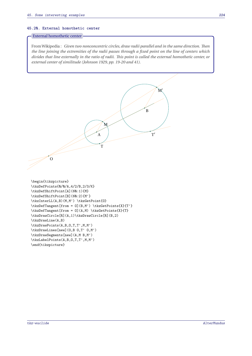## **45.20. External homothetic center**

## External homothetic center

 $\sigma$ 

FromWikipedia : *Given two nonconcentric circles, draw radii parallel and in the same direction. Then the line joining the extremities of the radii passes through a fixed point on the line of centers which divides that line externally in the ratio of radii. This point is called the external homothetic center, or external center of similitude (Johnson 1929, pp. 19-20 and 41).*

B

T ′

M′

\begin{tikzpicture} \tkzDefPoints{0/0/A,4/2/B,2/3/K} \tkzDefShiftPoint[A](60:1){M} \tkzDefShiftPoint[B](60:2){M'} \tkzInterLL(A,B)(M,M') \tkzGetPoint{O} \tkzDefTangent[from = O](B,M') \tkzGetPoints{X}{T'} \tkzDefTangent[from = O](A,M) \tkzGetPoints{X}{T} \tkzDrawCircle[R](A,1)\tkzDrawCircle[R](B,2) \tkzDrawLine(A,B) \tkzDrawPoints(A,B,O,T,T',M,M') \tkzDrawLines[new](O,B O,T' O,M') \tkzDrawSegments[new](A,M B,M') \tkzLabelPoints(A,B,O,T,T',M,M') \end{tikzpicture}

A

์<br>T

M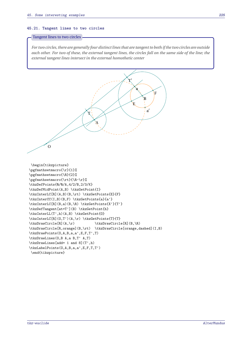#### **45.21. Tangent lines to two circles**

### Tangent lines to two circles

*For two circles, there are generally four distinct lines that are tangent to both if the two circles are outside each other. For two of these, the external tangent lines, the circles fall on the same side of the line; the external tangent lines intersect in the external homothetic center*

O A B a a ′ E F T  $\frac{1}{L}$ ′ \begin{tikzpicture} \pgfmathsetmacro{\r}{1}% \pgfmathsetmacro{\R}{2}% \pgfmathsetmacro{\rt}{\R-\r}% \tkzDefPoints{0/0/A,4/2/B,2/3/K} \tkzDefMidPoint(A,B) \tkzGetPoint{I} \tkzInterLC[R](A,B)(B,\rt) \tkzGetPoints{E}{F} \tkzInterCC(I,B)(B,F) \tkzGetPoints{a}{a'} \tkzInterLC[R](B,a)(B,\R) \tkzGetPoints{X'}{T'} \tkzDefTangent[at=T'](B) \tkzGetPoint{h} \tkzInterLL(T',h)(A,B) \tkzGetPoint{O} \tkzInterLC[R](O,T')(A,\r) \tkzGetPoints{T}{T} \tkzDrawCircle[R](A,\r) \tkzDrawCircle[R](B,\R) \tkzDrawCircle[R,orange](B,\rt) \tkzDrawCircle[orange,dashed](I,B) \tkzDrawPoints(O,A,B,a,a',E,F,T',T) \tkzDrawLines(O,B A,a B,T' A,T) \tkzDrawLines[add= 1 and 8](T',h) \tkzLabelPoints(O,A,B,a,a',E,F,T,T') \end{tikzpicture}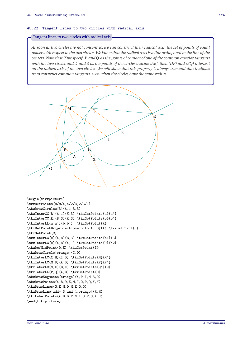#### **45.22. Tangent lines to two circles with radical axis**

#### Tangent lines to two circles with radical axis

*As soon as two circles are not concentric, we can construct their radical axis, the set of points of equal power with respect to the two circles. We know that the radical axis is a line orthogonal to the line of the centers. Note that if we specify* <sup>P</sup> *and* <sup>Q</sup> *as the points of contact of one of the common exterior tangents with the two circles and* <sup>D</sup> *and* <sup>E</sup> *as the points of the circles outside [AB], then (DP) and (EQ) intersect on the radical axis of the two circles. We will show that this property is always true and that it allows us to construct common tangents, even when the circles have the same radius.*



```
\begin{tikzpicture}
\tkzDefPoints{0/0/A,4/2/B,2/3/K}
\tkzDrawCircles[R](A,1 B,3)
\tkzInterCC[R](A,1)(K,3) \tkzGetPoints{a}{a'}
\tkzInterCC[R](B,3)(K,3) \tkzGetPoints{b}{b'}
\tkzInterLL(a,a')(b,b') \tkzGetPoint{X}
\tkzDefPointBy[projection= onto A--B](X) \tkzGetPoint{H}
\tkzGetPoint{C}
\tkzInterLC[R](A,B)(B,3) \tkzGetPoints{b1}{E}
\tkzInterLC[R](A,B)(A,1) \tkzGetPoints{D}{a2}
\tkzDefMidPoint(D,E) \tkzGetPoint{I}
\tkzDrawCircle[orange](I,D)
\tkzInterLC(X,H)(I,D) \tkzGetPoints{M}{M'}
\tkzInterLC(M,D)(A,D) \tkzGetPoints{P}{P'}
\tkzInterLC(M,E)(B,E) \tkzGetPoints{Q'}{Q}
\tkzInterLL(P,Q)(A,B) \tkzGetPoint{O}
\tkzDrawSegments[orange](A,P I,M B,Q)
\tkzDrawPoints(A,B,D,E,M,I,O,P,Q,X,H)
\tkzDrawLines(O,E M,D M,E O,Q)
\tkzDrawLine[add= 3 and 4,orange](X,H)
\tkzLabelPoints(A,B,D,E,M,I,O,P,Q,X,H)
\end{tikzpicture}
```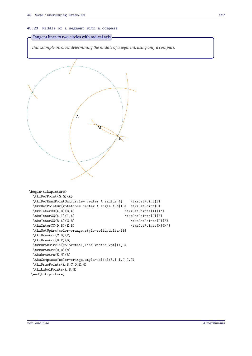### **45.23. Middle of a segment with a compass**

Tangent lines to two circles with radical axis

*This example involves determining the middle of a segment, using only a compass.*

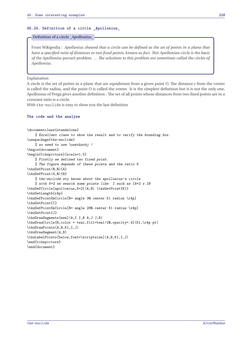#### **45.24. Definition of a circle \_Apollonius\_**

#### Definition of a circle \_Apollonius\_

From Wikipedia : *Apollonius showed that a circle can be defined as the set of points in a plane that have a specified ratio of distances to two fixed points, known as foci. This Apollonian circle is the basis of the Apollonius pursuit problem. ... The solutions to this problem are sometimes called the circles of Apollonius.*

Explanation

A circle is the set of points in a plane that are equidistant from a given point O. The distance r from the center is called the radius, and the point O is called the center. It is the simplest definition but it is not the only one. Apollonius of Perga gives another definition : The set of all points whose distances from two fixed points are in a constant ratio is a circle.

With tkz-euclide is easy to show you the last definition

#### **The code and the analyse**

```
\documentclass{standalone}
    % Excellent class to show the result and to verify the bounding box.
\usepackage{tkz-euclide}
    % no need to use \usetkzobj !
\begin{document}
\begin{tikzpicture}[scale=1.5]
    % Firstly we defined two fixed point.
   % The figure depends of these points and the ratio K
\tkzDefPoint(0,0){A}
\tkzDefPoint(4,0){B}
   % tkz-euclide.sty knows about the apollonius's circle
   % with K=2 we search some points like I such as IA=2 x IB
\tkzDefCircle[apollonius,K=2](A,B) \tkzGetPoint{K1}
\tkzGetLength{rAp}
\tkzDefPointOnCircle[R= angle 30 center K1 radius \rAp]
\tkzGetPoint{I}
\tkzDefPointOnCircle[R= angle 280 center K1 radius \rAp]
\tkzGetPoint{J}
\tkzDrawSegments[new](A,I I,B A,J J,B)
\tkzDrawCircle[R,color = teal,fill=teal!20,opacity=.4](K1,\rAp pt)
\tkzDrawPoints(A,B,K1,I,J)
\tkzDrawSegment(A,B)
\tkzLabelPoints[below,font=\scriptsize](A,B,K1,I,J)
\end{tikzpicture}
\end{document}
```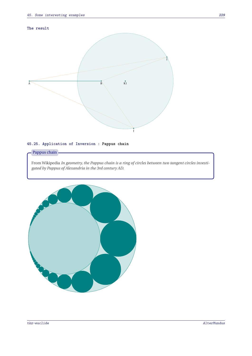## **The result**



# **45.25. Application of Inversion : Pappus chain**

# Pappus chain

From Wikipedia *In geometry, the Pappus chain is a ring of circles between two tangent circles investigated by Pappus of Alexandria in the 3rd century AD.*

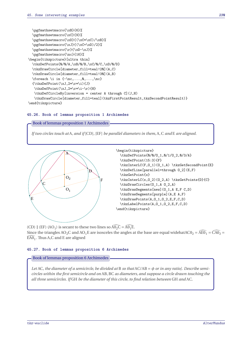```
\pgfmathsetmacro{\xB}{6}%
  \pgfmathsetmacro{\xC}{9}%
  \pgfmathsetmacro{\xD}{(\xC*\xC)/\xB}%
  \pgfmathsetmacro{\xJ}{(\xC+\xD)/2}%
  \pgfmathsetmacro{\r}{\xD-\xJ}%
  \pgfmathsetmacro{\nc}{16}%
\begin{tikzpicture}[ultra thin]
  \tkzDefPoints{0/0/A,\xB/0/B,\xC/0/C,\xD/0/D}
 \tkzDrawCircle[diameter,fill=teal!20](A,C)
 \tkzDrawCircle[diameter,fill=teal!30](A,B)
 \label{eq:cond} $$\text{or} \i in {-\nc, \ldots, \n, \ldots} $${\text{\tt \xJ,2*\r*\i}/J}\tkzDefPoint(\xJ,2*\r*\i-\r){H}
  \tkzDefCircleBy[inversion = center A through C](J,H)
   \tkzDrawCircle[diameter,fill=teal](tkzFirstPointResult,tkzSecondPointResult)}
\end{tikzpicture}
```
## **45.26. Book of lemmas proposition 1 Archimedes**



*If two circles touch at* <sup>A</sup>*, and if* [CD]*,* [EF] *be parallel diameters in them,* <sup>A</sup>*,* <sup>C</sup> *and* <sup>E</sup> *are aligned.*



(CD)  $\parallel$  (EF) (AO<sub>1</sub>) is secant to these two lines so  $\widehat{A0}_2\widehat{C} = \widehat{A0}_1\widehat{E}$ . Since the triangles AO<sub>2</sub>C and AO<sub>1</sub>E are isosceles the angles at the base are equal widehatACO<sub>2</sub> =  $\widehat{AB0_1} = \widehat{C}AD_2$  =  $\widehat{\mathsf{EAO}}_1$ . Thus A,C and E are aligned

## **45.27. Book of lemmas proposition 6 Archimedes**

## Book of lemmas proposition 6 Archimedes

*Let* AC*, the diameter of a semicircle, be divided at* <sup>B</sup> *so that* AC/AB = *or in any ratio]. Describe semicircles within the first semicircle and on* AB*,* BC *as diameters, and suppose a circle drawn touching the all three semicircles. If* GH *be the diameter of this circle, to find relation between* GH *and* AC*.*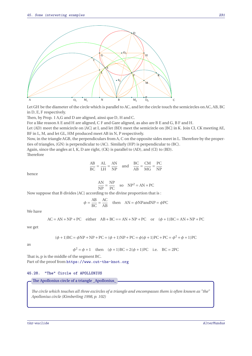

Let GH be the diameter of the circle which is parallel to AC, and let the circle touch the semicircles on AC, AB, BC in <sup>D</sup>, <sup>E</sup>, <sup>F</sup> respectively.

Then, by Prop. 1 <sup>A</sup>,<sup>G</sup> and <sup>D</sup> are aligned, ainsi que <sup>D</sup>, <sup>H</sup> and <sup>C</sup>.

For a like reason A E and <sup>H</sup> are aligned, C F and <sup>G</sup>are aligned, as also are B E and <sup>G</sup>, B F and <sup>H</sup>.

Let (AD) meet the semicircle on [AC] at <sup>I</sup>, and let (BD) meet the semicircle on [BC] in <sup>K</sup>. Join CI, CK meeting AE, BF in L, M, and let GL, HM produced meet AB in N, P respectively.

Now, in the triangle AGB, the perpendiculars from <sup>A</sup>, <sup>C</sup> on the opposite sides meet in <sup>L</sup>. Therefore by the properties of triangles, (GN) is perpendicular to (AC). Similarly (HP) is perpendicular to (BC).

Again, since the angles at <sup>I</sup>, <sup>K</sup>, <sup>D</sup> are right, (CK) is parallel to (AD), and (CI) to (BD). Therefore

$$
\frac{AB}{BC} = \frac{AL}{LH} = \frac{AN}{NP} \quad \text{and} \quad \frac{BC}{AB} = \frac{CM}{MG} = \frac{PC}{NP}
$$

hence

$$
\frac{\text{AN}}{\text{NP}} = \frac{\text{NP}}{\text{PC}} \quad \text{so} \quad \text{NP}^2 = \text{AN} \times \text{PC}
$$

Now suppose that B divides [AC] according to the divine proportion that is :

$$
\phi = \frac{AB}{BC} = \frac{AC}{AB} \quad \text{then} \quad AN = \phi NP \text{and} NP = \phi PC
$$

We have

$$
AC = AN + NP + PC \quad either \quad AB + BC == AN + NP + PC \quad or \quad (\phi + 1)BC = AN + NP + PC
$$

we get

$$
(\phi + 1)BC = \phi NP + NP + PC = (\phi + 1)NP + PC = \phi(\phi + 1)PC + PC = \phi^2 + \phi + 1)PC
$$

as

$$
\phi^2 = \phi + 1
$$
 then  $(\phi + 1)BC = 2(\phi + 1)PC$  i.e. BC = 2PC

That is, <sup>p</sup> is the middle of the segment BC. Part of the proof from <https://www.cut-the-knot.org>

#### **45.28. "The" Circle of APOLLONIUS**

The Apollonius circle of a triangle \_Apollonius\_

*The circle which touches all three excircles of a triangle and encompasses them is often known as "the" Apollonius circle (Kimberling 1998, p. 102)*

tkz-euclide AlterMundus et al. AlterMundus et al. AlterMundus et al. AlterMundus et al. AlterMundus et al. AlterMundus et al. AlterMundus et al. AlterMundus et al. AlterMundus et al. AlterMundus et al. AlterMundus et al. A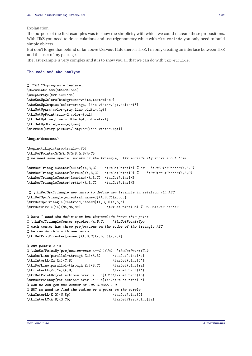Explanation

The purpose of the first examples was to show the simplicity with which we could recreate these propositions. With TikZ you need to do calculations and use trigonometry while with tkz-euclide you only need to build simple objects

But don't forget that behind or far above tkz-euclide there is TikZ. I'm only creating an interface between TikZ and the user of my package.

The last example is very complex and it is to show you all that we can do with tkz-euclide.

## **The code and the analyse**

```
% !TEX TS-program = lualatex
\documentclass{standalone}
\usepackage{tkz-euclide}
\tkzSetUpColors[background=white,text=black]
\tkzSetUpCompass[color=orange, line width=.4pt,delta=10]
\tkzSetUpArc[color=gray,line width=.4pt]
\tkzSetUpPoint[size=2,color=teal]
\tkzSetUpLine[line width=.4pt,color=teal]
\tkzSetUpStyle[orange]{new}
\tikzset{every picture/.style={line width=.4pt}}
\begin{document}
\begin{tikzpicture}[scale=.75]
\tkzDefPoints{0/0/A,6/0/B,0.8/4/C}
% we need some special points if the triangle, tkz-euclide.sty knows about them
\tkzDefTriangleCenter[euler](A,B,C) \tkzGetPoint{N} % or \tkzEulerCenter(A,B,C)
\tkzDefTriangleCenter[circum](A,B,C) \tkzGetPoint{O} % \tkzCircumCenter(A,B,C)
\tkzDefTriangleCenter[lemoine](A,B,C) \tkzGetPoint{K}
\tkzDefTriangleCenter[ortho](A,B,C) \tkzGetPoint{H}
```

```
% \tkzDefSpcTriangle new macro to define new triangle in relation wth ABC
\tkzDefSpcTriangle[excentral,name=J](A,B,C){a,b,c}
\tkzDefSpcTriangle[centroid,name=M](A,B,C){a,b,c}
\tkzDefCircle[in](Ma,Mb,Mc) \tkzGetPoint{Sp} % Sp Spieker center
```

```
% here I used the definition but tkz-euclide knows this point
% \tkzDefTriangleCenter[spieker](A,B,C) \tkzGetPoint{Sp}
% each center has three projections on the sides of the triangle ABC
% We can do this with one macro
\tkzDefProjExcenter[name=J](A,B,C)(a,b,c){Y,Z,X}
```

```
% but possible is
% \tkzDefPointBy[projection=onto A--C ](Ja) \tkzGetPoint{Za}
\tkzDefLine[parallel=through Za](A,B) \tkzGetPoint{Xc}
\tkzInterLL(Za,Xc)(C,B) \tkzGetPoint{C'}
\tkzDefLine[parallel=through Zc](B,C) \tkzGetPoint{Ya}
\tkzInterLL(Zc,Ya)(A,B) \tkzGetPoint{A'}
\tkzDefPointBy[reflection= over Ja--Jc](C')\tkzGetPoint{Ab}
\tkzDefPointBy[reflection= over Ja--Jc](A')\tkzGetPoint{Cb}
% Now we can get the center of THE CIRCLE : Q
% BUT we need to find the radius or a point on the circle
\tkzInterLL(K,0)(N,Sp) \tkzGetPoint{Q}
\tkzInterLC(A,B)(Q,Cb) \tkzGetFirstPoint{Ba}
```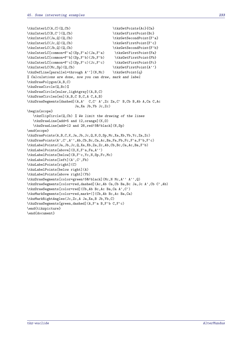```
\tkzInterLC(A,C)(Q,Cb) \tkzGetPoints{Ac}{Ca}
\tkzInterLC(B,C')(Q,Cb) \tkzGetFirstPoint{Bc}
\tkzInterLC(Ja,Q)(Q,Cb) \tkzGetSecondPoint{F'a}
\tkzInterLC(Jc,Q)(Q,Cb) \tkzGetFirstPoint{F'c}
\tkzInterLC(Jb,Q)(Q,Cb) \tkzGetSecondPoint{F'b}
\tkzInterLC[common=F'a](Sp,F'a)(Ja,F'a) \tkzGetFirstPoint{Fa}
\tkzInterLC[common=F'b](Sp,F'b)(Jb,F'b) \tkzGetFirstPoint{Fb}
\tkzInterLC[common=F'c](Sp,F'c)(Jc,F'c) \tkzGetFirstPoint{Fc}
\tkzInterLC(Mc,Sp)(Q,Cb) \tkzGetFirstPoint{A''}
\tkzDefLine[parallel=through A''](N,Mc) \tkzGetPoint{q}
% Calculations are done, now you can draw, mark and label
\tkzDrawPolygon(A,B,C)
\tkzDrawCircle(Q,Bc)%
\tkzDrawCircle[euler,lightgray](A,B,C)
\tkzDrawCircles[ex](A,B,C B,C,A C,A,B)
\tkzDrawSegments[dashed](A,A' C,C' A',Zc Za,C' B,Cb B,Ab A,Ca C,Ac
                      Ja,Xa Jb,Yb Jc,Zc)
\begin{scope}
   \tkzClipCircle(Q,Cb) % We limit the drawing of the lines
   \tkzDrawLine[add=5 and 12,orange](K,O)
  \tkzDrawLine[add=12 and 28,red!50!black](N,Sp)
\end{scope}
\tkzDrawPoints(A,B,C,K,Ja,Jb,Jc,Q,N,O,Sp,Mc,Xa,Xb,Yb,Yc,Za,Zc)
\tkzDrawPoints(A',C',A'',Ab,Cb,Bc,Ca,Ac,Ba,Fa,Fb,Fc,F'a,F'b,F'c)
\tkzLabelPoints(Ja,Jb,Jc,Q,Xa,Xb,Za,Zc,Ab,Cb,Bc,Ca,Ac,Ba,F'b)
\tkzLabelPoints[above](O,K,F'a,Fa,A'')
\tkzLabelPoints[below](B,F'c,Yc,N,Sp,Fc,Mc)
\tkzLabelPoints[left](A',C',Fb)
\tkzLabelPoints[right](C)
\tkzLabelPoints[below right](A)
\tkzLabelPoints[above right](Yb)
\tkzDrawSegments[color=green!50!black](Mc,N Mc,A'' A'',Q)
\tkzDrawSegments[color=red,dashed](Ac,Ab Ca,Cb Ba,Bc Ja,Jc A',Cb C',Ab)
\tkzDrawSegments[color=red](Cb,Ab Bc,Ac Ba,Ca A',C')
\tkzMarkSegments[color=red,mark=|](Cb,Ab Bc,Ac Ba,Ca)
\tkzMarkRightAngles(Jc,Zc,A Ja,Xa,B Jb,Yb,C)
\tkzDrawSegments[green,dashed](A,F'a B,F'b C,F'c)
\end{tikzpicture}
\end{document}
```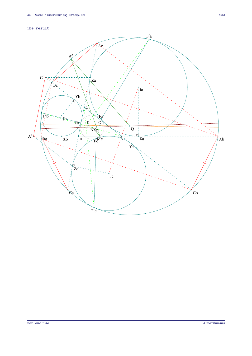## **The result**

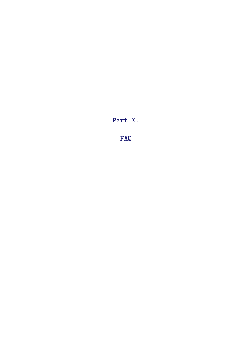**Part X.**

**FAQ**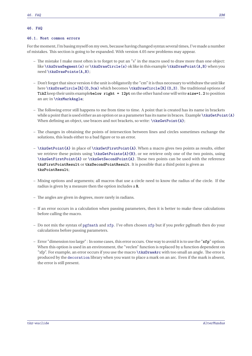# <span id="page-235-0"></span>**46. FAQ**

## **46.1. Most common errors**

For the moment, I'm basing myself on my own, because having changed syntax several times, I've made a number of mistakes. This section is going to be expanded. With version 4.05 new problems may appear.

- The mistake I make most often is to forget to put an "s" in the macro used to draw more than one object: like **\tkzDrawSegment(s)** or **\tkzDrawCircle(s)** ok like in this example **\tkzDrawPoint(A,B)** when you need **\tkzDrawPoints(A,B)**;
- Don't forget that since version 4 the unit is obligatorily the "cm" it is thus necessary to withdraw the unit like here **\tkzDrawCircle[R](O,3cm)** which becomes **\tkzDrawCircle[R](O,3)**. The traditional options of **TikZ** keep their units example**below right = 12pt** on the other hand one will write **size=1.2** to position an arc in **\tkzMarkAngle**;
- The following error still happens to me from time to time. A point that is created has its name in brackets while a point that is used either as an option or as a parameter has its name in braces. Example **\tkzGetPoint(A)** When defining an object, use braces and not brackets, so write: **\tkzGetPoint{A}**;
- The changes in obtaining the points of intersection between lines and circles sometimes exchange the solutions, this leads either to a bad figure or to an error.
- **\tkzGetPoint{A}** in place of **\tkzGetFirstPoint{A}**. When a macro gives two points as results, either we retrieve these points using **\tkzGetPoints{A}{B}**, or we retrieve only one of the two points, using **\tkzGetFirstPoint{A}** or **\tkzGetSecondPoint{A}**. These two points can be used with the reference **tkzFirstPointResult** or **tkzSecondPointResult**. It is possible that a third point is given as **tkzPointResult**;
- Mixing options and arguments; all macros that use a circle need to know the radius of the circle. If the radius is given by a measure then the option includes a **R**.
- The angles are given in degrees, more rarely in radians.
- If an error occurs in a calculation when passing parameters, then it is better to make these calculations before calling the macro.
- Do not mix the syntax of pgfmath and xfp. I've often chosen xfp but if you prefer pgfmath then do your calculations before passing parameters.
- Error "dimension too large" : In some cases, this error occurs. One way to avoid it is to use the "**xfp**" option. When this option is used in an environment, the "veclen" function is replaced by a function dependent on "xfp". For example, an error occurs if you use the macro **\tkzDrawArc** with too small an angle. The error is produced by the decoration library when you want to place a mark on an arc. Even if the mark is absent, the error is still present.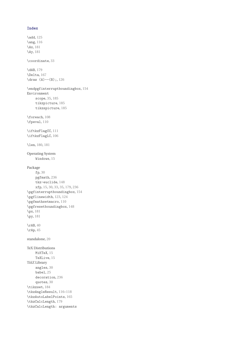### **Index**

\add, [125](#page-124-0) \ang, [116](#page-115-0) \Ax, [181](#page-180-0) \Ay, [181](#page-180-0) \coordinate, [33](#page-32-0) \dAB, [179](#page-178-0) \Delta, [167](#page-166-0)  $\d$ raw  $(A)$  --(B);, [126](#page-125-0) \endpgfinterruptboundingbox, [154](#page-153-0) Environment scope, [35,](#page-34-0) [185](#page-184-0) tikzpicture, [185](#page-184-0) tikzspicture, [185](#page-184-0) \foreach, [108](#page-107-0) \fpeval, [110](#page-109-0) \iftkzFlagCC, [111](#page-110-0) \iftkzFlagLC, [106](#page-105-0) \len, [180,](#page-179-0) [181](#page-180-0) Operating System Windows, [15](#page-14-0) Package fp, [30](#page-29-0) pgfmath, [236](#page-235-0) tkz-euclide, [148](#page-147-0) xfp, [15,](#page-14-0) [30,](#page-29-0) [33,](#page-32-0) [35,](#page-34-0) [179,](#page-178-0) [236](#page-235-0) \pgfinterruptboundingbox, [154](#page-153-0) \pgflinewidth, [123,](#page-122-0) [124](#page-123-0) \pgfmathsetmacro, [110](#page-109-0) \pgfresetboundingbox, [148](#page-147-0) \px, [181](#page-180-0) \py, [181](#page-180-0)  $\trth 40$  $\trth 40$ \rAp, [45](#page-44-0) standalone, [20](#page-19-0) TeX Distributions MiKTeX, [15](#page-14-0) TeXLive, [15](#page-14-0) Ti*k*Z Library angles, [30](#page-29-0) babel, [25](#page-24-0) decoration, [236](#page-235-0) quotes, [30](#page-29-0) \tikzset, [184](#page-183-0) \tkzAngleResult, [116](#page-115-0)[–118](#page-117-0) \tkzAutoLabelPoints, [165](#page-164-0) \tkzCalcLength, [179](#page-178-0) \tkzCalcLength: arguments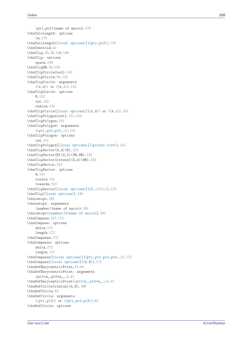```
(pt1,pt2){name of macro}
, 179
\tkzCalcLength: options
     cm
, 179
\tkzCalcLength[
⟨local options
⟩](
⟨pt1,pt2
⟩
)
, 179
\tkzCentroid
, 42
2530148149
\tkzClip: options
     space
, 149
\tkzClipBB
, 30
, 150
\tkzClipCircle[out]
, 155
\tkzClipCircle
, 93
, 152
\tkzClipCircle: arguments (\langle A,B\rangle) or (\langle A,r\rangle)152
\tkzClipCircle: options R, 152
     out
, 152
     radius
, 152
\tkzClipCircle[\langle \text{local options} \rangle](\langle A, B \rangle) or (\langle A, r \rangle)152
\tkzClipPolygon[out]
, 151
, 155
\tkzClipPolygon
, 151
\tkzClipPolygon: arguments (⟨pt1,pt2,pt3,…⟩), 151
\tkzClipPolygon: options
     out
, 151
\tkzClipPolygon[
⟨local options
⟩](
⟨points list
⟩
)
, 151
\tkzClipSector(O,A)(B)
, 153
\tkzClipSector[R](O,2)(30,90)
, 153
\tkzClipSector[rotate](O,A)(90)
, 153
\tkzClipSector
, 153
\tkzClipSector: options R, 153
     rotate
, 153
     towards
, 153
\tkzClipSector[
⟨local options
⟩](
⟨O,…
⟩)(
⟨
…
⟩
)
, 153
\tkzClip[
⟨local options
⟩
]
, 149
\tkzcmtopt
, 181
\tkzcmtopt: arguments
     (number){name of macro}
, 181
\tkzcmtopt(
⟨number
⟩){
⟨name of macro
⟩
}
, 181
\tkzCompass
, 137
, 172
\tkzCompass: options
     delta
, 172
     length
, 172
\tkzCompasss
, 172
\tkzCompasss: options
     delta
, 172
     length
, 172
\tkzCompasss[
⟨local options
⟩](
⟨pt1,pt2 pt3,pt4,…
⟩
)
, 172
\tkzCompass[
⟨local options
⟩](
⟨A,B
⟩
)
, 172
41-43
\tkzDefBarycentricPoint: arguments
     (pt1 = \alpha_1, pt2 = \alpha_2, ...)41
\tkzDefBarycentricPoint(\thetat1=\alpha_1,pt2=\alpha_2,...\rangle41
\tkzDefCircle[radius](A,B)
, 180
\tkzDefCircle
, 93
\tkzDefCircle: arguments (⟨pt1,pt2⟩) or (⟨pt1,pt2,pt3
⟩
)
, 93
\tkzDefCircle: options
```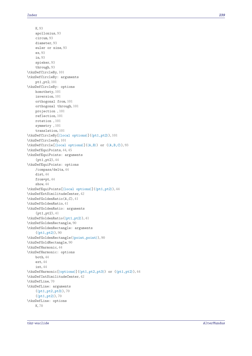K, [93](#page-92-0) apollonius, [93](#page-92-0) circum, [93](#page-92-0) diameter, [93](#page-92-0) euler or nine, [93](#page-92-0) ex, [93](#page-92-0) in, [93](#page-92-0) spieker, [93](#page-92-0) through, [93](#page-92-0) \tkzDefCircleBy, [101](#page-100-0) \tkzDefCircleBy: arguments pt1,pt2, [101](#page-100-0) \tkzDefCircleBy: options homothety, [101](#page-100-0) inversion, [101](#page-100-0) orthogonal from, [101](#page-100-0) orthogonal through, [101](#page-100-0) projection , [101](#page-100-0) reflection, [101](#page-100-0) rotation , [101](#page-100-0) symmetry , [101](#page-100-0) translation, [101](#page-100-0) \tkzDefCircleBy[⟨local options⟩](⟨pt1,pt2⟩), [101](#page-100-0) \tkzDefCirclesBy, [101](#page-100-0) \tkzDefCircle[⟨local options⟩](⟨A,B⟩) or (⟨A,B,C⟩), [93](#page-92-0) \tkzDefEquiPoints, [44,](#page-43-0) [45](#page-44-0) \tkzDefEquiPoints: arguments (pt1,pt2), [44](#page-43-0) \tkzDefEquiPoints: options /compass/delta, [44](#page-43-0) dist, [44](#page-43-0) from=pt, [44](#page-43-0) show, [44](#page-43-0) \tkzDefEquiPoints[⟨local options⟩](⟨pt1,pt2⟩), [44](#page-43-0) \tkzDefExtSimilitudeCenter, [42](#page-41-0) \tkzDefGoldenRatio(A,C), [41](#page-40-0) \tkzDefGoldenRatio, [41](#page-40-0) \tkzDefGoldenRatio: arguments (pt1,pt2), [41](#page-40-0) \tkzDefGoldenRatio(⟨pt1,pt2⟩), [41](#page-40-0) \tkzDefGoldenRectangle, [90](#page-89-0) \tkzDefGoldenRectangle: arguments (⟨pt1,pt2⟩), [90](#page-89-0) \tkzDefGoldenRectangle(⟨point,point⟩), [90](#page-89-0) \tkzDefGoldRectangle, [90](#page-89-0) \tkzDefHarmonic, [44](#page-43-0) \tkzDefHarmonic: options both, [44](#page-43-0) ext, [44](#page-43-0) int, [44](#page-43-0) \tkzDefHarmonic[⟨options⟩](⟨pt1,pt2,pt3⟩) or (⟨pt1,pt2⟩), [44](#page-43-0) \tkzDefIntSimilitudeCenter, [42](#page-41-0) \tkzDefLine, [70](#page-69-0) \tkzDefLine: arguments (⟨pt1,pt2,pt3⟩), [70](#page-69-0) (⟨pt1,pt2⟩), [70](#page-69-0) \tkzDefLine: options K, [70](#page-69-0)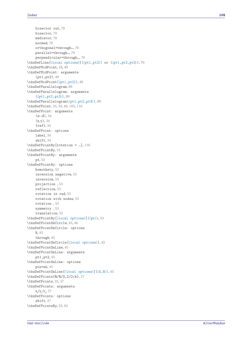bisector out, [70](#page-69-0) bisector, [70](#page-69-0) mediator, [70](#page-69-0) normed, [70](#page-69-0) orthogonal=through…, [70](#page-69-0) parallel=through…, [70](#page-69-0) perpendicular=through…, [70](#page-69-0) \tkzDefLine[⟨local options⟩](⟨pt1,pt2⟩) or (⟨pt1,pt2,pt3⟩), [70](#page-69-0) \tkzDefMidPoint, [18,](#page-17-0) [40](#page-39-0) \tkzDefMidPoint: arguments (pt1,pt2), [40](#page-39-0) \tkzDefMidPoint(⟨pt1,pt2⟩), [40](#page-39-0) \tkzDefParallelogram, [89](#page-88-0) \tkzDefParallelogram: arguments (⟨pt1,pt2,pt3⟩), [89](#page-88-0) \tkzDefParallelogram(⟨pt1,pt2,pt3⟩), [89](#page-88-0) \tkzDefPoint, [33,](#page-32-0) [34,](#page-33-0) [40,](#page-39-0) [105,](#page-104-0) [116](#page-115-0) \tkzDefPoint: arguments  $(\alpha:d), 34$  $(\alpha:d), 34$  $(x, y)$ , [34](#page-33-0) {ref}, [34](#page-33-0) \tkzDefPoint: options label, [34](#page-33-0) shift, [34](#page-33-0) \tkzDefPointBy[rotation = …], [116](#page-115-0) \tkzDefPointBy, [53](#page-52-0) \tkzDefPointBy: arguments pt, [53](#page-52-0) \tkzDefPointBy: options homothety, [53](#page-52-0) inversion negative, [53](#page-52-0) inversion, [53](#page-52-0) projection , [53](#page-52-0) reflection, [53](#page-52-0) rotation in rad, [53](#page-52-0) rotation with nodes, [53](#page-52-0) rotation , [53](#page-52-0) symmetry , [53](#page-52-0) translation, [53](#page-52-0) \tkzDefPointBy[⟨local options⟩](⟨pt⟩), [53](#page-52-0) \tkzDefPointOnCircle, [45,](#page-44-0) [46](#page-45-0) \tkzDefPointOnCircle: options R, [45](#page-44-0) through, [45](#page-44-0) \tkzDefPointOnCircle[⟨local options⟩], [45](#page-44-0) \tkzDefPointOnLine, [45](#page-44-0) \tkzDefPointOnLine: arguments pt1,pt2, [45](#page-44-0) \tkzDefPointOnLine: options pos=nb, [45](#page-44-0) \tkzDefPointOnLine[⟨local options⟩](⟨A,B⟩), [45](#page-44-0) \tkzDefPoints{0/0/O,2/2/A}, [37](#page-36-0) \tkzDefPoints, [33,](#page-32-0) [37](#page-36-0) \tkzDefPoints: arguments  $x_i / y_i / r_i$ , [37](#page-36-0) \tkzDefPoints: options shift, [37](#page-36-0) \tkzDefPointsBy, [53,](#page-52-0) [62](#page-61-0)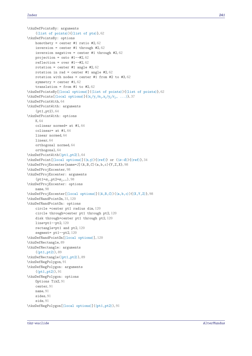```
\tkzDefPointsBy: arguments
    (⟨list of points⟩){⟨list of pts⟩}, 62
\tkzDefPointsBy: options
   homothety = center #1 ratio #2, 62
    inversion = center #1 through #2, 62
   inversion negative = center #1 through #2, 62
   projection = onto #1--#2, 62
   reflection = over 6262
   62
   62
    symmetry = center 6262
\tkzDefPointsBy[⟨local options⟩](⟨list of points⟩){⟨list of points⟩}, 62
\tkzDefPoints[\lambdaoptions)]\{(x_1/y_1/n_1, x_2/y_2/r_2, \ldots)\}37
\tkzDefPointWith, 64
\tkzDefPointWith: arguments
    (pt1,pt2), 64
\tkzDefPointWith: options
    K, 64
    colinear normed= at #1, 64
    colinear= at #1, 64
    linear normed, 64
   linear, 64
   orthogonal normed, 64
    orthogonal, 64
\tkzDefPointWith(⟨pt1,pt2⟩), 64
\tkzDefPoint[\langlelocal options\rangle](\langle x, y \rangle){\langle ref \rangle} or (\langle a:d \rangle){\langle ref \rangle34
\tkzDefProjExcenter[name=J](A,B,C)(a,b,c){Y,Z,X}, 98
\tkzDefProjExcenter, 98
\tkzDefProjExcenter: arguments
    (pt1=\alpha_1, pt2=\alpha_2, ...)98
\tkzDefProjExcenter: options
   name, 98
\tkzDefProjExcenter[⟨local options⟩](⟨A,B,C⟩)(⟨a,b,c⟩){⟨X,Y,Z⟩}, 98
\tkzDefRandPointOn, 31, 120
\tkzDefRandPointOn: options
    circle =center pt1 radius dim, 120
    circle through=center pt1 through pt2, 120
    disk through=center pt1 through pt2, 120
    line=pt1--pt2, 120
    rectangle=pt1 and pt2, 120
    segment= pt1--pt2, 120
\tkzDefRandPointOn[⟨local options⟩], 120
\tkzDefRectangle, 89
\tkzDefRectangle: arguments
    (⟨pt1,pt2⟩), 89
\tkzDefRectangle(⟨pt1,pt2⟩), 89
\tkzDefRegPolygon, 91
\tkzDefRegPolygon: arguments
    91\tkzDefRegPolygon: options
    Options TikZ, 91
    center, 91
   name, 91
    sides, 91
    side, 91
\tkzDefRegPolygon[⟨local options⟩](⟨pt1,pt2⟩), 91
```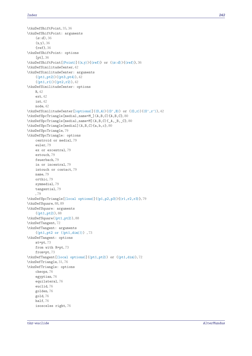```
\tkzDefShiftPoint, 35, 36
\tkzDefShiftPoint: arguments
    36(x,y), 36
    {ref}, 36
\tkzDefShiftPoint: options
    [pt], 36
\tkzDefShiftPoint[\langle Point \rangle](\langle x, y \rangle){\langle ref \rangle} or (\langle \alpha : d \rangle){\langle ref \rangle36
\tkzDefSimilitudeCenter, 42
\tkzDefSimilitudeCenter: arguments
    4242\tkzDefSimilitudeCenter: options
    R, 42
    ext, 42
    int, 42
    node, 42
\tkzDefSimilitudeCenter[⟨options⟩](⟨O,A⟩)(⟨O',B⟩) or (⟨O,r⟩)(⟨O',r'⟩), 42
\tkzDefSpcTriangle[medial,name=M_](A,B,C){A,B,C}, 80
\tkzDefSpcTriangle[medial,name=M](A,B,C){_A,_B,_C}, 80
\tkzDefSpcTriangle[medial](A,B,C){a,b,c}, 80
\tkzDefSpcTriangle, 79
\tkzDefSpcTriangle: options
    centroid or medial, 79
    euler, 79
    ex or excentral, 79
    extouch, 79
    feuerbach, 79
    in or incentral, 79
    intouch or contact, 79
    name, 79
    orthic, 79
    symmedial, 79
    tangential, 79
    , 79
\tkzDefSpcTriangle[⟨local options⟩](⟨p1,p2,p3⟩){⟨r1,r2,r3⟩}, 79
\tkzDefSquare, 88, 89
\tkzDefSquare: arguments
    (⟨pt1,pt2⟩), 88
\tkzDefSquare(⟨pt1,pt2⟩), 88
\tkzDefTangent, 72
\tkzDefTangent: arguments
    (\langle pt1, pt2 \text{ or } (\langle pt1, \text{dim} \rangle))73
\tkzDefTangent: options
    at=pt, 73
    from with R=pt, 73
    from=pt, 73
\tkzDefTangent[⟨local options⟩](⟨pt1,pt2⟩) or (⟨pt1,dim⟩), 72
\tkzDefTriangle, 31, 76
\tkzDefTriangle: options
    cheops, 76
    egyptian, 76
    equilateral, 76
    euclid, 76
    golden, 76
    gold, 76
    half, 76
    isosceles right, 76
```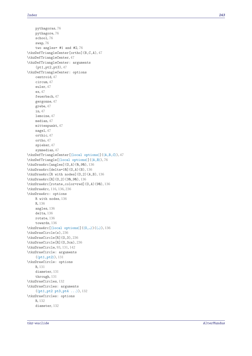```
pythagoras
, 76
     pythagore
, 76
     school
, 76
     swap
, 76
     two angles= #1 and 76\tkzDefTriangleCenter[ortho](B,C,A)
, 47
\tkzDefTriangleCenter
, 47
\tkzDefTriangleCenter: arguments
     (pt1,pt2,pt3)
, 47
\tkzDefTriangleCenter: options
     centroid
, 47
     circum
, 47
     euler
, 47
     ex
, 47
     feuerbach
, 47
     gergonne
, 47
     grebe
, 47
     in
, 47
     lemoine
, 47
     median
, 47
     mittenpunkt
, 47
     47
     orthic
, 47
     ortho
, 47
     spieker
, 47
     symmedian
, 47
47\tkzDefTriangle[
⟨local options
⟩](
⟨A,B
⟩
)
, 76
\tkzDrawArc[angles](O,A)(0,90)
, 136
\tkzDrawArc[delta=10](O,A)(B)
, 136
\tkzDrawArc[R with nodes](O,2)(A,B)
, 136
\tkzDrawArc[R](O,2)(30,90)
, 136
\tkzDrawArc[rotate,color=red](O,A)(90)
, 136
\tkzDrawArc
, 116
, 136
, 236
\tkzDrawArc: options
     R with nodes
, 136
     R
, 136
     angles
, 136
     delta
, 136
     rotate
, 136
     towards
, 136
\tkzDrawArc[(local options)](\langle 0, ...\rangle)(\langle ... \rangle136
\tkzDrawCircle(s)
, 236
\tkzDrawCircle[R](O,3)
, 236
\tkzDrawCircle[R](O,3cm)
, 236
\tkzDrawCircle
, 93
, 131
, 142
\tkzDrawCircle: arguments (⟨pt1,pt2⟩), 131
\tkzDrawCircle: options R, 131
     diameter
, 131
     through
, 131
\tkzDrawCircles
, 132
\tkzDrawCircles: arguments (⟨pt1,pt2 pt3,pt4 ...⟩)
, 132
\tkzDrawCircles: options R, 132
     132
```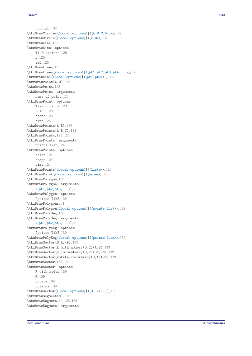```
through, 132
\tkzDrawCircles[⟨local options⟩](⟨A,B C,D …⟩), 132
\tkzDrawCircle[⟨local options⟩](⟨A,B⟩), 131
\tkzDrawLine, 125
\tkzDrawLine: options
   TikZ options, 125
    …, 125
    add, 125
125
\tkzDrawLines[⟨local options⟩](⟨pt1,pt2 pt3,pt4 ...⟩), 125
\tkzDrawLine[⟨local options⟩](⟨pt1,pt2⟩) , 125
\tkzDrawPoint(A,B), 236
\tkzDrawPoint, 123
\tkzDrawPoint: arguments
    name of point, 123
\tkzDrawPoint: options
    TikZ options, 123
    color, 123
    shape, 123
    size, 123
\tkzDrawPoints(A,B), 236
\tkzDrawPoints(A,B,C), 124
\tkzDrawPoints, 123, 124
\tkzDrawPoints: arguments
   points list, 124
\tkzDrawPoints: options
    color, 124
    shape, 124
    size, 124
\tkzDrawPoints[⟨local options⟩](⟨liste⟩), 124
\tkzDrawPoint[⟨local options⟩](⟨name⟩), 123
\tkzDrawPolygon, 129
\tkzDrawPolygon: arguments
    (⟨pt1,pt2,pt3,...⟩), 129
\tkzDrawPolygon: options
    Options TikZ, 129
\tkzDrawPolygons, 31
\tkzDrawPolygon[⟨local options⟩](⟨points list⟩), 129
\tkzDrawPolySeg, 130
\tkzDrawPolySeg: arguments
    130\tkzDrawPolySeg: options
    Options TikZ, 130
\tkzDrawPolySeg[⟨local options⟩](⟨points list⟩), 130
\tkzDrawSector(O,A)(B), 139
\tkzDrawSector[R with nodes](O,2)(A,B), 139
139
\tkzDrawSector[rotate,color=red](O,A)(90), 139
\tkzDrawSector, 139–141
\tkzDrawSector: options
    R with nodes, 139
    R, 139
    rotate, 139
    towards, 139
\tkzDrawSector[⟨local options⟩](⟨O,…⟩)(⟨…⟩), 139
\tkzDrawSegment(s), 236
\tkzDrawSegment, 30, 125, 126
\tkzDrawSegment: arguments
```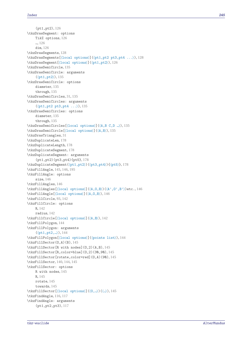```
(pt1,pt2), 126
\tkzDrawSegment: options
   TikZ options, 126
    …, 126
    dim, 126
128
\tkzDrawSegments[⟨local options⟩](⟨pt1,pt2 pt3,pt4 ...⟩), 128
\tkzDrawSegment[⟨local options⟩](⟨pt1,pt2⟩), 126
\tkzDrawSemiCircle, 135
\tkzDrawSemiCircle: arguments
    (⟨pt1,pt2⟩), 135
\tkzDrawSemiCircle: options
    diameter, 135
    through, 135
\tkzDrawSemiCircles, 31, 135
\tkzDrawSemiCircles: arguments
    (⟨pt1,pt2 pt3,pt4 ...⟩), 135
\tkzDrawSemiCircles: options
    diameter, 135
    through, 135
\tkzDrawSemiCircles[⟨local options⟩](⟨A,B C,D …⟩), 135
\tkzDrawSemiCircle[⟨local options⟩](⟨A,B⟩), 135
\tkzDrawTriangles, 31
\tkzDuplicateLen, 178
\tkzDuplicateLength, 178
\tkzDuplicateSegment, 178
\tkzDuplicateSegment: arguments
    (pt1,pt2)(pt3,pt4){pt5}, 178
\tkzDuplicateSegment(⟨pt1,pt2⟩)(⟨pt3,pt4⟩){⟨pt5⟩}, 178
\tkzFillAngle, 145, 146, 195
\tkzFillAngle: options
    size, 146
\tkzFillAngles, 146
\tkzFillAngles[⟨local options⟩](⟨A,O,B⟩)(⟨A',O',B'⟩)etc., 146
\tkzFillAngle[⟨local options⟩](⟨A,O,B⟩), 146
\tkzFillCircle, 93, 142
\tkzFillCircle: options
    R, 142
    radius, 142
\tkzFillCircle[⟨local options⟩](⟨A,B⟩), 142
\tkzFillPolygon, 144
\tkzFillPolygon: arguments
    (⟨pt1,pt2,…⟩), 144
\tkzFillPolygon[⟨local options⟩](⟨points list⟩), 144
\tkzFillSector(O,A)(B), 145
\tkzFillSector[R with nodes](O,2)(A,B), 145
\tkzFillSector[R,color=blue](O,2)(30,90), 145
\tkzFillSector[rotate,color=red](O,A)(90), 145
\tkzFillSector, 140, 144, 145
\tkzFillSector: options
    R with nodes, 145
   R, 145
    rotate, 145
    towards, 145
\tkzFillSector[⟨local options⟩](⟨O,…⟩)(⟨…⟩), 145
\tkzFindAngle, 116, 117
\tkzFindAngle: arguments
    (pt1,pt2,pt3), 117
```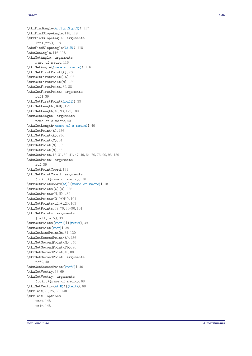```
117\tkzFindSlopeAngle
, 118
, 119
\tkzFindSlopeAngle: arguments
    (pt1,pt2)
, 118
\tkzFindSlopeAngle(
⟨A,B
⟩
)
, 118
\tkzGetAngle
, 116
–118
\tkzGetAngle: arguments
    name of macro
, 116
\tkzGetAngle(
⟨name of macro
⟩
)
, 116
\tkzGetFirstPoint{A}
, 236
\tkzGetFirstPoint{Jb}
, 96
\tkzGetFirstPoint{M}
, 39
\tkzGetFirstPoint
, 39
, 88
\tkzGetFirstPoint: arguments
    ref1
, 39
39\tkzGetLength{dAB}
, 179
4093179180
\tkzGetLength: arguments
    40
40\tkzGetPoint(A)
, 236
\tkzGetPoint{A}
, 236
\tkzGetPoint{C}
, 64
\tkzGetPoint{M}
, 39
\tkzGetPoint{M}
, 53
183139476470769093120
\tkzGetPoint: arguments
    ref
, 39
\tkzGetPointCoord
, 181
\tkzGetPointCoord: arguments
    (point){name of macro}
, 181
\text{CostPointCoord}(\langle A \rangle) {\text{name of macro}}181
\tkzGetPoints{A}{B}
, 236
\tkzGetPoints{M,N}
, 39
\tkzGetPoints{O'}{M'}
, 101
\tkzGetPoints{z1}{z2}
, 103
397088101
\tkzGetPoints: arguments
    {ref1,ref2}
, 39
\text{kzGetPoints} {\ref1} {\ref239
\text{CetPoint} {\ref}39
\tkzGetRandPointOn
, 31
, 120
\tkzGetSecondPoint{A}
, 236
\tkzGetSecondPoint{M}
, 40
\tkzGetSecondPoint{Tb}
, 96
\tkzGetSecondPoint
, 40
, 88
\tkzGetSecondPoint: arguments
    ref2
, 40
\text{kzGetSecondPoint}\{\text{ref2}\}\,40
\tkzGetVectxy
, 68
, 69
\tkzGetVectxy: arguments
    (point){name of macro}
, 68
\tkzGetVectxy(⟨A,B⟩){
⟨text
⟩
}
, 68
202530148
\tkzInit: options
    xmax
, 148
    xmin
, 148
```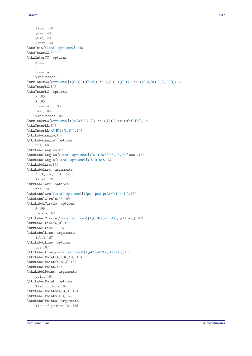xstep, [148](#page-147-0) ymax, [148](#page-147-0) ymin, [148](#page-147-0) ystep, [148](#page-147-0) \tkzInit[⟨local options⟩], [148](#page-147-0) \tkzInterCC, [39,](#page-38-0) [111](#page-110-0) \tkzInterCC: options N, [111](#page-110-0) R, [111](#page-110-0) common=pt, [111](#page-110-0) with nodes, [111](#page-110-0) \tkzInterCC[⟨options⟩](⟨O,A⟩)(⟨O′ ,A′ ⟩) or (⟨O, r⟩)(⟨O′ , r′ ⟩) or (⟨O,A,B⟩) (⟨O′ ,C,D⟩), [111](#page-110-0) \tkzInterLC, [105](#page-104-0) \tkzInterLC: options N, [105](#page-104-0) R, [105](#page-104-0) common=pt, [105](#page-104-0) near, [105](#page-104-0) with nodes, [105](#page-104-0)  $\text{tkzInterLC}(\operatorname{options})(\langle A, B \rangle)(\langle O, C \rangle)$  or  $(\langle O, T \rangle)$  or  $(\langle O, C, D \rangle)$ , [105](#page-104-0) \tkzInterLL, [105](#page-104-0) \tkzInterLL(⟨A,B⟩)(⟨C,D⟩), [105](#page-104-0) \tkzLabelAngle, [167](#page-166-0) \tkzLabelAngle: options pos, [168](#page-167-0) \tkzLabelAngles, [169](#page-168-0) \tkzLabelAngles[⟨local options⟩](⟨A,O,B⟩)(⟨A',O',B'⟩)etc., [169](#page-168-0) \tkzLabelAngle[⟨local options⟩](⟨A,O,B⟩), [167](#page-166-0) \tkzLabelArc, [170](#page-169-0) \tkzLabelArc: arguments (pt1,pt2,pt3), [170](#page-169-0) label, [170](#page-169-0) \tkzLabelArc: options pos, [170](#page-169-0) \tkzLabelArc[⟨local options⟩](⟨pt1,pt2,pt3⟩){⟨label⟩}, [170](#page-169-0) \tkzLabelCircle, [93,](#page-92-0) [169](#page-168-0) \tkzLabelCircle: options R, [169](#page-168-0) radius, [169](#page-168-0) \tkzLabelCircle[⟨local options⟩](⟨A,B⟩)(⟨angle⟩){⟨label⟩}, [169](#page-168-0) \tkzLabelLine(A,B), [167](#page-166-0) \tkzLabelLine, [30,](#page-29-0) [167](#page-166-0) \tkzLabelLine: arguments label, [167](#page-166-0) \tkzLabelLine: options pos, [167](#page-166-0) \tkzLabelLine[⟨local options⟩](⟨pt1,pt2⟩){⟨label⟩}, [167](#page-166-0) \tkzLabelPoint(A){\$A\_1\$}, [164](#page-163-0) \tkzLabelPoint(A,B,C), [165](#page-164-0) \tkzLabelPoint, [164](#page-163-0) \tkzLabelPoint: arguments point, [164](#page-163-0) \tkzLabelPoint: options TikZ options, [164](#page-163-0) \tkzLabelPoints(A,B,C), [164](#page-163-0) \tkzLabelPoints, [164,](#page-163-0) [165](#page-164-0) \tkzLabelPoints: arguments list of points, [164,](#page-163-0) [165](#page-164-0)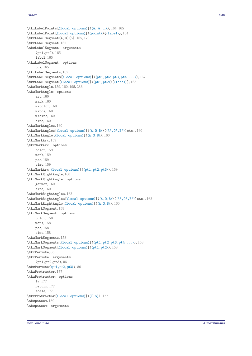```
164,165\tkzLabelPoint[⟨local options⟩](⟨point⟩){⟨label⟩}, 164
\tkzLabelSegment(A,B){5}, 165, 170
\tkzLabelSegment, 165
\tkzLabelSegment: arguments
    (pt1,pt2), 165
    label, 165
\tkzLabelSegment: options
    pos, 165
\tkzLabelSegments, 167
\tkzLabelSegments[⟨local options⟩](⟨pt1,pt2 pt3,pt4 ...⟩), 167
\tkzLabelSegment[⟨local options⟩](⟨pt1,pt2⟩){⟨label⟩}, 165
\tkzMarkAngle, 159, 160, 195, 236
\tkzMarkAngle: options
    arc, 160
    mark, 160
    mkcolor, 160
    mkpos, 160
    mksize, 160
    size, 160
\tkzMarkAngles, 160
\tkzMarkAngles[⟨local options⟩](⟨A,O,B⟩)(⟨A',O',B'⟩)etc., 160
\tkzMarkAngle[⟨local options⟩](⟨A,O,B⟩), 160
\tkzMarkArc, 159
\tkzMarkArc: options
    color, 159
    mark, 159
    pos, 159
    size, 159
\tkzMarkArc[⟨local options⟩](⟨pt1,pt2,pt3⟩), 159
\tkzMarkRightAngle, 160
\tkzMarkRightAngle: options
    german, 160
    size, 160
\tkzMarkRightAngles, 162
\tkzMarkRightAngles[⟨local options⟩](⟨A,O,B⟩)(⟨A',O',B'⟩)etc., 162
\tkzMarkRightAngle[⟨local options⟩](⟨A,O,B⟩), 160
\tkzMarkSegment, 158
\tkzMarkSegment: options
    color, 158
    mark, 158
    pos, 158
    size, 158
\tkzMarkSegments, 158
\tkzMarkSegments[⟨local options⟩](⟨pt1,pt2 pt3,pt4 ...⟩), 158
\tkzMarkSegment[⟨local options⟩](⟨pt1,pt2⟩), 158
\tkzPermute, 86
\tkzPermute: arguments
    (pt1,pt2,pt3), 86
\tkzPermute(⟨pt1,pt2,pt3⟩), 86
\tkzProtractor, 177
\tkzProtractor: options
    lw, 177
    return, 177
    scale, 177
\tkzProtractor[⟨local options⟩](⟨O,A⟩), 177
\tkzpttocm, 180
\tkzpttocm: arguments
```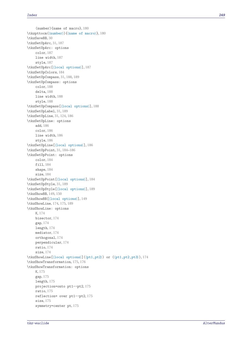(number){name of macro}, [180](#page-179-0) \tkzpttocm(⟨number⟩){⟨name of macro⟩}, [180](#page-179-0) \tkzSaveBB, [30](#page-29-0) \tkzSetUpArc, [31,](#page-30-0) [187](#page-186-0) \tkzSetUpArc: options color, [187](#page-186-0) line width, [187](#page-186-0) style, [187](#page-186-0) \tkzSetUpArc[⟨local options⟩], [187](#page-186-0) \tkzSetUpColors, [184](#page-183-0) \tkzSetUpCompass, [31,](#page-30-0) [188,](#page-187-0) [189](#page-188-0) \tkzSetUpCompass: options color, [188](#page-187-0) delta, [188](#page-187-0) line width, [188](#page-187-0) style, [188](#page-187-0) \tkzSetUpCompass[⟨local options⟩], [188](#page-187-0) \tkzSetUpLabel, [31,](#page-30-0) [189](#page-188-0) \tkzSetUpLine, [31,](#page-30-0) [124,](#page-123-0) [186](#page-185-0) \tkzSetUpLine: options add, [186](#page-185-0) color, [186](#page-185-0) line width, [186](#page-185-0) style, [186](#page-185-0) \tkzSetUpLine[⟨local options⟩], [186](#page-185-0) \tkzSetUpPoint, [31,](#page-30-0) [184](#page-183-0)[–186](#page-185-0) \tkzSetUpPoint: options color, [184](#page-183-0) fill, [184](#page-183-0) shape, [184](#page-183-0) size, [184](#page-183-0) \tkzSetUpPoint[⟨local options⟩], [184](#page-183-0) \tkzSetUpStyle, [31,](#page-30-0) [189](#page-188-0) \tkzSetUpStyle[⟨local options⟩], [189](#page-188-0) \tkzShowBB, [149,](#page-148-0) [150](#page-149-0) \tkzShowBB[⟨local options⟩], [149](#page-148-0) \tkzShowLine, [174,](#page-173-0) [175,](#page-174-0) [189](#page-188-0) \tkzShowLine: options K, [174](#page-173-0) bisector, [174](#page-173-0) gap, [174](#page-173-0) length, [174](#page-173-0) mediator, [174](#page-173-0) orthogonal, [174](#page-173-0) perpendicular, [174](#page-173-0) ratio, [174](#page-173-0) size, [174](#page-173-0) \tkzShowLine[⟨local options⟩](⟨pt1,pt2⟩) or (⟨pt1,pt2,pt3⟩), [174](#page-173-0) \tkzShowTransformation, [175,](#page-174-0) [176](#page-175-0) \tkzShowTransformation: options K, [175](#page-174-0) gap, [175](#page-174-0) length, [175](#page-174-0) projection=onto pt1--pt2, [175](#page-174-0) ratio, [175](#page-174-0) reflection= over pt1--pt2, [175](#page-174-0) size, [175](#page-174-0) symmetry=center pt, [175](#page-174-0)